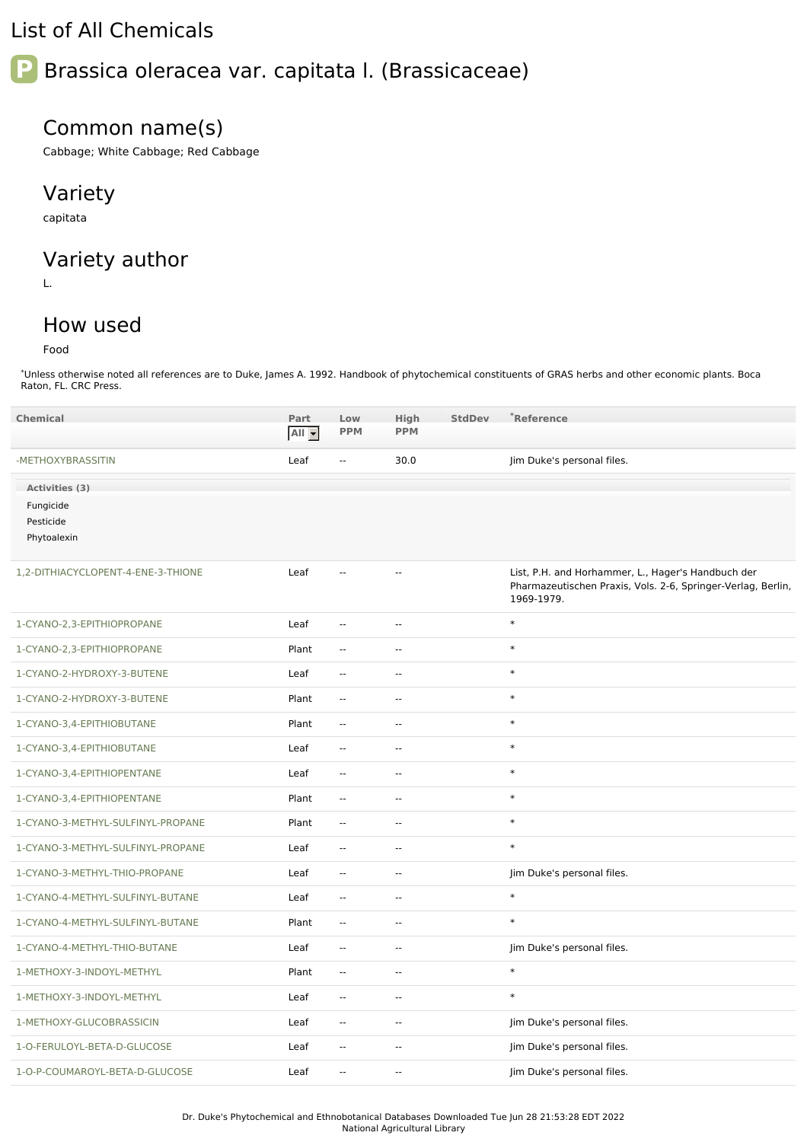# List of All Chemicals

# **P** Brassica oleracea var. capitata l. (Brassicaceae)

### Common name(s)

Cabbage; White Cabbage; Red Cabbage

# Variety

capitata

# Variety author

L.

# How used

Food

\*Unless otherwise noted all references are to Duke, James A. 1992. Handbook of phytochemical constituents of GRAS herbs and other economic plants. Boca Raton, FL. CRC Press.

| <b>Chemical</b>                       | Part    | Low                      | High                     | <b>StdDev</b> | *Reference                                                                                                                       |
|---------------------------------------|---------|--------------------------|--------------------------|---------------|----------------------------------------------------------------------------------------------------------------------------------|
|                                       | $All -$ | <b>PPM</b>               | <b>PPM</b>               |               |                                                                                                                                  |
| -METHOXYBRASSITIN                     | Leaf    | $\overline{\phantom{a}}$ | 30.0                     |               | Jim Duke's personal files.                                                                                                       |
| Activities (3)                        |         |                          |                          |               |                                                                                                                                  |
| Fungicide<br>Pesticide<br>Phytoalexin |         |                          |                          |               |                                                                                                                                  |
| 1,2-DITHIACYCLOPENT-4-ENE-3-THIONE    | Leaf    | Ξ.                       | $\overline{a}$           |               | List, P.H. and Horhammer, L., Hager's Handbuch der<br>Pharmazeutischen Praxis, Vols. 2-6, Springer-Verlag, Berlin,<br>1969-1979. |
| 1-CYANO-2,3-EPITHIOPROPANE            | Leaf    | $\sim$ $\sim$            | $\mathbf{u}$             |               | $\ast$                                                                                                                           |
| 1-CYANO-2,3-EPITHIOPROPANE            | Plant   | $\overline{\phantom{a}}$ | $\mathbf{u}$             |               | $\ast$                                                                                                                           |
| 1-CYANO-2-HYDROXY-3-BUTENE            | Leaf    | Ξ.                       | $\overline{\phantom{a}}$ |               | $\ast$                                                                                                                           |
| 1-CYANO-2-HYDROXY-3-BUTENE            | Plant   | $\sim$ $\sim$            | $\overline{\phantom{a}}$ |               | $\ast$                                                                                                                           |
| 1-CYANO-3,4-EPITHIOBUTANE             | Plant   | $\mathbf{u}$             | $\sim$ $\sim$            |               | $\ast$                                                                                                                           |
| 1-CYANO-3,4-EPITHIOBUTANE             | Leaf    | Ξ.                       | $\mathbf{u}$             |               | $\ast$                                                                                                                           |
| 1-CYANO-3,4-EPITHIOPENTANE            | Leaf    | $\mathbb{L}$             | $\sim$ $\sim$            |               | $\ast$                                                                                                                           |
| 1-CYANO-3,4-EPITHIOPENTANE            | Plant   | $\mathbb{L}$             | $\overline{\phantom{a}}$ |               | $\ast$                                                                                                                           |
| 1-CYANO-3-METHYL-SULFINYL-PROPANE     | Plant   | Ξ.                       | $\overline{\phantom{a}}$ |               | $\ast$                                                                                                                           |
| 1-CYANO-3-METHYL-SULFINYL-PROPANE     | Leaf    | $\overline{\phantom{a}}$ | $\overline{\phantom{a}}$ |               | $\ast$                                                                                                                           |
| 1-CYANO-3-METHYL-THIO-PROPANE         | Leaf    | $\overline{\phantom{a}}$ | $\overline{\phantom{a}}$ |               | Jim Duke's personal files.                                                                                                       |
| 1-CYANO-4-METHYL-SULFINYL-BUTANE      | Leaf    | Ξ.                       | $\overline{a}$           |               | $\ast$                                                                                                                           |
| 1-CYANO-4-METHYL-SULFINYL-BUTANE      | Plant   | $\overline{\phantom{a}}$ | $\overline{\phantom{a}}$ |               | $\ast$                                                                                                                           |
| 1-CYANO-4-METHYL-THIO-BUTANE          | Leaf    | $\mathbb{L}$             | $\sim$ $\sim$            |               | Jim Duke's personal files.                                                                                                       |
| 1-METHOXY-3-INDOYL-METHYL             | Plant   | ÷.                       | Ξ.                       |               | $\ast$                                                                                                                           |
| 1-METHOXY-3-INDOYL-METHYL             | Leaf    | $\overline{\phantom{a}}$ | $\overline{\phantom{a}}$ |               | $\ast$                                                                                                                           |
| 1-METHOXY-GLUCOBRASSICIN              | Leaf    | Ξ.                       | $\mathbf{u}$             |               | Jim Duke's personal files.                                                                                                       |
| 1-O-FERULOYL-BETA-D-GLUCOSE           | Leaf    | Ξ.                       | $\overline{a}$           |               | Jim Duke's personal files.                                                                                                       |
| 1-O-P-COUMAROYL-BETA-D-GLUCOSE        | Leaf    | $\overline{\phantom{a}}$ | $\overline{a}$           |               | Jim Duke's personal files.                                                                                                       |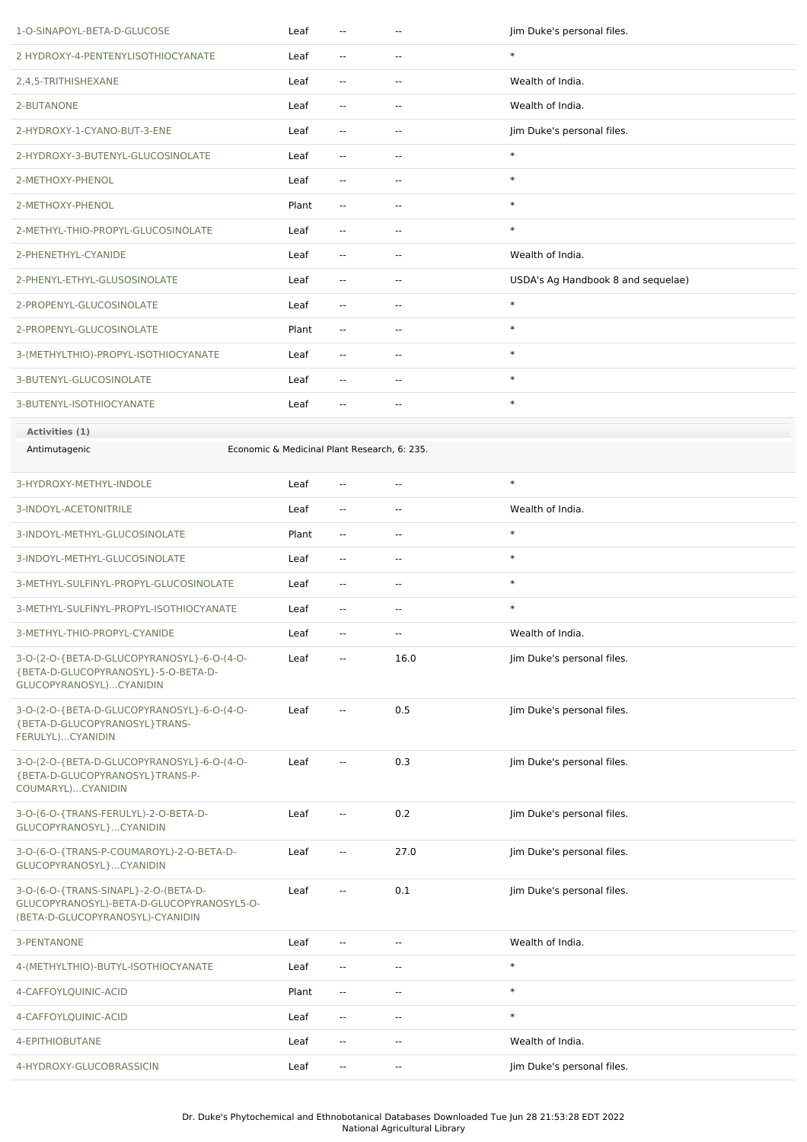| 1-O-SINAPOYL-BETA-D-GLUCOSE                                                                                           | Leaf  | $\overline{\phantom{a}}$                     | $\overline{a}$           | Jim Duke's personal files.         |
|-----------------------------------------------------------------------------------------------------------------------|-------|----------------------------------------------|--------------------------|------------------------------------|
| 2 HYDROXY-4-PENTENYLISOTHIOCYANATE                                                                                    | Leaf  | $\sim$                                       | н.                       | $\ast$                             |
| 2,4,5-TRITHISHEXANE                                                                                                   | Leaf  | $\overline{\phantom{a}}$                     | $\overline{\phantom{a}}$ | Wealth of India.                   |
| 2-BUTANONE                                                                                                            | Leaf  | $\overline{\phantom{a}}$                     | $\overline{a}$           | Wealth of India.                   |
| 2-HYDROXY-1-CYANO-BUT-3-ENE                                                                                           | Leaf  | $\overline{\phantom{a}}$                     | $\overline{a}$           | Jim Duke's personal files.         |
| 2-HYDROXY-3-BUTENYL-GLUCOSINOLATE                                                                                     | Leaf  | $\overline{\phantom{a}}$                     | $\overline{\phantom{a}}$ | $\ast$                             |
| 2-METHOXY-PHENOL                                                                                                      | Leaf  | $\overline{\phantom{a}}$                     | $\overline{\phantom{a}}$ | $\ast$                             |
| 2-METHOXY-PHENOL                                                                                                      | Plant | $\sim$                                       | $\overline{\phantom{a}}$ | $\ast$                             |
| 2-METHYL-THIO-PROPYL-GLUCOSINOLATE                                                                                    | Leaf  | $\overline{\phantom{a}}$                     | ۰.                       | $\ast$                             |
| 2-PHENETHYL-CYANIDE                                                                                                   | Leaf  | $\overline{\phantom{a}}$                     | $\overline{\phantom{a}}$ | Wealth of India.                   |
| 2-PHENYL-ETHYL-GLUSOSINOLATE                                                                                          | Leaf  | $\overline{\phantom{a}}$                     | $\overline{\phantom{a}}$ | USDA's Ag Handbook 8 and sequelae) |
| 2-PROPENYL-GLUCOSINOLATE                                                                                              | Leaf  | $\sim$                                       | $\overline{\phantom{a}}$ | $\ast$                             |
| 2-PROPENYL-GLUCOSINOLATE                                                                                              | Plant | $\overline{\phantom{a}}$                     | $\overline{\phantom{a}}$ | $\ast$                             |
| 3-(METHYLTHIO)-PROPYL-ISOTHIOCYANATE                                                                                  | Leaf  | $\sim$                                       | $\overline{\phantom{a}}$ | $\ast$                             |
| 3-BUTENYL-GLUCOSINOLATE                                                                                               | Leaf  | $\sim$                                       | н.                       | $\ast$                             |
| 3-BUTENYL-ISOTHIOCYANATE                                                                                              | Leaf  | $\overline{\phantom{a}}$                     | $\overline{\phantom{a}}$ | $\ast$                             |
| Activities (1)                                                                                                        |       |                                              |                          |                                    |
| Antimutagenic                                                                                                         |       | Economic & Medicinal Plant Research, 6: 235. |                          |                                    |
| 3-HYDROXY-METHYL-INDOLE                                                                                               | Leaf  | $\overline{\phantom{a}}$                     | $\overline{a}$           | $\ast$                             |
| 3-INDOYL-ACETONITRILE                                                                                                 | Leaf  | $\sim$ $\sim$                                | $\overline{a}$           | Wealth of India.                   |
| 3-INDOYL-METHYL-GLUCOSINOLATE                                                                                         | Plant | $\overline{\phantom{a}}$                     | $\overline{\phantom{a}}$ | $\ast$                             |
| 3-INDOYL-METHYL-GLUCOSINOLATE                                                                                         | Leaf  | $\overline{\phantom{a}}$                     | $\overline{\phantom{a}}$ | $\ast$                             |
| 3-METHYL-SULFINYL-PROPYL-GLUCOSINOLATE                                                                                | Leaf  | $\sim$                                       | $\overline{\phantom{a}}$ | $\ast$                             |
| 3-METHYL-SULFINYL-PROPYL-ISOTHIOCYANATE                                                                               | Leaf  | $-1$                                         | $\overline{a}$           | $\ast$                             |
| 3-METHYL-THIO-PROPYL-CYANIDE                                                                                          | Leaf  | $\overline{\phantom{m}}$                     |                          | Wealth of India.                   |
| 3-O-(2-O-{BETA-D-GLUCOPYRANOSYL}-6-O-(4-O-<br>{BETA-D-GLUCOPYRANOSYL}-5-O-BETA-D-<br>GLUCOPYRANOSYL)CYANIDIN          | Leaf  | $\overline{\phantom{a}}$                     | 16.0                     | Jim Duke's personal files.         |
| 3-O-(2-O-{BETA-D-GLUCOPYRANOSYL}-6-O-(4-O-<br>{BETA-D-GLUCOPYRANOSYL}TRANS-<br>FERULYL)CYANIDIN                       | Leaf  | --                                           | 0.5                      | Jim Duke's personal files.         |
| 3-O-(2-O-{BETA-D-GLUCOPYRANOSYL}-6-O-(4-O-<br>{BETA-D-GLUCOPYRANOSYL}TRANS-P-<br>COUMARYL)CYANIDIN                    | Leaf  | $\overline{\phantom{a}}$                     | 0.3                      | Jim Duke's personal files.         |
| 3-O-(6-O-{TRANS-FERULYL)-2-O-BETA-D-<br>GLUCOPYRANOSYL}CYANIDIN                                                       | Leaf  | --                                           | 0.2                      | Jim Duke's personal files.         |
| 3-O-(6-O-{TRANS-P-COUMAROYL)-2-O-BETA-D-<br>GLUCOPYRANOSYL}CYANIDIN                                                   | Leaf  | $\overline{\phantom{a}}$                     | 27.0                     | Jim Duke's personal files.         |
| 3-O-(6-O-{TRANS-SINAPL}-2-O-(BETA-D-<br>GLUCOPYRANOSYL)-BETA-D-GLUCOPYRANOSYL5-O-<br>(BETA-D-GLUCOPYRANOSYL)-CYANIDIN | Leaf  | $\overline{\phantom{a}}$                     | 0.1                      | Jim Duke's personal files.         |
| 3-PENTANONE                                                                                                           | Leaf  | $\overline{\phantom{a}}$                     | $\overline{a}$           | Wealth of India.                   |
| 4-(METHYLTHIO)-BUTYL-ISOTHIOCYANATE                                                                                   | Leaf  | $\overline{\phantom{a}}$                     | $\overline{\phantom{a}}$ | $\ast$                             |
| 4-CAFFOYLQUINIC-ACID                                                                                                  | Plant | $\overline{\phantom{a}}$                     | $\overline{\phantom{a}}$ | $\ast$                             |
| 4-CAFFOYLQUINIC-ACID                                                                                                  | Leaf  | $\sim$                                       | $\overline{\phantom{a}}$ | $\ast$                             |
| 4-EPITHIOBUTANE                                                                                                       | Leaf  | $\overline{\phantom{a}}$                     | $\overline{\phantom{a}}$ | Wealth of India.                   |
| 4-HYDROXY-GLUCOBRASSICIN                                                                                              | Leaf  | $\overline{\phantom{a}}$                     | н,                       | Jim Duke's personal files.         |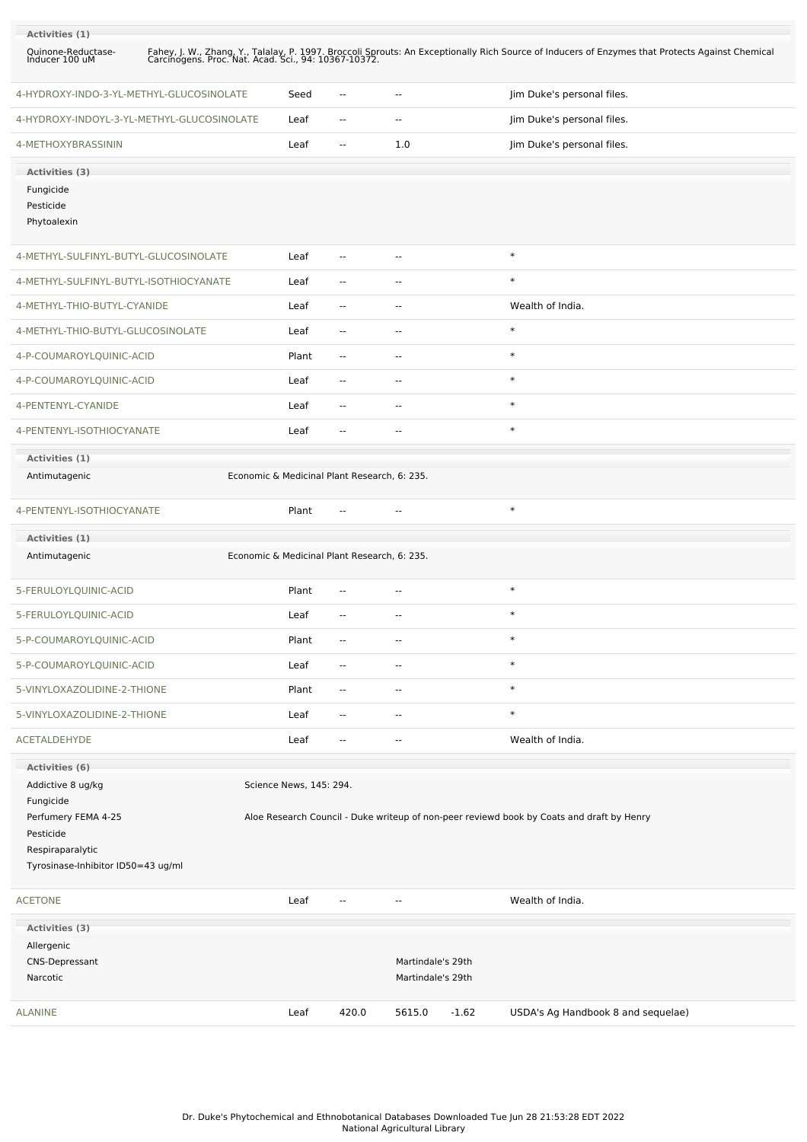| Activities (1)<br>Quinone-Reductase-<br>Inducer 100 uM                                                                       |                                              |                                        | Fahey, J. W., Zhang, Y., Talalay, P. 1997. Broccoli Sprouts: An Exceptionally Rich Source of Inducers of Enzymes that Protects Against Chemical Carcinogens. Proc. Nat. Acad. Sci., 94: 10367-10372. |
|------------------------------------------------------------------------------------------------------------------------------|----------------------------------------------|----------------------------------------|------------------------------------------------------------------------------------------------------------------------------------------------------------------------------------------------------|
| 4-HYDROXY-INDO-3-YL-METHYL-GLUCOSINOLATE                                                                                     | Seed<br>--                                   | $\overline{\phantom{a}}$               | Jim Duke's personal files.                                                                                                                                                                           |
| 4-HYDROXY-INDOYL-3-YL-METHYL-GLUCOSINOLATE                                                                                   | Leaf<br>$\sim$ $-$                           | $\sim$                                 | Jim Duke's personal files.                                                                                                                                                                           |
| 4-METHOXYBRASSININ                                                                                                           | Leaf<br>$\overline{\phantom{a}}$             | 1.0                                    | Jim Duke's personal files.                                                                                                                                                                           |
| Activities (3)                                                                                                               |                                              |                                        |                                                                                                                                                                                                      |
| Fungicide<br>Pesticide<br>Phytoalexin                                                                                        |                                              |                                        |                                                                                                                                                                                                      |
| 4-METHYL-SULFINYL-BUTYL-GLUCOSINOLATE                                                                                        | Leaf<br>$\overline{\phantom{a}}$             | $\sim$                                 | $\ast$                                                                                                                                                                                               |
| 4-METHYL-SULFINYL-BUTYL-ISOTHIOCYANATE                                                                                       | Leaf<br>--                                   | $\overline{\phantom{a}}$               | $\ast$                                                                                                                                                                                               |
| 4-METHYL-THIO-BUTYL-CYANIDE                                                                                                  | Leaf<br>$\overline{\phantom{a}}$             | $\sim$                                 | Wealth of India.                                                                                                                                                                                     |
| 4-METHYL-THIO-BUTYL-GLUCOSINOLATE                                                                                            | Leaf<br>$\sim$ $-$                           | $\sim$                                 | $\ast$                                                                                                                                                                                               |
| 4-P-COUMAROYLQUINIC-ACID                                                                                                     | Plant<br>$\overline{\phantom{a}}$            | $\overline{\phantom{a}}$               | $\ast$                                                                                                                                                                                               |
| 4-P-COUMAROYLQUINIC-ACID                                                                                                     | Leaf<br>--                                   | $\overline{\phantom{a}}$               | $\ast$                                                                                                                                                                                               |
| 4-PENTENYL-CYANIDE                                                                                                           | Leaf<br>--                                   | --                                     | $\ast$                                                                                                                                                                                               |
| 4-PENTENYL-ISOTHIOCYANATE                                                                                                    | Leaf<br>--                                   | --                                     | $\ast$                                                                                                                                                                                               |
| Activities (1)<br>Antimutagenic                                                                                              | Economic & Medicinal Plant Research, 6: 235. |                                        |                                                                                                                                                                                                      |
| 4-PENTENYL-ISOTHIOCYANATE                                                                                                    | Plant<br>$-$                                 | $\sim$                                 | $\ast$                                                                                                                                                                                               |
| Activities (1)                                                                                                               |                                              |                                        |                                                                                                                                                                                                      |
| Antimutagenic                                                                                                                | Economic & Medicinal Plant Research, 6: 235. |                                        |                                                                                                                                                                                                      |
| 5-FERULOYLQUINIC-ACID                                                                                                        | Plant<br>۰.                                  | $\overline{\phantom{a}}$               | $\ast$                                                                                                                                                                                               |
| 5-FERULOYLQUINIC-ACID                                                                                                        | Leaf<br>$\overline{\phantom{a}}$             | $\sim$                                 | $\ast$                                                                                                                                                                                               |
| 5-P-COUMAROYLQUINIC-ACID                                                                                                     | Plant<br>$\overline{\phantom{a}}$            | $\sim$                                 | $\ast$                                                                                                                                                                                               |
| 5-P-COUMAROYLQUINIC-ACID                                                                                                     | Leaf<br>$\overline{\phantom{a}}$             | $\overline{\phantom{a}}$               | $\ast$                                                                                                                                                                                               |
| 5-VINYLOXAZOLIDINE-2-THIONE                                                                                                  | Plant<br>--                                  | $\overline{\phantom{a}}$               | $\ast$                                                                                                                                                                                               |
| 5-VINYLOXAZOLIDINE-2-THIONE                                                                                                  | Leaf<br>$\overline{\phantom{a}}$             | $\overline{\phantom{a}}$               | $\ast$                                                                                                                                                                                               |
| <b>ACETALDEHYDE</b>                                                                                                          | Leaf<br>$\overline{\phantom{a}}$             | $\overline{\phantom{a}}$               | Wealth of India.                                                                                                                                                                                     |
| Activities (6)                                                                                                               |                                              |                                        |                                                                                                                                                                                                      |
| Addictive 8 ug/kg<br>Fungicide<br>Perfumery FEMA 4-25<br>Pesticide<br>Respiraparalytic<br>Tyrosinase-Inhibitor ID50=43 ug/ml | Science News, 145: 294.                      |                                        | Aloe Research Council - Duke writeup of non-peer reviewd book by Coats and draft by Henry                                                                                                            |
| <b>ACETONE</b>                                                                                                               | Leaf<br>$\overline{\phantom{a}}$             | $\overline{\phantom{a}}$               | Wealth of India.                                                                                                                                                                                     |
| Activities (3)                                                                                                               |                                              |                                        |                                                                                                                                                                                                      |
| Allergenic                                                                                                                   |                                              |                                        |                                                                                                                                                                                                      |
| <b>CNS-Depressant</b><br>Narcotic                                                                                            |                                              | Martindale's 29th<br>Martindale's 29th |                                                                                                                                                                                                      |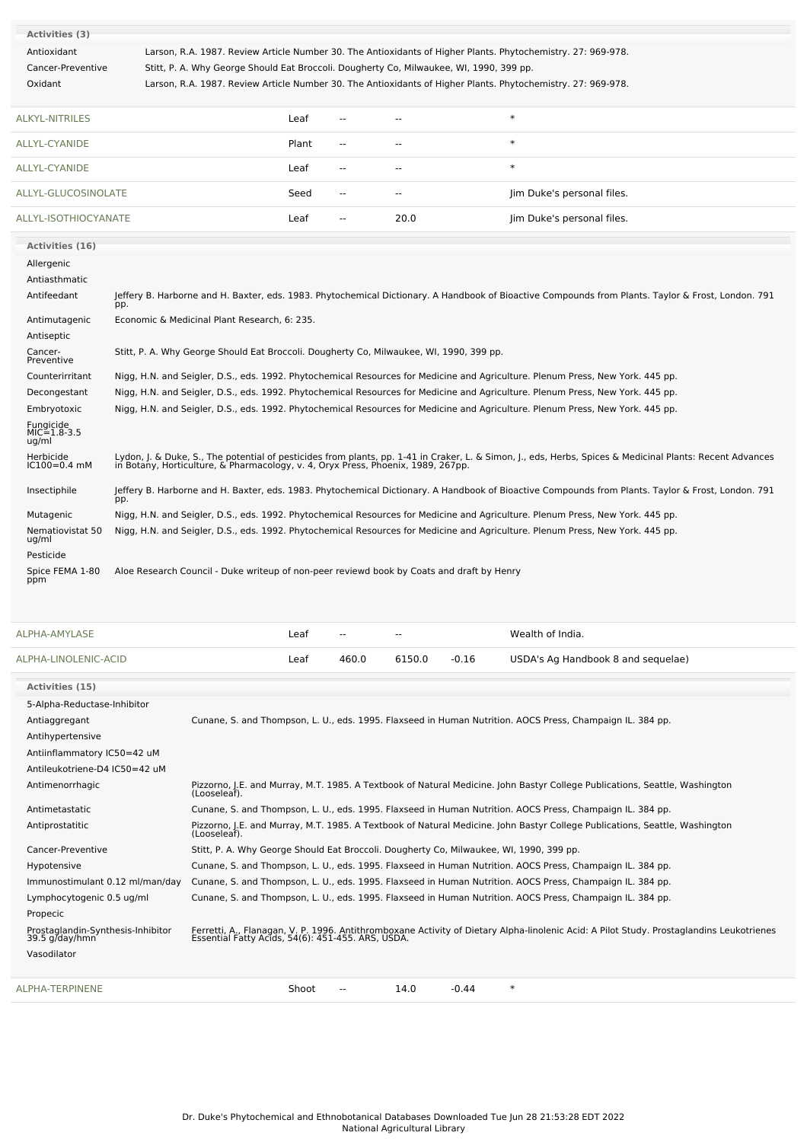| Activities (3)                             |                                                                                           |       |                          |                |                                                                                                                                                                                                                                  |
|--------------------------------------------|-------------------------------------------------------------------------------------------|-------|--------------------------|----------------|----------------------------------------------------------------------------------------------------------------------------------------------------------------------------------------------------------------------------------|
| Antioxidant                                |                                                                                           |       |                          |                | Larson, R.A. 1987. Review Article Number 30. The Antioxidants of Higher Plants. Phytochemistry. 27: 969-978.                                                                                                                     |
| Cancer-Preventive                          | Stitt, P. A. Why George Should Eat Broccoli. Dougherty Co, Milwaukee, WI, 1990, 399 pp.   |       |                          |                |                                                                                                                                                                                                                                  |
| Oxidant                                    |                                                                                           |       |                          |                | Larson, R.A. 1987. Review Article Number 30. The Antioxidants of Higher Plants. Phytochemistry. 27: 969-978.                                                                                                                     |
| <b>ALKYL-NITRILES</b>                      |                                                                                           | Leaf  |                          |                | $\ast$                                                                                                                                                                                                                           |
| <b>ALLYL-CYANIDE</b>                       |                                                                                           | Plant | $\overline{a}$           |                | $\ast$                                                                                                                                                                                                                           |
| ALLYL-CYANIDE                              |                                                                                           | Leaf  | $\overline{\phantom{a}}$ | $\overline{a}$ | $\ast$                                                                                                                                                                                                                           |
| ALLYL-GLUCOSINOLATE                        |                                                                                           | Seed  | $\overline{a}$           |                | Jim Duke's personal files.                                                                                                                                                                                                       |
| ALLYL-ISOTHIOCYANATE                       |                                                                                           | Leaf  | $\sim$ $\sim$            | 20.0           | Jim Duke's personal files.                                                                                                                                                                                                       |
| Activities (16)                            |                                                                                           |       |                          |                |                                                                                                                                                                                                                                  |
| Allergenic                                 |                                                                                           |       |                          |                |                                                                                                                                                                                                                                  |
| Antiasthmatic                              |                                                                                           |       |                          |                |                                                                                                                                                                                                                                  |
| Antifeedant                                | pp.                                                                                       |       |                          |                | Jeffery B. Harborne and H. Baxter, eds. 1983. Phytochemical Dictionary. A Handbook of Bioactive Compounds from Plants. Taylor & Frost, London. 791                                                                               |
| Antimutagenic                              | Economic & Medicinal Plant Research, 6: 235.                                              |       |                          |                |                                                                                                                                                                                                                                  |
| Antiseptic                                 |                                                                                           |       |                          |                |                                                                                                                                                                                                                                  |
| Cancer-<br>Preventive                      | Stitt, P. A. Why George Should Eat Broccoli. Dougherty Co, Milwaukee, WI, 1990, 399 pp.   |       |                          |                |                                                                                                                                                                                                                                  |
| Counterirritant                            |                                                                                           |       |                          |                | Nigg, H.N. and Seigler, D.S., eds. 1992. Phytochemical Resources for Medicine and Agriculture. Plenum Press, New York. 445 pp.                                                                                                   |
| Decongestant                               |                                                                                           |       |                          |                | Nigg, H.N. and Seigler, D.S., eds. 1992. Phytochemical Resources for Medicine and Agriculture. Plenum Press, New York. 445 pp.                                                                                                   |
| Embryotoxic                                |                                                                                           |       |                          |                | Nigg, H.N. and Seigler, D.S., eds. 1992. Phytochemical Resources for Medicine and Agriculture. Plenum Press, New York. 445 pp.                                                                                                   |
| <b>Fungicide</b><br>$MIC=1.8-3.5$<br>ug/ml |                                                                                           |       |                          |                |                                                                                                                                                                                                                                  |
| Herbicide<br>$IC100 = 0.4$ mM              |                                                                                           |       |                          |                | Lydon, J. & Duke, S., The potential of pesticides from plants, pp. 1-41 in Craker, L. & Simon, J., eds, Herbs, Spices & Medicinal Plants: Recent Advances<br>in Botany, Horticulture, & Pharmacology, v. 4, Oryx Press, Phoenix, |
| Insectiphile                               | pp.                                                                                       |       |                          |                | Jeffery B. Harborne and H. Baxter, eds. 1983. Phytochemical Dictionary. A Handbook of Bioactive Compounds from Plants. Taylor & Frost, London. 791                                                                               |
| Mutagenic                                  |                                                                                           |       |                          |                | Nigg, H.N. and Seigler, D.S., eds. 1992. Phytochemical Resources for Medicine and Agriculture. Plenum Press, New York. 445 pp.                                                                                                   |
| Nematiovistat 50<br>ug/ml                  |                                                                                           |       |                          |                | Nigg, H.N. and Seigler, D.S., eds. 1992. Phytochemical Resources for Medicine and Agriculture. Plenum Press, New York. 445 pp.                                                                                                   |
| Pesticide                                  |                                                                                           |       |                          |                |                                                                                                                                                                                                                                  |
| Spice FEMA 1-80<br>ppm                     | Aloe Research Council - Duke writeup of non-peer reviewd book by Coats and draft by Henry |       |                          |                |                                                                                                                                                                                                                                  |

| ALPHA-AMYLASE                                       |                                                                                         | Leaf  |       | $-$    |         | Wealth of India.                                                                                                                         |
|-----------------------------------------------------|-----------------------------------------------------------------------------------------|-------|-------|--------|---------|------------------------------------------------------------------------------------------------------------------------------------------|
| ALPHA-LINOLENIC-ACID                                |                                                                                         | Leaf  | 460.0 | 6150.0 | $-0.16$ | USDA's Ag Handbook 8 and sequelae)                                                                                                       |
| Activities (15)                                     |                                                                                         |       |       |        |         |                                                                                                                                          |
| 5-Alpha-Reductase-Inhibitor                         |                                                                                         |       |       |        |         |                                                                                                                                          |
| Antiaggregant                                       |                                                                                         |       |       |        |         | Cunane, S. and Thompson, L. U., eds. 1995. Flaxseed in Human Nutrition. AOCS Press, Champaign IL. 384 pp.                                |
| Antihypertensive                                    |                                                                                         |       |       |        |         |                                                                                                                                          |
| Antiinflammatory IC50=42 uM                         |                                                                                         |       |       |        |         |                                                                                                                                          |
| Antileukotriene-D4 IC50=42 uM                       |                                                                                         |       |       |        |         |                                                                                                                                          |
| Antimenorrhagic                                     | (Looseleaf).                                                                            |       |       |        |         | Pizzorno, J.E. and Murray, M.T. 1985. A Textbook of Natural Medicine. John Bastyr College Publications, Seattle, Washington              |
| Antimetastatic                                      |                                                                                         |       |       |        |         | Cunane, S. and Thompson, L. U., eds. 1995. Flaxseed in Human Nutrition. AOCS Press, Champaign IL. 384 pp.                                |
| Antiprostatitic                                     | (Looseleaf).                                                                            |       |       |        |         | Pizzorno, J.E. and Murray, M.T. 1985. A Textbook of Natural Medicine. John Bastyr College Publications, Seattle, Washington              |
| Cancer-Preventive                                   | Stitt, P. A. Why George Should Eat Broccoli. Dougherty Co, Milwaukee, WI, 1990, 399 pp. |       |       |        |         |                                                                                                                                          |
| Hypotensive                                         |                                                                                         |       |       |        |         | Cunane, S. and Thompson, L. U., eds. 1995. Flaxseed in Human Nutrition. AOCS Press, Champaign IL. 384 pp.                                |
| Immunostimulant 0.12 ml/man/day                     |                                                                                         |       |       |        |         | Cunane, S. and Thompson, L. U., eds. 1995. Flaxseed in Human Nutrition. AOCS Press, Champaign IL. 384 pp.                                |
| Lymphocytogenic 0.5 ug/ml                           |                                                                                         |       |       |        |         | Cunane, S. and Thompson, L. U., eds. 1995. Flaxseed in Human Nutrition. AOCS Press, Champaign IL. 384 pp.                                |
| Propecic                                            |                                                                                         |       |       |        |         |                                                                                                                                          |
| Prostaglandin-Synthesis-Inhibitor<br>39.5 g/day/hmn | Essential Fatty Acids, 54(6): 451-455. ARS, USDA.                                       |       |       |        |         | Ferretti, A., Flanagan, V. P. 1996. Antithromboxane Activity of Dietary Alpha-linolenic Acid: A Pilot Study. Prostaglandins Leukotrienes |
| Vasodilator                                         |                                                                                         |       |       |        |         |                                                                                                                                          |
| ALPHA-TERPINENE                                     |                                                                                         | Shoot |       | 14.0   | $-0.44$ | $\ast$                                                                                                                                   |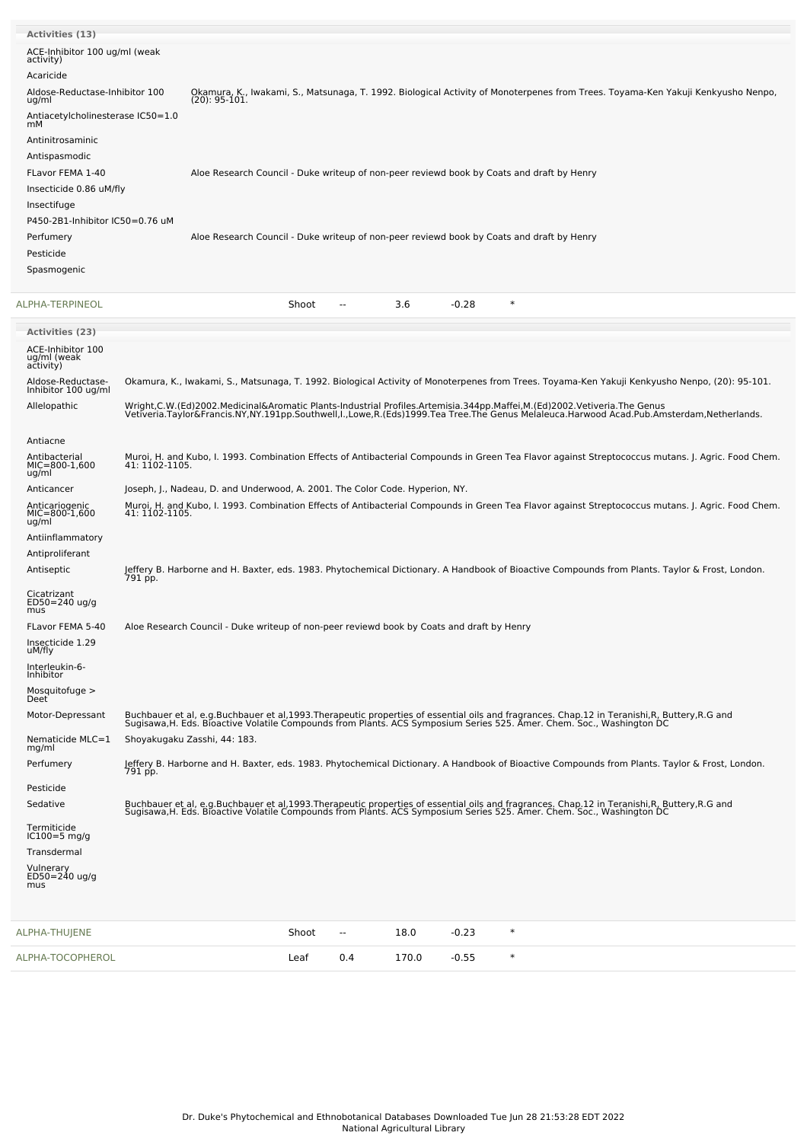| <b>Activities (13)</b>                        |                |                                                                                           |       |                          |       |         |                                                                                                                                                                                                                                   |
|-----------------------------------------------|----------------|-------------------------------------------------------------------------------------------|-------|--------------------------|-------|---------|-----------------------------------------------------------------------------------------------------------------------------------------------------------------------------------------------------------------------------------|
| ACE-Inhibitor 100 ug/ml (weak<br>activity)    |                |                                                                                           |       |                          |       |         |                                                                                                                                                                                                                                   |
| Acaricide                                     |                |                                                                                           |       |                          |       |         |                                                                                                                                                                                                                                   |
| Aldose-Reductase-Inhibitor 100<br>ug/ml       |                | $(20): 95-101.$                                                                           |       |                          |       |         | Okamura, K., Iwakami, S., Matsunaga, T. 1992. Biological Activity of Monoterpenes from Trees. Toyama-Ken Yakuji Kenkyusho Nenpo,                                                                                                  |
| Antiacetylcholinesterase IC50=1.0             |                |                                                                                           |       |                          |       |         |                                                                                                                                                                                                                                   |
| mM<br>Antinitrosaminic                        |                |                                                                                           |       |                          |       |         |                                                                                                                                                                                                                                   |
| Antispasmodic                                 |                |                                                                                           |       |                          |       |         |                                                                                                                                                                                                                                   |
| FLavor FEMA 1-40                              |                |                                                                                           |       |                          |       |         | Aloe Research Council - Duke writeup of non-peer reviewd book by Coats and draft by Henry                                                                                                                                         |
| Insecticide 0.86 uM/fly                       |                |                                                                                           |       |                          |       |         |                                                                                                                                                                                                                                   |
| Insectifuge                                   |                |                                                                                           |       |                          |       |         |                                                                                                                                                                                                                                   |
| P450-2B1-Inhibitor IC50=0.76 uM               |                |                                                                                           |       |                          |       |         |                                                                                                                                                                                                                                   |
| Perfumery                                     |                |                                                                                           |       |                          |       |         | Aloe Research Council - Duke writeup of non-peer reviewd book by Coats and draft by Henry                                                                                                                                         |
| Pesticide                                     |                |                                                                                           |       |                          |       |         |                                                                                                                                                                                                                                   |
| Spasmogenic                                   |                |                                                                                           |       |                          |       |         |                                                                                                                                                                                                                                   |
| ALPHA-TERPINEOL                               |                |                                                                                           | Shoot | $\overline{a}$           | 3.6   | $-0.28$ | $\ast$                                                                                                                                                                                                                            |
| <b>Activities (23)</b>                        |                |                                                                                           |       |                          |       |         |                                                                                                                                                                                                                                   |
| ACE-Inhibitor 100<br>ug/ml (weak<br>ačtivity) |                |                                                                                           |       |                          |       |         |                                                                                                                                                                                                                                   |
| Aldose-Reductase-<br>Inhibitor 100 ug/ml      |                |                                                                                           |       |                          |       |         | Okamura, K., Iwakami, S., Matsunaga, T. 1992. Biological Activity of Monoterpenes from Trees. Toyama-Ken Yakuji Kenkyusho Nenpo, (20): 95-101.                                                                                    |
| Allelopathic                                  |                |                                                                                           |       |                          |       |         | Wright,C.W.(Ed)2002.Medicinal&Aromatic Plants-Industrial Profiles.Artemisia.344pp.Maffei,M.(Ed)2002.Vetiveria.The Genus<br>Vetiveria.Taylor&Francis.NY,NY.191pp.Southwell,I.,Lowe,R.(Eds)1999.Tea Tree.The Genus Melaleuca.Harwoo |
| Antiacne                                      |                |                                                                                           |       |                          |       |         |                                                                                                                                                                                                                                   |
| Antibacterial<br>$MIC=800-1,600$<br>ug/ml     | 41: 1102-1105. |                                                                                           |       |                          |       |         | Muroi, H. and Kubo, I. 1993. Combination Effects of Antibacterial Compounds in Green Tea Flavor against Streptococcus mutans. J. Agric. Food Chem.                                                                                |
| Anticancer                                    |                | Joseph, J., Nadeau, D. and Underwood, A. 2001. The Color Code. Hyperion, NY.              |       |                          |       |         |                                                                                                                                                                                                                                   |
| Anticariogenic<br>MIC=800-1,600<br>ug/ml      | 41: 1102-1105. |                                                                                           |       |                          |       |         | Muroi, H. and Kubo, I. 1993. Combination Effects of Antibacterial Compounds in Green Tea Flavor against Streptococcus mutans. J. Agric. Food Chem.                                                                                |
| Antiinflammatory                              |                |                                                                                           |       |                          |       |         |                                                                                                                                                                                                                                   |
| Antiproliferant                               |                |                                                                                           |       |                          |       |         |                                                                                                                                                                                                                                   |
| Antiseptic                                    | 791 pp.        |                                                                                           |       |                          |       |         | Jeffery B. Harborne and H. Baxter, eds. 1983. Phytochemical Dictionary. A Handbook of Bioactive Compounds from Plants. Taylor & Frost, London.                                                                                    |
| Cicatrizant<br>$ED50 = 240$ ug/g<br>mus       |                |                                                                                           |       |                          |       |         |                                                                                                                                                                                                                                   |
| FLavor FEMA 5-40                              |                | Aloe Research Council - Duke writeup of non-peer reviewd book by Coats and draft by Henry |       |                          |       |         |                                                                                                                                                                                                                                   |
| Insecticide 1.29<br>uM/fly                    |                |                                                                                           |       |                          |       |         |                                                                                                                                                                                                                                   |
| Interleukin-6-<br>Inhibitor                   |                |                                                                                           |       |                          |       |         |                                                                                                                                                                                                                                   |
| Mosquitofuge >                                |                |                                                                                           |       |                          |       |         |                                                                                                                                                                                                                                   |
| Deet <sup>®</sup><br>Motor-Depressant         |                |                                                                                           |       |                          |       |         |                                                                                                                                                                                                                                   |
| Nematicide MLC=1<br>mg/ml                     |                | Shoyakugaku Zasshi, 44: 183.                                                              |       |                          |       |         | Buchbauer et al, e.g.Buchbauer et al,1993.Therapeutic properties of essential oils and fragrances. Chap.12 in Teranishi,R, Buttery,R.G and<br>Sugisawa,H. Eds. Bioactive Volatile Compounds from Plants. ACS Symposium Series 525 |
| Perfumery                                     |                |                                                                                           |       |                          |       |         | Jeffery B. Harborne and H. Baxter, eds. 1983. Phytochemical Dictionary. A Handbook of Bioactive Compounds from Plants. Taylor & Frost, London.                                                                                    |
| Pesticide                                     | 791 pp.        |                                                                                           |       |                          |       |         |                                                                                                                                                                                                                                   |
| Sedative                                      |                |                                                                                           |       |                          |       |         | Buchbauer et al, e.g.Buchbauer et al,1993.Therapeutic properties of essential oils and fragrances. Chap.12 in Teranishi,R, Buttery,R.G and<br>Sugisawa,H. Eds. Bioactive Volatile Compounds from Plants. ACS Symposium Series 525 |
| Termiticide<br>$IC100=5$ mg/g                 |                |                                                                                           |       |                          |       |         |                                                                                                                                                                                                                                   |
| Transdermal                                   |                |                                                                                           |       |                          |       |         |                                                                                                                                                                                                                                   |
| Vulnerary<br>ED50=240 ug/g<br>mus             |                |                                                                                           |       |                          |       |         |                                                                                                                                                                                                                                   |
| ALPHA-THUJENE                                 |                |                                                                                           | Shoot | $\overline{\phantom{a}}$ | 18.0  | $-0.23$ | $\ast$                                                                                                                                                                                                                            |
| ALPHA-TOCOPHEROL                              |                |                                                                                           | Leaf  | 0.4                      | 170.0 | $-0.55$ | $\ast$                                                                                                                                                                                                                            |
|                                               |                |                                                                                           |       |                          |       |         |                                                                                                                                                                                                                                   |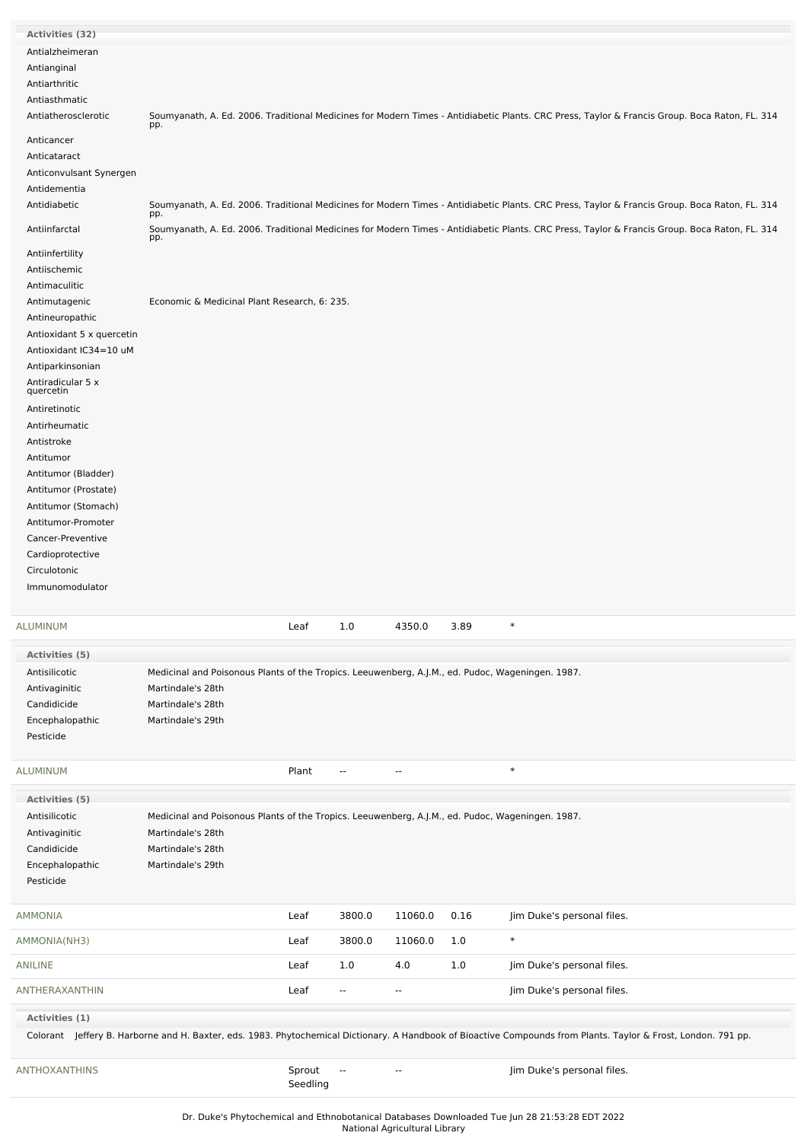| Activities (32)                                                                                                                                                                                                                                                                                                                                                                                     |                                                                                                                                                                 |                    |                          |                          |      |                                                                                                                                                                 |
|-----------------------------------------------------------------------------------------------------------------------------------------------------------------------------------------------------------------------------------------------------------------------------------------------------------------------------------------------------------------------------------------------------|-----------------------------------------------------------------------------------------------------------------------------------------------------------------|--------------------|--------------------------|--------------------------|------|-----------------------------------------------------------------------------------------------------------------------------------------------------------------|
| Antialzheimeran<br>Antianginal                                                                                                                                                                                                                                                                                                                                                                      |                                                                                                                                                                 |                    |                          |                          |      |                                                                                                                                                                 |
| Antiarthritic<br>Antiasthmatic<br>Antiatherosclerotic                                                                                                                                                                                                                                                                                                                                               | pp.                                                                                                                                                             |                    |                          |                          |      | Soumyanath, A. Ed. 2006. Traditional Medicines for Modern Times - Antidiabetic Plants. CRC Press, Taylor & Francis Group. Boca Raton, FL. 314                   |
| Anticancer<br>Anticataract                                                                                                                                                                                                                                                                                                                                                                          |                                                                                                                                                                 |                    |                          |                          |      |                                                                                                                                                                 |
| Anticonvulsant Synergen<br>Antidementia<br>Antidiabetic                                                                                                                                                                                                                                                                                                                                             |                                                                                                                                                                 |                    |                          |                          |      | Soumyanath, A. Ed. 2006. Traditional Medicines for Modern Times - Antidiabetic Plants. CRC Press, Taylor & Francis Group. Boca Raton, FL. 314                   |
| Antiinfarctal                                                                                                                                                                                                                                                                                                                                                                                       | pp.                                                                                                                                                             |                    |                          |                          |      | Soumyanath, A. Ed. 2006. Traditional Medicines for Modern Times - Antidiabetic Plants. CRC Press, Taylor & Francis Group. Boca Raton, FL. 314                   |
| Antiinfertility<br>Antiischemic                                                                                                                                                                                                                                                                                                                                                                     | pp.                                                                                                                                                             |                    |                          |                          |      |                                                                                                                                                                 |
| Antimaculitic<br>Antimutagenic<br>Antineuropathic<br>Antioxidant 5 x quercetin<br>Antioxidant IC34=10 uM<br>Antiparkinsonian<br>Antiradicular 5 x<br>quercetin<br>Antiretinotic<br>Antirheumatic<br>Antistroke<br>Antitumor<br>Antitumor (Bladder)<br>Antitumor (Prostate)<br>Antitumor (Stomach)<br>Antitumor-Promoter<br>Cancer-Preventive<br>Cardioprotective<br>Circulotonic<br>Immunomodulator | Economic & Medicinal Plant Research, 6: 235.                                                                                                                    |                    |                          |                          |      |                                                                                                                                                                 |
| ALUMINUM                                                                                                                                                                                                                                                                                                                                                                                            |                                                                                                                                                                 | Leaf               | 1.0                      | 4350.0                   | 3.89 | $\ast$                                                                                                                                                          |
| Activities (5)                                                                                                                                                                                                                                                                                                                                                                                      |                                                                                                                                                                 |                    |                          |                          |      |                                                                                                                                                                 |
| Antisilicotic<br>Antivaginitic<br>Candidicide<br>Encephalopathic<br>Pesticide                                                                                                                                                                                                                                                                                                                       | Medicinal and Poisonous Plants of the Tropics. Leeuwenberg, A.J.M., ed. Pudoc, Wageningen. 1987.<br>Martindale's 28th<br>Martindale's 28th<br>Martindale's 29th |                    |                          |                          |      |                                                                                                                                                                 |
| ALUMINUM                                                                                                                                                                                                                                                                                                                                                                                            |                                                                                                                                                                 | Plant              | $\overline{\phantom{a}}$ | $\overline{\phantom{a}}$ |      | $\ast$                                                                                                                                                          |
| <b>Activities (5)</b><br>Antisilicotic<br>Antivaginitic<br>Candidicide<br>Encephalopathic<br>Pesticide                                                                                                                                                                                                                                                                                              | Medicinal and Poisonous Plants of the Tropics. Leeuwenberg, A.J.M., ed. Pudoc, Wageningen. 1987.<br>Martindale's 28th<br>Martindale's 28th<br>Martindale's 29th |                    |                          |                          |      |                                                                                                                                                                 |
| AMMONIA                                                                                                                                                                                                                                                                                                                                                                                             |                                                                                                                                                                 | Leaf               | 3800.0                   | 11060.0                  | 0.16 | Jim Duke's personal files.                                                                                                                                      |
| AMMONIA(NH3)                                                                                                                                                                                                                                                                                                                                                                                        |                                                                                                                                                                 | Leaf               | 3800.0                   | 11060.0                  | 1.0  | $\ast$                                                                                                                                                          |
| ANILINE                                                                                                                                                                                                                                                                                                                                                                                             |                                                                                                                                                                 | Leaf               | 1.0                      | 4.0                      | 1.0  | Jim Duke's personal files.                                                                                                                                      |
| ANTHERAXANTHIN                                                                                                                                                                                                                                                                                                                                                                                      |                                                                                                                                                                 | Leaf               | $\overline{\phantom{a}}$ | $\overline{\phantom{a}}$ |      | Jim Duke's personal files.                                                                                                                                      |
| Activities (1)                                                                                                                                                                                                                                                                                                                                                                                      |                                                                                                                                                                 |                    |                          |                          |      |                                                                                                                                                                 |
|                                                                                                                                                                                                                                                                                                                                                                                                     |                                                                                                                                                                 |                    |                          |                          |      | Colorant Jeffery B. Harborne and H. Baxter, eds. 1983. Phytochemical Dictionary. A Handbook of Bioactive Compounds from Plants. Taylor & Frost, London. 791 pp. |
| ANTHOXANTHINS                                                                                                                                                                                                                                                                                                                                                                                       |                                                                                                                                                                 | Sprout<br>Seedling | $\overline{\phantom{a}}$ |                          |      | Jim Duke's personal files.                                                                                                                                      |
|                                                                                                                                                                                                                                                                                                                                                                                                     |                                                                                                                                                                 |                    |                          |                          |      |                                                                                                                                                                 |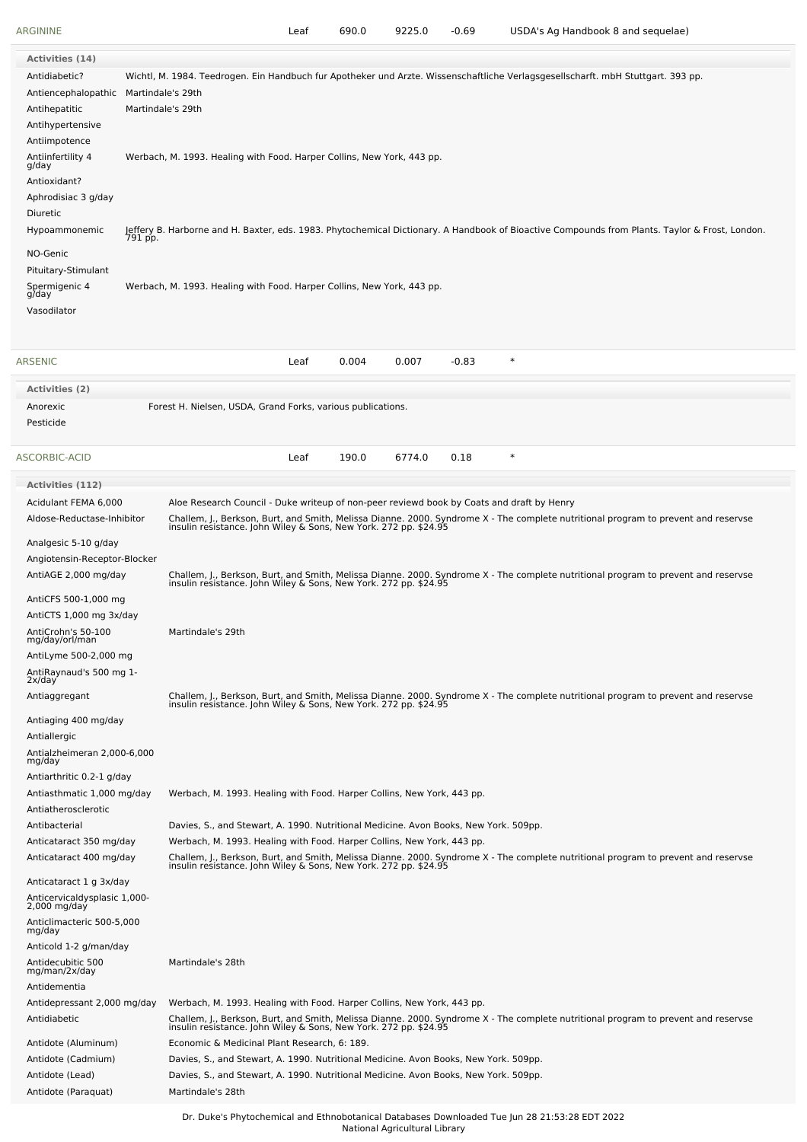| ARGININE                                     |                   |                                                                                                           | Leaf | 690.0 | 9225.0 | -0.69   | USDA's Ag Handbook 8 and sequelae)                                                                                                                                                                     |
|----------------------------------------------|-------------------|-----------------------------------------------------------------------------------------------------------|------|-------|--------|---------|--------------------------------------------------------------------------------------------------------------------------------------------------------------------------------------------------------|
| <b>Activities (14)</b>                       |                   |                                                                                                           |      |       |        |         |                                                                                                                                                                                                        |
| Antidiabetic?                                |                   |                                                                                                           |      |       |        |         | Wichtl, M. 1984. Teedrogen. Ein Handbuch fur Apotheker und Arzte. Wissenschaftliche Verlagsgesellscharft. mbH Stuttgart. 393 pp.                                                                       |
| Antiencephalopathic                          | Martindale's 29th |                                                                                                           |      |       |        |         |                                                                                                                                                                                                        |
| Antihepatitic                                |                   | Martindale's 29th                                                                                         |      |       |        |         |                                                                                                                                                                                                        |
| Antihypertensive                             |                   |                                                                                                           |      |       |        |         |                                                                                                                                                                                                        |
| Antiimpotence                                |                   |                                                                                                           |      |       |        |         |                                                                                                                                                                                                        |
| Antiinfertility 4<br>g/day                   |                   | Werbach, M. 1993. Healing with Food. Harper Collins, New York, 443 pp.                                    |      |       |        |         |                                                                                                                                                                                                        |
| Antioxidant?                                 |                   |                                                                                                           |      |       |        |         |                                                                                                                                                                                                        |
| Aphrodisiac 3 g/day                          |                   |                                                                                                           |      |       |        |         |                                                                                                                                                                                                        |
| Diuretic                                     |                   |                                                                                                           |      |       |        |         |                                                                                                                                                                                                        |
| Hypoammonemic                                | 791 pp.           |                                                                                                           |      |       |        |         | Jeffery B. Harborne and H. Baxter, eds. 1983. Phytochemical Dictionary. A Handbook of Bioactive Compounds from Plants. Taylor & Frost, London.                                                         |
| NO-Genic                                     |                   |                                                                                                           |      |       |        |         |                                                                                                                                                                                                        |
| Pituitary-Stimulant                          |                   |                                                                                                           |      |       |        |         |                                                                                                                                                                                                        |
| Spermigenic 4<br>g/day                       |                   | Werbach, M. 1993. Healing with Food. Harper Collins, New York, 443 pp.                                    |      |       |        |         |                                                                                                                                                                                                        |
| Vasodilator                                  |                   |                                                                                                           |      |       |        |         |                                                                                                                                                                                                        |
|                                              |                   |                                                                                                           |      |       |        |         |                                                                                                                                                                                                        |
| <b>ARSENIC</b>                               |                   |                                                                                                           | Leaf | 0.004 | 0.007  | $-0.83$ | $\ast$                                                                                                                                                                                                 |
| <b>Activities (2)</b>                        |                   |                                                                                                           |      |       |        |         |                                                                                                                                                                                                        |
| Anorexic                                     |                   | Forest H. Nielsen, USDA, Grand Forks, various publications.                                               |      |       |        |         |                                                                                                                                                                                                        |
| Pesticide                                    |                   |                                                                                                           |      |       |        |         |                                                                                                                                                                                                        |
|                                              |                   |                                                                                                           |      |       |        |         |                                                                                                                                                                                                        |
| ASCORBIC-ACID                                |                   |                                                                                                           | Leaf | 190.0 | 6774.0 | 0.18    | $\ast$                                                                                                                                                                                                 |
| <b>Activities (112)</b>                      |                   |                                                                                                           |      |       |        |         |                                                                                                                                                                                                        |
| Acidulant FEMA 6,000                         |                   | Aloe Research Council - Duke writeup of non-peer reviewd book by Coats and draft by Henry                 |      |       |        |         |                                                                                                                                                                                                        |
| Aldose-Reductase-Inhibitor                   |                   |                                                                                                           |      |       |        |         | Challem, J., Berkson, Burt, and Smith, Melissa Dianne. 2000. Syndrome X - The complete nutritional program to prevent and reservse<br>insulin resistance. John Wiley & Sons, New York. 272 pp. \$24.95 |
| Analgesic 5-10 g/day                         |                   |                                                                                                           |      |       |        |         |                                                                                                                                                                                                        |
| Angiotensin-Receptor-Blocker                 |                   |                                                                                                           |      |       |        |         |                                                                                                                                                                                                        |
| AntiAGE 2,000 mg/day                         |                   |                                                                                                           |      |       |        |         | Challem, J., Berkson, Burt, and Smith, Melissa Dianne. 2000. Syndrome X - The complete nutritional program to prevent and reservse insulin resistance. John Wiley & Sons, New York. 272 pp. \$24.95    |
| AntiCFS 500-1,000 mg                         |                   |                                                                                                           |      |       |        |         |                                                                                                                                                                                                        |
| AntiCTS 1,000 mg 3x/day                      |                   |                                                                                                           |      |       |        |         |                                                                                                                                                                                                        |
| AntiCrohn's 50-100<br>mg/day/orl/man         |                   | Martindale's 29th                                                                                         |      |       |        |         |                                                                                                                                                                                                        |
| AntiLyme 500-2,000 mg                        |                   |                                                                                                           |      |       |        |         |                                                                                                                                                                                                        |
| AntiRaynaud's 500 mg 1-<br>2x/day            |                   |                                                                                                           |      |       |        |         |                                                                                                                                                                                                        |
| Antiaggregant                                |                   |                                                                                                           |      |       |        |         |                                                                                                                                                                                                        |
|                                              |                   |                                                                                                           |      |       |        |         | Challem, J., Berkson, Burt, and Smith, Melissa Dianne. 2000. Syndrome X - The complete nutritional program to prevent and reservse<br>insulin resistance. John Wiley & Sons, New York. 272 pp. \$24.95 |
| Antiaging 400 mg/day<br>Antiallergic         |                   |                                                                                                           |      |       |        |         |                                                                                                                                                                                                        |
| Antialzheimeran 2,000-6,000<br>mg/day        |                   |                                                                                                           |      |       |        |         |                                                                                                                                                                                                        |
| Antiarthritic 0.2-1 g/day                    |                   |                                                                                                           |      |       |        |         |                                                                                                                                                                                                        |
| Antiasthmatic 1,000 mg/day                   |                   | Werbach, M. 1993. Healing with Food. Harper Collins, New York, 443 pp.                                    |      |       |        |         |                                                                                                                                                                                                        |
| Antiatherosclerotic                          |                   |                                                                                                           |      |       |        |         |                                                                                                                                                                                                        |
| Antibacterial                                |                   | Davies, S., and Stewart, A. 1990. Nutritional Medicine. Avon Books, New York. 509pp.                      |      |       |        |         |                                                                                                                                                                                                        |
| Anticataract 350 mg/day                      |                   | Werbach, M. 1993. Healing with Food. Harper Collins, New York, 443 pp.                                    |      |       |        |         |                                                                                                                                                                                                        |
| Anticataract 400 mg/day                      |                   |                                                                                                           |      |       |        |         | Challem, J., Berkson, Burt, and Smith, Melissa Dianne. 2000. Syndrome X - The complete nutritional program to prevent and reservse insulin resistance. John Wiley & Sons, New York. 272 pp. \$24.95    |
| Anticataract 1 g 3x/day                      |                   |                                                                                                           |      |       |        |         |                                                                                                                                                                                                        |
| Anticervicaldysplasic 1,000-<br>2,000 mg/day |                   |                                                                                                           |      |       |        |         |                                                                                                                                                                                                        |
| Anticlimacteric 500-5,000                    |                   |                                                                                                           |      |       |        |         |                                                                                                                                                                                                        |
| mg/day<br>Anticold 1-2 g/man/day             |                   |                                                                                                           |      |       |        |         |                                                                                                                                                                                                        |
| Antidecubitic 500                            |                   | Martindale's 28th                                                                                         |      |       |        |         |                                                                                                                                                                                                        |
| mg/man/2x/day                                |                   |                                                                                                           |      |       |        |         |                                                                                                                                                                                                        |
| Antidementia                                 |                   |                                                                                                           |      |       |        |         |                                                                                                                                                                                                        |
| Antidepressant 2,000 mg/day<br>Antidiabetic  |                   | Werbach, M. 1993. Healing with Food. Harper Collins, New York, 443 pp.                                    |      |       |        |         |                                                                                                                                                                                                        |
|                                              |                   |                                                                                                           |      |       |        |         | Challem, J., Berkson, Burt, and Smith, Melissa Dianne. 2000. Syndrome X - The complete nutritional program to prevent and reservse<br>insulin resistance. John Wiley & Sons, New York. 272 pp. \$24.95 |
| Antidote (Aluminum)                          |                   | Economic & Medicinal Plant Research, 6: 189.                                                              |      |       |        |         |                                                                                                                                                                                                        |
| Antidote (Cadmium)                           |                   | Davies, S., and Stewart, A. 1990. Nutritional Medicine. Avon Books, New York. 509pp.                      |      |       |        |         |                                                                                                                                                                                                        |
| Antidote (Lead)<br>Antidote (Paraquat)       |                   | Davies, S., and Stewart, A. 1990. Nutritional Medicine. Avon Books, New York. 509pp.<br>Martindale's 28th |      |       |        |         |                                                                                                                                                                                                        |
|                                              |                   |                                                                                                           |      |       |        |         |                                                                                                                                                                                                        |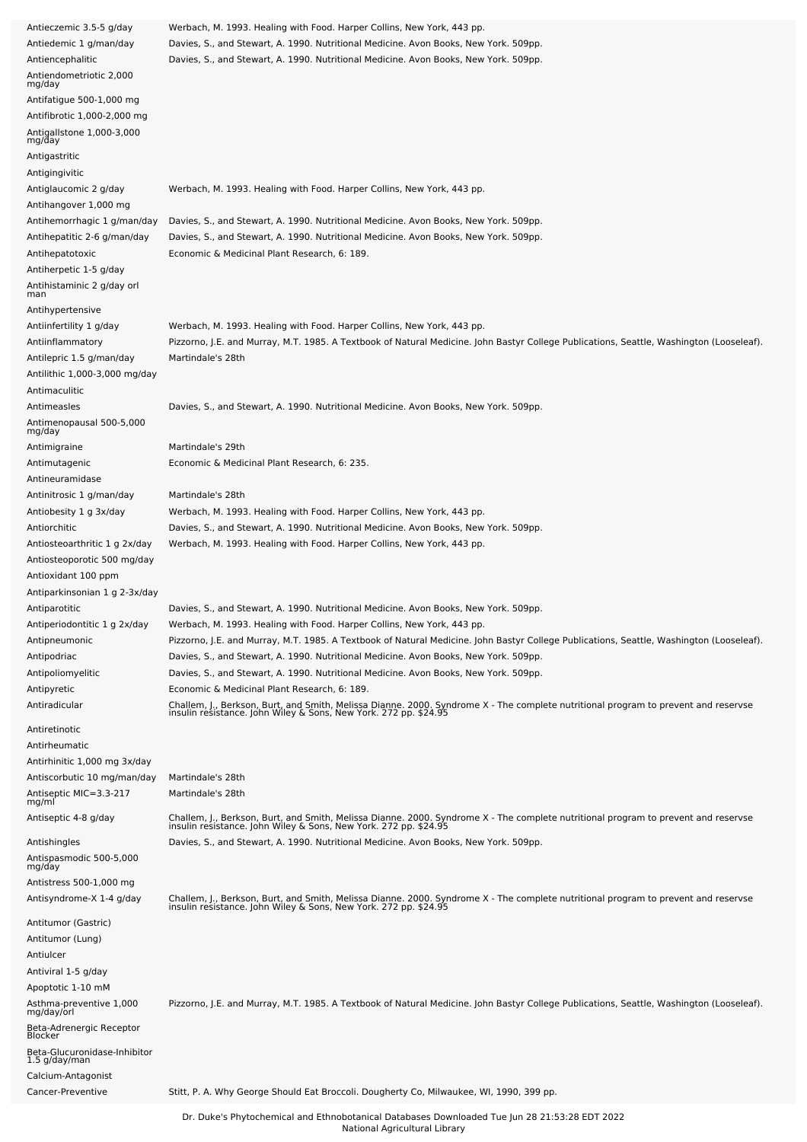| Antieczemic 3.5-5 g/day                 | Werbach, M. 1993. Healing with Food. Harper Collins, New York, 443 pp.                                                                                                                                 |
|-----------------------------------------|--------------------------------------------------------------------------------------------------------------------------------------------------------------------------------------------------------|
| Antiedemic 1 g/man/day                  | Davies, S., and Stewart, A. 1990. Nutritional Medicine. Avon Books, New York. 509pp.                                                                                                                   |
| Antiencephalitic                        | Davies, S., and Stewart, A. 1990. Nutritional Medicine. Avon Books, New York. 509pp.                                                                                                                   |
| Antiendometriotic 2,000<br>mg/day       |                                                                                                                                                                                                        |
| Antifatigue 500-1,000 mg                |                                                                                                                                                                                                        |
| Antifibrotic 1,000-2,000 mg             |                                                                                                                                                                                                        |
| Antigallstone 1,000-3,000<br>mg/day     |                                                                                                                                                                                                        |
| Antigastritic                           |                                                                                                                                                                                                        |
| Antigingivitic                          |                                                                                                                                                                                                        |
| Antiglaucomic 2 g/day                   | Werbach, M. 1993. Healing with Food. Harper Collins, New York, 443 pp.                                                                                                                                 |
| Antihangover 1,000 mg                   |                                                                                                                                                                                                        |
| Antihemorrhagic 1 g/man/day             | Davies, S., and Stewart, A. 1990. Nutritional Medicine. Avon Books, New York. 509pp.                                                                                                                   |
| Antihepatitic 2-6 g/man/day             | Davies, S., and Stewart, A. 1990. Nutritional Medicine. Avon Books, New York. 509pp.                                                                                                                   |
| Antihepatotoxic                         | Economic & Medicinal Plant Research, 6: 189.                                                                                                                                                           |
| Antiherpetic 1-5 g/day                  |                                                                                                                                                                                                        |
| Antihistaminic 2 g/day orl<br>man       |                                                                                                                                                                                                        |
| Antihypertensive                        |                                                                                                                                                                                                        |
| Antiinfertility 1 g/day                 | Werbach, M. 1993. Healing with Food. Harper Collins, New York, 443 pp.                                                                                                                                 |
| Antiinflammatory                        | Pizzorno, J.E. and Murray, M.T. 1985. A Textbook of Natural Medicine. John Bastyr College Publications, Seattle, Washington (Looseleaf).                                                               |
| Antilepric 1.5 g/man/day                | Martindale's 28th                                                                                                                                                                                      |
| Antilithic 1,000-3,000 mg/day           |                                                                                                                                                                                                        |
| Antimaculitic                           |                                                                                                                                                                                                        |
| Antimeasles                             | Davies, S., and Stewart, A. 1990. Nutritional Medicine. Avon Books, New York. 509pp.                                                                                                                   |
| Antimenopausal 500-5,000                |                                                                                                                                                                                                        |
| mg/day                                  | Martindale's 29th                                                                                                                                                                                      |
| Antimigraine<br>Antimutagenic           | Economic & Medicinal Plant Research, 6: 235.                                                                                                                                                           |
| Antineuramidase                         |                                                                                                                                                                                                        |
| Antinitrosic 1 g/man/day                | Martindale's 28th                                                                                                                                                                                      |
| Antiobesity 1 g 3x/day                  | Werbach, M. 1993. Healing with Food. Harper Collins, New York, 443 pp.                                                                                                                                 |
| Antiorchitic                            | Davies, S., and Stewart, A. 1990. Nutritional Medicine. Avon Books, New York. 509pp.                                                                                                                   |
| Antiosteoarthritic 1 g 2x/day           | Werbach, M. 1993. Healing with Food. Harper Collins, New York, 443 pp.                                                                                                                                 |
| Antiosteoporotic 500 mg/day             |                                                                                                                                                                                                        |
| Antioxidant 100 ppm                     |                                                                                                                                                                                                        |
| Antiparkinsonian 1 g 2-3x/day           |                                                                                                                                                                                                        |
| Antiparotitic                           | Davies, S., and Stewart, A. 1990. Nutritional Medicine. Avon Books, New York. 509pp.                                                                                                                   |
| Antiperiodontitic 1 g 2x/day            | Werbach, M. 1993. Healing with Food. Harper Collins, New York, 443 pp.                                                                                                                                 |
| Antipneumonic                           | Pizzorno, J.E. and Murray, M.T. 1985. A Textbook of Natural Medicine. John Bastyr College Publications, Seattle, Washington (Looseleaf).                                                               |
| Antipodriac                             | Davies, S., and Stewart, A. 1990. Nutritional Medicine. Avon Books, New York. 509pp.                                                                                                                   |
| Antipoliomyelitic                       | Davies, S., and Stewart, A. 1990. Nutritional Medicine. Avon Books, New York. 509pp.                                                                                                                   |
| Antipyretic                             | Economic & Medicinal Plant Research, 6: 189.                                                                                                                                                           |
| Antiradicular                           | Challem, J., Berkson, Burt, and Smith, Melissa Dianne. 2000. Syndrome X - The complete nutritional program to prevent and reservse<br>insulin resistance. John Wiley & Sons, New York. 272 pp. \$24.95 |
| Antiretinotic                           |                                                                                                                                                                                                        |
| Antirheumatic                           |                                                                                                                                                                                                        |
| Antirhinitic 1,000 mg 3x/day            |                                                                                                                                                                                                        |
| Antiscorbutic 10 mg/man/day             | Martindale's 28th                                                                                                                                                                                      |
| Antiseptic MIC=3.3-217<br>mg/ml         | Martindale's 28th                                                                                                                                                                                      |
|                                         |                                                                                                                                                                                                        |
| Antiseptic 4-8 g/day                    | Challem, J., Berkson, Burt, and Smith, Melissa Dianne. 2000. Syndrome X - The complete nutritional program to prevent and reservse<br>insulin resistance. John Wiley & Sons, New York. 272 pp. \$24.95 |
| Antishingles                            | Davies, S., and Stewart, A. 1990. Nutritional Medicine. Avon Books, New York. 509pp.                                                                                                                   |
| Antispasmodic 500-5,000                 |                                                                                                                                                                                                        |
| mg/day<br>Antistress 500-1,000 mg       |                                                                                                                                                                                                        |
| Antisyndrome-X 1-4 g/day                |                                                                                                                                                                                                        |
|                                         | Challem, J., Berkson, Burt, and Smith, Melissa Dianne. 2000. Syndrome X - The complete nutritional program to prevent and reservse insulin resistance. John Wiley & Sons, New York. 272 pp. \$24.95    |
| Antitumor (Gastric)                     |                                                                                                                                                                                                        |
| Antitumor (Lung)                        |                                                                                                                                                                                                        |
| Antiulcer                               |                                                                                                                                                                                                        |
| Antiviral 1-5 g/day                     |                                                                                                                                                                                                        |
| Apoptotic 1-10 mM                       |                                                                                                                                                                                                        |
| Asthma-preventive 1,000<br>mg/day/orl   | Pizzorno, J.E. and Murray, M.T. 1985. A Textbook of Natural Medicine. John Bastyr College Publications, Seattle, Washington (Looseleaf).                                                               |
| Beta-Adrenergic Receptor                |                                                                                                                                                                                                        |
| Blocker<br>Beta-Glucuronidase-Inhibitor |                                                                                                                                                                                                        |
| 1.5 g/day/man                           |                                                                                                                                                                                                        |
| Calcium-Antagonist                      |                                                                                                                                                                                                        |
|                                         |                                                                                                                                                                                                        |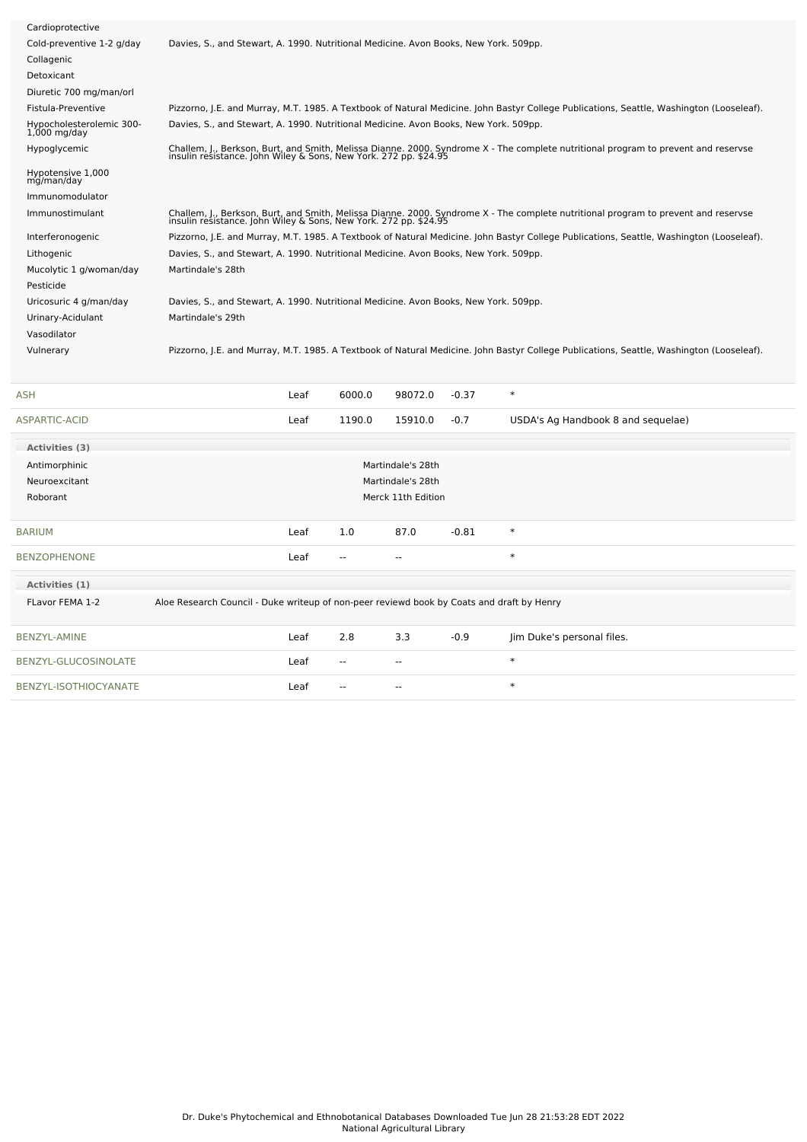| Cardioprotective<br>Cold-preventive 1-2 g/day<br>Davies, S., and Stewart, A. 1990. Nutritional Medicine. Avon Books, New York. 509pp.<br>Collagenic<br>Detoxicant<br>Diuretic 700 mg/man/orl<br>Fistula-Preventive<br>Pizzorno, J.E. and Murray, M.T. 1985. A Textbook of Natural Medicine. John Bastyr College Publications, Seattle, Washington (Looseleaf).<br>Hypocholesterolemic 300-<br>Davies, S., and Stewart, A. 1990. Nutritional Medicine. Avon Books, New York. 509pp.<br>$1,000$ mg/day<br>Challem, J., Berkson, Burt, and Smith, Melissa Dianne. 2000. Syndrome X - The complete nutritional program to prevent and reservse<br>insulin resistance. John Wiley & Sons, New York. 272 pp. \$24.95<br>Hypoglycemic<br>Hypotensive 1,000<br>mg/man/day<br>Immunomodulator<br>Challem, J., Berkson, Burt, and Smith, Melissa Dianne. 2000. Syndrome X - The complete nutritional program to prevent and reservse<br>insulin resistance. John Wiley & Sons, New York. 272 pp. \$24.95<br>Immunostimulant<br>Pizzorno, J.E. and Murray, M.T. 1985. A Textbook of Natural Medicine. John Bastyr College Publications, Seattle, Washington (Looseleaf).<br>Interferonogenic<br>Davies, S., and Stewart, A. 1990. Nutritional Medicine. Avon Books, New York. 509pp.<br>Lithogenic<br>Mucolytic 1 g/woman/day<br>Martindale's 28th<br>Pesticide<br>Davies, S., and Stewart, A. 1990. Nutritional Medicine. Avon Books, New York. 509pp.<br>Uricosuric 4 g/man/day<br>Urinary-Acidulant<br>Martindale's 29th<br>Vasodilator<br>Pizzorno, J.E. and Murray, M.T. 1985. A Textbook of Natural Medicine. John Bastyr College Publications, Seattle, Washington (Looseleaf).<br>Vulnerary<br>6000.0<br>$\ast$<br>ASH<br>Leaf<br>98072.0<br>$-0.37$<br>Leaf<br>1190.0<br>15910.0<br>$-0.7$<br>ASPARTIC-ACID<br>USDA's Ag Handbook 8 and sequelae)<br>Activities (3)<br>Antimorphinic<br>Martindale's 28th<br>Neuroexcitant<br>Martindale's 28th<br>Roborant<br>Merck 11th Edition<br>87.0<br>$-0.81$<br>$\ast$<br>1.0<br>BARIUM<br>Leaf<br>$\ast$<br>BENZOPHENONE<br>Leaf<br>$\sim$<br>--<br>Activities (1)<br>Aloe Research Council - Duke writeup of non-peer reviewd book by Coats and draft by Henry<br>FLavor FEMA 1-2<br><b>BENZYL-AMINE</b><br>Leaf<br>2.8<br>3.3<br>$-0.9$<br>Jim Duke's personal files.<br>$\ast$<br>BENZYL-GLUCOSINOLATE<br>Leaf<br>$\overline{a}$<br>$\overline{a}$<br>$\ast$<br>BENZYL-ISOTHIOCYANATE<br>Leaf |  |  |  |  |
|-----------------------------------------------------------------------------------------------------------------------------------------------------------------------------------------------------------------------------------------------------------------------------------------------------------------------------------------------------------------------------------------------------------------------------------------------------------------------------------------------------------------------------------------------------------------------------------------------------------------------------------------------------------------------------------------------------------------------------------------------------------------------------------------------------------------------------------------------------------------------------------------------------------------------------------------------------------------------------------------------------------------------------------------------------------------------------------------------------------------------------------------------------------------------------------------------------------------------------------------------------------------------------------------------------------------------------------------------------------------------------------------------------------------------------------------------------------------------------------------------------------------------------------------------------------------------------------------------------------------------------------------------------------------------------------------------------------------------------------------------------------------------------------------------------------------------------------------------------------------------------------------------------------------------------------------------------------------------------------------------------------------------------------------------------------------------------------------------------------------------------------------------------------------------------------------------------------------------------------------------------------------------------------------------------------------------------------------------------------------------------------------------------------------------------------------|--|--|--|--|
|                                                                                                                                                                                                                                                                                                                                                                                                                                                                                                                                                                                                                                                                                                                                                                                                                                                                                                                                                                                                                                                                                                                                                                                                                                                                                                                                                                                                                                                                                                                                                                                                                                                                                                                                                                                                                                                                                                                                                                                                                                                                                                                                                                                                                                                                                                                                                                                                                                         |  |  |  |  |
|                                                                                                                                                                                                                                                                                                                                                                                                                                                                                                                                                                                                                                                                                                                                                                                                                                                                                                                                                                                                                                                                                                                                                                                                                                                                                                                                                                                                                                                                                                                                                                                                                                                                                                                                                                                                                                                                                                                                                                                                                                                                                                                                                                                                                                                                                                                                                                                                                                         |  |  |  |  |
|                                                                                                                                                                                                                                                                                                                                                                                                                                                                                                                                                                                                                                                                                                                                                                                                                                                                                                                                                                                                                                                                                                                                                                                                                                                                                                                                                                                                                                                                                                                                                                                                                                                                                                                                                                                                                                                                                                                                                                                                                                                                                                                                                                                                                                                                                                                                                                                                                                         |  |  |  |  |
|                                                                                                                                                                                                                                                                                                                                                                                                                                                                                                                                                                                                                                                                                                                                                                                                                                                                                                                                                                                                                                                                                                                                                                                                                                                                                                                                                                                                                                                                                                                                                                                                                                                                                                                                                                                                                                                                                                                                                                                                                                                                                                                                                                                                                                                                                                                                                                                                                                         |  |  |  |  |
|                                                                                                                                                                                                                                                                                                                                                                                                                                                                                                                                                                                                                                                                                                                                                                                                                                                                                                                                                                                                                                                                                                                                                                                                                                                                                                                                                                                                                                                                                                                                                                                                                                                                                                                                                                                                                                                                                                                                                                                                                                                                                                                                                                                                                                                                                                                                                                                                                                         |  |  |  |  |
|                                                                                                                                                                                                                                                                                                                                                                                                                                                                                                                                                                                                                                                                                                                                                                                                                                                                                                                                                                                                                                                                                                                                                                                                                                                                                                                                                                                                                                                                                                                                                                                                                                                                                                                                                                                                                                                                                                                                                                                                                                                                                                                                                                                                                                                                                                                                                                                                                                         |  |  |  |  |
|                                                                                                                                                                                                                                                                                                                                                                                                                                                                                                                                                                                                                                                                                                                                                                                                                                                                                                                                                                                                                                                                                                                                                                                                                                                                                                                                                                                                                                                                                                                                                                                                                                                                                                                                                                                                                                                                                                                                                                                                                                                                                                                                                                                                                                                                                                                                                                                                                                         |  |  |  |  |
|                                                                                                                                                                                                                                                                                                                                                                                                                                                                                                                                                                                                                                                                                                                                                                                                                                                                                                                                                                                                                                                                                                                                                                                                                                                                                                                                                                                                                                                                                                                                                                                                                                                                                                                                                                                                                                                                                                                                                                                                                                                                                                                                                                                                                                                                                                                                                                                                                                         |  |  |  |  |
|                                                                                                                                                                                                                                                                                                                                                                                                                                                                                                                                                                                                                                                                                                                                                                                                                                                                                                                                                                                                                                                                                                                                                                                                                                                                                                                                                                                                                                                                                                                                                                                                                                                                                                                                                                                                                                                                                                                                                                                                                                                                                                                                                                                                                                                                                                                                                                                                                                         |  |  |  |  |
|                                                                                                                                                                                                                                                                                                                                                                                                                                                                                                                                                                                                                                                                                                                                                                                                                                                                                                                                                                                                                                                                                                                                                                                                                                                                                                                                                                                                                                                                                                                                                                                                                                                                                                                                                                                                                                                                                                                                                                                                                                                                                                                                                                                                                                                                                                                                                                                                                                         |  |  |  |  |
|                                                                                                                                                                                                                                                                                                                                                                                                                                                                                                                                                                                                                                                                                                                                                                                                                                                                                                                                                                                                                                                                                                                                                                                                                                                                                                                                                                                                                                                                                                                                                                                                                                                                                                                                                                                                                                                                                                                                                                                                                                                                                                                                                                                                                                                                                                                                                                                                                                         |  |  |  |  |
|                                                                                                                                                                                                                                                                                                                                                                                                                                                                                                                                                                                                                                                                                                                                                                                                                                                                                                                                                                                                                                                                                                                                                                                                                                                                                                                                                                                                                                                                                                                                                                                                                                                                                                                                                                                                                                                                                                                                                                                                                                                                                                                                                                                                                                                                                                                                                                                                                                         |  |  |  |  |
|                                                                                                                                                                                                                                                                                                                                                                                                                                                                                                                                                                                                                                                                                                                                                                                                                                                                                                                                                                                                                                                                                                                                                                                                                                                                                                                                                                                                                                                                                                                                                                                                                                                                                                                                                                                                                                                                                                                                                                                                                                                                                                                                                                                                                                                                                                                                                                                                                                         |  |  |  |  |
|                                                                                                                                                                                                                                                                                                                                                                                                                                                                                                                                                                                                                                                                                                                                                                                                                                                                                                                                                                                                                                                                                                                                                                                                                                                                                                                                                                                                                                                                                                                                                                                                                                                                                                                                                                                                                                                                                                                                                                                                                                                                                                                                                                                                                                                                                                                                                                                                                                         |  |  |  |  |
|                                                                                                                                                                                                                                                                                                                                                                                                                                                                                                                                                                                                                                                                                                                                                                                                                                                                                                                                                                                                                                                                                                                                                                                                                                                                                                                                                                                                                                                                                                                                                                                                                                                                                                                                                                                                                                                                                                                                                                                                                                                                                                                                                                                                                                                                                                                                                                                                                                         |  |  |  |  |
|                                                                                                                                                                                                                                                                                                                                                                                                                                                                                                                                                                                                                                                                                                                                                                                                                                                                                                                                                                                                                                                                                                                                                                                                                                                                                                                                                                                                                                                                                                                                                                                                                                                                                                                                                                                                                                                                                                                                                                                                                                                                                                                                                                                                                                                                                                                                                                                                                                         |  |  |  |  |
|                                                                                                                                                                                                                                                                                                                                                                                                                                                                                                                                                                                                                                                                                                                                                                                                                                                                                                                                                                                                                                                                                                                                                                                                                                                                                                                                                                                                                                                                                                                                                                                                                                                                                                                                                                                                                                                                                                                                                                                                                                                                                                                                                                                                                                                                                                                                                                                                                                         |  |  |  |  |
|                                                                                                                                                                                                                                                                                                                                                                                                                                                                                                                                                                                                                                                                                                                                                                                                                                                                                                                                                                                                                                                                                                                                                                                                                                                                                                                                                                                                                                                                                                                                                                                                                                                                                                                                                                                                                                                                                                                                                                                                                                                                                                                                                                                                                                                                                                                                                                                                                                         |  |  |  |  |
|                                                                                                                                                                                                                                                                                                                                                                                                                                                                                                                                                                                                                                                                                                                                                                                                                                                                                                                                                                                                                                                                                                                                                                                                                                                                                                                                                                                                                                                                                                                                                                                                                                                                                                                                                                                                                                                                                                                                                                                                                                                                                                                                                                                                                                                                                                                                                                                                                                         |  |  |  |  |
|                                                                                                                                                                                                                                                                                                                                                                                                                                                                                                                                                                                                                                                                                                                                                                                                                                                                                                                                                                                                                                                                                                                                                                                                                                                                                                                                                                                                                                                                                                                                                                                                                                                                                                                                                                                                                                                                                                                                                                                                                                                                                                                                                                                                                                                                                                                                                                                                                                         |  |  |  |  |
|                                                                                                                                                                                                                                                                                                                                                                                                                                                                                                                                                                                                                                                                                                                                                                                                                                                                                                                                                                                                                                                                                                                                                                                                                                                                                                                                                                                                                                                                                                                                                                                                                                                                                                                                                                                                                                                                                                                                                                                                                                                                                                                                                                                                                                                                                                                                                                                                                                         |  |  |  |  |
|                                                                                                                                                                                                                                                                                                                                                                                                                                                                                                                                                                                                                                                                                                                                                                                                                                                                                                                                                                                                                                                                                                                                                                                                                                                                                                                                                                                                                                                                                                                                                                                                                                                                                                                                                                                                                                                                                                                                                                                                                                                                                                                                                                                                                                                                                                                                                                                                                                         |  |  |  |  |
|                                                                                                                                                                                                                                                                                                                                                                                                                                                                                                                                                                                                                                                                                                                                                                                                                                                                                                                                                                                                                                                                                                                                                                                                                                                                                                                                                                                                                                                                                                                                                                                                                                                                                                                                                                                                                                                                                                                                                                                                                                                                                                                                                                                                                                                                                                                                                                                                                                         |  |  |  |  |
|                                                                                                                                                                                                                                                                                                                                                                                                                                                                                                                                                                                                                                                                                                                                                                                                                                                                                                                                                                                                                                                                                                                                                                                                                                                                                                                                                                                                                                                                                                                                                                                                                                                                                                                                                                                                                                                                                                                                                                                                                                                                                                                                                                                                                                                                                                                                                                                                                                         |  |  |  |  |
|                                                                                                                                                                                                                                                                                                                                                                                                                                                                                                                                                                                                                                                                                                                                                                                                                                                                                                                                                                                                                                                                                                                                                                                                                                                                                                                                                                                                                                                                                                                                                                                                                                                                                                                                                                                                                                                                                                                                                                                                                                                                                                                                                                                                                                                                                                                                                                                                                                         |  |  |  |  |
|                                                                                                                                                                                                                                                                                                                                                                                                                                                                                                                                                                                                                                                                                                                                                                                                                                                                                                                                                                                                                                                                                                                                                                                                                                                                                                                                                                                                                                                                                                                                                                                                                                                                                                                                                                                                                                                                                                                                                                                                                                                                                                                                                                                                                                                                                                                                                                                                                                         |  |  |  |  |
|                                                                                                                                                                                                                                                                                                                                                                                                                                                                                                                                                                                                                                                                                                                                                                                                                                                                                                                                                                                                                                                                                                                                                                                                                                                                                                                                                                                                                                                                                                                                                                                                                                                                                                                                                                                                                                                                                                                                                                                                                                                                                                                                                                                                                                                                                                                                                                                                                                         |  |  |  |  |
|                                                                                                                                                                                                                                                                                                                                                                                                                                                                                                                                                                                                                                                                                                                                                                                                                                                                                                                                                                                                                                                                                                                                                                                                                                                                                                                                                                                                                                                                                                                                                                                                                                                                                                                                                                                                                                                                                                                                                                                                                                                                                                                                                                                                                                                                                                                                                                                                                                         |  |  |  |  |
|                                                                                                                                                                                                                                                                                                                                                                                                                                                                                                                                                                                                                                                                                                                                                                                                                                                                                                                                                                                                                                                                                                                                                                                                                                                                                                                                                                                                                                                                                                                                                                                                                                                                                                                                                                                                                                                                                                                                                                                                                                                                                                                                                                                                                                                                                                                                                                                                                                         |  |  |  |  |
|                                                                                                                                                                                                                                                                                                                                                                                                                                                                                                                                                                                                                                                                                                                                                                                                                                                                                                                                                                                                                                                                                                                                                                                                                                                                                                                                                                                                                                                                                                                                                                                                                                                                                                                                                                                                                                                                                                                                                                                                                                                                                                                                                                                                                                                                                                                                                                                                                                         |  |  |  |  |
|                                                                                                                                                                                                                                                                                                                                                                                                                                                                                                                                                                                                                                                                                                                                                                                                                                                                                                                                                                                                                                                                                                                                                                                                                                                                                                                                                                                                                                                                                                                                                                                                                                                                                                                                                                                                                                                                                                                                                                                                                                                                                                                                                                                                                                                                                                                                                                                                                                         |  |  |  |  |
|                                                                                                                                                                                                                                                                                                                                                                                                                                                                                                                                                                                                                                                                                                                                                                                                                                                                                                                                                                                                                                                                                                                                                                                                                                                                                                                                                                                                                                                                                                                                                                                                                                                                                                                                                                                                                                                                                                                                                                                                                                                                                                                                                                                                                                                                                                                                                                                                                                         |  |  |  |  |
|                                                                                                                                                                                                                                                                                                                                                                                                                                                                                                                                                                                                                                                                                                                                                                                                                                                                                                                                                                                                                                                                                                                                                                                                                                                                                                                                                                                                                                                                                                                                                                                                                                                                                                                                                                                                                                                                                                                                                                                                                                                                                                                                                                                                                                                                                                                                                                                                                                         |  |  |  |  |
|                                                                                                                                                                                                                                                                                                                                                                                                                                                                                                                                                                                                                                                                                                                                                                                                                                                                                                                                                                                                                                                                                                                                                                                                                                                                                                                                                                                                                                                                                                                                                                                                                                                                                                                                                                                                                                                                                                                                                                                                                                                                                                                                                                                                                                                                                                                                                                                                                                         |  |  |  |  |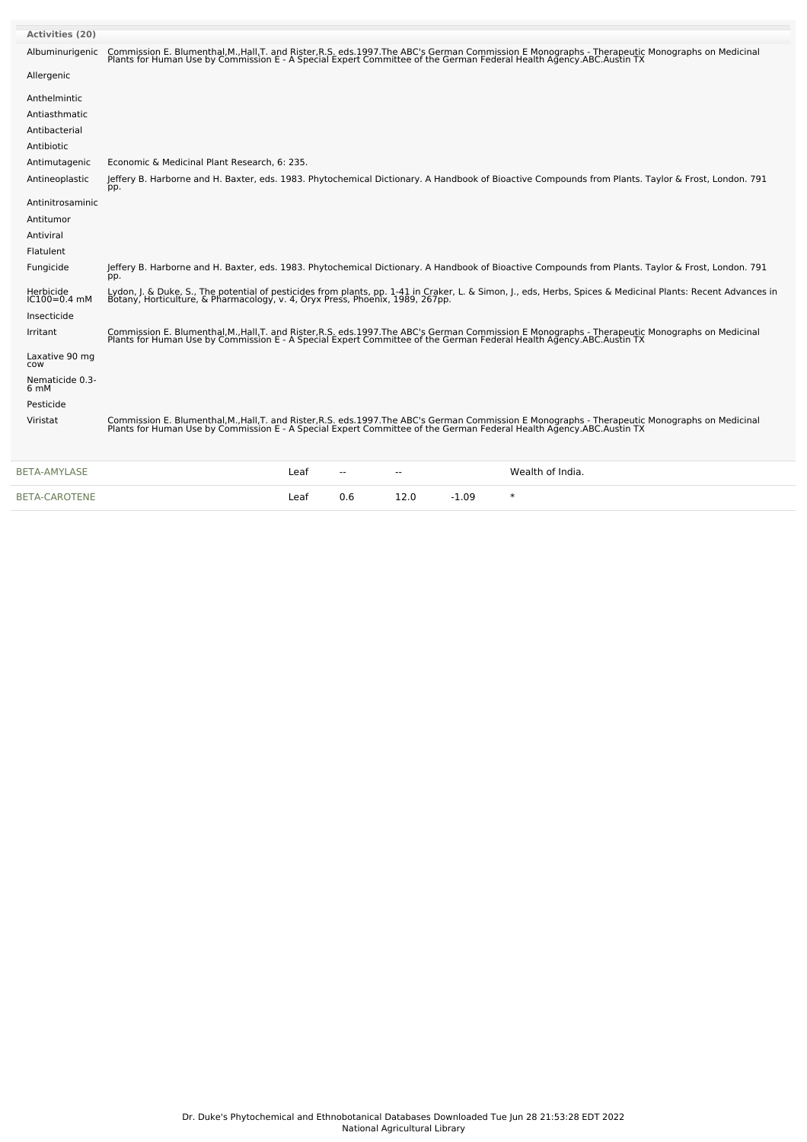| <b>Activities (20)</b>        |                                                                                                                                                                                                                                   |
|-------------------------------|-----------------------------------------------------------------------------------------------------------------------------------------------------------------------------------------------------------------------------------|
| Albuminurigenic               | Commission E. Blumenthal,M.,Hall,T. and Rister,R.S. eds.1997.The ABC's German Commission E Monographs - Therapeutic Monographs on Medicinal<br>Plants for Human Use by Commission E - A Special Expert Committee of the German Fe |
| Allergenic                    |                                                                                                                                                                                                                                   |
| Anthelmintic                  |                                                                                                                                                                                                                                   |
| Antiasthmatic                 |                                                                                                                                                                                                                                   |
| Antibacterial                 |                                                                                                                                                                                                                                   |
| Antibiotic                    |                                                                                                                                                                                                                                   |
| Antimutagenic                 | Economic & Medicinal Plant Research, 6: 235.                                                                                                                                                                                      |
| Antineoplastic                | Jeffery B. Harborne and H. Baxter, eds. 1983. Phytochemical Dictionary. A Handbook of Bioactive Compounds from Plants. Taylor & Frost, London. 791<br>pp.                                                                         |
| Antinitrosaminic              |                                                                                                                                                                                                                                   |
| Antitumor                     |                                                                                                                                                                                                                                   |
| Antiviral                     |                                                                                                                                                                                                                                   |
| Flatulent                     |                                                                                                                                                                                                                                   |
| Fungicide                     | Jeffery B. Harborne and H. Baxter, eds. 1983. Phytochemical Dictionary. A Handbook of Bioactive Compounds from Plants. Taylor & Frost, London. 791<br>pp.                                                                         |
| Herbicide<br>$IC100 = 0.4$ mM | Lydon, J. & Duke, S., The potential of pesticides from plants, pp. 1-41 in Craker, L. & Simon, J., eds, Herbs, Spices & Medicinal Plants: Recent Advances in<br>Botany, Horticulture, & Pharmacology, v. 4, Oryx Press, Phoenix,  |
| Insecticide                   |                                                                                                                                                                                                                                   |
| Irritant                      | Commission E. Blumenthal,M.,Hall,T. and Rister,R.S. eds.1997.The ABC's German Commission E Monographs - Therapeutic Monographs on Medicinal<br>Plants for Human Use by Commission E - A Special Expert Committee of the German Fe |
| Laxative 90 mg<br>cow         |                                                                                                                                                                                                                                   |
| Nematicide 0.3-<br>6 mM       |                                                                                                                                                                                                                                   |
| Pesticide                     |                                                                                                                                                                                                                                   |
| Viristat                      | Commission E. Blumenthal,M.,Hall,T. and Rister,R.S. eds.1997.The ABC's German Commission E Monographs - Therapeutic Monographs on Medicinal<br>Plants for Human Use by Commission E - A Special Expert Committee of the German Fe |
| <b>BETA-AMYLASE</b>           | Wealth of India.<br>Leaf                                                                                                                                                                                                          |

[BETA-CAROTENE](file:///phytochem/chemicals/show/4563) Leaf 0.6 12.0 -1.09 \*

| Dr. Duke's Phytochemical and Ethnobotanical Databases Downloaded Tue Jun 28 21:53:28 EDT 2022 |
|-----------------------------------------------------------------------------------------------|
| National Agricultural Library                                                                 |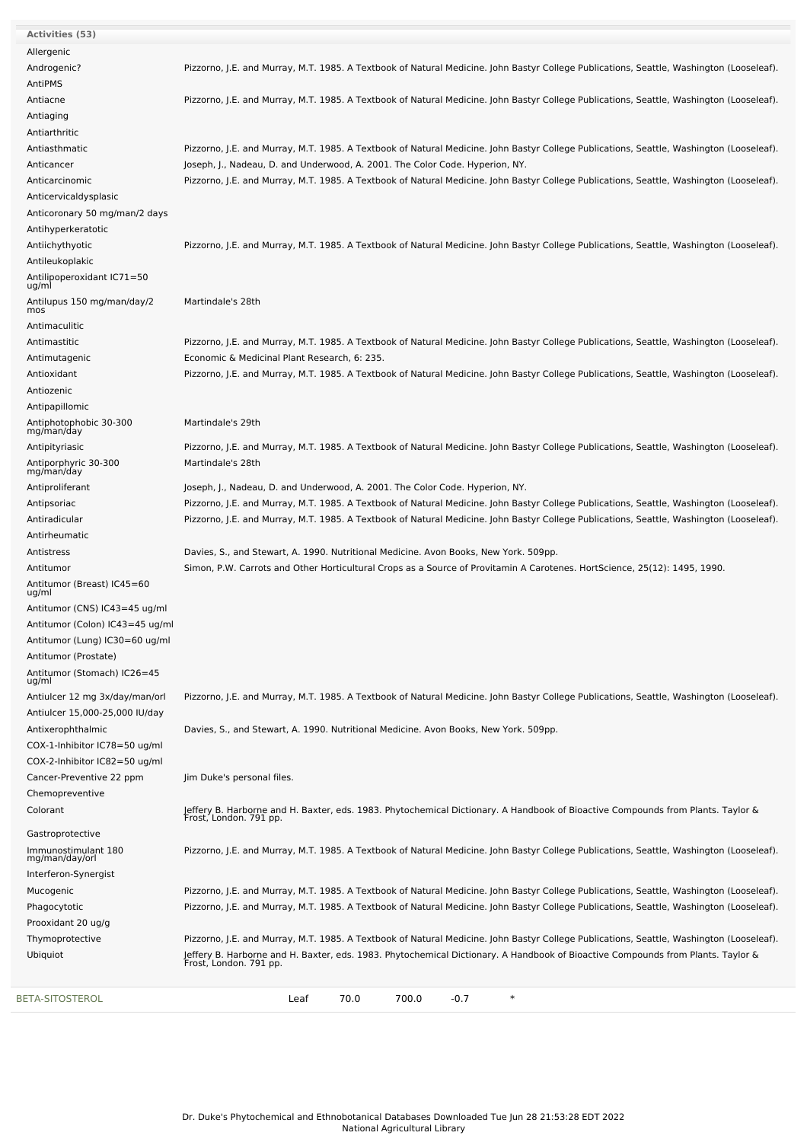| Activities (53)                                        |                                                                                                                                                                                                                                                                                      |
|--------------------------------------------------------|--------------------------------------------------------------------------------------------------------------------------------------------------------------------------------------------------------------------------------------------------------------------------------------|
| Allergenic                                             |                                                                                                                                                                                                                                                                                      |
| Androgenic?                                            | Pizzorno, J.E. and Murray, M.T. 1985. A Textbook of Natural Medicine. John Bastyr College Publications, Seattle, Washington (Looseleaf).                                                                                                                                             |
| AntiPMS                                                |                                                                                                                                                                                                                                                                                      |
| Antiacne                                               | Pizzorno, J.E. and Murray, M.T. 1985. A Textbook of Natural Medicine. John Bastyr College Publications, Seattle, Washington (Looseleaf).                                                                                                                                             |
| Antiaging                                              |                                                                                                                                                                                                                                                                                      |
| Antiarthritic<br>Antiasthmatic                         |                                                                                                                                                                                                                                                                                      |
| Anticancer                                             | Pizzorno, J.E. and Murray, M.T. 1985. A Textbook of Natural Medicine. John Bastyr College Publications, Seattle, Washington (Looseleaf).<br>Joseph, J., Nadeau, D. and Underwood, A. 2001. The Color Code. Hyperion, NY.                                                             |
| Anticarcinomic                                         | Pizzorno, J.E. and Murray, M.T. 1985. A Textbook of Natural Medicine. John Bastyr College Publications, Seattle, Washington (Looseleaf).                                                                                                                                             |
| Anticervicaldysplasic                                  |                                                                                                                                                                                                                                                                                      |
| Anticoronary 50 mg/man/2 days                          |                                                                                                                                                                                                                                                                                      |
| Antihyperkeratotic                                     |                                                                                                                                                                                                                                                                                      |
| Antiichythyotic                                        | Pizzorno, J.E. and Murray, M.T. 1985. A Textbook of Natural Medicine. John Bastyr College Publications, Seattle, Washington (Looseleaf).                                                                                                                                             |
| Antileukoplakic                                        |                                                                                                                                                                                                                                                                                      |
| Antilipoperoxidant IC71=50                             |                                                                                                                                                                                                                                                                                      |
| ug/ml                                                  |                                                                                                                                                                                                                                                                                      |
| Antilupus 150 mg/man/day/2<br>mos                      | Martindale's 28th                                                                                                                                                                                                                                                                    |
| Antimaculitic                                          |                                                                                                                                                                                                                                                                                      |
| Antimastitic                                           | Pizzorno, J.E. and Murray, M.T. 1985. A Textbook of Natural Medicine. John Bastyr College Publications, Seattle, Washington (Looseleaf).                                                                                                                                             |
| Antimutagenic                                          | Economic & Medicinal Plant Research, 6: 235.                                                                                                                                                                                                                                         |
| Antioxidant                                            | Pizzorno, J.E. and Murray, M.T. 1985. A Textbook of Natural Medicine. John Bastyr College Publications, Seattle, Washington (Looseleaf).                                                                                                                                             |
| Antiozenic                                             |                                                                                                                                                                                                                                                                                      |
| Antipapillomic                                         |                                                                                                                                                                                                                                                                                      |
| Antiphotophobic 30-300<br>mg/man/day                   | Martindale's 29th                                                                                                                                                                                                                                                                    |
| Antipityriasic                                         | Pizzorno, J.E. and Murray, M.T. 1985. A Textbook of Natural Medicine. John Bastyr College Publications, Seattle, Washington (Looseleaf).                                                                                                                                             |
| Antiporphyric 30-300                                   | Martindale's 28th                                                                                                                                                                                                                                                                    |
| mg/man/day                                             |                                                                                                                                                                                                                                                                                      |
| Antiproliferant                                        | Joseph, J., Nadeau, D. and Underwood, A. 2001. The Color Code. Hyperion, NY.                                                                                                                                                                                                         |
| Antipsoriac<br>Antiradicular                           | Pizzorno, J.E. and Murray, M.T. 1985. A Textbook of Natural Medicine. John Bastyr College Publications, Seattle, Washington (Looseleaf).<br>Pizzorno, J.E. and Murray, M.T. 1985. A Textbook of Natural Medicine. John Bastyr College Publications, Seattle, Washington (Looseleaf). |
| Antirheumatic                                          |                                                                                                                                                                                                                                                                                      |
| Antistress                                             | Davies, S., and Stewart, A. 1990. Nutritional Medicine. Avon Books, New York. 509pp.                                                                                                                                                                                                 |
| Antitumor                                              | Simon, P.W. Carrots and Other Horticultural Crops as a Source of Provitamin A Carotenes. HortScience, 25(12): 1495, 1990.                                                                                                                                                            |
| Antitumor (Breast) IC45=60                             |                                                                                                                                                                                                                                                                                      |
| ug/ml                                                  |                                                                                                                                                                                                                                                                                      |
| Antitumor (CNS) IC43=45 ug/ml                          |                                                                                                                                                                                                                                                                                      |
| Antitumor (Colon) IC43=45 ug/ml                        |                                                                                                                                                                                                                                                                                      |
| Antitumor (Lung) IC30=60 ug/ml<br>Antitumor (Prostate) |                                                                                                                                                                                                                                                                                      |
| Antitumor (Stomach) IC26=45                            |                                                                                                                                                                                                                                                                                      |
| ug/ml                                                  |                                                                                                                                                                                                                                                                                      |
| Antiulcer 12 mg 3x/day/man/orl                         | Pizzorno, J.E. and Murray, M.T. 1985. A Textbook of Natural Medicine. John Bastyr College Publications, Seattle, Washington (Looseleaf).                                                                                                                                             |
| Antiulcer 15,000-25,000 IU/day                         |                                                                                                                                                                                                                                                                                      |
| Antixerophthalmic                                      | Davies, S., and Stewart, A. 1990. Nutritional Medicine. Avon Books, New York. 509pp.                                                                                                                                                                                                 |
| COX-1-Inhibitor IC78=50 ug/ml                          |                                                                                                                                                                                                                                                                                      |
| COX-2-Inhibitor IC82=50 ug/ml                          |                                                                                                                                                                                                                                                                                      |
| Cancer-Preventive 22 ppm                               | Jim Duke's personal files.                                                                                                                                                                                                                                                           |
| Chemopreventive                                        | Jeffery B. Harborne and H. Baxter, eds. 1983. Phytochemical Dictionary. A Handbook of Bioactive Compounds from Plants. Taylor &                                                                                                                                                      |
| Colorant                                               | Frost, London. 791 pp.                                                                                                                                                                                                                                                               |
| Gastroprotective                                       |                                                                                                                                                                                                                                                                                      |
| Immunostimulant 180<br>mg/man/day/orl                  | Pizzorno, J.E. and Murray, M.T. 1985. A Textbook of Natural Medicine. John Bastyr College Publications, Seattle, Washington (Looseleaf).                                                                                                                                             |
| Interferon-Synergist                                   |                                                                                                                                                                                                                                                                                      |
| Mucogenic                                              | Pizzorno, J.E. and Murray, M.T. 1985. A Textbook of Natural Medicine. John Bastyr College Publications, Seattle, Washington (Looseleaf).                                                                                                                                             |
| Phagocytotic                                           | Pizzorno, J.E. and Murray, M.T. 1985. A Textbook of Natural Medicine. John Bastyr College Publications, Seattle, Washington (Looseleaf).                                                                                                                                             |
| Prooxidant 20 ug/g                                     |                                                                                                                                                                                                                                                                                      |
| Thymoprotective                                        | Pizzorno, J.E. and Murray, M.T. 1985. A Textbook of Natural Medicine. John Bastyr College Publications, Seattle, Washington (Looseleaf).                                                                                                                                             |
| Ubiquiot                                               | Jeffery B. Harborne and H. Baxter, eds. 1983. Phytochemical Dictionary. A Handbook of Bioactive Compounds from Plants. Taylor &<br>Frost, London. 791 pp.                                                                                                                            |
|                                                        |                                                                                                                                                                                                                                                                                      |
| BETA-SITOSTEROL                                        | 700.0<br>$\ast$<br>70.0<br>$-0.7$<br>Leaf                                                                                                                                                                                                                                            |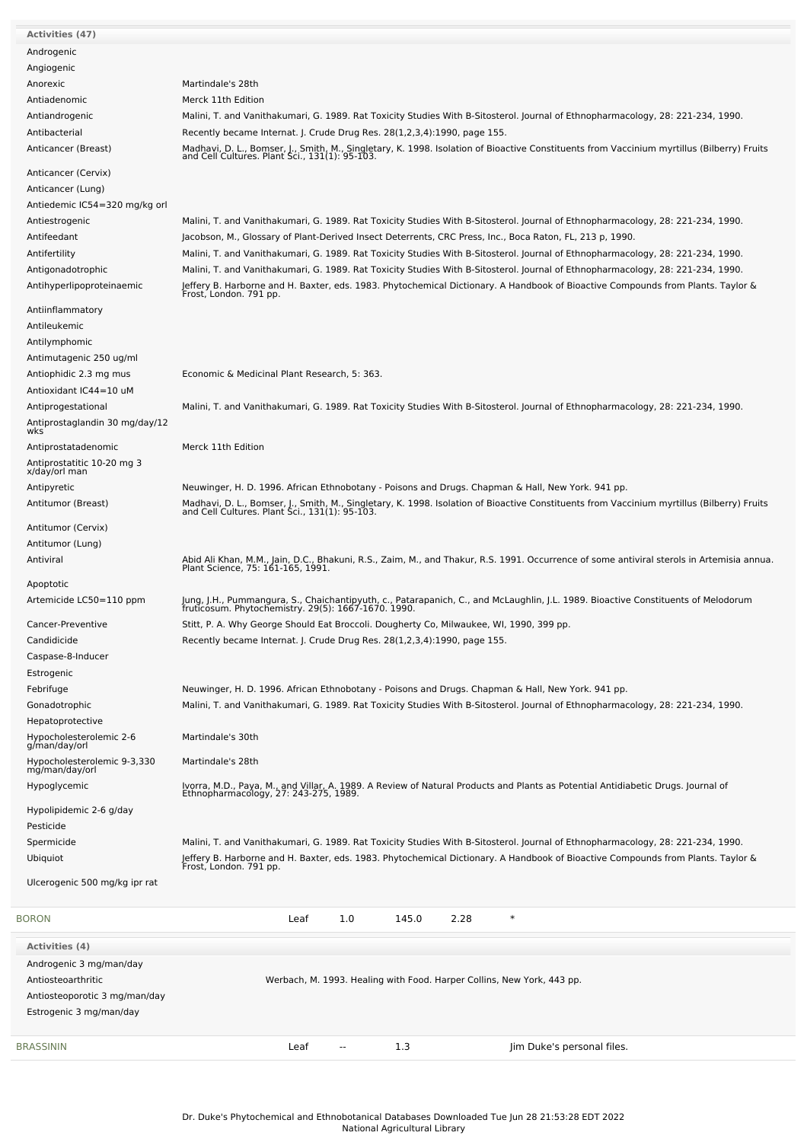| <b>Activities (47)</b>                      |                                                                                                                                                                                           |
|---------------------------------------------|-------------------------------------------------------------------------------------------------------------------------------------------------------------------------------------------|
|                                             |                                                                                                                                                                                           |
| Androgenic                                  |                                                                                                                                                                                           |
| Angiogenic                                  |                                                                                                                                                                                           |
| Anorexic                                    | Martindale's 28th                                                                                                                                                                         |
| Antiadenomic                                | Merck 11th Edition                                                                                                                                                                        |
| Antiandrogenic                              | Malini, T. and Vanithakumari, G. 1989. Rat Toxicity Studies With B-Sitosterol. Journal of Ethnopharmacology, 28: 221-234, 1990.                                                           |
| Antibacterial                               | Recently became Internat. J. Crude Drug Res. 28(1,2,3,4):1990, page 155.                                                                                                                  |
|                                             |                                                                                                                                                                                           |
| Anticancer (Breast)                         | Madhavi, D. L., Bomser, J., Smith, M., Singletary, K. 1998. Isolation of Bioactive Constituents from Vaccinium myrtillus (Bilberry) Fruits and Cell Cultures. Plant Sci., 131(1): 95-103. |
| Anticancer (Cervix)                         |                                                                                                                                                                                           |
| Anticancer (Lung)                           |                                                                                                                                                                                           |
|                                             |                                                                                                                                                                                           |
| Antiedemic IC54=320 mg/kg orl               |                                                                                                                                                                                           |
| Antiestrogenic                              | Malini, T. and Vanithakumari, G. 1989. Rat Toxicity Studies With B-Sitosterol. Journal of Ethnopharmacology, 28: 221-234, 1990.                                                           |
| Antifeedant                                 | Jacobson, M., Glossary of Plant-Derived Insect Deterrents, CRC Press, Inc., Boca Raton, FL, 213 p, 1990.                                                                                  |
| Antifertility                               | Malini, T. and Vanithakumari, G. 1989. Rat Toxicity Studies With B-Sitosterol. Journal of Ethnopharmacology, 28: 221-234, 1990.                                                           |
| Antigonadotrophic                           | Malini, T. and Vanithakumari, G. 1989. Rat Toxicity Studies With B-Sitosterol. Journal of Ethnopharmacology, 28: 221-234, 1990.                                                           |
| Antihyperlipoproteinaemic                   | Jeffery B. Harborne and H. Baxter, eds. 1983. Phytochemical Dictionary. A Handbook of Bioactive Compounds from Plants. Taylor &<br>Frost, London. 791 pp.                                 |
|                                             |                                                                                                                                                                                           |
| Antiinflammatory                            |                                                                                                                                                                                           |
| Antileukemic                                |                                                                                                                                                                                           |
| Antilymphomic                               |                                                                                                                                                                                           |
| Antimutagenic 250 ug/ml                     |                                                                                                                                                                                           |
| Antiophidic 2.3 mg mus                      | Economic & Medicinal Plant Research, 5: 363.                                                                                                                                              |
|                                             |                                                                                                                                                                                           |
| Antioxidant IC44=10 uM                      |                                                                                                                                                                                           |
| Antiprogestational                          | Malini, T. and Vanithakumari, G. 1989. Rat Toxicity Studies With B-Sitosterol. Journal of Ethnopharmacology, 28: 221-234, 1990.                                                           |
| Antiprostaglandin 30 mg/day/12<br>wks       |                                                                                                                                                                                           |
| Antiprostatadenomic                         | Merck 11th Edition                                                                                                                                                                        |
|                                             |                                                                                                                                                                                           |
| Antiprostatitic 10-20 mg 3<br>x/day/orl man |                                                                                                                                                                                           |
| Antipyretic                                 | Neuwinger, H. D. 1996. African Ethnobotany - Poisons and Drugs. Chapman & Hall, New York. 941 pp.                                                                                         |
| Antitumor (Breast)                          |                                                                                                                                                                                           |
|                                             | Madhavi, D. L., Bomser, J., Smith, M., Singletary, K. 1998. Isolation of Bioactive Constituents from Vaccinium myrtillus (Bilberry) Fruits and Cell Cultures. Plant Sci., 131(1): 95-103. |
| Antitumor (Cervix)                          |                                                                                                                                                                                           |
| Antitumor (Lung)                            |                                                                                                                                                                                           |
| Antiviral                                   |                                                                                                                                                                                           |
|                                             | Abid Ali Khan, M.M., Jain, D.C., Bhakuni, R.S., Zaim, M., and Thakur, R.S. 1991. Occurrence of some antiviral sterols in Artemisia annua.<br>Plant Science, 75: 161-165, 1991.            |
| Apoptotic                                   |                                                                                                                                                                                           |
| Artemicide LC50=110 ppm                     | Jung, J.H., Pummangura, S., Chaichantipyuth, c., Patarapanich, C., and McLaughlin, J.L. 1989. Bioactive Constituents of Melodorum<br>fruticosum. Phytochemistry. 29(5): 1667-1670. 1990.  |
|                                             |                                                                                                                                                                                           |
| Cancer-Preventive                           | Stitt, P. A. Why George Should Eat Broccoli. Dougherty Co, Milwaukee, WI, 1990, 399 pp.                                                                                                   |
| Candidicide                                 | Recently became Internat. J. Crude Drug Res. 28(1,2,3,4):1990, page 155.                                                                                                                  |
| Caspase-8-Inducer                           |                                                                                                                                                                                           |
| Estrogenic                                  |                                                                                                                                                                                           |
| Febrifuge                                   | Neuwinger, H. D. 1996. African Ethnobotany - Poisons and Drugs. Chapman & Hall, New York. 941 pp.                                                                                         |
| Gonadotrophic                               | Malini, T. and Vanithakumari, G. 1989. Rat Toxicity Studies With B-Sitosterol. Journal of Ethnopharmacology, 28: 221-234, 1990.                                                           |
|                                             |                                                                                                                                                                                           |
| Hepatoprotective                            |                                                                                                                                                                                           |
| Hypocholesterolemic 2-6<br>g/man/day/orl    | Martindale's 30th                                                                                                                                                                         |
| Hypocholesterolemic 9-3,330                 | Martindale's 28th                                                                                                                                                                         |
| mg/man/day/orl                              |                                                                                                                                                                                           |
| Hypoglycemic                                | Ivorra, M.D., Paya, M., and Villar, A. 1989. A Review of Natural Products and Plants as Potential Antidiabetic Drugs. Journal of                                                          |
|                                             | Ethnopharmacology, 27: 243-275, 1989.                                                                                                                                                     |
| Hypolipidemic 2-6 g/day                     |                                                                                                                                                                                           |
| Pesticide                                   |                                                                                                                                                                                           |
| Spermicide                                  | Malini, T. and Vanithakumari, G. 1989. Rat Toxicity Studies With B-Sitosterol. Journal of Ethnopharmacology, 28: 221-234, 1990.                                                           |
| Ubiquiot                                    | Jeffery B. Harborne and H. Baxter, eds. 1983. Phytochemical Dictionary. A Handbook of Bioactive Compounds from Plants. Taylor &<br>Frost, London. 791 pp.                                 |
|                                             |                                                                                                                                                                                           |
| Ulcerogenic 500 mg/kg ipr rat               |                                                                                                                                                                                           |
|                                             |                                                                                                                                                                                           |
| <b>BORON</b>                                | Leaf<br>1.0<br>145.0<br>2.28<br>$\ast$                                                                                                                                                    |
| <b>Activities (4)</b>                       |                                                                                                                                                                                           |
| Androgenic 3 mg/man/day                     |                                                                                                                                                                                           |
|                                             |                                                                                                                                                                                           |
| Antiosteoarthritic                          | Werbach, M. 1993. Healing with Food. Harper Collins, New York, 443 pp.                                                                                                                    |
| Antiosteoporotic 3 mg/man/day               |                                                                                                                                                                                           |
| Estrogenic 3 mg/man/day                     |                                                                                                                                                                                           |
|                                             |                                                                                                                                                                                           |
| BRASSININ                                   | 1.3<br>Jim Duke's personal files.<br>Leaf<br>$\sim$                                                                                                                                       |
|                                             |                                                                                                                                                                                           |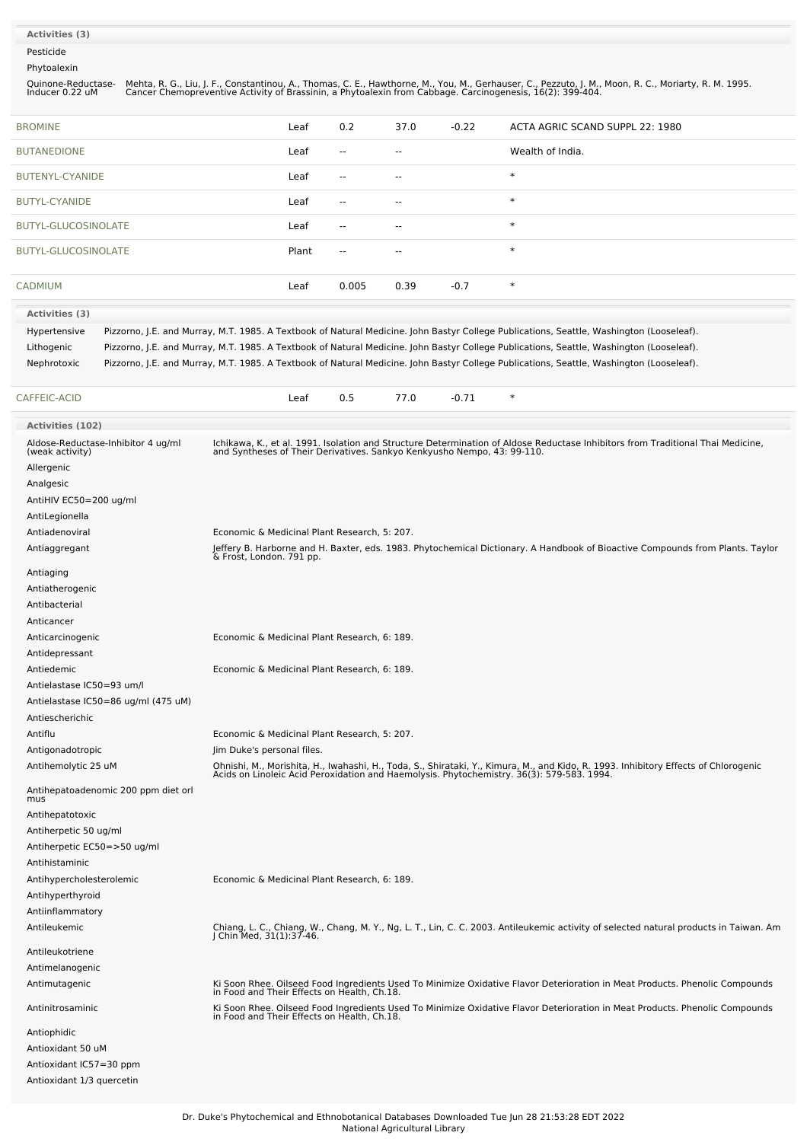#### **Activities (3)**

Pesticide

Phytoalexin

Quinone-Reductase-Inducer 0.22 uM Mehta, R. G., Liu, J. F., Constantinou, A., Thomas, C. E., Hawthorne, M., You, M., Gerhauser, C., Pezzuto, J. M., Moon, R. C., Moriarty, R. M. 1995.<br>Cancer Chemopreventive Activity of Brassinin, a Phytoalexin from Cabbage.

| <b>BROMINE</b>       | Leaf  | 0.2           | 37.0                     | $-0.22$ | ACTA AGRIC SCAND SUPPL 22: 1980                                                                                                          |
|----------------------|-------|---------------|--------------------------|---------|------------------------------------------------------------------------------------------------------------------------------------------|
| <b>BUTANEDIONE</b>   | Leaf  | $- -$         | $\sim$                   |         | Wealth of India.                                                                                                                         |
| BUTENYL-CYANIDE      | Leaf  | $\sim$ $\sim$ | $\sim$ $\sim$            |         | $\ast$                                                                                                                                   |
| <b>BUTYL-CYANIDE</b> | Leaf  | $\sim$ $\sim$ | $\sim$                   |         | $\ast$                                                                                                                                   |
| BUTYL-GLUCOSINOLATE  | Leaf  | $\sim$ $\sim$ | $\overline{\phantom{a}}$ |         | $\ast$                                                                                                                                   |
| BUTYL-GLUCOSINOLATE  | Plant | $\sim$ $-$    | $\overline{\phantom{a}}$ |         | $\ast$                                                                                                                                   |
|                      |       |               |                          |         |                                                                                                                                          |
| <b>CADMIUM</b>       | Leaf  | 0.005         | 0.39                     | $-0.7$  | $\ast$                                                                                                                                   |
| Activities (3)       |       |               |                          |         |                                                                                                                                          |
| Hypertensive         |       |               |                          |         | Pizzorno, J.E. and Murray, M.T. 1985. A Textbook of Natural Medicine. John Bastyr College Publications, Seattle, Washington (Looseleaf). |

Lithogenic Pizzorno, J.E. and Murray, M.T. 1985. A Textbook of Natural Medicine. John Bastyr College Publications, Seattle, Washington (Looseleaf). Nephrotoxic Pizzorno, J.E. and Murray, M.T. 1985. A Textbook of Natural Medicine. John Bastyr College Publications, Seattle, Washington (Looseleaf).

| FIC-ACID<br>$\cap$ AEEL.<br>the contract of the contract of the | Leaf | -<br><b>U.J</b> | 770<br>ن ، | $\sim$ $\sim$ $\sim$<br>-0.71 |  |
|-----------------------------------------------------------------|------|-----------------|------------|-------------------------------|--|
|                                                                 |      |                 |            |                               |  |

| <b>Activities (102)</b>                                                          |                                                                                                                                                                                                                                  |
|----------------------------------------------------------------------------------|----------------------------------------------------------------------------------------------------------------------------------------------------------------------------------------------------------------------------------|
| Aldose-Reductase-Inhibitor 4 ug/ml<br>(weak activity)<br>Allergenic<br>Analgesic | Ichikawa, K., et al. 1991. Isolation and Structure Determination of Aldose Reductase Inhibitors from Traditional Thai Medicine,<br>and Syntheses of Their Derivatives. Sankyo Kenkyusho Nempo, 43: 99-110.                       |
| AntiHIV EC50=200 ug/ml                                                           |                                                                                                                                                                                                                                  |
| AntiLegionella                                                                   |                                                                                                                                                                                                                                  |
| Antiadenoviral                                                                   | Economic & Medicinal Plant Research, 5: 207.                                                                                                                                                                                     |
| Antiaggregant                                                                    | Jeffery B. Harborne and H. Baxter, eds. 1983. Phytochemical Dictionary. A Handbook of Bioactive Compounds from Plants. Taylor<br>& Frost, London. 791 pp.                                                                        |
| Antiaging                                                                        |                                                                                                                                                                                                                                  |
| Antiatherogenic                                                                  |                                                                                                                                                                                                                                  |
| Antibacterial                                                                    |                                                                                                                                                                                                                                  |
| Anticancer                                                                       |                                                                                                                                                                                                                                  |
| Anticarcinogenic                                                                 | Economic & Medicinal Plant Research, 6: 189.                                                                                                                                                                                     |
| Antidepressant                                                                   |                                                                                                                                                                                                                                  |
| Antiedemic                                                                       | Economic & Medicinal Plant Research, 6: 189.                                                                                                                                                                                     |
| Antielastase IC50=93 um/l                                                        |                                                                                                                                                                                                                                  |
| Antielastase IC50=86 ug/ml (475 uM)                                              |                                                                                                                                                                                                                                  |
| Antiescherichic                                                                  |                                                                                                                                                                                                                                  |
| Antiflu                                                                          | Economic & Medicinal Plant Research, 5: 207.                                                                                                                                                                                     |
| Antigonadotropic                                                                 | Jim Duke's personal files.                                                                                                                                                                                                       |
| Antihemolytic 25 uM                                                              | Ohnishi, M., Morishita, H., Iwahashi, H., Toda, S., Shirataki, Y., Kimura, M., and Kido, R. 1993. Inhibitory Effects of Chlorogenic<br>Acids on Linoleic Acid Peroxidation and Haemolysis. Phytochemistry. 36(3): 579-583. 1994. |
| Antihepatoadenomic 200 ppm diet orl<br>mus                                       |                                                                                                                                                                                                                                  |
| Antihepatotoxic                                                                  |                                                                                                                                                                                                                                  |
| Antiherpetic 50 ug/ml                                                            |                                                                                                                                                                                                                                  |
| Antiherpetic EC50=>50 ug/ml                                                      |                                                                                                                                                                                                                                  |
| Antihistaminic                                                                   |                                                                                                                                                                                                                                  |
| Antihypercholesterolemic                                                         | Economic & Medicinal Plant Research, 6: 189.                                                                                                                                                                                     |
| Antihyperthyroid                                                                 |                                                                                                                                                                                                                                  |
| Antiinflammatory                                                                 |                                                                                                                                                                                                                                  |
| Antileukemic                                                                     | Chiang, L. C., Chiang, W., Chang, M. Y., Ng, L. T., Lin, C. C. 2003. Antileukemic activity of selected natural products in Taiwan. Am J Chin Med, 31(1):37-46.                                                                   |
| Antileukotriene                                                                  |                                                                                                                                                                                                                                  |
| Antimelanogenic                                                                  |                                                                                                                                                                                                                                  |
| Antimutagenic                                                                    | Ki Soon Rhee. Oilseed Food Ingredients Used To Minimize Oxidative Flavor Deterioration in Meat Products. Phenolic Compounds<br>in Food and Their Effects on Health, Ch.18.                                                       |
| Antinitrosaminic                                                                 | Ki Soon Rhee. Oilseed Food Ingredients Used To Minimize Oxidative Flavor Deterioration in Meat Products. Phenolic Compounds<br>in Food and Their Effects on Health, Ch.18.                                                       |
| Antiophidic                                                                      |                                                                                                                                                                                                                                  |
| Antioxidant 50 uM                                                                |                                                                                                                                                                                                                                  |
| Antioxidant IC57=30 ppm                                                          |                                                                                                                                                                                                                                  |
| Antioxidant 1/3 quercetin                                                        |                                                                                                                                                                                                                                  |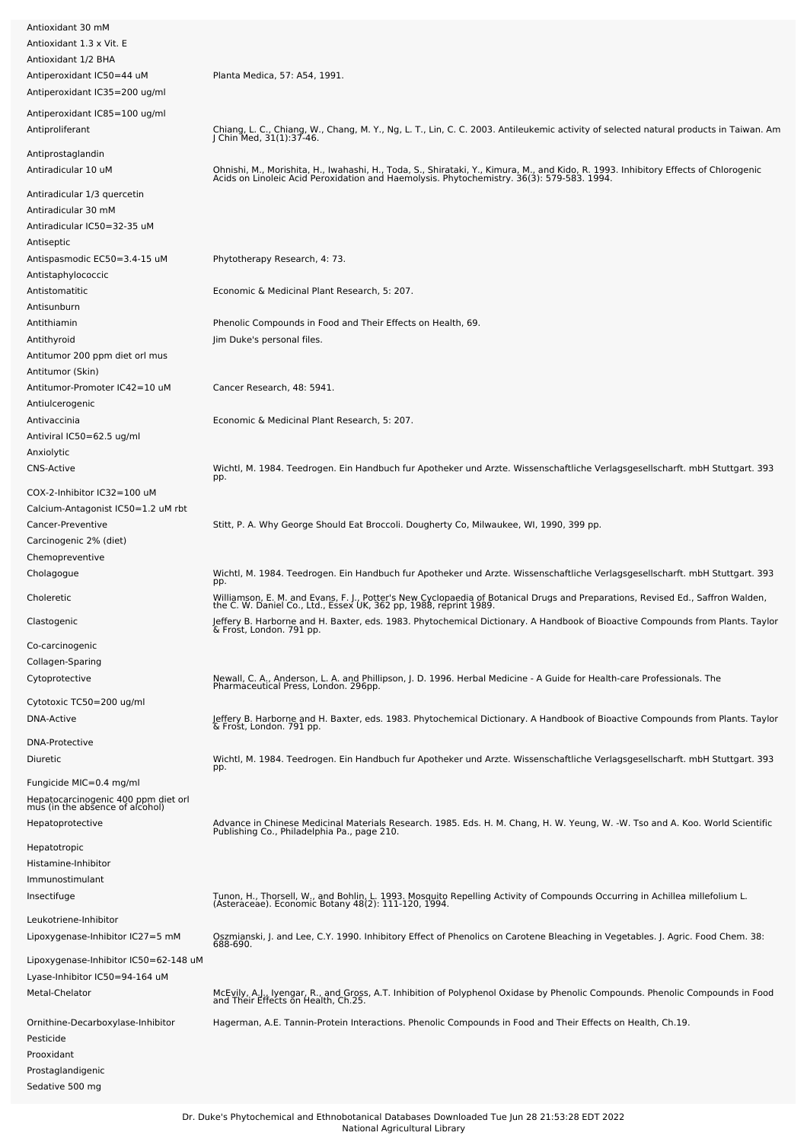| Antioxidant 30 mM                                                                                 |                                                                                                                                                                                                                                  |
|---------------------------------------------------------------------------------------------------|----------------------------------------------------------------------------------------------------------------------------------------------------------------------------------------------------------------------------------|
| Antioxidant 1.3 x Vit. E<br>Antioxidant 1/2 BHA                                                   |                                                                                                                                                                                                                                  |
| Antiperoxidant IC50=44 uM<br>Antiperoxidant IC35=200 ug/ml                                        | Planta Medica, 57: A54, 1991.                                                                                                                                                                                                    |
| Antiperoxidant IC85=100 ug/ml<br>Antiproliferant                                                  | Chiang, L. C., Chiang, W., Chang, M. Y., Ng, L. T., Lin, C. C. 2003. Antileukemic activity of selected natural products in Taiwan. Am J Chin Med, 31(1):37-46.                                                                   |
| Antiprostaglandin<br>Antiradicular 10 uM                                                          | Ohnishi, M., Morishita, H., Iwahashi, H., Toda, S., Shirataki, Y., Kimura, M., and Kido, R. 1993. Inhibitory Effects of Chlorogenic<br>Acids on Linoleic Acid Peroxidation and Haemolysis. Phytochemistry. 36(3): 579-583. 1994. |
| Antiradicular 1/3 quercetin<br>Antiradicular 30 mM<br>Antiradicular IC50=32-35 uM                 |                                                                                                                                                                                                                                  |
| Antiseptic<br>Antispasmodic EC50=3.4-15 uM<br>Antistaphylococcic                                  | Phytotherapy Research, 4: 73.                                                                                                                                                                                                    |
| Antistomatitic<br>Antisunburn                                                                     | Economic & Medicinal Plant Research, 5: 207.                                                                                                                                                                                     |
| Antithiamin<br>Antithyroid                                                                        | Phenolic Compounds in Food and Their Effects on Health, 69.<br>Jim Duke's personal files.                                                                                                                                        |
| Antitumor 200 ppm diet orl mus<br>Antitumor (Skin)                                                |                                                                                                                                                                                                                                  |
| Antitumor-Promoter IC42=10 uM<br>Antiulcerogenic                                                  | Cancer Research, 48: 5941.                                                                                                                                                                                                       |
| Antivaccinia<br>Antiviral IC50=62.5 ug/ml<br>Anxiolytic                                           | Economic & Medicinal Plant Research, 5: 207.                                                                                                                                                                                     |
| <b>CNS-Active</b><br>COX-2-Inhibitor IC32=100 uM                                                  | Wichtl, M. 1984. Teedrogen. Ein Handbuch fur Apotheker und Arzte. Wissenschaftliche Verlagsgesellscharft. mbH Stuttgart. 393<br>pp.                                                                                              |
| Calcium-Antagonist IC50=1.2 uM rbt<br>Cancer-Preventive                                           | Stitt, P. A. Why George Should Eat Broccoli. Dougherty Co, Milwaukee, WI, 1990, 399 pp.                                                                                                                                          |
| Carcinogenic 2% (diet)<br>Chemopreventive<br>Cholagogue                                           | Wichtl, M. 1984. Teedrogen. Ein Handbuch fur Apotheker und Arzte. Wissenschaftliche Verlagsgesellscharft. mbH Stuttgart. 393                                                                                                     |
| Choleretic                                                                                        | pp.<br>Williamson, E. M. and Evans, F. J., Potter's New Cyclopaedia of Botanical Drugs and Preparations, Revised Ed., Saffron Walden,<br>the C. W. Daniel Co., Ltd., Essex UK, 362 pp, 1988, reprint 1989.                       |
| Clastogenic                                                                                       | Jeffery B. Harborne and H. Baxter, eds. 1983. Phytochemical Dictionary. A Handbook of Bioactive Compounds from Plants. Taylor<br>& Frost, London. 791 pp.                                                                        |
| Co-carcinogenic<br>Collagen-Sparing                                                               |                                                                                                                                                                                                                                  |
| Cytoprotective<br>Cytotoxic TC50=200 ug/ml                                                        | Newall, C. A., Anderson, L. A. and Phillipson, J. D. 1996. Herbal Medicine - A Guide for Health-care Professionals. The<br>Pharmaceutical Press, London. 296pp.                                                                  |
| DNA-Active<br><b>DNA-Protective</b>                                                               | Jeffery B. Harborne and H. Baxter, eds. 1983. Phytochemical Dictionary. A Handbook of Bioactive Compounds from Plants. Taylor<br>& Frost, London. 791 pp.                                                                        |
| Diuretic                                                                                          | Wichtl, M. 1984. Teedrogen. Ein Handbuch fur Apotheker und Arzte. Wissenschaftliche Verlagsgesellscharft. mbH Stuttgart. 393<br>pp.                                                                                              |
| Fungicide MIC=0.4 mg/ml<br>Hepatocarcinogenic 400 ppm diet orl<br>mus (in the absence of alcohol) |                                                                                                                                                                                                                                  |
| Hepatoprotective<br>Hepatotropic                                                                  | Advance in Chinese Medicinal Materials Research. 1985. Eds. H. M. Chang, H. W. Yeung, W. -W. Tso and A. Koo. World Scientific<br>Publishing Co., Philadelphia Pa., page 210.                                                     |
| Histamine-Inhibitor<br>Immunostimulant<br>Insectifuge                                             | Tunon, H., Thorsell, W., and Bohlin, L. 1993. Mosquito Repelling Activity of Compounds Occurring in Achillea millefolium L.<br>(Asteraceae). Economic Botany 48(2): 111-120, 1994.                                               |
| Leukotriene-Inhibitor<br>Lipoxygenase-Inhibitor IC27=5 mM                                         | Oszmianski, J. and Lee, C.Y. 1990. Inhibitory Effect of Phenolics on Carotene Bleaching in Vegetables. J. Agric. Food Chem. 38:<br>688-690.                                                                                      |
| Lipoxygenase-Inhibitor IC50=62-148 uM<br>Lyase-Inhibitor IC50=94-164 uM<br>Metal-Chelator         | McEvily, A.J., Iyengar, R., and Gross, A.T. Inhibition of Polyphenol Oxidase by Phenolic Compounds. Phenolic Compounds in Food                                                                                                   |
| Ornithine-Decarboxylase-Inhibitor<br>Pesticide<br>Prooxidant<br>Prostaglandigenic                 | and Their Effects on Health, Ch.25.<br>Hagerman, A.E. Tannin-Protein Interactions. Phenolic Compounds in Food and Their Effects on Health, Ch.19.                                                                                |

Sedative 500 mg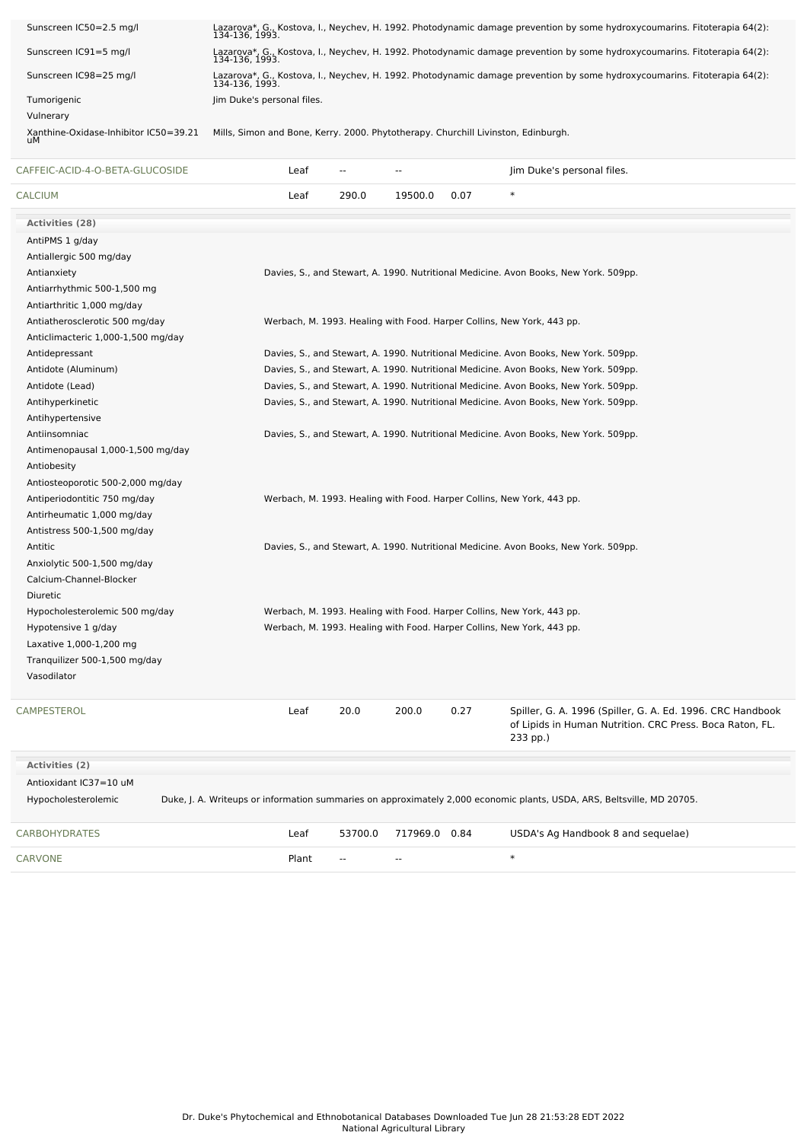| Sunscreen IC50=2.5 mg/l                     |                                                                                   |                          |                |      | Lazarova*, G., Kostova, I., Neychev, H. 1992. Photodynamic damage prevention by some hydroxycoumarins. Fitoterapia 64(2):<br>134-136, 1993. |
|---------------------------------------------|-----------------------------------------------------------------------------------|--------------------------|----------------|------|---------------------------------------------------------------------------------------------------------------------------------------------|
| Sunscreen IC91=5 mg/l                       |                                                                                   |                          |                |      | Lazarova*, G., Kostova, I., Neychev, H. 1992. Photodynamic damage prevention by some hydroxycoumarins. Fitoterapia 64(2):<br>134-136, 1993. |
| Sunscreen IC98=25 mg/l                      |                                                                                   |                          |                |      | Lazarova*, G., Kostova, I., Neychev, H. 1992. Photodynamic damage prevention by some hydroxycoumarins. Fitoterapia 64(2):<br>134-136, 1993. |
| Tumorigenic                                 | Jim Duke's personal files.                                                        |                          |                |      |                                                                                                                                             |
| Vulnerary                                   |                                                                                   |                          |                |      |                                                                                                                                             |
| Xanthine-Oxidase-Inhibitor IC50=39.21<br>uМ | Mills, Simon and Bone, Kerry. 2000. Phytotherapy. Churchill Livinston, Edinburgh. |                          |                |      |                                                                                                                                             |
| CAFFEIC-ACID-4-O-BETA-GLUCOSIDE             | Leaf                                                                              | $\sim$ $\sim$            | $\overline{a}$ |      | Jim Duke's personal files.                                                                                                                  |
| <b>CALCIUM</b>                              | Leaf                                                                              | 290.0                    | 19500.0        | 0.07 | $\ast$                                                                                                                                      |
| <b>Activities (28)</b>                      |                                                                                   |                          |                |      |                                                                                                                                             |
| AntiPMS 1 g/day                             |                                                                                   |                          |                |      |                                                                                                                                             |
| Antiallergic 500 mg/day                     |                                                                                   |                          |                |      |                                                                                                                                             |
| Antianxiety                                 |                                                                                   |                          |                |      | Davies, S., and Stewart, A. 1990. Nutritional Medicine. Avon Books, New York. 509pp.                                                        |
| Antiarrhythmic 500-1,500 mg                 |                                                                                   |                          |                |      |                                                                                                                                             |
| Antiarthritic 1,000 mg/day                  |                                                                                   |                          |                |      |                                                                                                                                             |
| Antiatherosclerotic 500 mg/day              |                                                                                   |                          |                |      | Werbach, M. 1993. Healing with Food. Harper Collins, New York, 443 pp.                                                                      |
| Anticlimacteric 1,000-1,500 mg/day          |                                                                                   |                          |                |      |                                                                                                                                             |
| Antidepressant                              |                                                                                   |                          |                |      | Davies, S., and Stewart, A. 1990. Nutritional Medicine. Avon Books, New York. 509pp.                                                        |
| Antidote (Aluminum)                         |                                                                                   |                          |                |      | Davies, S., and Stewart, A. 1990. Nutritional Medicine. Avon Books, New York. 509pp.                                                        |
| Antidote (Lead)                             |                                                                                   |                          |                |      | Davies, S., and Stewart, A. 1990. Nutritional Medicine. Avon Books, New York. 509pp.                                                        |
| Antihyperkinetic                            |                                                                                   |                          |                |      | Davies, S., and Stewart, A. 1990. Nutritional Medicine. Avon Books, New York. 509pp.                                                        |
| Antihypertensive                            |                                                                                   |                          |                |      |                                                                                                                                             |
| Antiinsomniac                               |                                                                                   |                          |                |      | Davies, S., and Stewart, A. 1990. Nutritional Medicine. Avon Books, New York. 509pp.                                                        |
| Antimenopausal 1,000-1,500 mg/day           |                                                                                   |                          |                |      |                                                                                                                                             |
| Antiobesity                                 |                                                                                   |                          |                |      |                                                                                                                                             |
| Antiosteoporotic 500-2,000 mg/day           |                                                                                   |                          |                |      |                                                                                                                                             |
| Antiperiodontitic 750 mg/day                |                                                                                   |                          |                |      | Werbach, M. 1993. Healing with Food. Harper Collins, New York, 443 pp.                                                                      |
| Antirheumatic 1,000 mg/day                  |                                                                                   |                          |                |      |                                                                                                                                             |
| Antistress 500-1,500 mg/day                 |                                                                                   |                          |                |      |                                                                                                                                             |
| Antitic                                     |                                                                                   |                          |                |      | Davies, S., and Stewart, A. 1990. Nutritional Medicine. Avon Books, New York. 509pp.                                                        |
| Anxiolytic 500-1,500 mg/day                 |                                                                                   |                          |                |      |                                                                                                                                             |
| Calcium-Channel-Blocker                     |                                                                                   |                          |                |      |                                                                                                                                             |
| Diuretic                                    |                                                                                   |                          |                |      |                                                                                                                                             |
| Hypocholesterolemic 500 mg/day              |                                                                                   |                          |                |      | Werbach, M. 1993. Healing with Food. Harper Collins, New York, 443 pp.                                                                      |
| Hypotensive 1 g/day                         |                                                                                   |                          |                |      | Werbach, M. 1993. Healing with Food. Harper Collins, New York, 443 pp.                                                                      |
| Laxative 1,000-1,200 mg                     |                                                                                   |                          |                |      |                                                                                                                                             |
| Tranquilizer 500-1,500 mg/day               |                                                                                   |                          |                |      |                                                                                                                                             |
| Vasodilator                                 |                                                                                   |                          |                |      |                                                                                                                                             |
| CAMPESTEROL                                 | Leaf                                                                              | 20.0                     | 200.0          | 0.27 | Spiller, G. A. 1996 (Spiller, G. A. Ed. 1996. CRC Handbook<br>of Lipids in Human Nutrition. CRC Press. Boca Raton, FL.<br>233 pp.)          |
|                                             |                                                                                   |                          |                |      |                                                                                                                                             |
| Activities (2)                              |                                                                                   |                          |                |      |                                                                                                                                             |
| Antioxidant IC37=10 uM                      |                                                                                   |                          |                |      |                                                                                                                                             |
| Hypocholesterolemic                         |                                                                                   |                          |                |      | Duke, J. A. Writeups or information summaries on approximately 2,000 economic plants, USDA, ARS, Beltsville, MD 20705.                      |
| <b>CARBOHYDRATES</b>                        | Leaf                                                                              | 53700.0                  | 717969.0 0.84  |      | USDA's Ag Handbook 8 and sequelae)                                                                                                          |
| CARVONE                                     | Plant                                                                             | $\overline{\phantom{a}}$ | --             |      | $\ast$                                                                                                                                      |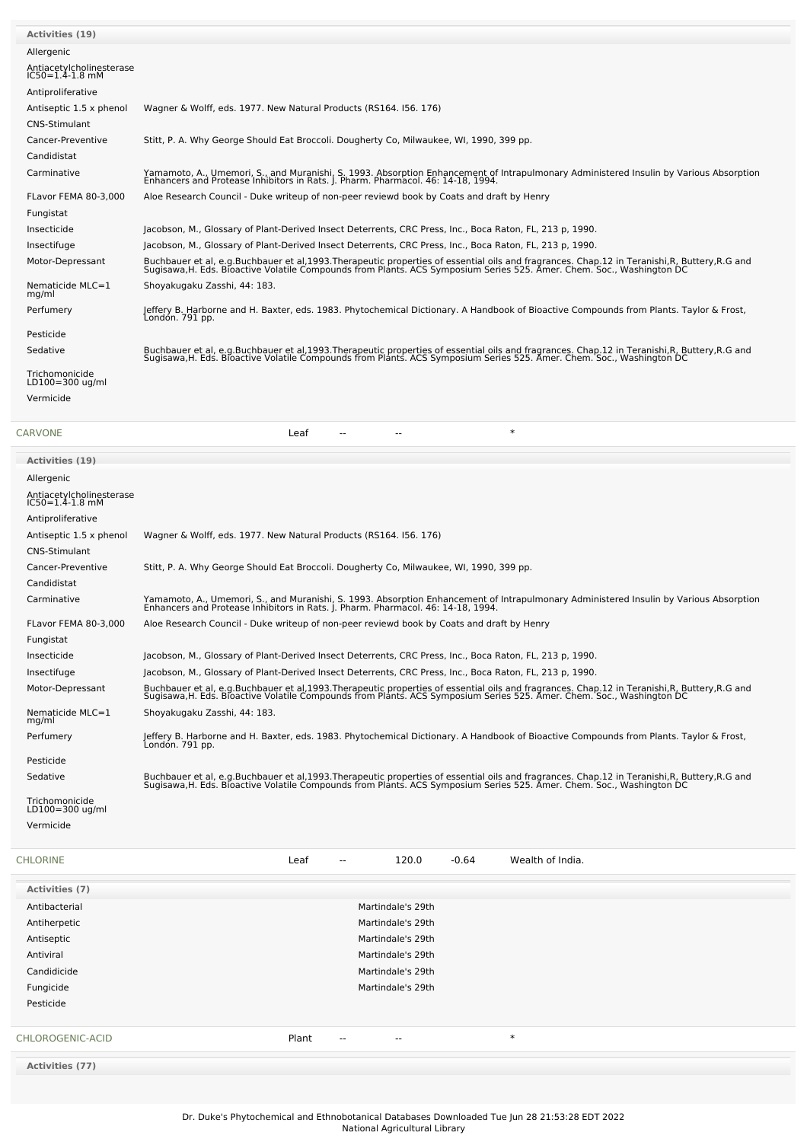| <b>Activities (19)</b>                            |                                                                                                                                                                                                                                   |
|---------------------------------------------------|-----------------------------------------------------------------------------------------------------------------------------------------------------------------------------------------------------------------------------------|
| Allergenic                                        |                                                                                                                                                                                                                                   |
| Antiacetylcholinesterase<br>$IC50 = 1.4 - 1.8$ mM |                                                                                                                                                                                                                                   |
| Antiproliferative                                 |                                                                                                                                                                                                                                   |
| Antiseptic 1.5 x phenol                           | Wagner & Wolff, eds. 1977. New Natural Products (RS164. 156. 176)                                                                                                                                                                 |
| CNS-Stimulant                                     |                                                                                                                                                                                                                                   |
| Cancer-Preventive                                 | Stitt, P. A. Why George Should Eat Broccoli. Dougherty Co, Milwaukee, WI, 1990, 399 pp.                                                                                                                                           |
| Candidistat                                       |                                                                                                                                                                                                                                   |
| Carminative                                       | Yamamoto, A., Umemori, S., and Muranishi, S. 1993. Absorption Enhancement of Intrapulmonary Administered Insulin by Various Absorption<br>Enhancers and Protease Inhibitors in Rats. J. Pharm. Pharmacol. 46: 14-18, 1994.        |
| FLavor FEMA 80-3.000                              | Aloe Research Council - Duke writeup of non-peer reviewd book by Coats and draft by Henry                                                                                                                                         |
| Fungistat                                         |                                                                                                                                                                                                                                   |
| Insecticide                                       | Jacobson, M., Glossary of Plant-Derived Insect Deterrents, CRC Press, Inc., Boca Raton, FL, 213 p, 1990.                                                                                                                          |
| Insectifuge                                       | Jacobson, M., Glossary of Plant-Derived Insect Deterrents, CRC Press, Inc., Boca Raton, FL, 213 p, 1990.                                                                                                                          |
| Motor-Depressant                                  | Buchbauer et al, e.g.Buchbauer et al,1993.Therapeutic properties of essential oils and fragrances. Chap.12 in Teranishi,R, Buttery,R.G and<br>Sugisawa,H. Eds. Bioactive Volatile Compounds from Plants. ACS Symposium Series 525 |
| Nematicide MLC=1<br>mg/ml                         | Shoyakugaku Zasshi, 44: 183.                                                                                                                                                                                                      |
| Perfumery                                         | Jeffery B. Harborne and H. Baxter, eds. 1983. Phytochemical Dictionary. A Handbook of Bioactive Compounds from Plants. Taylor & Frost,<br>Londón. 791 pp.                                                                         |
| Pesticide                                         |                                                                                                                                                                                                                                   |
| Sedative                                          | Buchbauer et al, e.g.Buchbauer et al,1993.Therapeutic properties of essential oils and fragrances. Chap.12 in Teranishi,R, Buttery,R.G and<br>Sugisawa,H. Eds. Bioactive Volatile Compounds from Plants. ACS Symposium Series 525 |
| Trichomonicide<br>LD100=300 ug/ml                 |                                                                                                                                                                                                                                   |
| Vermicide                                         |                                                                                                                                                                                                                                   |

| <b>CARVONE</b>                                    | $\ast$<br>Leaf                                                                                                                                                                                                                    |
|---------------------------------------------------|-----------------------------------------------------------------------------------------------------------------------------------------------------------------------------------------------------------------------------------|
| <b>Activities (19)</b>                            |                                                                                                                                                                                                                                   |
| Allergenic                                        |                                                                                                                                                                                                                                   |
| Antiacetylcholinesterase<br>$IC50 = 1.4 - 1.8$ mM |                                                                                                                                                                                                                                   |
| Antiproliferative                                 |                                                                                                                                                                                                                                   |
| Antiseptic 1.5 x phenol<br><b>CNS-Stimulant</b>   | Wagner & Wolff, eds. 1977. New Natural Products (RS164. 156. 176)                                                                                                                                                                 |
| Cancer-Preventive                                 | Stitt, P. A. Why George Should Eat Broccoli. Dougherty Co, Milwaukee, WI, 1990, 399 pp.                                                                                                                                           |
| Candidistat                                       |                                                                                                                                                                                                                                   |
| Carminative                                       | Yamamoto, A., Umemori, S., and Muranishi, S. 1993. Absorption Enhancement of Intrapulmonary Administered Insulin by Various Absorption<br>Enhancers and Protease Inhibitors in Rats. J. Pharm. Pharmacol. 46: 14-18, 1994.        |
| FLavor FEMA 80-3,000                              | Aloe Research Council - Duke writeup of non-peer reviewd book by Coats and draft by Henry                                                                                                                                         |
| Fungistat                                         |                                                                                                                                                                                                                                   |
| Insecticide                                       | Jacobson, M., Glossary of Plant-Derived Insect Deterrents, CRC Press, Inc., Boca Raton, FL, 213 p, 1990.                                                                                                                          |
| Insectifuge                                       | Jacobson, M., Glossary of Plant-Derived Insect Deterrents, CRC Press, Inc., Boca Raton, FL, 213 p, 1990.                                                                                                                          |
| Motor-Depressant                                  | Buchbauer et al, e.g.Buchbauer et al,1993.Therapeutic properties of essential oils and fragrances. Chap.12 in Teranishi,R, Buttery,R.G and<br>Sugisawa,H. Eds. Bioactive Volatile Compounds from Plants. ACS Symposium Series 525 |
| Nematicide MLC=1<br>mg/ml                         | Shoyakugaku Zasshi, 44: 183.                                                                                                                                                                                                      |
| Perfumery                                         | Jeffery B. Harborne and H. Baxter, eds. 1983. Phytochemical Dictionary. A Handbook of Bioactive Compounds from Plants. Taylor & Frost,<br>Londón. 791 pp.                                                                         |
| Pesticide                                         |                                                                                                                                                                                                                                   |
| Sedative                                          | Buchbauer et al, e.g.Buchbauer et al,1993.Therapeutic properties of essential oils and fragrances. Chap.12 in Teranishi,R, Buttery,R.G and<br>Sugisawa,H. Eds. Bioactive Volatile Compounds from Plants. ACS Symposium Series 525 |
| Trichomonicide<br>LD100=300 ug/ml                 |                                                                                                                                                                                                                                   |
| Vermicide                                         |                                                                                                                                                                                                                                   |
| CHI ODINE                                         | $I \cap T$<br>າລດດ<br>0.61<br>$M$ oolth of India                                                                                                                                                                                  |

| <b>CHLORINE</b>  | Leaf  | $\sim$ $\sim$ | 120.0                    | $-0.64$ | Wealth of India. |
|------------------|-------|---------------|--------------------------|---------|------------------|
| Activities (7)   |       |               |                          |         |                  |
| Antibacterial    |       |               | Martindale's 29th        |         |                  |
| Antiherpetic     |       |               | Martindale's 29th        |         |                  |
| Antiseptic       |       |               | Martindale's 29th        |         |                  |
| Antiviral        |       |               | Martindale's 29th        |         |                  |
| Candidicide      |       |               | Martindale's 29th        |         |                  |
| Fungicide        |       |               | Martindale's 29th        |         |                  |
| Pesticide        |       |               |                          |         |                  |
| CHLOROGENIC-ACID | Plant | $\sim$        | $\overline{\phantom{a}}$ |         | $\ast$           |
|                  |       |               |                          |         |                  |

**Activities (77)**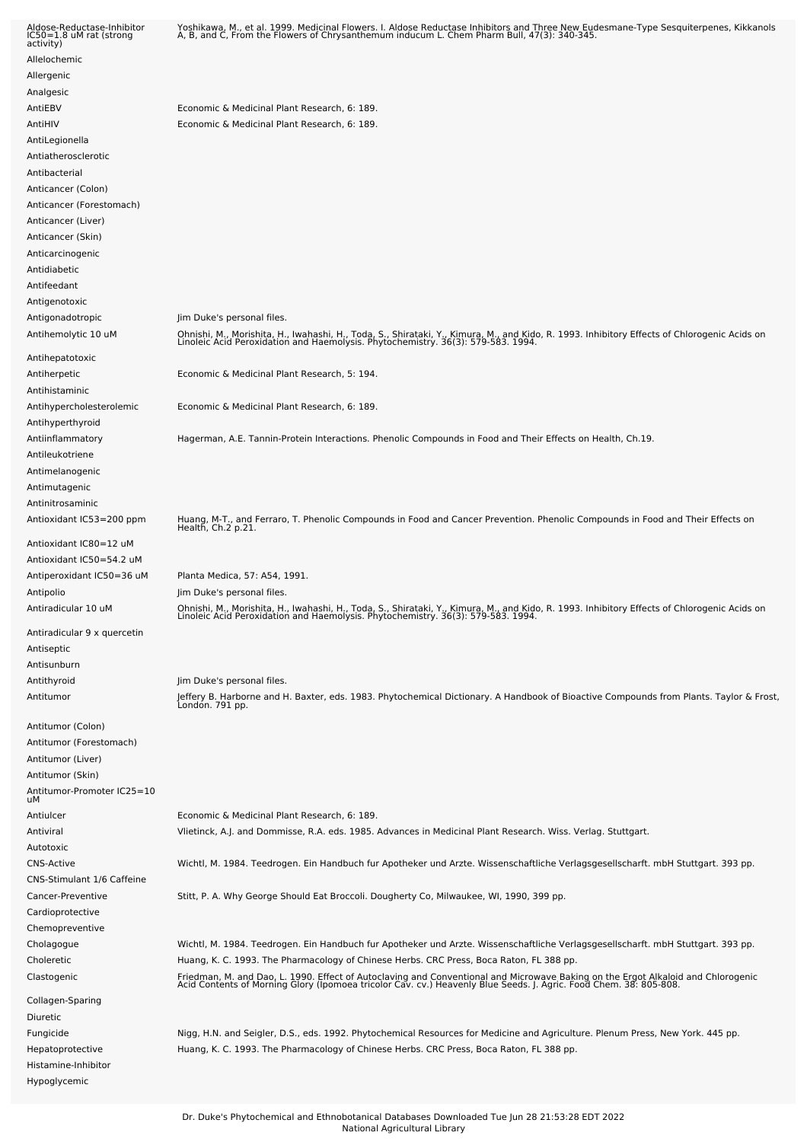| Aldose-Reductase-Inhibitor<br>IC50=1.8 uM rat (strong<br>activity)   | Yoshikawa, M., et al. 1999. Medicinal Flowers. I. Aldose Reductase Inhibitors and Three New Eudesmane-Type Sesquiterpenes, Kikkanols<br>A, B, and C, From the Flowers of Chrysanthemum inducum L. Chem Pharm Bull, 47(3): 340-345 |
|----------------------------------------------------------------------|-----------------------------------------------------------------------------------------------------------------------------------------------------------------------------------------------------------------------------------|
| Allelochemic                                                         |                                                                                                                                                                                                                                   |
| Allergenic                                                           |                                                                                                                                                                                                                                   |
| Analgesic                                                            |                                                                                                                                                                                                                                   |
| AntiEBV                                                              | Economic & Medicinal Plant Research, 6: 189.                                                                                                                                                                                      |
| AntiHIV                                                              | Economic & Medicinal Plant Research, 6: 189.                                                                                                                                                                                      |
| AntiLegionella<br>Antiatherosclerotic                                |                                                                                                                                                                                                                                   |
| Antibacterial                                                        |                                                                                                                                                                                                                                   |
| Anticancer (Colon)<br>Anticancer (Forestomach)<br>Anticancer (Liver) |                                                                                                                                                                                                                                   |
| Anticancer (Skin)                                                    |                                                                                                                                                                                                                                   |
| Anticarcinogenic<br>Antidiabetic                                     |                                                                                                                                                                                                                                   |
| Antifeedant                                                          |                                                                                                                                                                                                                                   |
| Antigenotoxic                                                        |                                                                                                                                                                                                                                   |
| Antigonadotropic                                                     | Jim Duke's personal files.                                                                                                                                                                                                        |
| Antihemolytic 10 uM                                                  | Ohnishi, M., Morishita, H., Iwahashi, H., Toda, S., Shirataki, Y., Kimura, M., and Kido, R. 1993. Inhibitory Effects of Chlorogenic Acids on<br>Linoleic Acid Peroxidation and Haemolysis. Phytochemistry. 36(3): 579-583. 1994.  |
| Antihepatotoxic                                                      |                                                                                                                                                                                                                                   |
| Antiherpetic<br>Antihistaminic                                       | Economic & Medicinal Plant Research, 5: 194.                                                                                                                                                                                      |
| Antihypercholesterolemic                                             | Economic & Medicinal Plant Research, 6: 189.                                                                                                                                                                                      |
| Antihyperthyroid                                                     |                                                                                                                                                                                                                                   |
| Antiinflammatory                                                     | Hagerman, A.E. Tannin-Protein Interactions. Phenolic Compounds in Food and Their Effects on Health, Ch.19.                                                                                                                        |
| Antileukotriene                                                      |                                                                                                                                                                                                                                   |
| Antimelanogenic                                                      |                                                                                                                                                                                                                                   |
| Antimutagenic                                                        |                                                                                                                                                                                                                                   |
| Antinitrosaminic                                                     |                                                                                                                                                                                                                                   |
| Antioxidant IC53=200 ppm                                             | Huang, M-T., and Ferraro, T. Phenolic Compounds in Food and Cancer Prevention. Phenolic Compounds in Food and Their Effects on<br>Health, Ch.2 p.21.                                                                              |
| Antioxidant IC80=12 uM                                               |                                                                                                                                                                                                                                   |
| Antioxidant IC50=54.2 uM                                             |                                                                                                                                                                                                                                   |
| Antiperoxidant IC50=36 uM                                            | Planta Medica, 57: A54, 1991.                                                                                                                                                                                                     |
| Antipolio                                                            | Jim Duke's personal files.                                                                                                                                                                                                        |
| Antiradicular 10 uM                                                  | Ohnishi, M., Morishita, H., Iwahashi, H., Toda, S., Shirataki, Y., Kimura, M., and Kido, R. 1993. Inhibitory Effects of Chlorogenic Acids on<br>Linoleic Acid Peroxidation and Haemolysis. Phytochemistry. 36(3): 579-583. 1994.  |
| Antiradicular 9 x quercetin                                          |                                                                                                                                                                                                                                   |
| Antiseptic                                                           |                                                                                                                                                                                                                                   |
| Antisunburn                                                          |                                                                                                                                                                                                                                   |
| Antithyroid                                                          | Jim Duke's personal files.                                                                                                                                                                                                        |
| Antitumor                                                            | Jeffery B. Harborne and H. Baxter, eds. 1983. Phytochemical Dictionary. A Handbook of Bioactive Compounds from Plants. Taylor & Frost,<br>London. 791 pp.                                                                         |
| Antitumor (Colon)                                                    |                                                                                                                                                                                                                                   |
| Antitumor (Forestomach)                                              |                                                                                                                                                                                                                                   |
| Antitumor (Liver)                                                    |                                                                                                                                                                                                                                   |
| Antitumor (Skin)                                                     |                                                                                                                                                                                                                                   |
| Antitumor-Promoter IC25=10<br>uМ                                     |                                                                                                                                                                                                                                   |
| Antiulcer                                                            | Economic & Medicinal Plant Research, 6: 189.                                                                                                                                                                                      |
| Antiviral                                                            | Vlietinck, A.J. and Dommisse, R.A. eds. 1985. Advances in Medicinal Plant Research. Wiss. Verlag. Stuttgart.                                                                                                                      |
| Autotoxic                                                            |                                                                                                                                                                                                                                   |
| <b>CNS-Active</b>                                                    | Wichtl, M. 1984. Teedrogen. Ein Handbuch fur Apotheker und Arzte. Wissenschaftliche Verlagsgesellscharft. mbH Stuttgart. 393 pp.                                                                                                  |
| CNS-Stimulant 1/6 Caffeine                                           |                                                                                                                                                                                                                                   |
| Cancer-Preventive                                                    | Stitt, P. A. Why George Should Eat Broccoli. Dougherty Co, Milwaukee, WI, 1990, 399 pp.                                                                                                                                           |
| Cardioprotective                                                     |                                                                                                                                                                                                                                   |
| Chemopreventive                                                      |                                                                                                                                                                                                                                   |
| Cholagogue                                                           | Wichtl, M. 1984. Teedrogen. Ein Handbuch fur Apotheker und Arzte. Wissenschaftliche Verlagsgesellscharft. mbH Stuttgart. 393 pp.                                                                                                  |
| Choleretic                                                           | Huang, K. C. 1993. The Pharmacology of Chinese Herbs. CRC Press, Boca Raton, FL 388 pp.                                                                                                                                           |
| Clastogenic                                                          | Friedman, M. and Dao, L. 1990. Effect of Autoclaving and Conventional and Microwave Baking on the Ergot Alkaloid and Chlorogenic<br>Acid Contents of Morning Glory (Ipomoea tricolor Cav. cv.) Heavenly Blue Seeds. J. Agric. Foo |
| Collagen-Sparing                                                     |                                                                                                                                                                                                                                   |
| Diuretic                                                             |                                                                                                                                                                                                                                   |
| Fungicide                                                            | Nigg, H.N. and Seigler, D.S., eds. 1992. Phytochemical Resources for Medicine and Agriculture. Plenum Press, New York. 445 pp.                                                                                                    |
| Hepatoprotective                                                     | Huang, K. C. 1993. The Pharmacology of Chinese Herbs. CRC Press, Boca Raton, FL 388 pp.                                                                                                                                           |
| Histamine-Inhibitor                                                  |                                                                                                                                                                                                                                   |
| Hypoglycemic                                                         |                                                                                                                                                                                                                                   |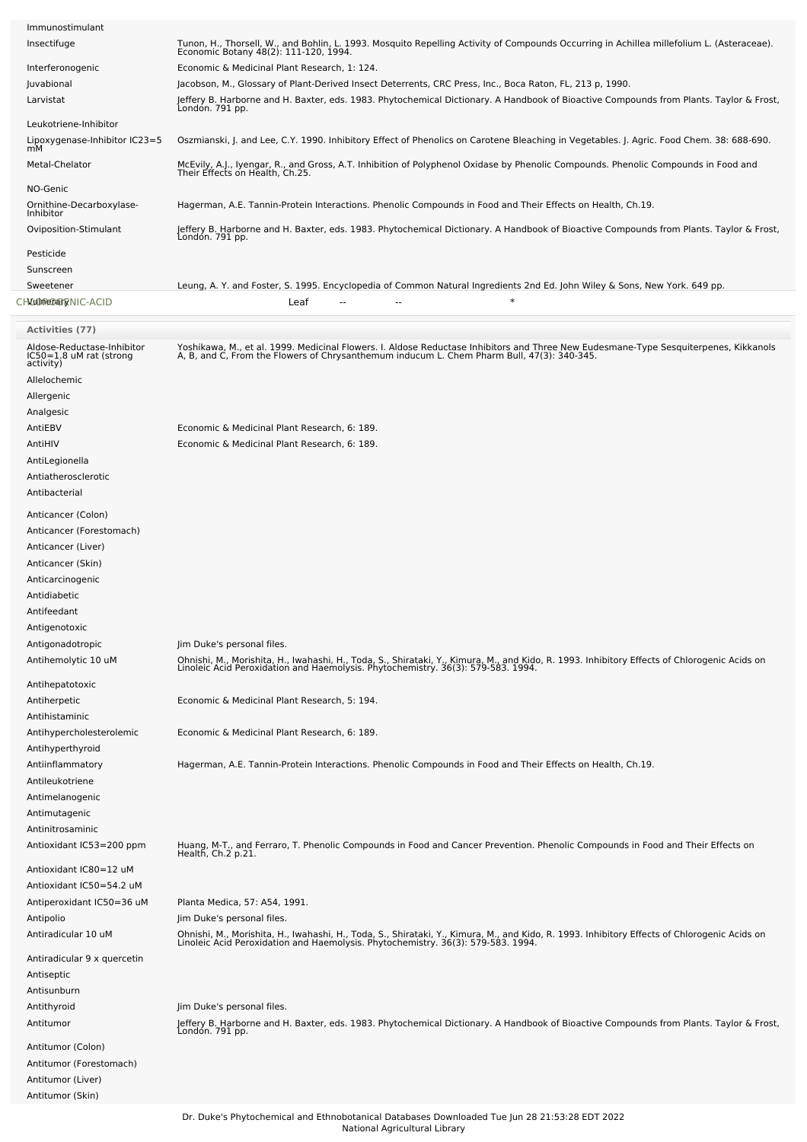| Immunostimulant                       |                                                                                                                                                                                    |
|---------------------------------------|------------------------------------------------------------------------------------------------------------------------------------------------------------------------------------|
| Insectifuge                           | Tunon, H., Thorsell, W., and Bohlin, L. 1993. Mosquito Repelling Activity of Compounds Occurring in Achillea millefolium L. (Asteraceae).<br>Economic Botany 48(2): 111-120, 1994. |
| Interferonogenic                      | Economic & Medicinal Plant Research, 1: 124.                                                                                                                                       |
| Juvabional                            | Jacobson, M., Glossary of Plant-Derived Insect Deterrents, CRC Press, Inc., Boca Raton, FL, 213 p, 1990.                                                                           |
| Larvistat                             | Jeffery B. Harborne and H. Baxter, eds. 1983. Phytochemical Dictionary. A Handbook of Bioactive Compounds from Plants. Taylor & Frost,<br>Londón. 791 pp.                          |
| Leukotriene-Inhibitor                 |                                                                                                                                                                                    |
| Lipoxygenase-Inhibitor IC23=5         | Oszmianski, J. and Lee, C.Y. 1990. Inhibitory Effect of Phenolics on Carotene Bleaching in Vegetables. J. Agric. Food Chem. 38: 688-690.                                           |
| Metal-Chelator                        | McEvily, A.J., Iyengar, R., and Gross, A.T. Inhibition of Polyphenol Oxidase by Phenolic Compounds. Phenolic Compounds in Food and<br>Their Effects on Health, Ch.25.              |
| NO-Genic                              |                                                                                                                                                                                    |
| Ornithine-Decarboxylase-<br>Inhibitor | Hagerman, A.E. Tannin-Protein Interactions. Phenolic Compounds in Food and Their Effects on Health, Ch.19.                                                                         |
| Oviposition-Stimulant                 | Jeffery B. Harborne and H. Baxter, eds. 1983. Phytochemical Dictionary. A Handbook of Bioactive Compounds from Plants. Taylor & Frost,<br>Londón. 791 pp.                          |
| Pesticide                             |                                                                                                                                                                                    |
| Sunscreen                             |                                                                                                                                                                                    |
| Sweetener                             | Leung, A. Y. and Foster, S. 1995. Encyclopedia of Common Natural Ingredients 2nd Ed. John Wiley & Sons, New York. 649 pp.                                                          |
| CHALOMEDAGRINIC-ACID                  | $\ast$<br>Leaf                                                                                                                                                                     |
|                                       |                                                                                                                                                                                    |

| <b>Activities (77)</b>                                             |                                                                                                                                                                                                                                   |
|--------------------------------------------------------------------|-----------------------------------------------------------------------------------------------------------------------------------------------------------------------------------------------------------------------------------|
| Aldose-Reductase-Inhibitor<br>IC50=1.8 uM rat (strong<br>activity) | Yoshikawa, M., et al. 1999. Medicinal Flowers. I. Aldose Reductase Inhibitors and Three New Eudesmane-Type Sesquiterpenes, Kikkanols<br>A, B, and C, From the Flowers of Chrysanthemum inducum L. Chem Pharm Bull, 47(3): 340-345 |
| Allelochemic                                                       |                                                                                                                                                                                                                                   |
| Allergenic                                                         |                                                                                                                                                                                                                                   |
| Analgesic                                                          |                                                                                                                                                                                                                                   |
| AntiEBV                                                            | Economic & Medicinal Plant Research, 6: 189.                                                                                                                                                                                      |
| AntiHIV                                                            | Economic & Medicinal Plant Research, 6: 189.                                                                                                                                                                                      |
| AntiLegionella                                                     |                                                                                                                                                                                                                                   |
| Antiatherosclerotic                                                |                                                                                                                                                                                                                                   |
| Antibacterial                                                      |                                                                                                                                                                                                                                   |
| Anticancer (Colon)                                                 |                                                                                                                                                                                                                                   |
| Anticancer (Forestomach)                                           |                                                                                                                                                                                                                                   |
| Anticancer (Liver)                                                 |                                                                                                                                                                                                                                   |
| Anticancer (Skin)                                                  |                                                                                                                                                                                                                                   |
| Anticarcinogenic                                                   |                                                                                                                                                                                                                                   |
| Antidiabetic                                                       |                                                                                                                                                                                                                                   |
| Antifeedant                                                        |                                                                                                                                                                                                                                   |
| Antigenotoxic                                                      |                                                                                                                                                                                                                                   |
| Antigonadotropic                                                   | Jim Duke's personal files.                                                                                                                                                                                                        |
| Antihemolytic 10 uM                                                | Ohnishi, M., Morishita, H., Iwahashi, H., Toda, S., Shirataki, Y., Kimura, M., and Kido, R. 1993. Inhibitory Effects of Chlorogenic Acids on<br>Linoleic Acid Peroxidation and Haemolysis. Phytochemistry. 36(3): 579-583. 1994.  |
| Antihepatotoxic                                                    |                                                                                                                                                                                                                                   |
| Antiherpetic                                                       | Economic & Medicinal Plant Research, 5: 194.                                                                                                                                                                                      |
| Antihistaminic                                                     |                                                                                                                                                                                                                                   |
| Antihypercholesterolemic                                           | Economic & Medicinal Plant Research, 6: 189.                                                                                                                                                                                      |
| Antihyperthyroid                                                   |                                                                                                                                                                                                                                   |
| Antiinflammatory                                                   | Hagerman, A.E. Tannin-Protein Interactions. Phenolic Compounds in Food and Their Effects on Health, Ch.19.                                                                                                                        |
| Antileukotriene                                                    |                                                                                                                                                                                                                                   |
| Antimelanogenic                                                    |                                                                                                                                                                                                                                   |
| Antimutagenic                                                      |                                                                                                                                                                                                                                   |
| Antinitrosaminic                                                   |                                                                                                                                                                                                                                   |
| Antioxidant IC53=200 ppm                                           | Huang, M-T., and Ferraro, T. Phenolic Compounds in Food and Cancer Prevention. Phenolic Compounds in Food and Their Effects on<br>Health, Ch.2 p.21.                                                                              |
| Antioxidant IC80=12 uM                                             |                                                                                                                                                                                                                                   |
| Antioxidant IC50=54.2 uM                                           |                                                                                                                                                                                                                                   |
| Antiperoxidant IC50=36 uM                                          | Planta Medica, 57: A54, 1991.                                                                                                                                                                                                     |
| Antipolio                                                          | Jim Duke's personal files.                                                                                                                                                                                                        |
| Antiradicular 10 uM                                                | Ohnishi, M., Morishita, H., Iwahashi, H., Toda, S., Shirataki, Y., Kimura, M., and Kido, R. 1993. Inhibitory Effects of Chlorogenic Acids on<br>Linoleic Acid Peroxidation and Haemolysis. Phytochemistry. 36(3): 579-583. 1994.  |
| Antiradicular 9 x quercetin<br>Antiseptic                          |                                                                                                                                                                                                                                   |
| Antisunburn                                                        |                                                                                                                                                                                                                                   |
| Antithyroid                                                        | Jim Duke's personal files.                                                                                                                                                                                                        |

Antitumor Jeffery B. Harborne and H. Baxter, eds. 1983. Phytochemical Dictionary. A Handbook of Bioactive Compounds from Plants. Taylor & Frost, London. 791 pp.

Antitumor (Colon) Antitumor (Forestomach) Antitumor (Liver) Antitumor (Skin)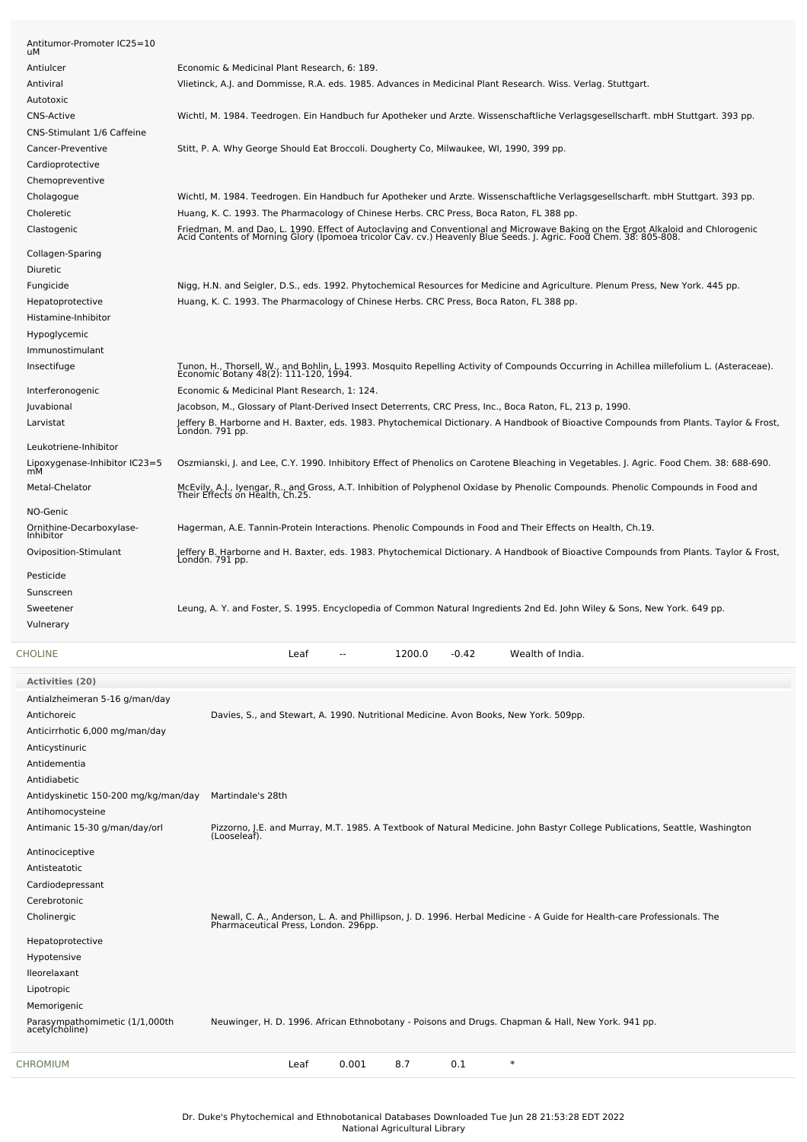| Antitumor-Promoter IC25=10<br>uM      |                                                                                                                                                                                                                                   |
|---------------------------------------|-----------------------------------------------------------------------------------------------------------------------------------------------------------------------------------------------------------------------------------|
| Antiulcer                             | Economic & Medicinal Plant Research, 6: 189.                                                                                                                                                                                      |
| Antiviral                             | Viletinck, A.J. and Dommisse, R.A. eds. 1985. Advances in Medicinal Plant Research. Wiss. Verlag. Stuttgart.                                                                                                                      |
| Autotoxic                             |                                                                                                                                                                                                                                   |
| <b>CNS-Active</b>                     | Wichtl, M. 1984. Teedrogen. Ein Handbuch fur Apotheker und Arzte. Wissenschaftliche Verlagsgesellscharft. mbH Stuttgart. 393 pp.                                                                                                  |
| CNS-Stimulant 1/6 Caffeine            |                                                                                                                                                                                                                                   |
| Cancer-Preventive                     | Stitt, P. A. Why George Should Eat Broccoli. Dougherty Co, Milwaukee, WI, 1990, 399 pp.                                                                                                                                           |
| Cardioprotective                      |                                                                                                                                                                                                                                   |
| Chemopreventive                       |                                                                                                                                                                                                                                   |
|                                       | Wichtl, M. 1984. Teedrogen. Ein Handbuch fur Apotheker und Arzte. Wissenschaftliche Verlagsgesellscharft. mbH Stuttgart. 393 pp.                                                                                                  |
| Cholagogue<br>Choleretic              | Huang, K. C. 1993. The Pharmacology of Chinese Herbs. CRC Press, Boca Raton, FL 388 pp.                                                                                                                                           |
|                                       |                                                                                                                                                                                                                                   |
| Clastogenic                           | Friedman, M. and Dao, L. 1990. Effect of Autoclaving and Conventional and Microwave Baking on the Ergot Alkaloid and Chlorogenic<br>Acid Contents of Morning Glory (Ipomoea tricolor Cav. cv.) Heavenly Blue Seeds. J. Agric. Foo |
| Collagen-Sparing                      |                                                                                                                                                                                                                                   |
| Diuretic                              |                                                                                                                                                                                                                                   |
| Fungicide                             | Nigg, H.N. and Seigler, D.S., eds. 1992. Phytochemical Resources for Medicine and Agriculture. Plenum Press, New York. 445 pp.                                                                                                    |
| Hepatoprotective                      | Huang, K. C. 1993. The Pharmacology of Chinese Herbs. CRC Press, Boca Raton, FL 388 pp.                                                                                                                                           |
| Histamine-Inhibitor                   |                                                                                                                                                                                                                                   |
| Hypoglycemic                          |                                                                                                                                                                                                                                   |
| Immunostimulant                       |                                                                                                                                                                                                                                   |
| Insectifuge                           | Tunon, H., Thorsell, W., and Bohlin, L. 1993. Mosquito Repelling Activity of Compounds Occurring in Achillea millefolium L. (Asteraceae).<br>Economic Botany 48(2): 111-120, 1994.                                                |
| Interferonogenic                      | Economic & Medicinal Plant Research, 1: 124.                                                                                                                                                                                      |
| Juvabional                            | Jacobson, M., Glossary of Plant-Derived Insect Deterrents, CRC Press, Inc., Boca Raton, FL, 213 p, 1990.                                                                                                                          |
| Larvistat                             |                                                                                                                                                                                                                                   |
|                                       | Jeffery B. Harborne and H. Baxter, eds. 1983. Phytochemical Dictionary. A Handbook of Bioactive Compounds from Plants. Taylor & Frost,<br>London. 791 pp.                                                                         |
| Leukotriene-Inhibitor                 |                                                                                                                                                                                                                                   |
| Lipoxygenase-Inhibitor IC23=5<br>mМ   | Oszmianski, J. and Lee, C.Y. 1990. Inhibitory Effect of Phenolics on Carotene Bleaching in Vegetables. J. Agric. Food Chem. 38: 688-690.                                                                                          |
| Metal-Chelator                        | McEvily, A.J., Iyengar, R., and Gross, A.T. Inhibition of Polyphenol Oxidase by Phenolic Compounds. Phenolic Compounds in Food and<br>Their Effects on Health, Ch.25.                                                             |
| NO-Genic                              |                                                                                                                                                                                                                                   |
| Ornithine-Decarboxylase-<br>Inhibitor | Hagerman, A.E. Tannin-Protein Interactions. Phenolic Compounds in Food and Their Effects on Health, Ch.19.                                                                                                                        |
| Oviposition-Stimulant                 | Jeffery B. Harborne and H. Baxter, eds. 1983. Phytochemical Dictionary. A Handbook of Bioactive Compounds from Plants. Taylor & Frost,<br>Londón. 791 pp.                                                                         |
| Pesticide                             |                                                                                                                                                                                                                                   |
| Sunscreen                             |                                                                                                                                                                                                                                   |
| Sweetener                             | Leung, A. Y. and Foster, S. 1995. Encyclopedia of Common Natural Ingredients 2nd Ed. John Wiley & Sons, New York. 649 pp.                                                                                                         |
| Vulnerary                             |                                                                                                                                                                                                                                   |
| <b>CHOLINE</b>                        | 1200.0<br>-0.42<br>Wealth of India.<br>Leaf                                                                                                                                                                                       |
|                                       |                                                                                                                                                                                                                                   |
| <b>Activities (20)</b>                |                                                                                                                                                                                                                                   |
| Antialzheimeran 5-16 g/man/day        |                                                                                                                                                                                                                                   |
| Antichoreic                           | Davies, S., and Stewart, A. 1990. Nutritional Medicine. Avon Books, New York. 509pp.                                                                                                                                              |
| Anticirrhotic 6,000 mg/man/day        |                                                                                                                                                                                                                                   |
| Anticystinuric                        |                                                                                                                                                                                                                                   |
| Antidementia                          |                                                                                                                                                                                                                                   |
| Antidiabetic                          |                                                                                                                                                                                                                                   |
| Antidyskinetic 150-200 mg/kg/man/day  | Martindale's 28th                                                                                                                                                                                                                 |
| Antihomocysteine                      |                                                                                                                                                                                                                                   |
| Antimanic 15-30 g/man/day/orl         | Pizzorno, J.E. and Murray, M.T. 1985. A Textbook of Natural Medicine. John Bastyr College Publications, Seattle, Washington<br>(Looseleaf).                                                                                       |
| Antinociceptive                       |                                                                                                                                                                                                                                   |
| Antisteatotic                         |                                                                                                                                                                                                                                   |
| Cardiodepressant                      |                                                                                                                                                                                                                                   |
| Cerebrotonic                          |                                                                                                                                                                                                                                   |
| Cholinergic                           | Newall, C. A., Anderson, L. A. and Phillipson, J. D. 1996. Herbal Medicine - A Guide for Health-care Professionals. The<br>Pharmaceutical Press, London. 296pp.                                                                   |
| Hepatoprotective                      |                                                                                                                                                                                                                                   |
| Hypotensive                           |                                                                                                                                                                                                                                   |
| lleorelaxant                          |                                                                                                                                                                                                                                   |
| Lipotropic                            |                                                                                                                                                                                                                                   |
| Memorigenic                           |                                                                                                                                                                                                                                   |
|                                       |                                                                                                                                                                                                                                   |

Parasympathomimetic (1/1,000th Neuwinger, H. D. 1996. African Ethnobotany - Poisons and Drugs. Chapman & Hall, New York. 941 pp.<br>acetylcholine)

[CHROMIUM](file:///phytochem/chemicals/show/5695) Leaf 0.001 8.7 0.1 \*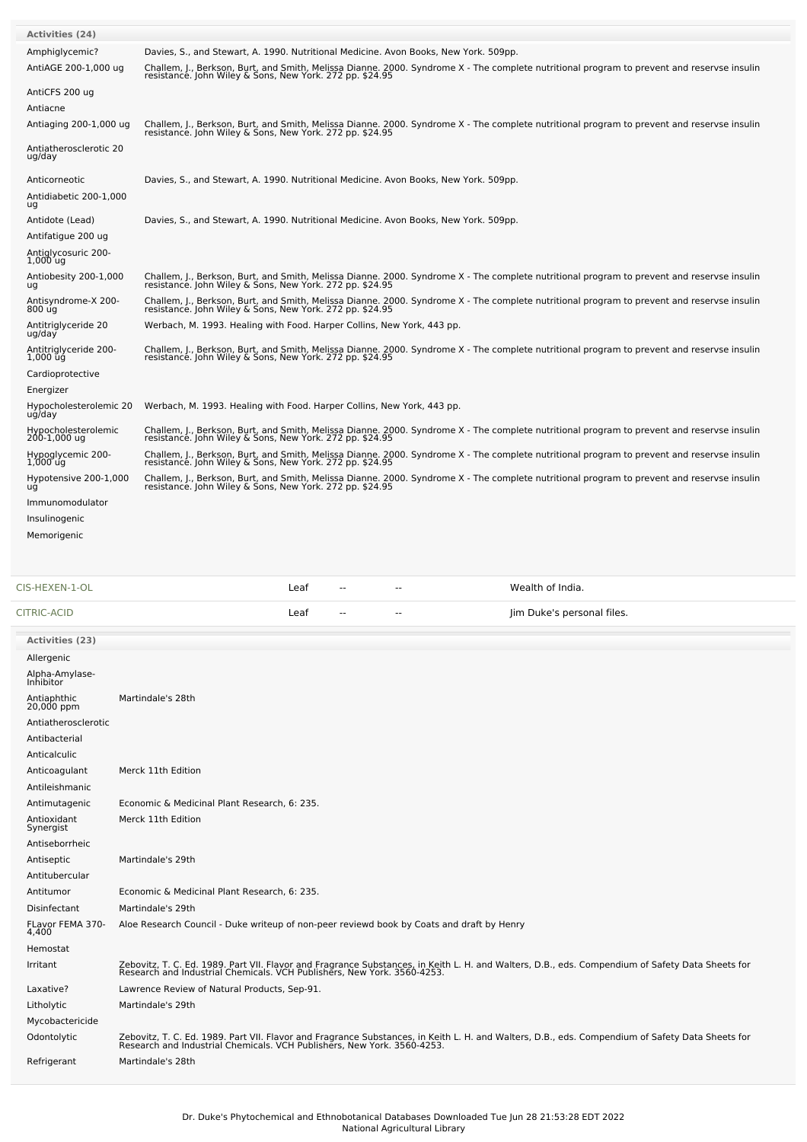| <b>Activities (24)</b>                            |                                                                                                                                                                                                                                                  |
|---------------------------------------------------|--------------------------------------------------------------------------------------------------------------------------------------------------------------------------------------------------------------------------------------------------|
| Amphiglycemic?                                    | Davies, S., and Stewart, A. 1990. Nutritional Medicine. Avon Books, New York. 509pp.                                                                                                                                                             |
| AntiAGE 200-1,000 ug                              | Challem, J., Berkson, Burt, and Smith, Melissa Dianne. 2000. Syndrome X - The complete nutritional program to prevent and reservse insulin resistance. John Wiley & Sons, New York. 272 pp. \$24.95                                              |
|                                                   |                                                                                                                                                                                                                                                  |
| AntiCFS 200 ug                                    |                                                                                                                                                                                                                                                  |
| Antiacne                                          |                                                                                                                                                                                                                                                  |
| Antiaging 200-1,000 ug                            | Challem, J., Berkson, Burt, and Smith, Melissa Dianne. 2000. Syndrome X - The complete nutritional program to prevent and reservse insulin<br>resistance. John Wiley & Sons, New York. 272 pp. \$24.95                                           |
| Antiatherosclerotic 20<br>ug/day                  |                                                                                                                                                                                                                                                  |
| Anticorneotic                                     | Davies, S., and Stewart, A. 1990. Nutritional Medicine. Avon Books, New York. 509pp.                                                                                                                                                             |
| Antidiabetic 200-1,000<br>ug                      |                                                                                                                                                                                                                                                  |
| Antidote (Lead)                                   | Davies, S., and Stewart, A. 1990. Nutritional Medicine. Avon Books, New York. 509pp.                                                                                                                                                             |
| Antifatigue 200 ug                                |                                                                                                                                                                                                                                                  |
| Antiglycosuric 200-                               |                                                                                                                                                                                                                                                  |
| $1,000$ ug                                        |                                                                                                                                                                                                                                                  |
| Antiobesity 200-1,000<br>ug                       | Challem, J., Berkson, Burt, and Smith, Melissa Dianne. 2000. Syndrome X - The complete nutritional program to prevent and reservse insulin<br>resistance. John Wiley & Sons, New York. 272 pp. \$24.95                                           |
| Antisyndrome-X 200-                               | Challem, J., Berkson, Burt, and Smith, Melissa Dianne. 2000. Syndrome X - The complete nutritional program to prevent and reservse insulin                                                                                                       |
| 800 úg                                            | resistance. John Wiley & Sons, New York. 272 pp. \$24.95                                                                                                                                                                                         |
| Antitriglyceride 20<br>ug/day                     | Werbach, M. 1993. Healing with Food. Harper Collins, New York, 443 pp.                                                                                                                                                                           |
| Antitriglyceride 200-<br>$1,000$ $\bar{u}$ g      | Challem, J., Berkson, Burt, and Smith, Melissa Dianne. 2000. Syndrome X - The complete nutritional program to prevent and reservse insulin<br>resistance. John Wiley & Sons, New York. 272 pp. \$24.95                                           |
| Cardioprotective                                  |                                                                                                                                                                                                                                                  |
| Energizer                                         |                                                                                                                                                                                                                                                  |
| Hypocholesterolemic 20                            | Werbach, M. 1993. Healing with Food. Harper Collins, New York, 443 pp.                                                                                                                                                                           |
| ug/day                                            |                                                                                                                                                                                                                                                  |
| Hypocholesterolemic<br>200-1,000 ug               | Challem, J., Berkson, Burt, and Smith, Melissa Dianne. 2000. Syndrome X - The complete nutritional program to prevent and reservse insulin<br>resistance. John Wiley & Sons, New York. 272 pp. \$24.95                                           |
| Hypoglycemic 200-                                 | Challem, J., Berkson, Burt, and Smith, Melissa Dianne. 2000. Syndrome X - The complete nutritional program to prevent and reservse insulin                                                                                                       |
| $1,000$ ug                                        | resistance. John Wiley & Sons, New York. 272 pp. \$24.95                                                                                                                                                                                         |
| Hypotensive 200-1,000<br>uğ                       | Challem, J., Berkson, Burt, and Smith, Melissa Dianne. 2000. Syndrome X - The complete nutritional program to prevent and reservse insulin<br>resistance. John Wiley & Sons, New York. 272 pp. \$24.95                                           |
| Immunomodulator                                   |                                                                                                                                                                                                                                                  |
| Insulinogenic                                     |                                                                                                                                                                                                                                                  |
| Memorigenic                                       |                                                                                                                                                                                                                                                  |
|                                                   |                                                                                                                                                                                                                                                  |
|                                                   |                                                                                                                                                                                                                                                  |
|                                                   |                                                                                                                                                                                                                                                  |
|                                                   | Wealth of India.<br>Leaf<br>$-$<br>--                                                                                                                                                                                                            |
|                                                   | Leaf<br>Jim Duke's personal files.<br>$-$<br>--                                                                                                                                                                                                  |
| <b>Activities (23)</b>                            |                                                                                                                                                                                                                                                  |
| Allergenic                                        |                                                                                                                                                                                                                                                  |
|                                                   |                                                                                                                                                                                                                                                  |
| Alpha-Amylase-<br>Inhibitor                       |                                                                                                                                                                                                                                                  |
| Antiaphthic<br>20,000 ppm                         | Martindale's 28th                                                                                                                                                                                                                                |
| Antiatherosclerotic                               |                                                                                                                                                                                                                                                  |
| Antibacterial                                     |                                                                                                                                                                                                                                                  |
| Anticalculic                                      |                                                                                                                                                                                                                                                  |
| Anticoagulant                                     | Merck 11th Edition                                                                                                                                                                                                                               |
| Antileishmanic                                    |                                                                                                                                                                                                                                                  |
| Antimutagenic                                     | Economic & Medicinal Plant Research, 6: 235.                                                                                                                                                                                                     |
| Antioxidant                                       | Merck 11th Edition                                                                                                                                                                                                                               |
| Synergist<br>Antiseborrheic                       |                                                                                                                                                                                                                                                  |
| Antiseptic                                        | Martindale's 29th                                                                                                                                                                                                                                |
| Antitubercular                                    |                                                                                                                                                                                                                                                  |
| Antitumor                                         | Economic & Medicinal Plant Research, 6: 235.                                                                                                                                                                                                     |
| Disinfectant                                      | Martindale's 29th                                                                                                                                                                                                                                |
| CIS-HEXEN-1-OL<br>CITRIC-ACID<br>FLavor FEMA 370- | Aloe Research Council - Duke writeup of non-peer reviewd book by Coats and draft by Henry                                                                                                                                                        |
| 4,400                                             |                                                                                                                                                                                                                                                  |
| Hemostat                                          |                                                                                                                                                                                                                                                  |
| Irritant                                          | Zebovitz, T. C. Ed. 1989. Part VII. Flavor and Fragrance Substances, in Keith L. H. and Walters, D.B., eds. Compendium of Safety Data Sheets for<br>Research and Industrial Chemicals. VCH Publishers, New York. 3560-4253.                      |
| Laxative?                                         | Lawrence Review of Natural Products, Sep-91.                                                                                                                                                                                                     |
| Litholytic                                        | Martindale's 29th                                                                                                                                                                                                                                |
| Mycobactericide                                   |                                                                                                                                                                                                                                                  |
| Odontolytic                                       |                                                                                                                                                                                                                                                  |
| Refrigerant                                       | Zebovitz, T. C. Ed. 1989. Part VII. Flavor and Fragrance Substances, in Keith L. H. and Walters, D.B., eds. Compendium of Safety Data Sheets for<br>Research and Industrial Chemicals. VCH Publishers, New York. 3560-4253.<br>Martindale's 28th |

r.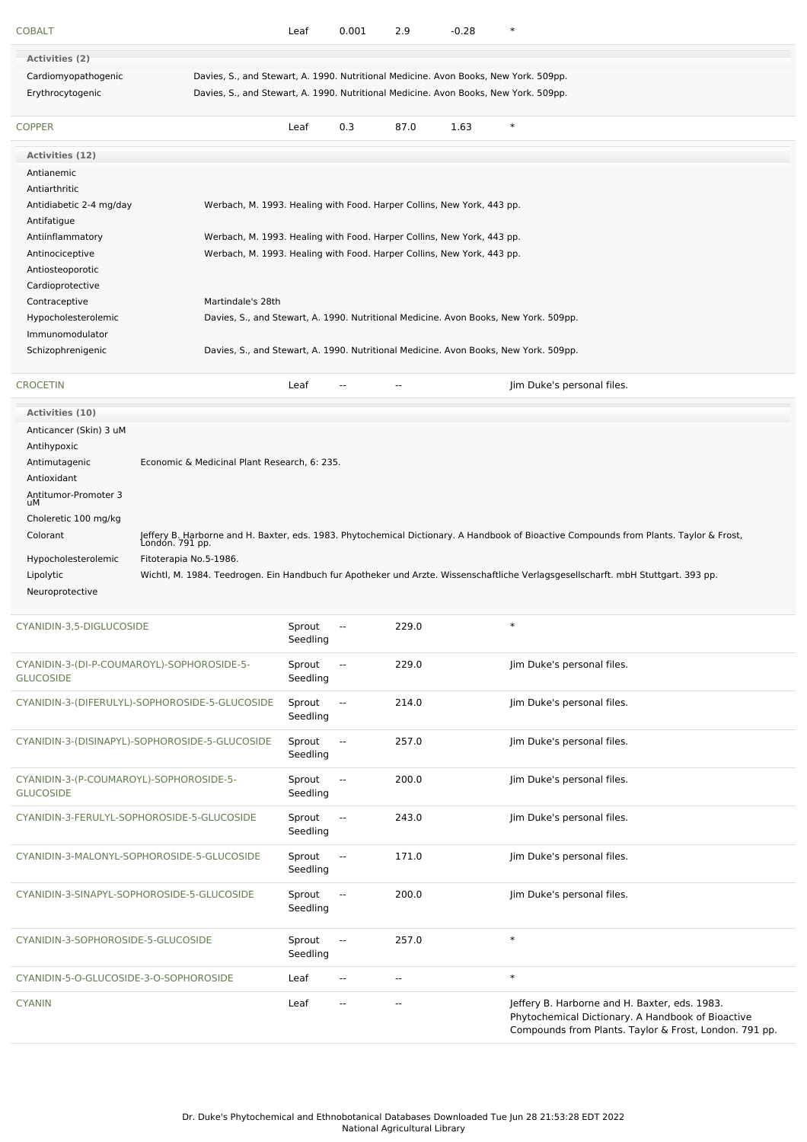| <b>COBALT</b>                                                  |                                                                                      | Leaf               | 0.001                    | 2.9                      | $-0.28$ | $\ast$                                                                                                                                                       |
|----------------------------------------------------------------|--------------------------------------------------------------------------------------|--------------------|--------------------------|--------------------------|---------|--------------------------------------------------------------------------------------------------------------------------------------------------------------|
| <b>Activities (2)</b>                                          |                                                                                      |                    |                          |                          |         |                                                                                                                                                              |
| Cardiomyopathogenic                                            | Davies, S., and Stewart, A. 1990. Nutritional Medicine. Avon Books, New York. 509pp. |                    |                          |                          |         |                                                                                                                                                              |
| Erythrocytogenic                                               | Davies, S., and Stewart, A. 1990. Nutritional Medicine. Avon Books, New York. 509pp. |                    |                          |                          |         |                                                                                                                                                              |
| <b>COPPER</b>                                                  |                                                                                      | Leaf               | 0.3                      | 87.0                     | 1.63    | $\ast$                                                                                                                                                       |
| Activities (12)                                                |                                                                                      |                    |                          |                          |         |                                                                                                                                                              |
| Antianemic                                                     |                                                                                      |                    |                          |                          |         |                                                                                                                                                              |
| Antiarthritic                                                  |                                                                                      |                    |                          |                          |         |                                                                                                                                                              |
| Antidiabetic 2-4 mg/day                                        | Werbach, M. 1993. Healing with Food. Harper Collins, New York, 443 pp.               |                    |                          |                          |         |                                                                                                                                                              |
| Antifatigue                                                    |                                                                                      |                    |                          |                          |         |                                                                                                                                                              |
| Antiinflammatory                                               | Werbach, M. 1993. Healing with Food. Harper Collins, New York, 443 pp.               |                    |                          |                          |         |                                                                                                                                                              |
| Antinociceptive                                                | Werbach, M. 1993. Healing with Food. Harper Collins, New York, 443 pp.               |                    |                          |                          |         |                                                                                                                                                              |
| Antiosteoporotic<br>Cardioprotective                           |                                                                                      |                    |                          |                          |         |                                                                                                                                                              |
| Contraceptive                                                  | Martindale's 28th                                                                    |                    |                          |                          |         |                                                                                                                                                              |
| Hypocholesterolemic                                            | Davies, S., and Stewart, A. 1990. Nutritional Medicine. Avon Books, New York. 509pp. |                    |                          |                          |         |                                                                                                                                                              |
| Immunomodulator                                                |                                                                                      |                    |                          |                          |         |                                                                                                                                                              |
| Schizophrenigenic                                              | Davies, S., and Stewart, A. 1990. Nutritional Medicine. Avon Books, New York. 509pp. |                    |                          |                          |         |                                                                                                                                                              |
|                                                                |                                                                                      |                    |                          |                          |         |                                                                                                                                                              |
| <b>CROCETIN</b>                                                |                                                                                      | Leaf               |                          | $\overline{\phantom{a}}$ |         | Jim Duke's personal files.                                                                                                                                   |
| <b>Activities (10)</b>                                         |                                                                                      |                    |                          |                          |         |                                                                                                                                                              |
| Anticancer (Skin) 3 uM                                         |                                                                                      |                    |                          |                          |         |                                                                                                                                                              |
| Antihypoxic                                                    |                                                                                      |                    |                          |                          |         |                                                                                                                                                              |
| Antimutagenic                                                  | Economic & Medicinal Plant Research, 6: 235.                                         |                    |                          |                          |         |                                                                                                                                                              |
| Antioxidant                                                    |                                                                                      |                    |                          |                          |         |                                                                                                                                                              |
| Antitumor-Promoter 3<br>uМ                                     |                                                                                      |                    |                          |                          |         |                                                                                                                                                              |
| Choleretic 100 mg/kg                                           |                                                                                      |                    |                          |                          |         |                                                                                                                                                              |
| Colorant                                                       |                                                                                      |                    |                          |                          |         | Jeffery B. Harborne and H. Baxter, eds. 1983. Phytochemical Dictionary. A Handbook of Bioactive Compounds from Plants. Taylor & Frost,<br>London. 791 pp.    |
| Hypocholesterolemic                                            | Fitoterapia No.5-1986.                                                               |                    |                          |                          |         |                                                                                                                                                              |
| Lipolytic                                                      |                                                                                      |                    |                          |                          |         | Wichtl, M. 1984. Teedrogen. Ein Handbuch fur Apotheker und Arzte. Wissenschaftliche Verlagsgesellscharft. mbH Stuttgart. 393 pp.                             |
| Neuroprotective                                                |                                                                                      |                    |                          |                          |         |                                                                                                                                                              |
| CYANIDIN-3,5-DIGLUCOSIDE                                       |                                                                                      | Sprout             | $\overline{a}$           | 229.0                    |         | $\ast$                                                                                                                                                       |
|                                                                |                                                                                      | Seedling           |                          |                          |         |                                                                                                                                                              |
| CYANIDIN-3-(DI-P-COUMAROYL)-SOPHOROSIDE-5-<br><b>GLUCOSIDE</b> |                                                                                      | Sprout<br>Seedling | $\overline{\phantom{a}}$ | 229.0                    |         | Jim Duke's personal files.                                                                                                                                   |
|                                                                | CYANIDIN-3-(DIFERULYL)-SOPHOROSIDE-5-GLUCOSIDE                                       | Sprout             | $\overline{\phantom{a}}$ | 214.0                    |         | Jim Duke's personal files.                                                                                                                                   |
|                                                                |                                                                                      | Seedling           |                          |                          |         |                                                                                                                                                              |
|                                                                | CYANIDIN-3-(DISINAPYL)-SOPHOROSIDE-5-GLUCOSIDE                                       | Sprout             | $\sim$                   | 257.0                    |         | Jim Duke's personal files.                                                                                                                                   |
|                                                                |                                                                                      | Seedling           |                          |                          |         |                                                                                                                                                              |
| CYANIDIN-3-(P-COUMAROYL)-SOPHOROSIDE-5-                        |                                                                                      | Sprout             | $\overline{\phantom{a}}$ | 200.0                    |         | Jim Duke's personal files.                                                                                                                                   |
| <b>GLUCOSIDE</b>                                               |                                                                                      | Seedling           |                          |                          |         |                                                                                                                                                              |
|                                                                | CYANIDIN-3-FERULYL-SOPHOROSIDE-5-GLUCOSIDE                                           | Sprout             | $\overline{\phantom{a}}$ | 243.0                    |         | Jim Duke's personal files.                                                                                                                                   |
|                                                                |                                                                                      | Seedling           |                          |                          |         |                                                                                                                                                              |
|                                                                | CYANIDIN-3-MALONYL-SOPHOROSIDE-5-GLUCOSIDE                                           | Sprout<br>Seedling | $\mathbb{Z}^2$           | 171.0                    |         | Jim Duke's personal files.                                                                                                                                   |
|                                                                |                                                                                      |                    |                          |                          |         |                                                                                                                                                              |
|                                                                | CYANIDIN-3-SINAPYL-SOPHOROSIDE-5-GLUCOSIDE                                           | Sprout<br>Seedling | $\overline{\phantom{a}}$ | 200.0                    |         | Jim Duke's personal files.                                                                                                                                   |
|                                                                |                                                                                      |                    |                          |                          |         |                                                                                                                                                              |
| CYANIDIN-3-SOPHOROSIDE-5-GLUCOSIDE                             |                                                                                      | Sprout<br>Seedling | $\overline{\phantom{a}}$ | 257.0                    |         | $\ast$                                                                                                                                                       |
| CYANIDIN-5-O-GLUCOSIDE-3-O-SOPHOROSIDE                         |                                                                                      | Leaf               | $\overline{\phantom{a}}$ | $\overline{\phantom{a}}$ |         | $\ast$                                                                                                                                                       |
|                                                                |                                                                                      |                    |                          |                          |         |                                                                                                                                                              |
| <b>CYANIN</b>                                                  |                                                                                      | Leaf               | $\sim$                   | $\overline{\phantom{a}}$ |         | Jeffery B. Harborne and H. Baxter, eds. 1983.<br>Phytochemical Dictionary. A Handbook of Bioactive<br>Compounds from Plants. Taylor & Frost, London. 791 pp. |
|                                                                |                                                                                      |                    |                          |                          |         |                                                                                                                                                              |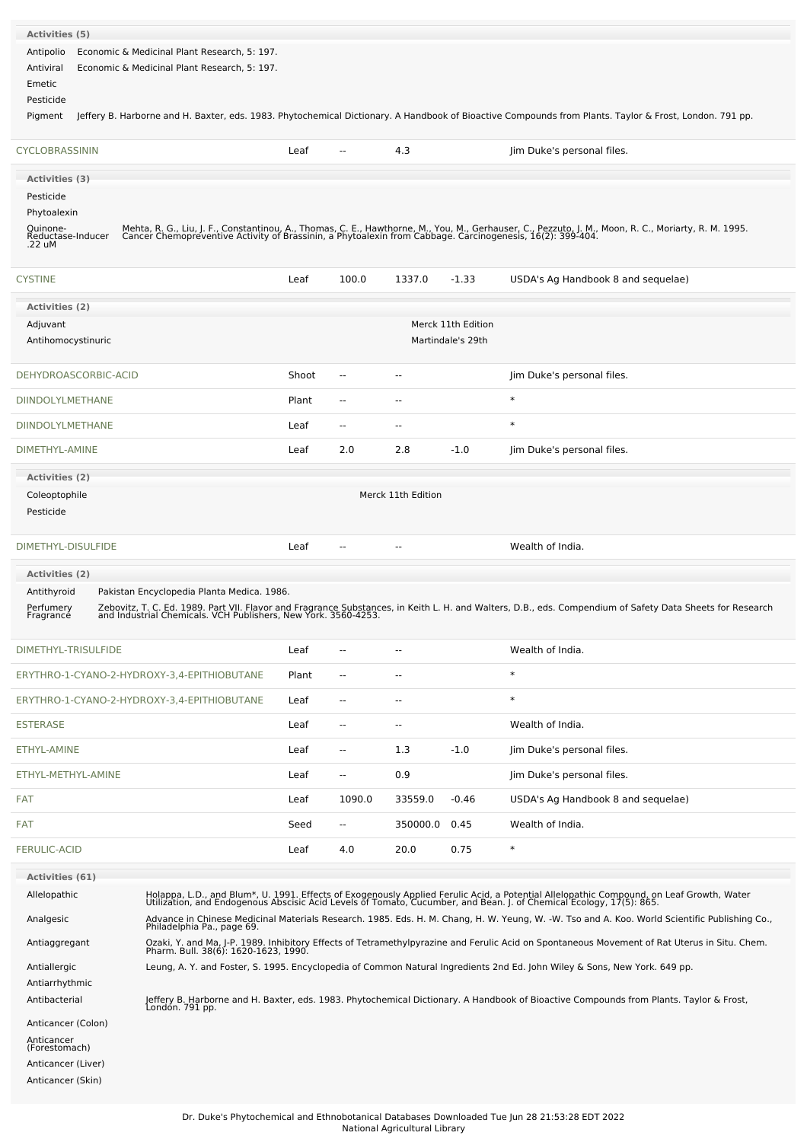| Antipolio<br>Antiviral                      | Economic & Medicinal Plant Research, 5: 197.<br>Economic & Medicinal Plant Research, 5: 197. |       |                |                          |                                         |                                                                                                                                                                                                                                   |
|---------------------------------------------|----------------------------------------------------------------------------------------------|-------|----------------|--------------------------|-----------------------------------------|-----------------------------------------------------------------------------------------------------------------------------------------------------------------------------------------------------------------------------------|
| Emetic                                      |                                                                                              |       |                |                          |                                         |                                                                                                                                                                                                                                   |
| Pesticide                                   |                                                                                              |       |                |                          |                                         |                                                                                                                                                                                                                                   |
| Pigment                                     |                                                                                              |       |                |                          |                                         | Jeffery B. Harborne and H. Baxter, eds. 1983. Phytochemical Dictionary. A Handbook of Bioactive Compounds from Plants. Taylor & Frost, London. 791 pp.                                                                            |
| CYCLOBRASSININ                              |                                                                                              | Leaf  | ۰.             | 4.3                      |                                         | Jim Duke's personal files.                                                                                                                                                                                                        |
| Activities (3)                              |                                                                                              |       |                |                          |                                         |                                                                                                                                                                                                                                   |
| Pesticide                                   |                                                                                              |       |                |                          |                                         |                                                                                                                                                                                                                                   |
| Phytoalexin                                 |                                                                                              |       |                |                          |                                         |                                                                                                                                                                                                                                   |
| Quinone-<br>Reductase-Inducer<br>.22 uM     |                                                                                              |       |                |                          |                                         | Mehta, R. G., Liu, J. F., Constantinou, A., Thomas, C. E., Hawthorne, M., You, M., Gerhauser, C., Pezzuto, J. M., Moon, R. C., Moriarty, R. M. 1995.<br>Cancer Chemopreventive Activity of Brassinin, a Phytoalexin from Cabbage. |
| <b>CYSTINE</b>                              |                                                                                              | Leaf  | 100.0          | 1337.0                   | $-1.33$                                 | USDA's Ag Handbook 8 and sequelae)                                                                                                                                                                                                |
| <b>Activities (2)</b>                       |                                                                                              |       |                |                          |                                         |                                                                                                                                                                                                                                   |
| Adjuvant<br>Antihomocystinuric              |                                                                                              |       |                |                          | Merck 11th Edition<br>Martindale's 29th |                                                                                                                                                                                                                                   |
| DEHYDROASCORBIC-ACID                        |                                                                                              | Shoot | --             | ٠.                       |                                         | Jim Duke's personal files.                                                                                                                                                                                                        |
| DIINDOLYLMETHANE                            |                                                                                              | Plant | $\overline{a}$ | ٠.                       |                                         | $\ast$                                                                                                                                                                                                                            |
| DIINDOLYLMETHANE                            |                                                                                              | Leaf  | $\overline{a}$ | ٠.                       |                                         | $\ast$                                                                                                                                                                                                                            |
| DIMETHYL-AMINE                              |                                                                                              | Leaf  | 2.0            | 2.8                      | $-1.0$                                  | Jim Duke's personal files.                                                                                                                                                                                                        |
| Activities (2)                              |                                                                                              |       |                |                          |                                         |                                                                                                                                                                                                                                   |
| Coleoptophile<br>Pesticide                  |                                                                                              |       |                | Merck 11th Edition       |                                         |                                                                                                                                                                                                                                   |
| DIMETHYL-DISULFIDE                          |                                                                                              | Leaf  |                | ٠.                       |                                         | Wealth of India.                                                                                                                                                                                                                  |
| <b>Activities (2)</b>                       |                                                                                              |       |                |                          |                                         |                                                                                                                                                                                                                                   |
| Antithyroid<br>Perfumery<br>Fragrancé       | Pakistan Encyclopedia Planta Medica. 1986.                                                   |       |                |                          |                                         | Zebovitz, T. C. Ed. 1989. Part VII. Flavor and Fragrance Substances, in Keith L. H. and Walters, D.B., eds. Compendium of Safety Data Sheets for Research<br>and Industrial Chemicals. VCH Publishers, New York. 3560-4253.       |
| DIMETHYL-TRISULFIDE                         |                                                                                              | Leaf  | --             | ٠.                       |                                         | Wealth of India.                                                                                                                                                                                                                  |
| ERYTHRO-1-CYANO-2-HYDROXY-3,4-EPITHIOBUTANE |                                                                                              | Plant | $\overline{a}$ | ٠.                       |                                         | $\ast$                                                                                                                                                                                                                            |
|                                             |                                                                                              |       |                |                          |                                         |                                                                                                                                                                                                                                   |
| ERYTHRO-1-CYANO-2-HYDROXY-3,4-EPITHIOBUTANE |                                                                                              | Leaf  | $\overline{a}$ | --                       |                                         | $\ast$                                                                                                                                                                                                                            |
| <b>ESTERASE</b>                             |                                                                                              | Leaf  | $\overline{a}$ | $\overline{\phantom{a}}$ |                                         | Wealth of India.                                                                                                                                                                                                                  |
| ETHYL-AMINE                                 |                                                                                              | Leaf  | $\overline{a}$ | 1.3                      | $-1.0$                                  | Jim Duke's personal files.                                                                                                                                                                                                        |
| ETHYL-METHYL-AMINE                          |                                                                                              | Leaf  | $\overline{a}$ | 0.9                      |                                         | Jim Duke's personal files.                                                                                                                                                                                                        |
| FAT                                         |                                                                                              | Leaf  | 1090.0         | 33559.0                  | $-0.46$                                 | USDA's Ag Handbook 8 and sequelae)                                                                                                                                                                                                |
| FAT                                         |                                                                                              | Seed  | $\sim$         | 350000.0                 | 0.45                                    | Wealth of India.                                                                                                                                                                                                                  |
| <b>FERULIC-ACID</b>                         |                                                                                              | Leaf  | 4.0            | 20.0                     | 0.75                                    | $\ast$                                                                                                                                                                                                                            |
| Activities (61)                             |                                                                                              |       |                |                          |                                         |                                                                                                                                                                                                                                   |
| Allelopathic                                |                                                                                              |       |                |                          |                                         | Holappa, L.D., and Blum*, U. 1991. Effects of Exogenously Applied Ferulic Acid, a Potential Allelopathic Compound, on Leaf Growth, Water<br>Utilization, and Endogenous Abscisic Acid Levels of Tomato, Cucumber, and Bean. J. of |
| Analgesic                                   | Philadelphia Pa., page 69.                                                                   |       |                |                          |                                         | Advance in Chinese Medicinal Materials Research. 1985. Eds. H. M. Chang, H. W. Yeung, W. -W. Tso and A. Koo. World Scientific Publishing Co.,                                                                                     |
| Antiaggregant                               |                                                                                              |       |                |                          |                                         | Ozaki, Y. and Ma, J-P. 1989. Inhibitory Effects of Tetramethylpyrazine and Ferulic Acid on Spontaneous Movement of Rat Uterus in Situ. Chem.<br>Pharm. Bull. 38(6): 1620-1623, 1990.                                              |
| Antiallergic                                |                                                                                              |       |                |                          |                                         | Leung, A. Y. and Foster, S. 1995. Encyclopedia of Common Natural Ingredients 2nd Ed. John Wiley & Sons, New York. 649 pp.                                                                                                         |
| Antiarrhythmic                              |                                                                                              |       |                |                          |                                         |                                                                                                                                                                                                                                   |
| Antibacterial                               | Londón. 791 pp.                                                                              |       |                |                          |                                         | Jeffery B. Harborne and H. Baxter, eds. 1983. Phytochemical Dictionary. A Handbook of Bioactive Compounds from Plants. Taylor & Frost,                                                                                            |
| Anticancer (Colon)                          |                                                                                              |       |                |                          |                                         |                                                                                                                                                                                                                                   |
| Anticancer<br>(Forestomach)                 |                                                                                              |       |                |                          |                                         |                                                                                                                                                                                                                                   |
| Anticancer (Liver)<br>Anticancer (Skin)     |                                                                                              |       |                |                          |                                         |                                                                                                                                                                                                                                   |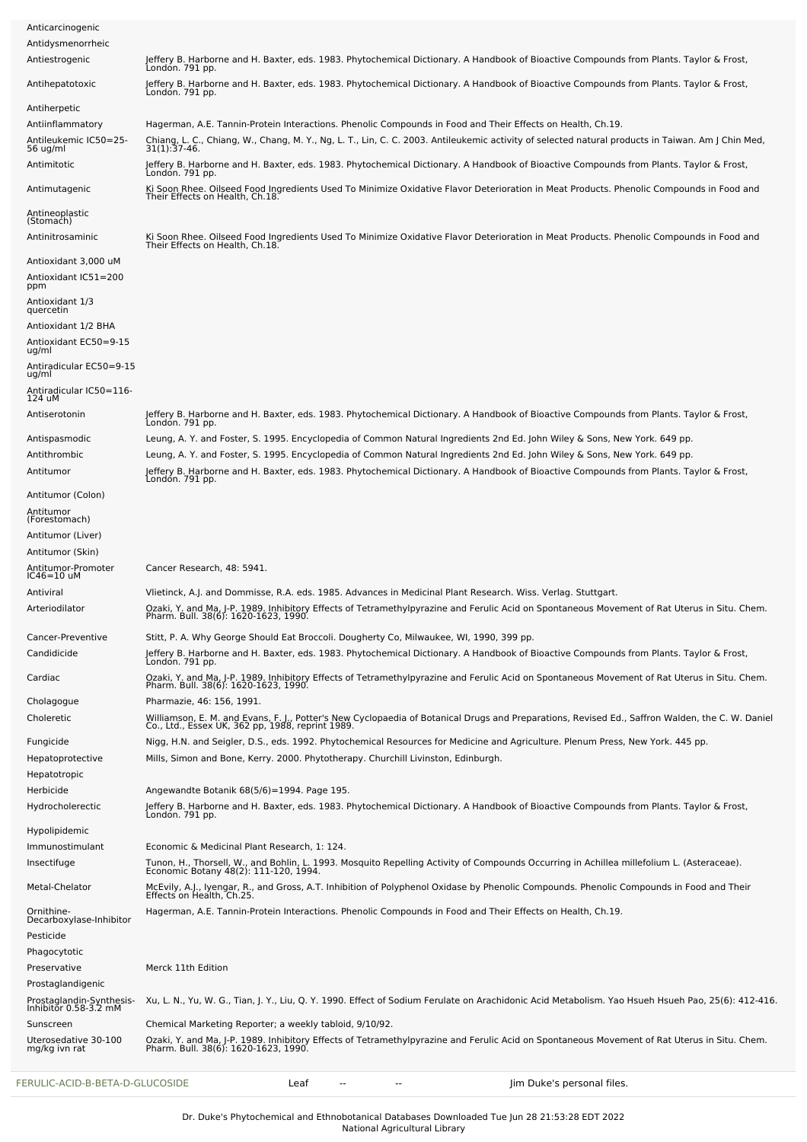| FERULIC-ACID-B-BETA-D-GLUCOSIDE                                | Jim Duke's personal files.<br>Leaf                                                                                                                                                                                                                                                                   |
|----------------------------------------------------------------|------------------------------------------------------------------------------------------------------------------------------------------------------------------------------------------------------------------------------------------------------------------------------------------------------|
| Uterosedative 30-100<br>mg/kg ivn rat                          | Ozaki, Y. and Ma, J-P. 1989. Inhibitory Effects of Tetramethylpyrazine and Ferulic Acid on Spontaneous Movement of Rat Uterus in Situ. Chem.<br>Pharm. Bull. 38(6): 1620-1623, 1990.                                                                                                                 |
| Prostaglandin-Synthesis-<br>Inhibitor 0.58-3.2 mM<br>Sunscreen | Xu, L. N., Yu, W. G., Tian, J. Y., Liu, Q. Y. 1990. Effect of Sodium Ferulate on Arachidonic Acid Metabolism. Yao Hsueh Hsueh Pao, 25(6): 412-416.<br>Chemical Marketing Reporter; a weekly tabloid, 9/10/92.                                                                                        |
| Prostaglandigenic                                              |                                                                                                                                                                                                                                                                                                      |
| Preservative                                                   | Merck 11th Edition                                                                                                                                                                                                                                                                                   |
| Phagocytotic                                                   |                                                                                                                                                                                                                                                                                                      |
| Decarboxylase-Inhibitor<br>Pesticide                           |                                                                                                                                                                                                                                                                                                      |
| Ornithine-                                                     | Hagerman, A.E. Tannin-Protein Interactions. Phenolic Compounds in Food and Their Effects on Health, Ch.19.                                                                                                                                                                                           |
| Metal-Chelator                                                 | McEvily, A.J., Iyengar, R., and Gross, A.T. Inhibition of Polyphenol Oxidase by Phenolic Compounds. Phenolic Compounds in Food and Their<br>Effects on Health, Ch.25.                                                                                                                                |
| Insectifuge                                                    | Tunon, H., Thorsell, W., and Bohlin, L. 1993. Mosquito Repelling Activity of Compounds Occurring in Achillea millefolium L. (Asteraceae).<br>Economic Botany 48(2): 111-120, 1994.                                                                                                                   |
| Immunostimulant                                                | Economic & Medicinal Plant Research, 1: 124.                                                                                                                                                                                                                                                         |
| Hypolipidemic                                                  | Londón. 791 pp.                                                                                                                                                                                                                                                                                      |
| Hydrocholerectic                                               | Jeffery B. Harborne and H. Baxter, eds. 1983. Phytochemical Dictionary. A Handbook of Bioactive Compounds from Plants. Taylor & Frost,                                                                                                                                                               |
| Hepatotropic<br>Herbicide                                      | Angewandte Botanik 68(5/6)=1994. Page 195.                                                                                                                                                                                                                                                           |
| Hepatoprotective                                               | Mills, Simon and Bone, Kerry. 2000. Phytotherapy. Churchill Livinston, Edinburgh.                                                                                                                                                                                                                    |
| Fungicide                                                      | Nigg, H.N. and Seigler, D.S., eds. 1992. Phytochemical Resources for Medicine and Agriculture. Plenum Press, New York. 445 pp.                                                                                                                                                                       |
| Choleretic                                                     | Williamson, E. M. and Evans, F. J., Potter's New Cyclopaedia of Botanical Drugs and Preparations, Revised Ed., Saffron Walden, the C. W. Daniel<br>Co., Ltd., Essex UK, 362 pp, 1988, reprint 1989.                                                                                                  |
| Cholagogue                                                     | Pharmazie, 46: 156, 1991.                                                                                                                                                                                                                                                                            |
| Cardiac                                                        | Ozaki, Y. and Ma, J-P. 1989. Inhibitory Effects of Tetramethylpyrazine and Ferulic Acid on Spontaneous Movement of Rat Uterus in Situ. Chem.<br>Pharm. Bull. 38(6): 1620-1623, 1990.                                                                                                                 |
| Candidicide                                                    | Jeffery B. Harborne and H. Baxter, eds. 1983. Phytochemical Dictionary. A Handbook of Bioactive Compounds from Plants. Taylor & Frost,<br>Londón. 791 pp.                                                                                                                                            |
| Cancer-Preventive                                              | Stitt, P. A. Why George Should Eat Broccoli. Dougherty Co, Milwaukee, WI, 1990, 399 pp.                                                                                                                                                                                                              |
| Antiviral<br>Arteriodilator                                    | Vlietinck, A.J. and Dommisse, R.A. eds. 1985. Advances in Medicinal Plant Research. Wiss. Verlag. Stuttgart.<br>Ozaki, Y. and Ma, J-P. 1989. Inhibitory Effects of Tetramethylpyrazine and Ferulic Acid on Spontaneous Movement of Rat Uterus in Situ. Chem.<br>Pharm. Bull. 38(6): 1620-1623, 1990. |
| Antitumor-Promoter<br>$IC46=10$ uM                             | Cancer Research, 48: 5941.                                                                                                                                                                                                                                                                           |
| Antitumor (Skin)                                               |                                                                                                                                                                                                                                                                                                      |
| Antitumor (Liver)                                              |                                                                                                                                                                                                                                                                                                      |
| Antitumor<br>(Forestomach)                                     |                                                                                                                                                                                                                                                                                                      |
| Antitumor (Colon)                                              |                                                                                                                                                                                                                                                                                                      |
| Antitumor                                                      | Jeffery B. Harborne and H. Baxter, eds. 1983. Phytochemical Dictionary. A Handbook of Bioactive Compounds from Plants. Taylor & Frost,<br>Londón. 791 pp.                                                                                                                                            |
| Antithrombic                                                   | Leung, A. Y. and Foster, S. 1995. Encyclopedia of Common Natural Ingredients 2nd Ed. John Wiley & Sons, New York. 649 pp.                                                                                                                                                                            |
| Antispasmodic                                                  | London. 791 pp.<br>Leung, A. Y. and Foster, S. 1995. Encyclopedia of Common Natural Ingredients 2nd Ed. John Wiley & Sons, New York. 649 pp.                                                                                                                                                         |
| Antiserotonin                                                  | Jeffery B. Harborne and H. Baxter, eds. 1983. Phytochemical Dictionary. A Handbook of Bioactive Compounds from Plants. Taylor & Frost,                                                                                                                                                               |
| Antiradicular IC50=116-<br>124 uM                              |                                                                                                                                                                                                                                                                                                      |
| Antiradicular EC50=9-15<br>ug/ml                               |                                                                                                                                                                                                                                                                                                      |
| Antioxidant EC50=9-15<br>ug/ml                                 |                                                                                                                                                                                                                                                                                                      |
| Antioxidant 1/2 BHA                                            |                                                                                                                                                                                                                                                                                                      |
| Antioxidant 1/3<br>quercetin                                   |                                                                                                                                                                                                                                                                                                      |
| Antioxidant IC51=200<br>ppm                                    |                                                                                                                                                                                                                                                                                                      |
| Antioxidant 3,000 uM                                           | Their Effects on Health, Ch.18.                                                                                                                                                                                                                                                                      |
| (Stomach)<br>Antinitrosaminic                                  | Ki Soon Rhee. Oilseed Food Ingredients Used To Minimize Oxidative Flavor Deterioration in Meat Products. Phenolic Compounds in Food and                                                                                                                                                              |
| Antineoplastic                                                 | Their Effects on Health, Ch.18.                                                                                                                                                                                                                                                                      |
| Antimutagenic                                                  | Ki Soon Rhee, Oilseed Food Ingredients Used To Minimize Oxidative Flavor Deterioration in Meat Products, Phenolic Compounds in Food and                                                                                                                                                              |
| Antimitotic                                                    | Jeffery B. Harborne and H. Baxter, eds. 1983. Phytochemical Dictionary. A Handbook of Bioactive Compounds from Plants. Taylor & Frost,<br>Londón. 791 pp.                                                                                                                                            |
| Antileukemic IC50=25-<br>56 ug/ml                              | Chiang, L. C., Chiang, W., Chang, M. Y., Ng, L. T., Lin, C. C. 2003. Antileukemic activity of selected natural products in Taiwan. Am J Chin Med,<br>31(1):37-46.                                                                                                                                    |
| Antiinflammatory                                               | Hagerman, A.E. Tannin-Protein Interactions. Phenolic Compounds in Food and Their Effects on Health, Ch.19.                                                                                                                                                                                           |
| Antiherpetic                                                   | Londón. 791 pp.                                                                                                                                                                                                                                                                                      |
| Antihepatotoxic                                                | Londón. 791 pp.<br>Jeffery B. Harborne and H. Baxter, eds. 1983. Phytochemical Dictionary. A Handbook of Bioactive Compounds from Plants. Taylor & Frost,                                                                                                                                            |
| Antiestrogenic                                                 | Jeffery B. Harborne and H. Baxter, eds. 1983. Phytochemical Dictionary. A Handbook of Bioactive Compounds from Plants. Taylor & Frost,                                                                                                                                                               |
| Anticarcinogenic<br>Antidysmenorrheic                          |                                                                                                                                                                                                                                                                                                      |
|                                                                |                                                                                                                                                                                                                                                                                                      |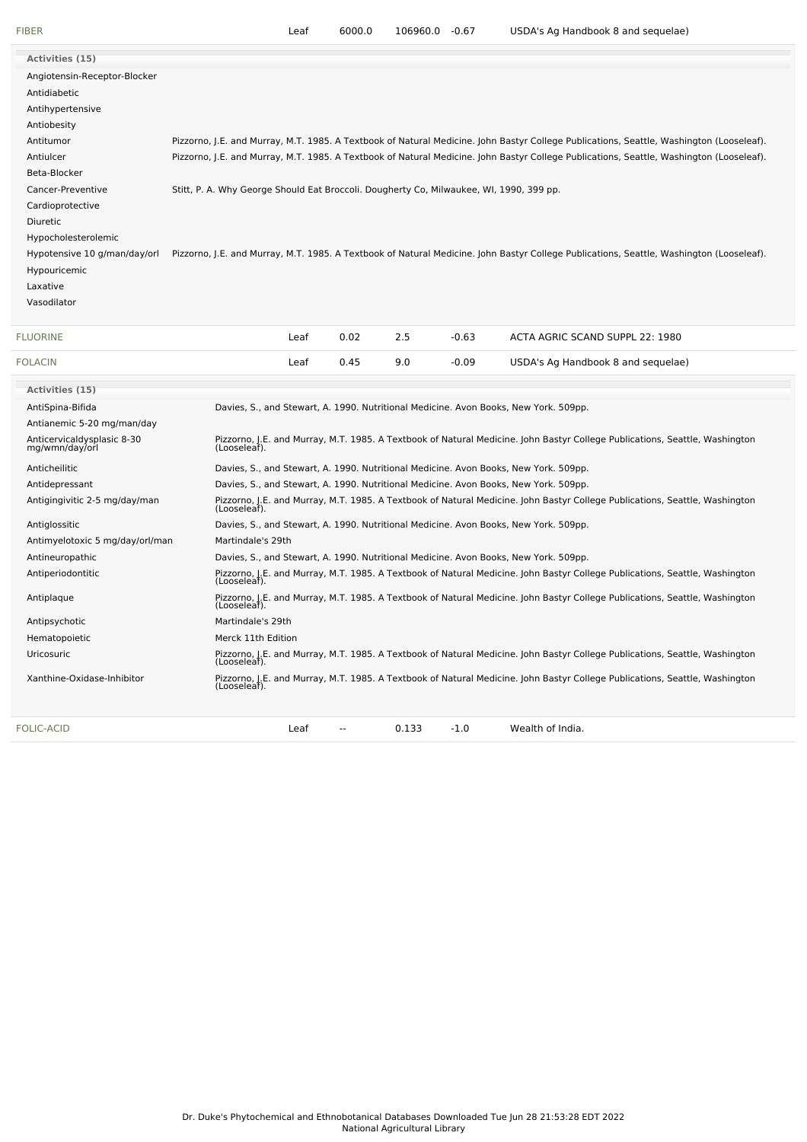| Activities (15)                              |                                                                                         |      |      |     |         |                                                                                                                                          |
|----------------------------------------------|-----------------------------------------------------------------------------------------|------|------|-----|---------|------------------------------------------------------------------------------------------------------------------------------------------|
| Angiotensin-Receptor-Blocker                 |                                                                                         |      |      |     |         |                                                                                                                                          |
| Antidiabetic                                 |                                                                                         |      |      |     |         |                                                                                                                                          |
| Antihypertensive                             |                                                                                         |      |      |     |         |                                                                                                                                          |
| Antiobesity                                  |                                                                                         |      |      |     |         |                                                                                                                                          |
| Antitumor                                    |                                                                                         |      |      |     |         | Pizzorno, J.E. and Murray, M.T. 1985. A Textbook of Natural Medicine. John Bastyr College Publications, Seattle, Washington (Looseleaf). |
| Antiulcer                                    |                                                                                         |      |      |     |         | Pizzorno, J.E. and Murray, M.T. 1985. A Textbook of Natural Medicine. John Bastyr College Publications, Seattle, Washington (Looseleaf). |
| Beta-Blocker                                 |                                                                                         |      |      |     |         |                                                                                                                                          |
| Cancer-Preventive                            | Stitt, P. A. Why George Should Eat Broccoli. Dougherty Co, Milwaukee, WI, 1990, 399 pp. |      |      |     |         |                                                                                                                                          |
| Cardioprotective                             |                                                                                         |      |      |     |         |                                                                                                                                          |
| Diuretic                                     |                                                                                         |      |      |     |         |                                                                                                                                          |
| Hypocholesterolemic                          |                                                                                         |      |      |     |         |                                                                                                                                          |
| Hypotensive 10 g/man/day/orl                 |                                                                                         |      |      |     |         | Pizzorno, J.E. and Murray, M.T. 1985. A Textbook of Natural Medicine. John Bastyr College Publications, Seattle, Washington (Looseleaf). |
| Hypouricemic                                 |                                                                                         |      |      |     |         |                                                                                                                                          |
| Laxative                                     |                                                                                         |      |      |     |         |                                                                                                                                          |
| Vasodilator                                  |                                                                                         |      |      |     |         |                                                                                                                                          |
|                                              |                                                                                         |      |      |     |         |                                                                                                                                          |
| <b>FLUORINE</b>                              |                                                                                         | Leaf | 0.02 | 2.5 | $-0.63$ | ACTA AGRIC SCAND SUPPL 22: 1980                                                                                                          |
| <b>FOLACIN</b>                               |                                                                                         | Leaf | 0.45 | 9.0 | $-0.09$ | USDA's Ag Handbook 8 and sequelae)                                                                                                       |
| Activities (15)                              |                                                                                         |      |      |     |         |                                                                                                                                          |
| AntiSpina-Bifida                             |                                                                                         |      |      |     |         | Davies, S., and Stewart, A. 1990. Nutritional Medicine. Avon Books, New York. 509pp.                                                     |
| Antianemic 5-20 mg/man/day                   |                                                                                         |      |      |     |         |                                                                                                                                          |
| Anticervicaldysplasic 8-30<br>mg/wmn/day/orl |                                                                                         |      |      |     |         | Pizzorno, J.E. and Murray, M.T. 1985. A Textbook of Natural Medicine. John Bastyr College Publications, Seattle, Washington              |
|                                              | (Looseleaf).                                                                            |      |      |     |         |                                                                                                                                          |
| Anticheilitic                                |                                                                                         |      |      |     |         | Davies, S., and Stewart, A. 1990. Nutritional Medicine. Avon Books, New York. 509pp.                                                     |
| Antidepressant                               |                                                                                         |      |      |     |         | Davies, S., and Stewart, A. 1990. Nutritional Medicine. Avon Books, New York. 509pp.                                                     |
| Antigingivitic 2-5 mg/day/man                | (Looseleaf).                                                                            |      |      |     |         | Pizzorno, J.E. and Murray, M.T. 1985. A Textbook of Natural Medicine. John Bastyr College Publications, Seattle, Washington              |
| Antiglossitic                                |                                                                                         |      |      |     |         | Davies, S., and Stewart, A. 1990. Nutritional Medicine. Avon Books, New York. 509pp.                                                     |

Antiperiodontitic Pizzorno, J.E. and Murray, M.T. 1985. A Textbook of Natural Medicine. John Bastyr College Publications, Seattle, Washington (Looseleaf). Antiplaque Pizzorno, J.E. and Murray, M.T. 1985. A Textbook of Natural Medicine. John Bastyr College Publications, Seattle, Washington (Looseleaf).

Uricosuric Pizzorno, J.E. and Murray, M.T. 1985. A Textbook of Natural Medicine. John Bastyr College Publications, Seattle, Washington (Looseleaf). Xanthine-Oxidase-Inhibitor Pizzorno, J.E. and Murray, M.T. 1985. A Textbook of Natural Medicine. John Bastyr College Publications, Seattle, Washington (Looseleaf).

[FOLIC-ACID](file:///phytochem/chemicals/show/8526) **Leaf** -- 0.133 -1.0 Wealth of India.

Antimyelotoxic 5 mg/day/orl/man Martindale's 29th

Antipsychotic Martindale's 29th Hematopoietic **Merck 11th Edition** 

Antineuropathic Davies, S., and Stewart, A. 1990. Nutritional Medicine. Avon Books, New York. 509pp.

Dr. Duke's Phytochemical and Ethnobotanical Databases Downloaded Tue Jun 28 21:53:28 EDT 2022 National Agricultural Library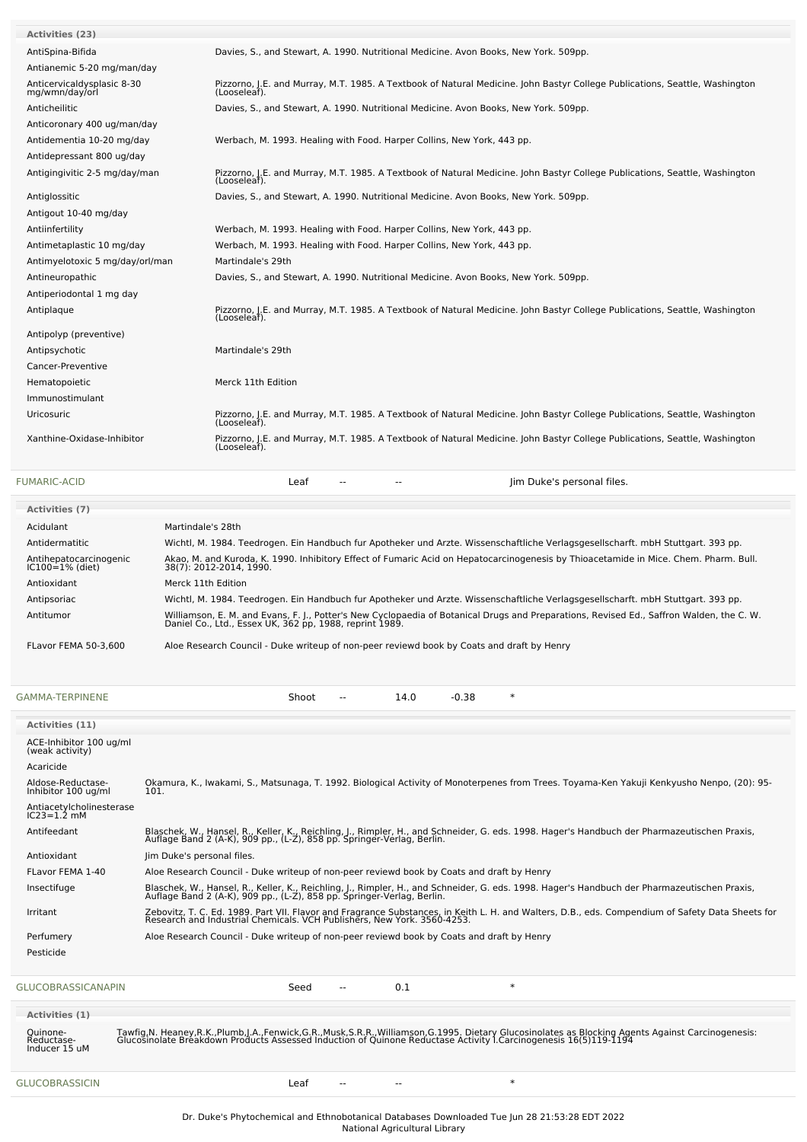| <b>FUMARIC-ACID</b>                          | Jim Duke's personal files.<br>Leaf<br>--                                                                                                    |
|----------------------------------------------|---------------------------------------------------------------------------------------------------------------------------------------------|
| Xanthine-Oxidase-Inhibitor                   | Pizzorno, J.E. and Murray, M.T. 1985. A Textbook of Natural Medicine. John Bastyr College Publications, Seattle, Washington<br>(Looseleaf). |
| Uricosuric                                   | Pizzorno, J.E. and Murray, M.T. 1985. A Textbook of Natural Medicine. John Bastyr College Publications, Seattle, Washington<br>(Looseleaf). |
| Immunostimulant                              |                                                                                                                                             |
| Hematopoietic                                | Merck 11th Edition                                                                                                                          |
| Cancer-Preventive                            |                                                                                                                                             |
| Antipsychotic                                | Martindale's 29th                                                                                                                           |
| Antipolyp (preventive)                       |                                                                                                                                             |
| Antiplaque                                   | Pizzorno, J.E. and Murray, M.T. 1985. A Textbook of Natural Medicine. John Bastyr College Publications, Seattle, Washington<br>(Looseleaf). |
| Antiperiodontal 1 mg day                     |                                                                                                                                             |
| Antineuropathic                              | Davies, S., and Stewart, A. 1990. Nutritional Medicine. Avon Books, New York. 509pp.                                                        |
| Antimyelotoxic 5 mg/day/orl/man              | Martindale's 29th                                                                                                                           |
| Antimetaplastic 10 mg/day                    | Werbach, M. 1993. Healing with Food. Harper Collins, New York, 443 pp.                                                                      |
| Antiinfertility                              | Werbach, M. 1993. Healing with Food. Harper Collins, New York, 443 pp.                                                                      |
| Antigout 10-40 mg/day                        |                                                                                                                                             |
| Antiglossitic                                | Davies, S., and Stewart, A. 1990. Nutritional Medicine. Avon Books, New York. 509pp.                                                        |
| Antigingivitic 2-5 mg/day/man                | Pizzorno, J.E. and Murray, M.T. 1985. A Textbook of Natural Medicine. John Bastyr College Publications, Seattle, Washington<br>(Looseleaf). |
| Antidepressant 800 ug/day                    |                                                                                                                                             |
| Antidementia 10-20 mg/day                    | Werbach, M. 1993. Healing with Food. Harper Collins, New York, 443 pp.                                                                      |
| Anticoronary 400 ug/man/day                  |                                                                                                                                             |
| Anticheilitic                                | Davies, S., and Stewart, A. 1990. Nutritional Medicine. Avon Books, New York. 509pp.                                                        |
| Anticervicaldysplasic 8-30<br>mg/wmn/day/orl | Pizzorno, J.E. and Murray, M.T. 1985. A Textbook of Natural Medicine. John Bastyr College Publications, Seattle, Washington<br>(Looseleaf). |
| Antianemic 5-20 mg/man/day                   |                                                                                                                                             |
| AntiSpina-Bifida                             | Davies, S., and Stewart, A. 1990. Nutritional Medicine. Avon Books, New York. 509pp.                                                        |
| Activities (23)                              |                                                                                                                                             |

| <b>Activities (7)</b>                       |                                                                                                                                                                                                     |
|---------------------------------------------|-----------------------------------------------------------------------------------------------------------------------------------------------------------------------------------------------------|
| Acidulant                                   | Martindale's 28th                                                                                                                                                                                   |
| Antidermatitic                              | Wichtl, M. 1984. Teedrogen. Ein Handbuch fur Apotheker und Arzte. Wissenschaftliche Verlagsgesellscharft. mbH Stuttgart. 393 pp.                                                                    |
| Antihepatocarcinogenic<br>$IC100=1%$ (diet) | Akao, M. and Kuroda, K. 1990. Inhibitory Effect of Fumaric Acid on Hepatocarcinogenesis by Thioacetamide in Mice. Chem. Pharm. Bull.<br>38(7): 2012-2014. 1990.                                     |
| Antioxidant                                 | Merck 11th Edition                                                                                                                                                                                  |
| Antipsoriac                                 | Wichtl, M. 1984. Teedrogen. Ein Handbuch fur Apotheker und Arzte. Wissenschaftliche Verlagsgesellscharft. mbH Stuttgart. 393 pp.                                                                    |
| Antitumor                                   | Williamson, E. M. and Evans, F. J., Potter's New Cyclopaedia of Botanical Drugs and Preparations, Revised Ed., Saffron Walden, the C. W.<br>Daniel Co., Ltd., Essex UK, 362 pp, 1988, reprint 1989. |
| FLavor FEMA 50-3.600                        | Aloe Research Council - Duke writeup of non-peer reviewd book by Coats and draft by Henry                                                                                                           |

[GAMMA-TERPINENE](file:///phytochem/chemicals/show/8835) **Shoot** -- 14.0 -0.38 \*

| <b>Activities (11)</b>                      |                                                                                                                                                                                                                             |
|---------------------------------------------|-----------------------------------------------------------------------------------------------------------------------------------------------------------------------------------------------------------------------------|
| ACE-Inhibitor 100 ug/ml<br>(weak activity)  |                                                                                                                                                                                                                             |
| Acaricide                                   |                                                                                                                                                                                                                             |
| Aldose-Reductase-<br>Inhibitor 100 ug/ml    | Okamura, K., Iwakami, S., Matsunaga, T. 1992. Biological Activity of Monoterpenes from Trees. Toyama-Ken Yakuji Kenkyusho Nenpo, (20): 95-<br>101.                                                                          |
| Antiacetylcholinesterase<br>$IC23 = 1.2$ mM |                                                                                                                                                                                                                             |
| Antifeedant                                 | Blaschek, W., Hansel, R., Keller, K., Reichling, J., Rimpler, H., and Schneider, G. eds. 1998. Hager's Handbuch der Pharmazeutischen Praxis,<br>Auflage Band 2 (A-K), 909 pp., (L-Z), 858 pp. Springer-Verlag, Berlin.      |
| Antioxidant                                 | Jim Duke's personal files.                                                                                                                                                                                                  |
| FLavor FEMA 1-40                            | Aloe Research Council - Duke writeup of non-peer reviewd book by Coats and draft by Henry                                                                                                                                   |
| Insectifuge                                 | Blaschek, W., Hansel, R., Keller, K., Reichling, J., Rimpler, H., and Schneider, G. eds. 1998. Hager's Handbuch der Pharmazeutischen Praxis,<br>Auflage Band 2 (A-K), 909 pp., (L-Z), 858 pp. Springer-Verlag, Berlin.      |
| Irritant                                    | Zebovitz, T. C. Ed. 1989. Part VII. Flavor and Fragrance Substances, in Keith L. H. and Walters, D.B., eds. Compendium of Safety Data Sheets for<br>Research and Industrial Chemicals. VCH Publishers, New York. 3560-4253. |
| Perfumery                                   | Aloe Research Council - Duke writeup of non-peer reviewd book by Coats and draft by Henry                                                                                                                                   |
| Pesticide                                   |                                                                                                                                                                                                                             |
| GLUCOBRASSICANAPIN                          | $\ast$<br>0.1<br>Seed<br>$- -$                                                                                                                                                                                              |

| Activities (1)                          |                                                                                                                                                                                                                                   |
|-----------------------------------------|-----------------------------------------------------------------------------------------------------------------------------------------------------------------------------------------------------------------------------------|
| Quinone-<br>Reductase-<br>Inducer 15 uM | Tawfig, N. Heaney, R.K., Plumb, J.A., Fenwick, G.R., Musk, S.R.R., Williamson, G.1995. Dietary Glucosinolates as Blocking Agents Against Carcinogenesis:<br>Glucosinolate Breakdown Products Assessed Induction of Quinone Reduct |
| <b>GLUCOBRASSICIN</b>                   | ea:<br>$\overline{\phantom{a}}$<br>$- -$                                                                                                                                                                                          |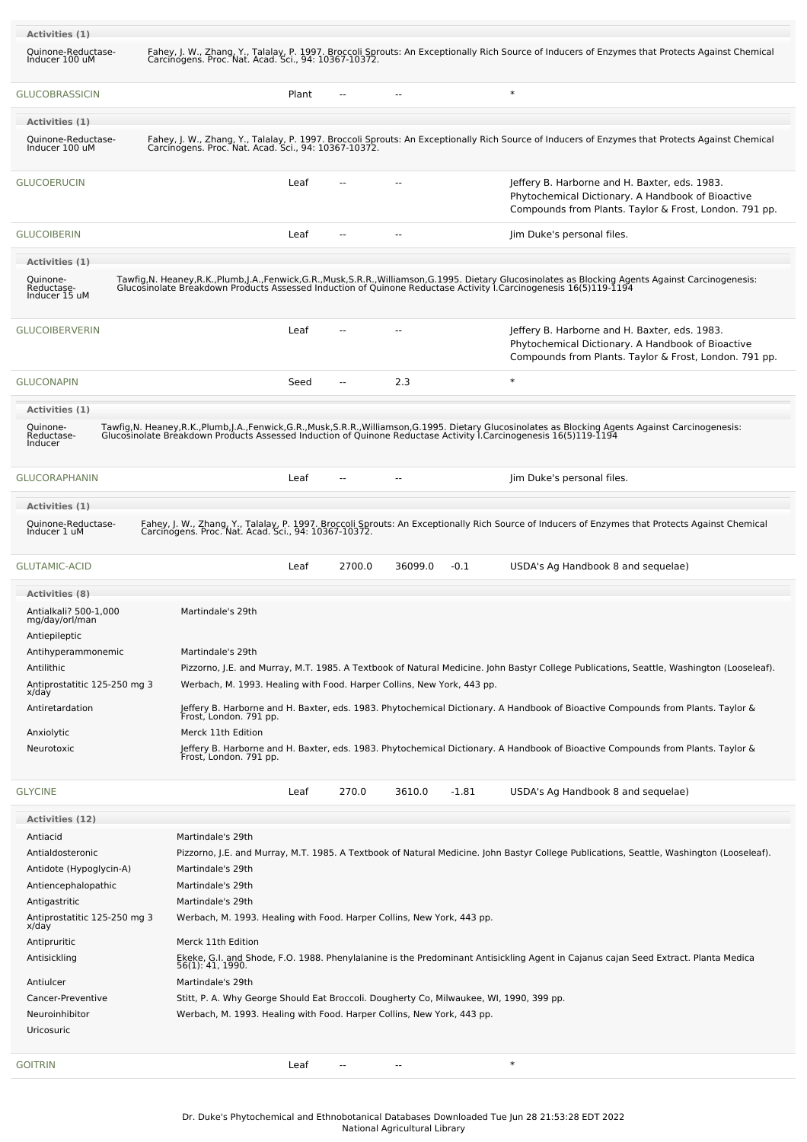| Activities (1)                                           |                                                                                         |                        |     |         |         |                                                                                                                                                                                                                                   |
|----------------------------------------------------------|-----------------------------------------------------------------------------------------|------------------------|-----|---------|---------|-----------------------------------------------------------------------------------------------------------------------------------------------------------------------------------------------------------------------------------|
| Quinone-Reductase-<br>Inducer 100 uM                     | Carcinogens. Proc. Nat. Acad. Sci., 94: 10367-10372.                                    |                        |     |         |         | Fahey, J. W., Zhang, Y., Talalay, P. 1997. Broccoli Sprouts: An Exceptionally Rich Source of Inducers of Enzymes that Protects Against Chemical                                                                                   |
| <b>GLUCOBRASSICIN</b>                                    |                                                                                         | Plant<br>$\sim$ $\sim$ | --  |         |         | $\ast$                                                                                                                                                                                                                            |
| Activities (1)                                           |                                                                                         |                        |     |         |         |                                                                                                                                                                                                                                   |
| Quinone-Reductase-<br>Inducer 100 uM                     |                                                                                         |                        |     |         |         | Fahey, J. W., Zhang, Y., Talalay, P. 1997. Broccoli Sprouts: An Exceptionally Rich Source of Inducers of Enzymes that Protects Against Chemical<br>Carcinogens. Proc. Nat. Acad. Sci., 94: 10367-10372.                           |
| <b>GLUCOERUCIN</b>                                       |                                                                                         | Leaf                   |     |         |         | Jeffery B. Harborne and H. Baxter, eds. 1983.<br>Phytochemical Dictionary. A Handbook of Bioactive<br>Compounds from Plants. Taylor & Frost, London. 791 pp.                                                                      |
| <b>GLUCOIBERIN</b>                                       |                                                                                         | Leaf<br>$\sim$         | $-$ |         |         | Jim Duke's personal files.                                                                                                                                                                                                        |
| Activities (1)                                           |                                                                                         |                        |     |         |         |                                                                                                                                                                                                                                   |
| Quinone-<br>Reductase-<br>Inducer 15 uM                  |                                                                                         |                        |     |         |         | Tawfig, N. Heaney, R.K., Plumb, J.A., Fenwick, G.R., Musk, S.R.R., Williamson, G.1995. Dietary Glucosinolates as Blocking Agents Against Carcinogenesis:<br>Glucosinolate Breakdown Products Assessed Induction of Quinone Reduct |
| <b>GLUCOIBERVERIN</b>                                    |                                                                                         | Leaf                   |     |         |         | Jeffery B. Harborne and H. Baxter, eds. 1983.<br>Phytochemical Dictionary. A Handbook of Bioactive<br>Compounds from Plants. Taylor & Frost, London. 791 pp.                                                                      |
| <b>GLUCONAPIN</b>                                        |                                                                                         | Seed<br>$\overline{a}$ |     | 2.3     |         | $\ast$                                                                                                                                                                                                                            |
| Activities (1)                                           |                                                                                         |                        |     |         |         |                                                                                                                                                                                                                                   |
| Quinone-<br>Reductase-<br>Inducer                        |                                                                                         |                        |     |         |         | Tawfig, N. Heaney, R.K., Plumb, J.A., Fenwick, G.R., Musk, S.R.R., Williamson, G.1995. Dietary Glucosinolates as Blocking Agents Against Carcinogenesis:<br>Glucosinolate Breakdown Products Assessed Induction of Quinone Reduct |
| <b>GLUCORAPHANIN</b>                                     |                                                                                         | Leaf<br>$\overline{a}$ | --  |         |         | Jim Duke's personal files.                                                                                                                                                                                                        |
| Activities (1)                                           |                                                                                         |                        |     |         |         |                                                                                                                                                                                                                                   |
| Quinone-Reductase-<br>Inducer 1 uM                       | Carcinogens. Proc. Nat. Acad. Sci., 94: 10367-10372.                                    |                        |     |         |         | Fahey, J. W., Zhang, Y., Talalay, P. 1997. Broccoli Sprouts: An Exceptionally Rich Source of Inducers of Enzymes that Protects Against Chemical                                                                                   |
| <b>GLUTAMIC-ACID</b>                                     |                                                                                         | 2700.0<br>Leaf         |     | 36099.0 | $-0.1$  | USDA's Ag Handbook 8 and sequelae)                                                                                                                                                                                                |
| <b>Activities (8)</b>                                    |                                                                                         |                        |     |         |         |                                                                                                                                                                                                                                   |
| Antialkali? 500-1,000<br>mg/day/orl/man<br>Antiepileptic | Martindale's 29th                                                                       |                        |     |         |         |                                                                                                                                                                                                                                   |
| Antihyperammonemic                                       | Martindale's 29th                                                                       |                        |     |         |         |                                                                                                                                                                                                                                   |
| Antilithic<br>Antiprostatitic 125-250 mg 3<br>x/day      | Werbach, M. 1993. Healing with Food. Harper Collins, New York, 443 pp.                  |                        |     |         |         | Pizzorno, J.E. and Murray, M.T. 1985. A Textbook of Natural Medicine. John Bastyr College Publications, Seattle, Washington (Looseleaf).                                                                                          |
| Antiretardation                                          | Frost, London. 791 pp.                                                                  |                        |     |         |         | Jeffery B. Harborne and H. Baxter, eds. 1983. Phytochemical Dictionary. A Handbook of Bioactive Compounds from Plants. Taylor &                                                                                                   |
| Anxiolytic                                               | Merck 11th Edition                                                                      |                        |     |         |         |                                                                                                                                                                                                                                   |
| Neurotoxic                                               | Frost, London. 791 pp.                                                                  |                        |     |         |         | Jeffery B. Harborne and H. Baxter, eds. 1983. Phytochemical Dictionary. A Handbook of Bioactive Compounds from Plants. Taylor &                                                                                                   |
| <b>GLYCINE</b>                                           |                                                                                         | 270.0<br>Leaf          |     | 3610.0  | $-1.81$ | USDA's Ag Handbook 8 and sequelae)                                                                                                                                                                                                |
| Activities (12)                                          |                                                                                         |                        |     |         |         |                                                                                                                                                                                                                                   |
| Antiacid                                                 | Martindale's 29th                                                                       |                        |     |         |         |                                                                                                                                                                                                                                   |
| Antialdosteronic                                         |                                                                                         |                        |     |         |         | Pizzorno, J.E. and Murray, M.T. 1985. A Textbook of Natural Medicine. John Bastyr College Publications, Seattle, Washington (Looseleaf).                                                                                          |
| Antidote (Hypoglycin-A)                                  | Martindale's 29th                                                                       |                        |     |         |         |                                                                                                                                                                                                                                   |
| Antiencephalopathic                                      | Martindale's 29th<br>Martindale's 29th                                                  |                        |     |         |         |                                                                                                                                                                                                                                   |
| Antigastritic<br>Antiprostatitic 125-250 mg 3            | Werbach, M. 1993. Healing with Food. Harper Collins, New York, 443 pp.                  |                        |     |         |         |                                                                                                                                                                                                                                   |
| x/day<br>Antipruritic                                    | Merck 11th Edition                                                                      |                        |     |         |         |                                                                                                                                                                                                                                   |
| Antisickling                                             |                                                                                         |                        |     |         |         | Ekeke, G.I. and Shode, F.O. 1988. Phenylalanine is the Predominant Antisickling Agent in Cajanus cajan Seed Extract. Planta Medica                                                                                                |
| Antiulcer                                                | 56(1): 41, 1990.<br>Martindale's 29th                                                   |                        |     |         |         |                                                                                                                                                                                                                                   |
| Cancer-Preventive                                        | Stitt, P. A. Why George Should Eat Broccoli. Dougherty Co, Milwaukee, WI, 1990, 399 pp. |                        |     |         |         |                                                                                                                                                                                                                                   |
| Neuroinhibitor                                           | Werbach, M. 1993. Healing with Food. Harper Collins, New York, 443 pp.                  |                        |     |         |         |                                                                                                                                                                                                                                   |
| Uricosuric                                               |                                                                                         |                        |     |         |         |                                                                                                                                                                                                                                   |
|                                                          |                                                                                         |                        |     |         |         |                                                                                                                                                                                                                                   |
| <b>GOITRIN</b>                                           |                                                                                         | Leaf                   |     |         |         | $\ast$                                                                                                                                                                                                                            |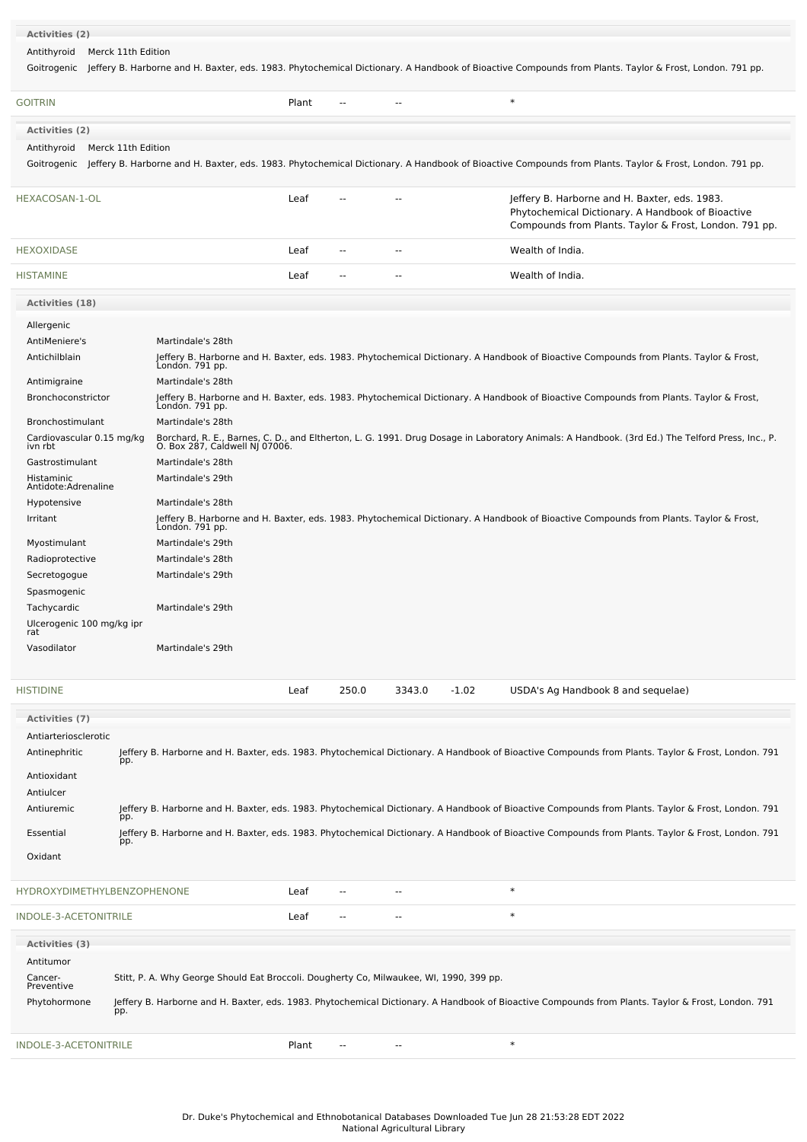| <b>Activities (2)</b>                |                    |                                                                                         |                          |                          |         |                                                                                                                                                                    |  |
|--------------------------------------|--------------------|-----------------------------------------------------------------------------------------|--------------------------|--------------------------|---------|--------------------------------------------------------------------------------------------------------------------------------------------------------------------|--|
| Antithyroid                          | Merck 11th Edition |                                                                                         |                          |                          |         |                                                                                                                                                                    |  |
| Goitrogenic                          |                    |                                                                                         |                          |                          |         | Jeffery B. Harborne and H. Baxter, eds. 1983. Phytochemical Dictionary. A Handbook of Bioactive Compounds from Plants. Taylor & Frost, London. 791 pp.             |  |
| <b>GOITRIN</b>                       |                    | Plant                                                                                   | $\overline{a}$           | $\overline{a}$           |         | $\ast$                                                                                                                                                             |  |
| <b>Activities (2)</b>                |                    |                                                                                         |                          |                          |         |                                                                                                                                                                    |  |
| Antithyroid                          | Merck 11th Edition |                                                                                         |                          |                          |         |                                                                                                                                                                    |  |
|                                      |                    |                                                                                         |                          |                          |         | Goitrogenic Jeffery B. Harborne and H. Baxter, eds. 1983. Phytochemical Dictionary. A Handbook of Bioactive Compounds from Plants. Taylor & Frost, London. 791 pp. |  |
| HEXACOSAN-1-OL                       |                    | Leaf                                                                                    |                          |                          |         | Jeffery B. Harborne and H. Baxter, eds. 1983.<br>Phytochemical Dictionary. A Handbook of Bioactive<br>Compounds from Plants. Taylor & Frost, London. 791 pp.       |  |
| <b>HEXOXIDASE</b>                    |                    | Leaf                                                                                    | $\overline{a}$           | $\sim$                   |         | Wealth of India.                                                                                                                                                   |  |
| <b>HISTAMINE</b>                     |                    | Leaf                                                                                    | $\sim$ $\sim$            | $\overline{\phantom{a}}$ |         | Wealth of India.                                                                                                                                                   |  |
| Activities (18)                      |                    |                                                                                         |                          |                          |         |                                                                                                                                                                    |  |
| Allergenic                           |                    |                                                                                         |                          |                          |         |                                                                                                                                                                    |  |
| AntiMeniere's                        |                    | Martindale's 28th                                                                       |                          |                          |         |                                                                                                                                                                    |  |
| Antichilblain                        |                    |                                                                                         |                          |                          |         | Jeffery B. Harborne and H. Baxter, eds. 1983. Phytochemical Dictionary. A Handbook of Bioactive Compounds from Plants. Taylor & Frost,<br>London. 791 pp.          |  |
| Antimigraine                         |                    | Martindale's 28th                                                                       |                          |                          |         |                                                                                                                                                                    |  |
| <b>Bronchoconstrictor</b>            | London. 791 pp.    |                                                                                         |                          |                          |         | Jeffery B. Harborne and H. Baxter, eds. 1983. Phytochemical Dictionary. A Handbook of Bioactive Compounds from Plants. Taylor & Frost,                             |  |
| Bronchostimulant                     |                    | Martindale's 28th                                                                       |                          |                          |         |                                                                                                                                                                    |  |
| Cardiovascular 0.15 mg/kg<br>ivn rbt |                    | O. Box 287, Caldwell NJ 07006.                                                          |                          |                          |         | Borchard, R. E., Barnes, C. D., and Eltherton, L. G. 1991. Drug Dosage in Laboratory Animals: A Handbook. (3rd Ed.) The Telford Press, Inc., P.                    |  |
| Gastrostimulant                      |                    | Martindale's 28th                                                                       |                          |                          |         |                                                                                                                                                                    |  |
| Histaminic<br>Antidote:Adrenaline    |                    | Martindale's 29th                                                                       |                          |                          |         |                                                                                                                                                                    |  |
| Hypotensive                          |                    | Martindale's 28th                                                                       |                          |                          |         |                                                                                                                                                                    |  |
| Irritant                             | Londón. 791 pp.    |                                                                                         |                          |                          |         | Jeffery B. Harborne and H. Baxter, eds. 1983. Phytochemical Dictionary. A Handbook of Bioactive Compounds from Plants. Taylor & Frost,                             |  |
| Myostimulant                         |                    | Martindale's 29th                                                                       |                          |                          |         |                                                                                                                                                                    |  |
| Radioprotective                      |                    | Martindale's 28th                                                                       |                          |                          |         |                                                                                                                                                                    |  |
| Secretogogue                         |                    | Martindale's 29th                                                                       |                          |                          |         |                                                                                                                                                                    |  |
| Spasmogenic<br>Tachycardic           |                    | Martindale's 29th                                                                       |                          |                          |         |                                                                                                                                                                    |  |
| Ulcerogenic 100 mg/kg ipr            |                    |                                                                                         |                          |                          |         |                                                                                                                                                                    |  |
| rat<br>Vasodilator                   |                    | Martindale's 29th                                                                       |                          |                          |         |                                                                                                                                                                    |  |
|                                      |                    |                                                                                         |                          |                          |         |                                                                                                                                                                    |  |
| <b>HISTIDINE</b>                     |                    | Leaf                                                                                    | 250.0                    | 3343.0                   | $-1.02$ | USDA's Ag Handbook 8 and sequelae)                                                                                                                                 |  |
| <b>Activities (7)</b>                |                    |                                                                                         |                          |                          |         |                                                                                                                                                                    |  |
| Antiarteriosclerotic                 |                    |                                                                                         |                          |                          |         |                                                                                                                                                                    |  |
| Antinephritic                        | pp.                |                                                                                         |                          |                          |         | Jeffery B. Harborne and H. Baxter, eds. 1983. Phytochemical Dictionary. A Handbook of Bioactive Compounds from Plants. Taylor & Frost, London. 791                 |  |
| Antioxidant                          |                    |                                                                                         |                          |                          |         |                                                                                                                                                                    |  |
| Antiulcer<br>Antiuremic              |                    |                                                                                         |                          |                          |         | Jeffery B. Harborne and H. Baxter, eds. 1983. Phytochemical Dictionary. A Handbook of Bioactive Compounds from Plants. Taylor & Frost, London. 791                 |  |
| Essential                            | pp.                |                                                                                         |                          |                          |         | Jeffery B. Harborne and H. Baxter, eds. 1983. Phytochemical Dictionary. A Handbook of Bioactive Compounds from Plants. Taylor & Frost, London. 791                 |  |
| Oxidant                              | pp.                |                                                                                         |                          |                          |         |                                                                                                                                                                    |  |
|                                      |                    |                                                                                         |                          |                          |         |                                                                                                                                                                    |  |
| HYDROXYDIMETHYLBENZOPHENONE          |                    | Leaf                                                                                    | ۰.                       |                          |         | $\ast$                                                                                                                                                             |  |
| INDOLE-3-ACETONITRILE                |                    | Leaf                                                                                    | $\overline{\phantom{a}}$ | $\sim$                   |         | $\ast$                                                                                                                                                             |  |
| Activities (3)                       |                    |                                                                                         |                          |                          |         |                                                                                                                                                                    |  |
| Antitumor                            |                    |                                                                                         |                          |                          |         |                                                                                                                                                                    |  |
| Cancer-<br>Preventive                |                    | Stitt, P. A. Why George Should Eat Broccoli. Dougherty Co, Milwaukee, WI, 1990, 399 pp. |                          |                          |         |                                                                                                                                                                    |  |
| Phytohormone                         | pp.                |                                                                                         |                          |                          |         | Jeffery B. Harborne and H. Baxter, eds. 1983. Phytochemical Dictionary. A Handbook of Bioactive Compounds from Plants. Taylor & Frost, London. 791                 |  |
| INDOLE-3-ACETONITRILE                |                    | Plant                                                                                   | --                       | $\overline{\phantom{a}}$ |         | $\ast$                                                                                                                                                             |  |
|                                      |                    |                                                                                         |                          |                          |         |                                                                                                                                                                    |  |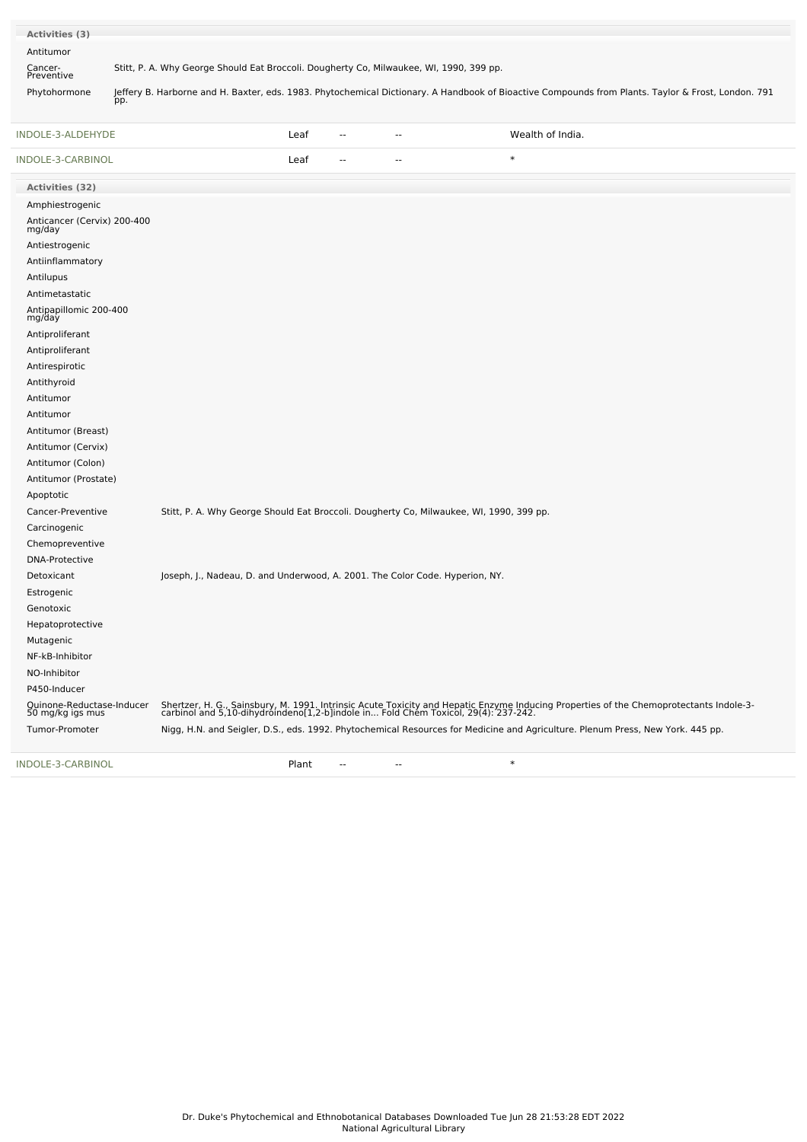| Activities (3)        |                                                                                                                                                           |
|-----------------------|-----------------------------------------------------------------------------------------------------------------------------------------------------------|
| Antitumor             |                                                                                                                                                           |
|                       |                                                                                                                                                           |
| Cancer-<br>Preventive | Stitt, P. A. Why George Should Eat Broccoli. Dougherty Co, Milwaukee, WI, 1990, 399 pp.                                                                   |
| Phytohormone          | Jeffery B. Harborne and H. Baxter, eds. 1983. Phytochemical Dictionary. A Handbook of Bioactive Compounds from Plants. Taylor & Frost, London. 791<br>pp. |

| INDOLE-3-ALDEHYDE                             | Leaf                                                                                    | ц.                       | Wealth of India.                                                                                                                                                                                                             |
|-----------------------------------------------|-----------------------------------------------------------------------------------------|--------------------------|------------------------------------------------------------------------------------------------------------------------------------------------------------------------------------------------------------------------------|
| INDOLE-3-CARBINOL                             | Leaf                                                                                    | $\overline{a}$<br>$\sim$ | $\ast$                                                                                                                                                                                                                       |
| Activities (32)                               |                                                                                         |                          |                                                                                                                                                                                                                              |
| Amphiestrogenic                               |                                                                                         |                          |                                                                                                                                                                                                                              |
| Anticancer (Cervix) 200-400<br>mg/day         |                                                                                         |                          |                                                                                                                                                                                                                              |
| Antiestrogenic                                |                                                                                         |                          |                                                                                                                                                                                                                              |
| Antiinflammatory                              |                                                                                         |                          |                                                                                                                                                                                                                              |
| Antilupus                                     |                                                                                         |                          |                                                                                                                                                                                                                              |
| Antimetastatic                                |                                                                                         |                          |                                                                                                                                                                                                                              |
| Antipapillomic 200-400<br>mg/day              |                                                                                         |                          |                                                                                                                                                                                                                              |
| Antiproliferant                               |                                                                                         |                          |                                                                                                                                                                                                                              |
| Antiproliferant                               |                                                                                         |                          |                                                                                                                                                                                                                              |
| Antirespirotic                                |                                                                                         |                          |                                                                                                                                                                                                                              |
| Antithyroid                                   |                                                                                         |                          |                                                                                                                                                                                                                              |
| Antitumor                                     |                                                                                         |                          |                                                                                                                                                                                                                              |
| Antitumor                                     |                                                                                         |                          |                                                                                                                                                                                                                              |
| Antitumor (Breast)                            |                                                                                         |                          |                                                                                                                                                                                                                              |
| Antitumor (Cervix)                            |                                                                                         |                          |                                                                                                                                                                                                                              |
| Antitumor (Colon)                             |                                                                                         |                          |                                                                                                                                                                                                                              |
| Antitumor (Prostate)                          |                                                                                         |                          |                                                                                                                                                                                                                              |
| Apoptotic                                     |                                                                                         |                          |                                                                                                                                                                                                                              |
| Cancer-Preventive                             | Stitt, P. A. Why George Should Eat Broccoli. Dougherty Co, Milwaukee, WI, 1990, 399 pp. |                          |                                                                                                                                                                                                                              |
| Carcinogenic                                  |                                                                                         |                          |                                                                                                                                                                                                                              |
| Chemopreventive                               |                                                                                         |                          |                                                                                                                                                                                                                              |
| <b>DNA-Protective</b>                         |                                                                                         |                          |                                                                                                                                                                                                                              |
| Detoxicant                                    | Joseph, J., Nadeau, D. and Underwood, A. 2001. The Color Code. Hyperion, NY.            |                          |                                                                                                                                                                                                                              |
| Estrogenic                                    |                                                                                         |                          |                                                                                                                                                                                                                              |
| Genotoxic                                     |                                                                                         |                          |                                                                                                                                                                                                                              |
| Hepatoprotective                              |                                                                                         |                          |                                                                                                                                                                                                                              |
| Mutagenic                                     |                                                                                         |                          |                                                                                                                                                                                                                              |
| NF-kB-Inhibitor                               |                                                                                         |                          |                                                                                                                                                                                                                              |
| NO-Inhibitor                                  |                                                                                         |                          |                                                                                                                                                                                                                              |
| P450-Inducer                                  |                                                                                         |                          |                                                                                                                                                                                                                              |
| Quinone-Reductase-Inducer<br>50 mg/kg igs mus |                                                                                         |                          | Shertzer, H. G., Sainsbury, M. 1991. Intrinsic Acute Toxicity and Hepatic Enzyme Inducing Properties of the Chemoprotectants Indole-3-<br>carbinol and 5,10-dihydroindeno[1,2-b]indole in Fold Chem Toxicol, 29(4): 237-242. |
| Tumor-Promoter                                |                                                                                         |                          | Nigg, H.N. and Seigler, D.S., eds. 1992. Phytochemical Resources for Medicine and Agriculture. Plenum Press, New York. 445 pp.                                                                                               |
| INDOLE-3-CARBINOL                             | Plant                                                                                   | $\overline{a}$<br>--     | $\ast$                                                                                                                                                                                                                       |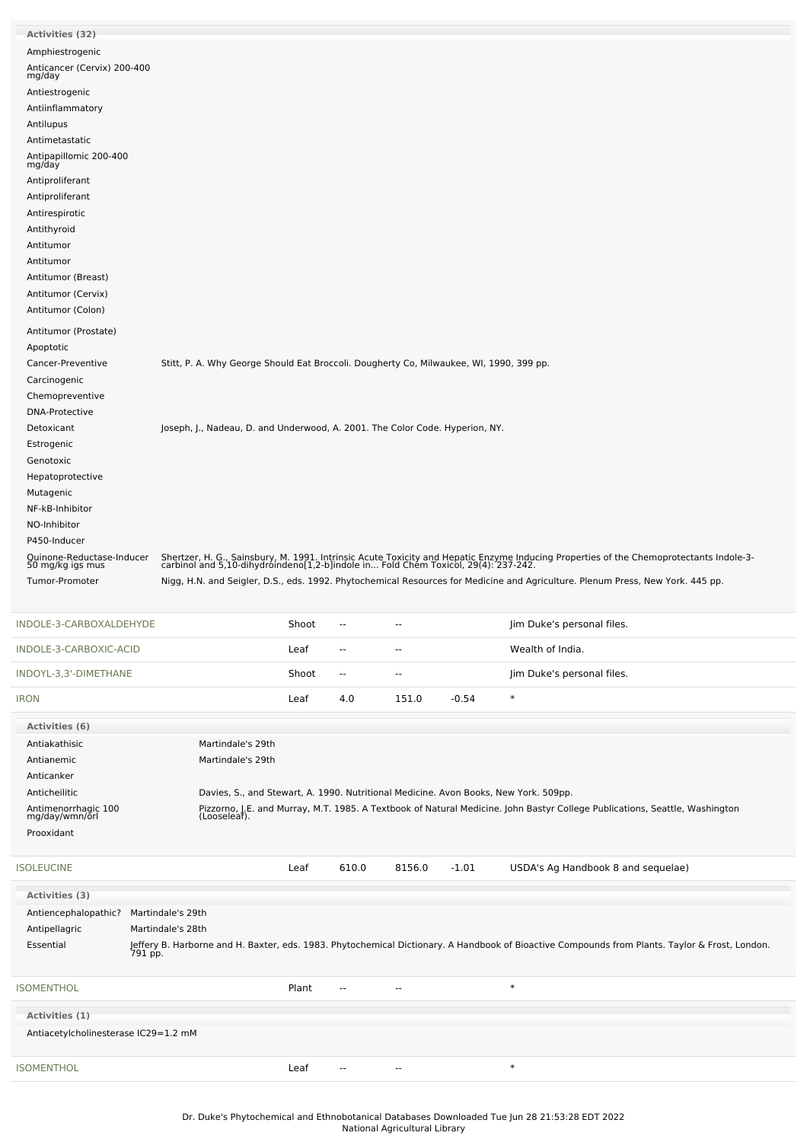| Activities (32)                               |                                                                                         |       |                          |                          |         |                                                                                                                                                                                                                              |  |
|-----------------------------------------------|-----------------------------------------------------------------------------------------|-------|--------------------------|--------------------------|---------|------------------------------------------------------------------------------------------------------------------------------------------------------------------------------------------------------------------------------|--|
| Amphiestrogenic                               |                                                                                         |       |                          |                          |         |                                                                                                                                                                                                                              |  |
| Anticancer (Cervix) 200-400<br>mg/day         |                                                                                         |       |                          |                          |         |                                                                                                                                                                                                                              |  |
| Antiestrogenic                                |                                                                                         |       |                          |                          |         |                                                                                                                                                                                                                              |  |
| Antiinflammatory                              |                                                                                         |       |                          |                          |         |                                                                                                                                                                                                                              |  |
| Antilupus                                     |                                                                                         |       |                          |                          |         |                                                                                                                                                                                                                              |  |
| Antimetastatic                                |                                                                                         |       |                          |                          |         |                                                                                                                                                                                                                              |  |
| Antipapillomic 200-400<br>mg/day              |                                                                                         |       |                          |                          |         |                                                                                                                                                                                                                              |  |
| Antiproliferant                               |                                                                                         |       |                          |                          |         |                                                                                                                                                                                                                              |  |
| Antiproliferant                               |                                                                                         |       |                          |                          |         |                                                                                                                                                                                                                              |  |
| Antirespirotic                                |                                                                                         |       |                          |                          |         |                                                                                                                                                                                                                              |  |
| Antithyroid                                   |                                                                                         |       |                          |                          |         |                                                                                                                                                                                                                              |  |
| Antitumor                                     |                                                                                         |       |                          |                          |         |                                                                                                                                                                                                                              |  |
| Antitumor                                     |                                                                                         |       |                          |                          |         |                                                                                                                                                                                                                              |  |
| Antitumor (Breast)                            |                                                                                         |       |                          |                          |         |                                                                                                                                                                                                                              |  |
| Antitumor (Cervix)                            |                                                                                         |       |                          |                          |         |                                                                                                                                                                                                                              |  |
| Antitumor (Colon)                             |                                                                                         |       |                          |                          |         |                                                                                                                                                                                                                              |  |
| Antitumor (Prostate)<br>Apoptotic             |                                                                                         |       |                          |                          |         |                                                                                                                                                                                                                              |  |
| Cancer-Preventive                             | Stitt, P. A. Why George Should Eat Broccoli. Dougherty Co, Milwaukee, WI, 1990, 399 pp. |       |                          |                          |         |                                                                                                                                                                                                                              |  |
| Carcinogenic                                  |                                                                                         |       |                          |                          |         |                                                                                                                                                                                                                              |  |
| Chemopreventive                               |                                                                                         |       |                          |                          |         |                                                                                                                                                                                                                              |  |
| <b>DNA-Protective</b>                         |                                                                                         |       |                          |                          |         |                                                                                                                                                                                                                              |  |
| Detoxicant                                    | Joseph, J., Nadeau, D. and Underwood, A. 2001. The Color Code. Hyperion, NY.            |       |                          |                          |         |                                                                                                                                                                                                                              |  |
| Estrogenic                                    |                                                                                         |       |                          |                          |         |                                                                                                                                                                                                                              |  |
| Genotoxic                                     |                                                                                         |       |                          |                          |         |                                                                                                                                                                                                                              |  |
| Hepatoprotective                              |                                                                                         |       |                          |                          |         |                                                                                                                                                                                                                              |  |
| Mutagenic                                     |                                                                                         |       |                          |                          |         |                                                                                                                                                                                                                              |  |
| NF-kB-Inhibitor<br>NO-Inhibitor               |                                                                                         |       |                          |                          |         |                                                                                                                                                                                                                              |  |
| P450-Inducer                                  |                                                                                         |       |                          |                          |         |                                                                                                                                                                                                                              |  |
|                                               |                                                                                         |       |                          |                          |         |                                                                                                                                                                                                                              |  |
|                                               |                                                                                         |       |                          |                          |         |                                                                                                                                                                                                                              |  |
| Quinone-Reductase-Inducer<br>50 mg/kg igs mus |                                                                                         |       |                          |                          |         | Shertzer, H. G., Sainsbury, M. 1991. Intrinsic Acute Toxicity and Hepatic Enzyme Inducing Properties of the Chemoprotectants Indole-3-<br>carbinol and 5,10-dihydroindeno[1,2-b]indole in Fold Chem Toxicol, 29(4): 237-242. |  |
| Tumor-Promoter                                |                                                                                         |       |                          |                          |         | Nigg, H.N. and Seigler, D.S., eds. 1992. Phytochemical Resources for Medicine and Agriculture. Plenum Press, New York. 445 pp.                                                                                               |  |
|                                               |                                                                                         |       |                          |                          |         |                                                                                                                                                                                                                              |  |
| INDOLE-3-CARBOXALDEHYDE                       |                                                                                         | Shoot |                          |                          |         | Jim Duke's personal files.                                                                                                                                                                                                   |  |
| INDOLE-3-CARBOXIC-ACID                        |                                                                                         | Leaf  | $\overline{\phantom{a}}$ | $\sim$ $\sim$            |         | Wealth of India.                                                                                                                                                                                                             |  |
| INDOYL-3,3'-DIMETHANE                         |                                                                                         | Shoot | $\overline{\phantom{a}}$ | $\overline{\phantom{a}}$ |         | Jim Duke's personal files.                                                                                                                                                                                                   |  |
| <b>IRON</b>                                   |                                                                                         | Leaf  | 4.0                      | 151.0                    | $-0.54$ | $\ast$                                                                                                                                                                                                                       |  |
| Activities (6)                                |                                                                                         |       |                          |                          |         |                                                                                                                                                                                                                              |  |
| Antiakathisic                                 | Martindale's 29th                                                                       |       |                          |                          |         |                                                                                                                                                                                                                              |  |
| Antianemic                                    | Martindale's 29th                                                                       |       |                          |                          |         |                                                                                                                                                                                                                              |  |
| Anticanker                                    |                                                                                         |       |                          |                          |         |                                                                                                                                                                                                                              |  |
| Anticheilitic                                 |                                                                                         |       |                          |                          |         | Davies, S., and Stewart, A. 1990. Nutritional Medicine. Avon Books, New York. 509pp.                                                                                                                                         |  |
| Antimenorrhagic 100<br>mg/day/wmn/orl         |                                                                                         |       |                          |                          |         | Pizzorno, J.E. and Murray, M.T. 1985. A Textbook of Natural Medicine. John Bastyr College Publications, Seattle, Washington<br>(Looseleaf).                                                                                  |  |
| Prooxidant                                    |                                                                                         |       |                          |                          |         |                                                                                                                                                                                                                              |  |
|                                               |                                                                                         |       |                          |                          |         |                                                                                                                                                                                                                              |  |
| <b>ISOLEUCINE</b>                             |                                                                                         | Leaf  | 610.0                    | 8156.0                   | $-1.01$ | USDA's Ag Handbook 8 and sequelae)                                                                                                                                                                                           |  |
| Activities (3)                                |                                                                                         |       |                          |                          |         |                                                                                                                                                                                                                              |  |
| Antiencephalopathic? Martindale's 29th        |                                                                                         |       |                          |                          |         |                                                                                                                                                                                                                              |  |
| Antipellagric                                 | Martindale's 28th                                                                       |       |                          |                          |         |                                                                                                                                                                                                                              |  |
| Essential                                     |                                                                                         |       |                          |                          |         | Jeffery B. Harborne and H. Baxter, eds. 1983. Phytochemical Dictionary. A Handbook of Bioactive Compounds from Plants. Taylor & Frost, London.<br>791 pp.                                                                    |  |
|                                               |                                                                                         |       | $\overline{\phantom{a}}$ | $\overline{a}$           |         | $\ast$                                                                                                                                                                                                                       |  |
| <b>ISOMENTHOL</b>                             |                                                                                         | Plant |                          |                          |         |                                                                                                                                                                                                                              |  |
| Activities (1)                                |                                                                                         |       |                          |                          |         |                                                                                                                                                                                                                              |  |
| Antiacetylcholinesterase IC29=1.2 mM          |                                                                                         |       |                          |                          |         |                                                                                                                                                                                                                              |  |
| <b>ISOMENTHOL</b>                             |                                                                                         | Leaf  | $\sim$                   | $\overline{\phantom{a}}$ |         | $\ast$                                                                                                                                                                                                                       |  |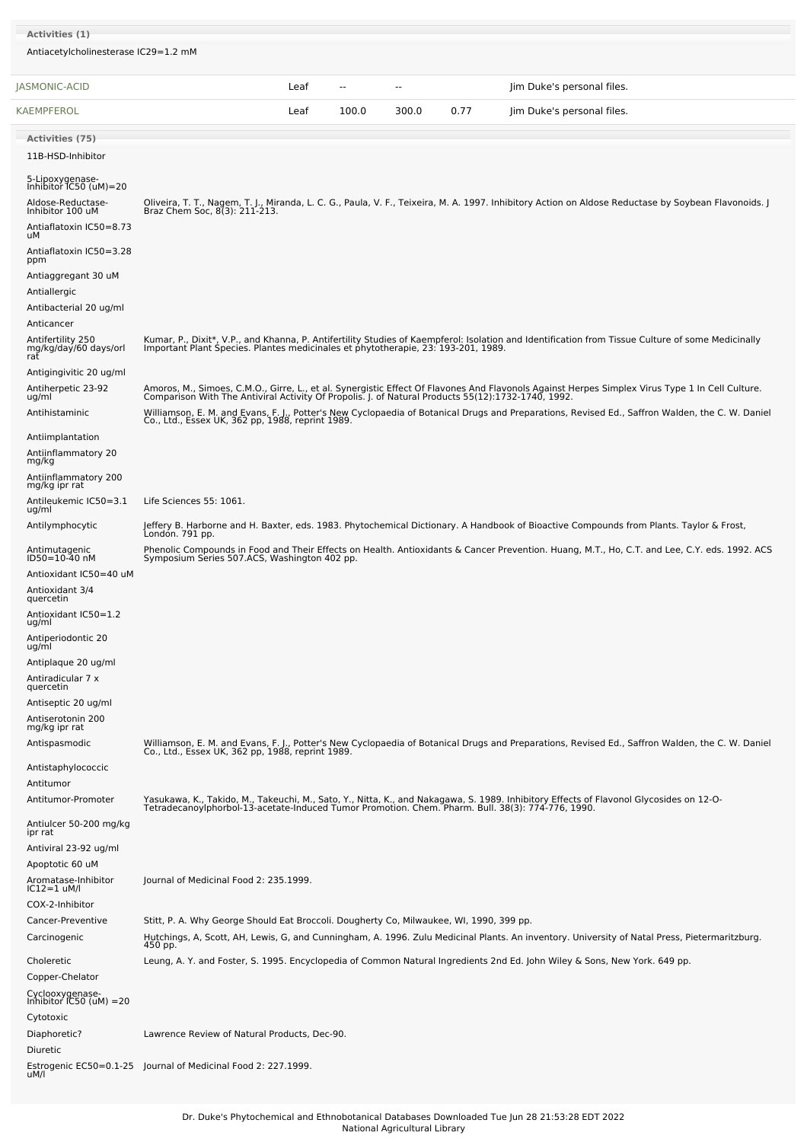| Activities (1)<br>Antiacetylcholinesterase IC29=1.2 mM |                                                                                         |      |               |       |      |                                                                                                                                                                                                                                   |
|--------------------------------------------------------|-----------------------------------------------------------------------------------------|------|---------------|-------|------|-----------------------------------------------------------------------------------------------------------------------------------------------------------------------------------------------------------------------------------|
| JASMONIC-ACID                                          |                                                                                         | Leaf | $\sim$ $\sim$ | $-$   |      | Jim Duke's personal files.                                                                                                                                                                                                        |
| KAEMPFEROL                                             |                                                                                         | Leaf | 100.0         | 300.0 | 0.77 | Jim Duke's personal files.                                                                                                                                                                                                        |
|                                                        |                                                                                         |      |               |       |      |                                                                                                                                                                                                                                   |
| <b>Activities (75)</b>                                 |                                                                                         |      |               |       |      |                                                                                                                                                                                                                                   |
| 11B-HSD-Inhibitor                                      |                                                                                         |      |               |       |      |                                                                                                                                                                                                                                   |
| 5-Lipoxygenase-<br>Inhibitor IC50 (uM)=20              |                                                                                         |      |               |       |      |                                                                                                                                                                                                                                   |
| Aldose-Reductase-                                      |                                                                                         |      |               |       |      | Oliveira, T. T., Nagem, T. J., Miranda, L. C. G., Paula, V. F., Teixeira, M. A. 1997. Inhibitory Action on Aldose Reductase by Soybean Flavonoids. J<br>Braz Chem Soc, 8(3): 211-213.                                             |
| Inhibitor 100 uM                                       |                                                                                         |      |               |       |      |                                                                                                                                                                                                                                   |
| Antiaflatoxin IC50=8.73<br>uМ                          |                                                                                         |      |               |       |      |                                                                                                                                                                                                                                   |
| Antiaflatoxin IC50=3.28<br>ppm                         |                                                                                         |      |               |       |      |                                                                                                                                                                                                                                   |
| Antiaggregant 30 uM                                    |                                                                                         |      |               |       |      |                                                                                                                                                                                                                                   |
| Antiallergic                                           |                                                                                         |      |               |       |      |                                                                                                                                                                                                                                   |
| Antibacterial 20 ug/ml                                 |                                                                                         |      |               |       |      |                                                                                                                                                                                                                                   |
| Anticancer                                             |                                                                                         |      |               |       |      |                                                                                                                                                                                                                                   |
| Antifertility 250                                      | Important Plant Species. Plantes medicinales et phytotherapie, 23: 193-201, 1989.       |      |               |       |      | Kumar, P., Dixit*, V.P., and Khanna, P. Antifertility Studies of Kaempferol: Isolation and Identification from Tissue Culture of some Medicinally                                                                                 |
| mg/kg/day/60 days/orl<br>rat                           |                                                                                         |      |               |       |      |                                                                                                                                                                                                                                   |
| Antigingivitic 20 ug/ml                                |                                                                                         |      |               |       |      |                                                                                                                                                                                                                                   |
| Antiherpetic 23-92<br>ug/ml                            |                                                                                         |      |               |       |      | Amoros, M., Simoes, C.M.O., Girre, L., et al. Synergistic Effect Of Flavones And Flavonols Against Herpes Simplex Virus Type 1 In Cell Culture.<br>Comparison With The Antiviral Activity Of Propolis. J. of Natural Products 55( |
| Antihistaminic                                         |                                                                                         |      |               |       |      | Williamson, E. M. and Evans, F. J., Potter's New Cyclopaedia of Botanical Drugs and Preparations, Revised Ed., Saffron Walden, the C. W. Daniel<br>Co., Ltd., Essex UK, 362 pp, 1988, reprint 1989.                               |
| Antiimplantation                                       |                                                                                         |      |               |       |      |                                                                                                                                                                                                                                   |
| Antiinflammatory 20                                    |                                                                                         |      |               |       |      |                                                                                                                                                                                                                                   |
| mg/kg                                                  |                                                                                         |      |               |       |      |                                                                                                                                                                                                                                   |
| Antiinflammatory 200<br>mg/kg ipr rat                  |                                                                                         |      |               |       |      |                                                                                                                                                                                                                                   |
| Antileukemic IC50=3.1                                  | Life Sciences 55: 1061.                                                                 |      |               |       |      |                                                                                                                                                                                                                                   |
| ug/ml<br>Antilymphocytic                               |                                                                                         |      |               |       |      | Jeffery B. Harborne and H. Baxter, eds. 1983. Phytochemical Dictionary. A Handbook of Bioactive Compounds from Plants. Taylor & Frost,                                                                                            |
|                                                        | Londón. 791 pp.                                                                         |      |               |       |      |                                                                                                                                                                                                                                   |
| Antimutagenic<br>ID50=10-40 nM                         | Symposium Series 507.ACS, Washington 402 pp.                                            |      |               |       |      | Phenolic Compounds in Food and Their Effects on Health. Antioxidants & Cancer Prevention. Huang, M.T., Ho, C.T. and Lee, C.Y. eds. 1992. ACS                                                                                      |
| Antioxidant IC50=40 uM                                 |                                                                                         |      |               |       |      |                                                                                                                                                                                                                                   |
| Antioxidant 3/4<br>quercetin                           |                                                                                         |      |               |       |      |                                                                                                                                                                                                                                   |
| Antioxidant IC50=1.2                                   |                                                                                         |      |               |       |      |                                                                                                                                                                                                                                   |
| ug/ml                                                  |                                                                                         |      |               |       |      |                                                                                                                                                                                                                                   |
| Antiperiodontic 20<br>ug/ml                            |                                                                                         |      |               |       |      |                                                                                                                                                                                                                                   |
| Antiplaque 20 ug/ml                                    |                                                                                         |      |               |       |      |                                                                                                                                                                                                                                   |
| Antiradicular 7 x<br>quercetin                         |                                                                                         |      |               |       |      |                                                                                                                                                                                                                                   |
| Antiseptic 20 ug/ml                                    |                                                                                         |      |               |       |      |                                                                                                                                                                                                                                   |
| Antiserotonin 200                                      |                                                                                         |      |               |       |      |                                                                                                                                                                                                                                   |
| mg/kg ipr rat<br>Antispasmodic                         |                                                                                         |      |               |       |      | Williamson, E. M. and Evans, F. J., Potter's New Cyclopaedia of Botanical Drugs and Preparations, Revised Ed., Saffron Walden, the C. W. Daniel                                                                                   |
|                                                        | Co., Ltd., Essex UK, 362 pp, 1988, reprint 1989.                                        |      |               |       |      |                                                                                                                                                                                                                                   |
| Antistaphylococcic                                     |                                                                                         |      |               |       |      |                                                                                                                                                                                                                                   |
| Antitumor<br>Antitumor-Promoter                        |                                                                                         |      |               |       |      |                                                                                                                                                                                                                                   |
| Antiulcer 50-200 mg/kg                                 |                                                                                         |      |               |       |      | Yasukawa, K., Takido, M., Takeuchi, M., Sato, Y., Nitta, K., and Nakagawa, S. 1989. Inhibitory Effects of Flavonol Glycosides on 12-0-<br>TetradecanoyIphorbol-13-acetate-Induced Tumor Promotion. Chem. Pharm. Bull. 38(3): 774- |
| ipr rat                                                |                                                                                         |      |               |       |      |                                                                                                                                                                                                                                   |
| Antiviral 23-92 ug/ml<br>Apoptotic 60 uM               |                                                                                         |      |               |       |      |                                                                                                                                                                                                                                   |
| Aromatase-Inhibitor                                    | Journal of Medicinal Food 2: 235.1999.                                                  |      |               |       |      |                                                                                                                                                                                                                                   |
| $IC12=1$ uM/l                                          |                                                                                         |      |               |       |      |                                                                                                                                                                                                                                   |
| COX-2-Inhibitor                                        |                                                                                         |      |               |       |      |                                                                                                                                                                                                                                   |
| Cancer-Preventive<br>Carcinogenic                      | Stitt, P. A. Why George Should Eat Broccoli. Dougherty Co, Milwaukee, WI, 1990, 399 pp. |      |               |       |      | Hutchings, A, Scott, AH, Lewis, G, and Cunningham, A. 1996. Zulu Medicinal Plants. An inventory. University of Natal Press, Pietermaritzburg.                                                                                     |
|                                                        | 450 pp.                                                                                 |      |               |       |      |                                                                                                                                                                                                                                   |
| Choleretic                                             |                                                                                         |      |               |       |      | Leung, A. Y. and Foster, S. 1995. Encyclopedia of Common Natural Ingredients 2nd Ed. John Wiley & Sons, New York. 649 pp.                                                                                                         |
| Copper-Chelator                                        |                                                                                         |      |               |       |      |                                                                                                                                                                                                                                   |
| Cyclooxygenase-<br>Inhibitor IC50 (uM) =20             |                                                                                         |      |               |       |      |                                                                                                                                                                                                                                   |
| Cytotoxic                                              |                                                                                         |      |               |       |      |                                                                                                                                                                                                                                   |
| Diaphoretic?<br>Diuretic                               | Lawrence Review of Natural Products, Dec-90.                                            |      |               |       |      |                                                                                                                                                                                                                                   |
|                                                        | Estrogenic EC50=0.1-25 Journal of Medicinal Food 2: 227.1999.                           |      |               |       |      |                                                                                                                                                                                                                                   |
| uM/l                                                   |                                                                                         |      |               |       |      |                                                                                                                                                                                                                                   |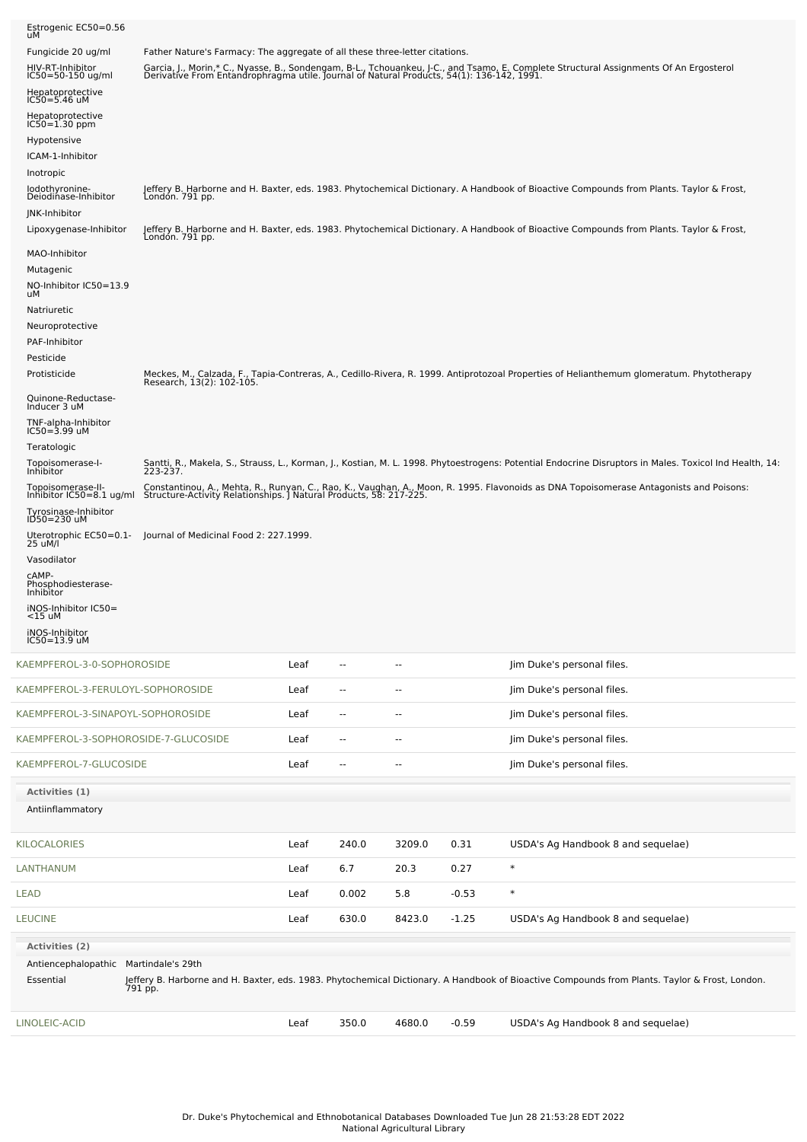| LINOLEIC-ACID                                                        |                                                                             | Leaf | 350.0                    | 4680.0                   | $-0.59$ | USDA's Ag Handbook 8 and sequelae)                                                                                                                                                                                                |
|----------------------------------------------------------------------|-----------------------------------------------------------------------------|------|--------------------------|--------------------------|---------|-----------------------------------------------------------------------------------------------------------------------------------------------------------------------------------------------------------------------------------|
| Antiencephalopathic Martindale's 29th<br>Essential                   |                                                                             |      |                          |                          |         | Jeffery B. Harborne and H. Baxter, eds. 1983. Phytochemical Dictionary. A Handbook of Bioactive Compounds from Plants. Taylor & Frost, London.<br>791 pp.                                                                         |
| <b>LEUCINE</b><br><b>Activities (2)</b>                              |                                                                             | Leaf | 630.0                    | 8423.0                   | $-1.25$ | USDA's Ag Handbook 8 and sequelae)                                                                                                                                                                                                |
| LEAD                                                                 |                                                                             | Leaf | 0.002                    | 5.8                      | $-0.53$ | $\ast$                                                                                                                                                                                                                            |
| LANTHANUM                                                            |                                                                             | Leaf | 6.7                      | 20.3                     | 0.27    | $\ast$                                                                                                                                                                                                                            |
| KILOCALORIES                                                         |                                                                             | Leaf | 240.0                    | 3209.0                   | 0.31    | USDA's Ag Handbook 8 and sequelae)                                                                                                                                                                                                |
| Activities (1)<br>Antiinflammatory                                   |                                                                             |      |                          |                          |         |                                                                                                                                                                                                                                   |
| KAEMPFEROL-7-GLUCOSIDE                                               |                                                                             | Leaf | --                       | $\overline{\phantom{a}}$ |         | Jim Duke's personal files.                                                                                                                                                                                                        |
| KAEMPFEROL-3-SOPHOROSIDE-7-GLUCOSIDE                                 |                                                                             | Leaf | --                       | $\overline{\phantom{a}}$ |         | Jim Duke's personal files.                                                                                                                                                                                                        |
| KAEMPFEROL-3-SINAPOYL-SOPHOROSIDE                                    |                                                                             | Leaf | ۰.                       | $\overline{\phantom{a}}$ |         | Jim Duke's personal files.                                                                                                                                                                                                        |
| KAEMPFEROL-3-FERULOYL-SOPHOROSIDE                                    |                                                                             | Leaf | --                       | --                       |         | Jim Duke's personal files.                                                                                                                                                                                                        |
| KAEMPFEROL-3-0-SOPHOROSIDE                                           |                                                                             | Leaf | $\overline{\phantom{a}}$ | $\overline{a}$           |         | Jim Duke's personal files.                                                                                                                                                                                                        |
| iNOS-Inhibitor<br>IC50=13.9 uM                                       |                                                                             |      |                          |                          |         |                                                                                                                                                                                                                                   |
| iNOS-Inhibitor IC50=<br>$<$ 15 uM                                    |                                                                             |      |                          |                          |         |                                                                                                                                                                                                                                   |
| Phosphodiesterase-<br>Inhibitor                                      |                                                                             |      |                          |                          |         |                                                                                                                                                                                                                                   |
| Vasodilator<br>cAMP-                                                 |                                                                             |      |                          |                          |         |                                                                                                                                                                                                                                   |
| 25 uM/l                                                              | Uterotrophic EC50=0.1- Journal of Medicinal Food 2: 227.1999.               |      |                          |                          |         |                                                                                                                                                                                                                                   |
| Tyrosinase-Inhibitor<br>ID50=230 uM                                  |                                                                             |      |                          |                          |         |                                                                                                                                                                                                                                   |
|                                                                      |                                                                             |      |                          |                          |         | Topoisomerase-II- Constantinou, A., Mehta, R., Runyan, C., Rao, K., Vaughan, A., Moon, R. 1995. Flavonoids as DNA Topoisomerase Antagonists and Poisons:<br>Inhibitor IC50=8.1 ug/ml Structure-Activity Relationships. J Natural  |
| Topoisomerase-I-<br>Inhibitor                                        | 223-237.                                                                    |      |                          |                          |         | Santti, R., Makela, S., Strauss, L., Korman, J., Kostian, M. L. 1998. Phytoestrogens: Potential Endocrine Disruptors in Males. Toxicol Ind Health, 14:                                                                            |
| TNF-alpha-Inhibitor<br>$IC50 = 3.99$ uM<br>Teratologic               |                                                                             |      |                          |                          |         |                                                                                                                                                                                                                                   |
| Quinone-Reductase-<br>Inducer 3 uM                                   |                                                                             |      |                          |                          |         |                                                                                                                                                                                                                                   |
| Protisticide                                                         |                                                                             |      |                          |                          |         | Meckes, M., Calzada, F., Tapia-Contreras, A., Cedillo-Rivera, R. 1999. Antiprotozoal Properties of Helianthemum glomeratum. Phytotherapy<br>Research, 13(2): 102-105.                                                             |
| Pesticide                                                            |                                                                             |      |                          |                          |         |                                                                                                                                                                                                                                   |
| Natriuretic<br>Neuroprotective<br>PAF-Inhibitor                      |                                                                             |      |                          |                          |         |                                                                                                                                                                                                                                   |
| NO-Inhibitor IC50=13.9<br>uМ                                         |                                                                             |      |                          |                          |         |                                                                                                                                                                                                                                   |
| MAO-Inhibitor<br>Mutagenic                                           |                                                                             |      |                          |                          |         |                                                                                                                                                                                                                                   |
| Lipoxygenase-Inhibitor                                               | Londón. 791 pp.                                                             |      |                          |                          |         | Jeffery B. Harborne and H. Baxter, eds. 1983. Phytochemical Dictionary. A Handbook of Bioactive Compounds from Plants. Taylor & Frost,                                                                                            |
| Inotropic<br>lodothyronine-<br>Deiodinase-Inhibitor<br>JNK-Inhibitor | London. 791 pp.                                                             |      |                          |                          |         | Jeffery B. Harborne and H. Baxter, eds. 1983. Phytochemical Dictionary. A Handbook of Bioactive Compounds from Plants. Taylor & Frost,                                                                                            |
| Hypotensive<br>ICAM-1-Inhibitor                                      |                                                                             |      |                          |                          |         |                                                                                                                                                                                                                                   |
| Hepatoprotective<br>$IC50 = 1.30$ ppm                                |                                                                             |      |                          |                          |         |                                                                                                                                                                                                                                   |
| Hepatoprotective<br>$IC50 = 5.46$ uM                                 |                                                                             |      |                          |                          |         |                                                                                                                                                                                                                                   |
| HIV-RT-Inhibitor<br>IC50=50-150 ug/ml                                |                                                                             |      |                          |                          |         | Garcia, J., Morin,* C., Nyasse, B., Sondengam, B-L., Tchouankeu, J-C., and Tsamo, E. Complete Structural Assignments Of An Ergosterol<br>Derivative From Entandrophragma utile. Journal of Natural Products, 54(1): 136-142, 1991 |
| Estrogenic EC50=0.56<br>uM<br>Fungicide 20 ug/ml                     | Father Nature's Farmacy: The aggregate of all these three-letter citations. |      |                          |                          |         |                                                                                                                                                                                                                                   |
|                                                                      |                                                                             |      |                          |                          |         |                                                                                                                                                                                                                                   |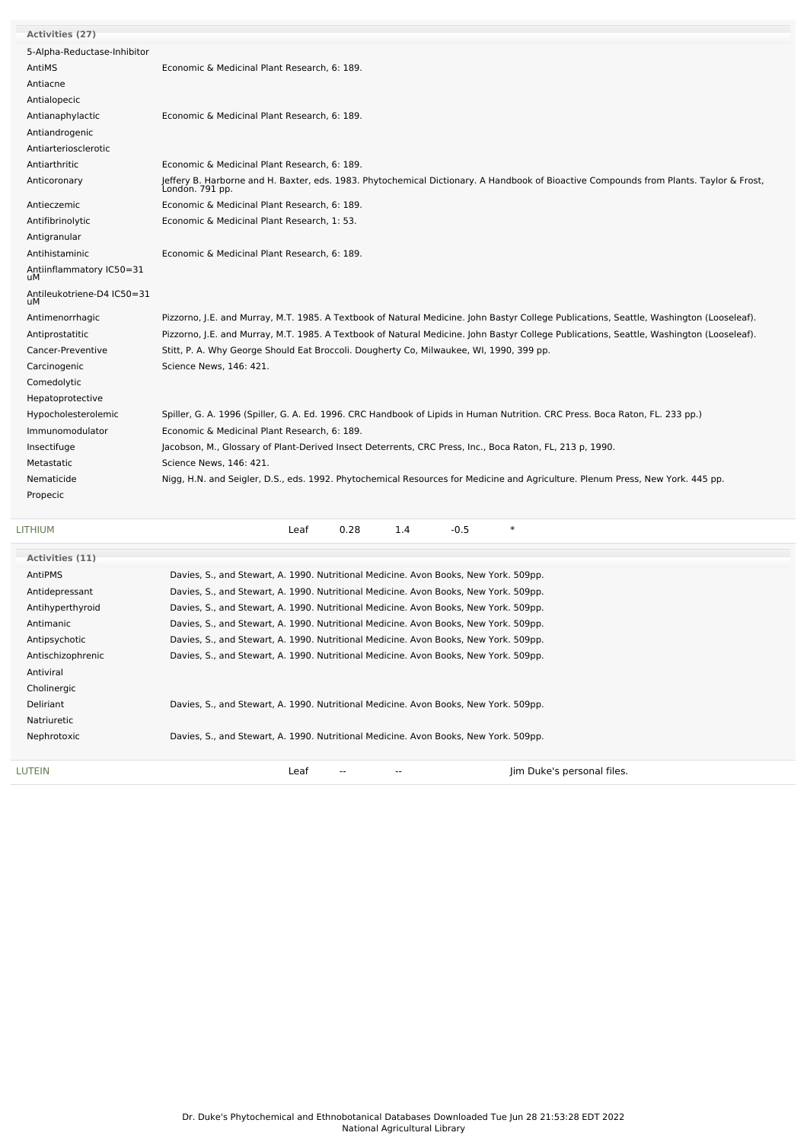| Activities (27)                  |                                                                                                                                                           |
|----------------------------------|-----------------------------------------------------------------------------------------------------------------------------------------------------------|
| 5-Alpha-Reductase-Inhibitor      |                                                                                                                                                           |
| AntiMS                           | Economic & Medicinal Plant Research, 6: 189.                                                                                                              |
| Antiacne                         |                                                                                                                                                           |
| Antialopecic                     |                                                                                                                                                           |
| Antianaphylactic                 | Economic & Medicinal Plant Research, 6: 189.                                                                                                              |
| Antiandrogenic                   |                                                                                                                                                           |
| Antiarteriosclerotic             |                                                                                                                                                           |
| Antiarthritic                    | Economic & Medicinal Plant Research, 6: 189.                                                                                                              |
| Anticoronary                     | Jeffery B. Harborne and H. Baxter, eds. 1983. Phytochemical Dictionary. A Handbook of Bioactive Compounds from Plants. Taylor & Frost,<br>London. 791 pp. |
| Antieczemic                      | Economic & Medicinal Plant Research, 6: 189.                                                                                                              |
| Antifibrinolytic                 | Economic & Medicinal Plant Research, 1: 53.                                                                                                               |
| Antigranular                     |                                                                                                                                                           |
| Antihistaminic                   | Economic & Medicinal Plant Research, 6: 189.                                                                                                              |
| Antiinflammatory IC50=31<br>uМ   |                                                                                                                                                           |
| Antileukotriene-D4 IC50=31<br>uМ |                                                                                                                                                           |
| Antimenorrhagic                  | Pizzorno, J.E. and Murray, M.T. 1985. A Textbook of Natural Medicine. John Bastyr College Publications, Seattle, Washington (Looseleaf).                  |
| Antiprostatitic                  | Pizzorno, J.E. and Murray, M.T. 1985. A Textbook of Natural Medicine. John Bastyr College Publications, Seattle, Washington (Looseleaf).                  |
| Cancer-Preventive                | Stitt, P. A. Why George Should Eat Broccoli. Dougherty Co, Milwaukee, WI, 1990, 399 pp.                                                                   |
| Carcinogenic                     | Science News, 146: 421.                                                                                                                                   |
| Comedolytic                      |                                                                                                                                                           |
| Hepatoprotective                 |                                                                                                                                                           |
| Hypocholesterolemic              | Spiller, G. A. 1996 (Spiller, G. A. Ed. 1996. CRC Handbook of Lipids in Human Nutrition. CRC Press. Boca Raton, FL. 233 pp.)                              |
| Immunomodulator                  | Economic & Medicinal Plant Research, 6: 189.                                                                                                              |
| Insectifuge                      | Jacobson, M., Glossary of Plant-Derived Insect Deterrents, CRC Press, Inc., Boca Raton, FL, 213 p, 1990.                                                  |
| Metastatic                       | Science News, 146: 421.                                                                                                                                   |
| Nematicide                       | Nigg, H.N. and Seigler, D.S., eds. 1992. Phytochemical Resources for Medicine and Agriculture. Plenum Press, New York. 445 pp.                            |
| Propecic                         |                                                                                                                                                           |
| LITHIUM                          | $\ast$<br>0.28<br>1.4<br>$-0.5$<br>Leaf                                                                                                                   |
| <b>Activities (11)</b>           |                                                                                                                                                           |
|                                  |                                                                                                                                                           |

| <b>LUTEIN</b>     | Jim Duke's personal files.<br>Leaf<br>$- -$                                          |
|-------------------|--------------------------------------------------------------------------------------|
|                   |                                                                                      |
| Nephrotoxic       | Davies, S., and Stewart, A. 1990. Nutritional Medicine. Avon Books, New York. 509pp. |
| Natriuretic       |                                                                                      |
| Deliriant         | Davies, S., and Stewart, A. 1990. Nutritional Medicine. Avon Books, New York. 509pp. |
| Cholinergic       |                                                                                      |
| Antiviral         |                                                                                      |
| Antischizophrenic | Davies, S., and Stewart, A. 1990. Nutritional Medicine. Avon Books, New York. 509pp. |
| Antipsychotic     | Davies, S., and Stewart, A. 1990. Nutritional Medicine. Avon Books, New York. 509pp. |
| Antimanic         | Davies, S., and Stewart, A. 1990. Nutritional Medicine. Avon Books, New York. 509pp. |
| Antihyperthyroid  | Davies, S., and Stewart, A. 1990. Nutritional Medicine. Avon Books, New York. 509pp. |
| Antidepressant    | Davies, S., and Stewart, A. 1990. Nutritional Medicine. Avon Books, New York. 509pp. |
| AntiPMS           | Davies, S., and Stewart, A. 1990. Nutritional Medicine. Avon Books, New York. 509pp. |
|                   |                                                                                      |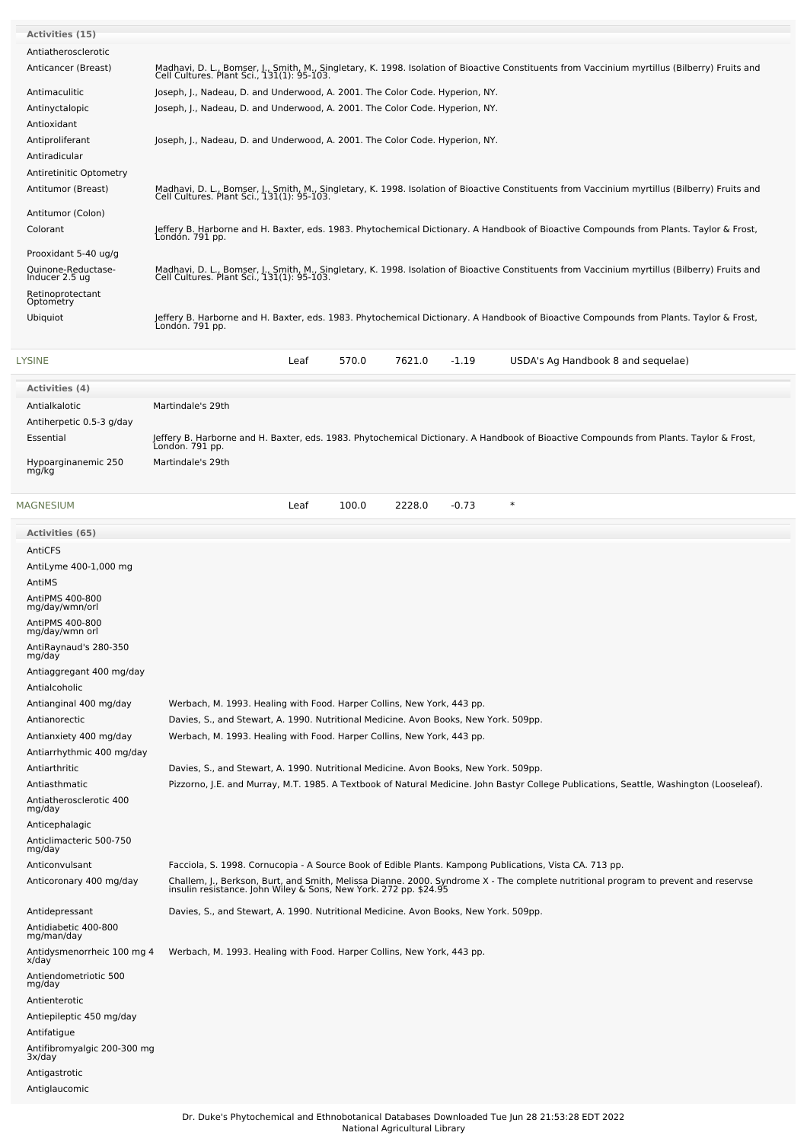| <b>Activities (15)</b>                              |                                                                                                                                                                                                        |
|-----------------------------------------------------|--------------------------------------------------------------------------------------------------------------------------------------------------------------------------------------------------------|
| Antiatherosclerotic                                 |                                                                                                                                                                                                        |
| Anticancer (Breast)                                 | Madhavi, D. L., Bomser, J., Smith, M., Singletary, K. 1998. Isolation of Bioactive Constituents from Vaccinium myrtillus (Bilberry) Fruits and<br>Cell Cultures. Plant Sci., 131(1): 95-103.           |
| Antimaculitic                                       | Joseph, J., Nadeau, D. and Underwood, A. 2001. The Color Code. Hyperion, NY.                                                                                                                           |
| Antinyctalopic                                      | Joseph, J., Nadeau, D. and Underwood, A. 2001. The Color Code. Hyperion, NY.                                                                                                                           |
| Antioxidant                                         |                                                                                                                                                                                                        |
| Antiproliferant<br>Antiradicular                    | Joseph, J., Nadeau, D. and Underwood, A. 2001. The Color Code. Hyperion, NY.                                                                                                                           |
| Antiretinitic Optometry                             |                                                                                                                                                                                                        |
| Antitumor (Breast)                                  | Madhavi, D. L., Bomser, J., Smith, M., Singletary, K. 1998. Isolation of Bioactive Constituents from Vaccinium myrtillus (Bilberry) Fruits and                                                         |
|                                                     | Cell Cultures. Plant Sci., 131(1): 95-103.                                                                                                                                                             |
| Antitumor (Colon)                                   | Jeffery B. Harborne and H. Baxter, eds. 1983. Phytochemical Dictionary. A Handbook of Bioactive Compounds from Plants. Taylor & Frost,                                                                 |
| Colorant                                            | Londón. 791 pp.                                                                                                                                                                                        |
| Prooxidant 5-40 ug/g                                |                                                                                                                                                                                                        |
| Quinone-Reductase-<br>Inducer 2.5 ug                | Madhavi, D. L., Bomser, J., Smith, M., Singletary, K. 1998. Isolation of Bioactive Constituents from Vaccinium myrtillus (Bilberry) Fruits and<br>Cell Cultures. Plant Sci., 131(1): 95-103.           |
| Retinoprotectant                                    |                                                                                                                                                                                                        |
| Optometry<br>Ubiquiot                               |                                                                                                                                                                                                        |
|                                                     | Jeffery B. Harborne and H. Baxter, eds. 1983. Phytochemical Dictionary. A Handbook of Bioactive Compounds from Plants. Taylor & Frost,<br>London. 791 pp.                                              |
|                                                     |                                                                                                                                                                                                        |
| LYSINE                                              | 570.0<br>7621.0<br>Leaf<br>$-1.19$<br>USDA's Ag Handbook 8 and sequelae)                                                                                                                               |
| <b>Activities (4)</b>                               |                                                                                                                                                                                                        |
| Antialkalotic                                       | Martindale's 29th                                                                                                                                                                                      |
| Antiherpetic 0.5-3 g/day                            |                                                                                                                                                                                                        |
| Essential                                           | Jeffery B. Harborne and H. Baxter, eds. 1983. Phytochemical Dictionary. A Handbook of Bioactive Compounds from Plants. Taylor & Frost,<br>London. 791 pp.                                              |
| Hypoarginanemic 250                                 | Martindale's 29th                                                                                                                                                                                      |
| mg/kg                                               |                                                                                                                                                                                                        |
|                                                     |                                                                                                                                                                                                        |
| MAGNESIUM                                           | 2228.0<br>$\ast$<br>Leaf<br>100.0<br>$-0.73$                                                                                                                                                           |
| <b>Activities (65)</b>                              |                                                                                                                                                                                                        |
| AntiCFS                                             |                                                                                                                                                                                                        |
| AntiLyme 400-1,000 mg                               |                                                                                                                                                                                                        |
| AntiMS                                              |                                                                                                                                                                                                        |
| AntiPMS 400-800<br>mg/day/wmn/orl                   |                                                                                                                                                                                                        |
| AntiPMS 400-800                                     |                                                                                                                                                                                                        |
| mg/day/wmn orl                                      |                                                                                                                                                                                                        |
| AntiRaynaud's 280-350<br>mg/day                     |                                                                                                                                                                                                        |
| Antiaggregant 400 mg/day                            |                                                                                                                                                                                                        |
| Antialcoholic                                       |                                                                                                                                                                                                        |
| Antianginal 400 mg/day                              | Werbach, M. 1993. Healing with Food. Harper Collins, New York, 443 pp.                                                                                                                                 |
| Antianorectic                                       | Davies, S., and Stewart, A. 1990. Nutritional Medicine. Avon Books, New York. 509pp.                                                                                                                   |
| Antianxiety 400 mg/day<br>Antiarrhythmic 400 mg/day | Werbach, M. 1993. Healing with Food. Harper Collins, New York, 443 pp.                                                                                                                                 |
| Antiarthritic                                       | Davies, S., and Stewart, A. 1990. Nutritional Medicine. Avon Books, New York. 509pp.                                                                                                                   |
| Antiasthmatic                                       | Pizzorno, J.E. and Murray, M.T. 1985. A Textbook of Natural Medicine. John Bastyr College Publications, Seattle, Washington (Looseleaf).                                                               |
| Antiatherosclerotic 400                             |                                                                                                                                                                                                        |
| mg/day<br>Anticephalagic                            |                                                                                                                                                                                                        |
| Anticlimacteric 500-750                             |                                                                                                                                                                                                        |
| mg/day                                              |                                                                                                                                                                                                        |
| Anticonvulsant                                      | Facciola, S. 1998. Cornucopia - A Source Book of Edible Plants. Kampong Publications, Vista CA. 713 pp.                                                                                                |
| Anticoronary 400 mg/day                             | Challem, J., Berkson, Burt, and Smith, Melissa Dianne. 2000. Syndrome X - The complete nutritional program to prevent and reservse<br>insulin resistance. John Wiley & Sons, New York. 272 pp. \$24.95 |
| Antidepressant                                      | Davies, S., and Stewart, A. 1990. Nutritional Medicine. Avon Books, New York. 509pp.                                                                                                                   |
| Antidiabetic 400-800                                |                                                                                                                                                                                                        |
| mg/man/day<br>Antidysmenorrheic 100 mg 4            | Werbach, M. 1993. Healing with Food. Harper Collins, New York, 443 pp.                                                                                                                                 |
| x/day                                               |                                                                                                                                                                                                        |
| Antiendometriotic 500<br>mg/day                     |                                                                                                                                                                                                        |
| Antienterotic                                       |                                                                                                                                                                                                        |
| Antiepileptic 450 mg/day                            |                                                                                                                                                                                                        |
| Antifatigue                                         |                                                                                                                                                                                                        |
| Antifibromyalgic 200-300 mg<br>3x/day               |                                                                                                                                                                                                        |
| Antigastrotic                                       |                                                                                                                                                                                                        |
| Antiglaucomic                                       |                                                                                                                                                                                                        |
|                                                     |                                                                                                                                                                                                        |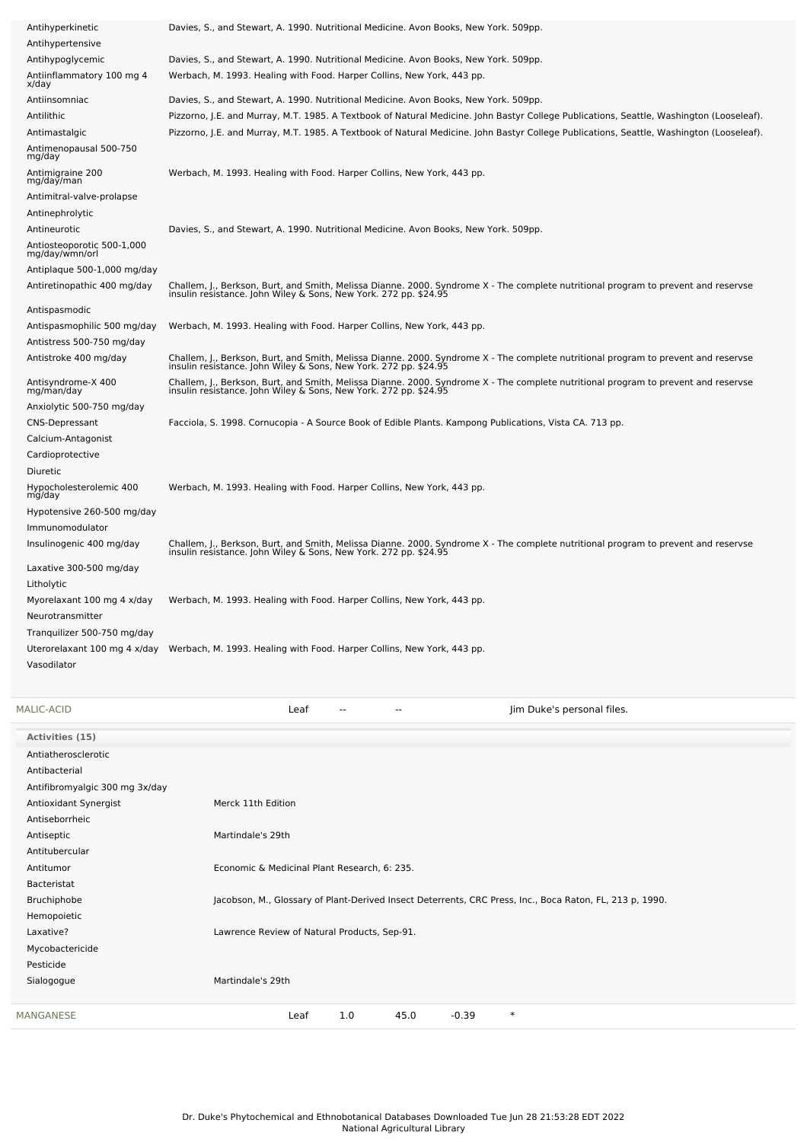| Antihyperkinetic                               | Davies, S., and Stewart, A. 1990. Nutritional Medicine. Avon Books, New York. 509pp.                                                                                                                   |
|------------------------------------------------|--------------------------------------------------------------------------------------------------------------------------------------------------------------------------------------------------------|
| Antihypertensive                               |                                                                                                                                                                                                        |
| Antihypoglycemic                               | Davies, S., and Stewart, A. 1990. Nutritional Medicine. Avon Books, New York. 509pp.                                                                                                                   |
| Antiinflammatory 100 mg 4<br>x/day             | Werbach, M. 1993. Healing with Food. Harper Collins, New York, 443 pp.                                                                                                                                 |
| Antiinsomniac                                  | Davies, S., and Stewart, A. 1990. Nutritional Medicine. Avon Books, New York. 509pp.                                                                                                                   |
| Antilithic                                     | Pizzorno, J.E. and Murray, M.T. 1985. A Textbook of Natural Medicine. John Bastyr College Publications, Seattle, Washington (Looseleaf).                                                               |
| Antimastalgic                                  | Pizzorno, J.E. and Murray, M.T. 1985. A Textbook of Natural Medicine. John Bastyr College Publications, Seattle, Washington (Looseleaf).                                                               |
| Antimenopausal 500-750<br>mg/day               |                                                                                                                                                                                                        |
| Antimigraine 200<br>mg/day/man                 | Werbach, M. 1993. Healing with Food. Harper Collins, New York, 443 pp.                                                                                                                                 |
| Antimitral-valve-prolapse                      |                                                                                                                                                                                                        |
| Antinephrolytic                                |                                                                                                                                                                                                        |
| Antineurotic                                   | Davies, S., and Stewart, A. 1990. Nutritional Medicine. Avon Books, New York. 509pp.                                                                                                                   |
| Antiosteoporotic 500-1,000<br>mg/day/wmn/orl   |                                                                                                                                                                                                        |
| Antiplaque 500-1,000 mg/day                    |                                                                                                                                                                                                        |
| Antiretinopathic 400 mg/day                    | Challem, J., Berkson, Burt, and Smith, Melissa Dianne. 2000. Syndrome X - The complete nutritional program to prevent and reservse<br>insulin resistance. John Wiley & Sons, New York. 272 pp. \$24.95 |
| Antispasmodic                                  |                                                                                                                                                                                                        |
| Antispasmophilic 500 mg/day                    | Werbach, M. 1993. Healing with Food. Harper Collins, New York, 443 pp.                                                                                                                                 |
| Antistress 500-750 mg/day                      |                                                                                                                                                                                                        |
| Antistroke 400 mg/day                          | Challem, J., Berkson, Burt, and Smith, Melissa Dianne. 2000. Syndrome X - The complete nutritional program to prevent and reservse<br>insulin resistance. John Wiley & Sons, New York. 272 pp. \$24.95 |
| Antisyndrome-X 400<br>mg/man/day               | Challem, J., Berkson, Burt, and Smith, Melissa Dianne. 2000. Syndrome X - The complete nutritional program to prevent and reservse<br>insulin resistance. John Wiley & Sons, New York. 272 pp. \$24.95 |
| Anxiolytic 500-750 mg/day                      |                                                                                                                                                                                                        |
| <b>CNS-Depressant</b>                          | Facciola, S. 1998. Cornucopia - A Source Book of Edible Plants. Kampong Publications, Vista CA. 713 pp.                                                                                                |
| Calcium-Antagonist                             |                                                                                                                                                                                                        |
| Cardioprotective                               |                                                                                                                                                                                                        |
| Diuretic                                       |                                                                                                                                                                                                        |
| Hypocholesterolemic 400<br>mg/day              | Werbach, M. 1993. Healing with Food. Harper Collins, New York, 443 pp.                                                                                                                                 |
| Hypotensive 260-500 mg/day                     |                                                                                                                                                                                                        |
| Immunomodulator                                |                                                                                                                                                                                                        |
| Insulinogenic 400 mg/day                       | Challem, J., Berkson, Burt, and Smith, Melissa Dianne. 2000. Syndrome X - The complete nutritional program to prevent and reservse<br>insulin resistance. John Wiley & Sons, New York. 272 pp. \$24.95 |
| Laxative 300-500 mg/day                        |                                                                                                                                                                                                        |
| Litholytic                                     |                                                                                                                                                                                                        |
| Myorelaxant 100 mg 4 x/day<br>Neurotransmitter | Werbach, M. 1993. Healing with Food. Harper Collins, New York, 443 pp.                                                                                                                                 |
| Tranquilizer 500-750 mg/day                    |                                                                                                                                                                                                        |
| Uterorelaxant 100 mg 4 x/day                   | Werbach, M. 1993. Healing with Food. Harper Collins, New York, 443 pp.                                                                                                                                 |
| Vasodilator                                    |                                                                                                                                                                                                        |
|                                                |                                                                                                                                                                                                        |

| MALIC-ACID                     | Leaf<br>Jim Duke's personal files.<br>$-$<br>$\overline{\phantom{a}}$                                    |
|--------------------------------|----------------------------------------------------------------------------------------------------------|
| Activities (15)                |                                                                                                          |
| Antiatherosclerotic            |                                                                                                          |
| Antibacterial                  |                                                                                                          |
| Antifibromyalgic 300 mg 3x/day |                                                                                                          |
| Antioxidant Synergist          | Merck 11th Edition                                                                                       |
| Antiseborrheic                 |                                                                                                          |
| Antiseptic                     | Martindale's 29th                                                                                        |
| Antitubercular                 |                                                                                                          |
| Antitumor                      | Economic & Medicinal Plant Research, 6: 235.                                                             |
| Bacteristat                    |                                                                                                          |
| Bruchiphobe                    | Jacobson, M., Glossary of Plant-Derived Insect Deterrents, CRC Press, Inc., Boca Raton, FL, 213 p, 1990. |
| Hemopoietic                    |                                                                                                          |
| Laxative?                      | Lawrence Review of Natural Products, Sep-91.                                                             |
| Mycobactericide                |                                                                                                          |
| Pesticide                      |                                                                                                          |
| Sialogogue                     | Martindale's 29th                                                                                        |
| MANGANESE                      | $-0.39$<br>$\ast$<br>1.0<br>45.0<br>Leaf                                                                 |
|                                |                                                                                                          |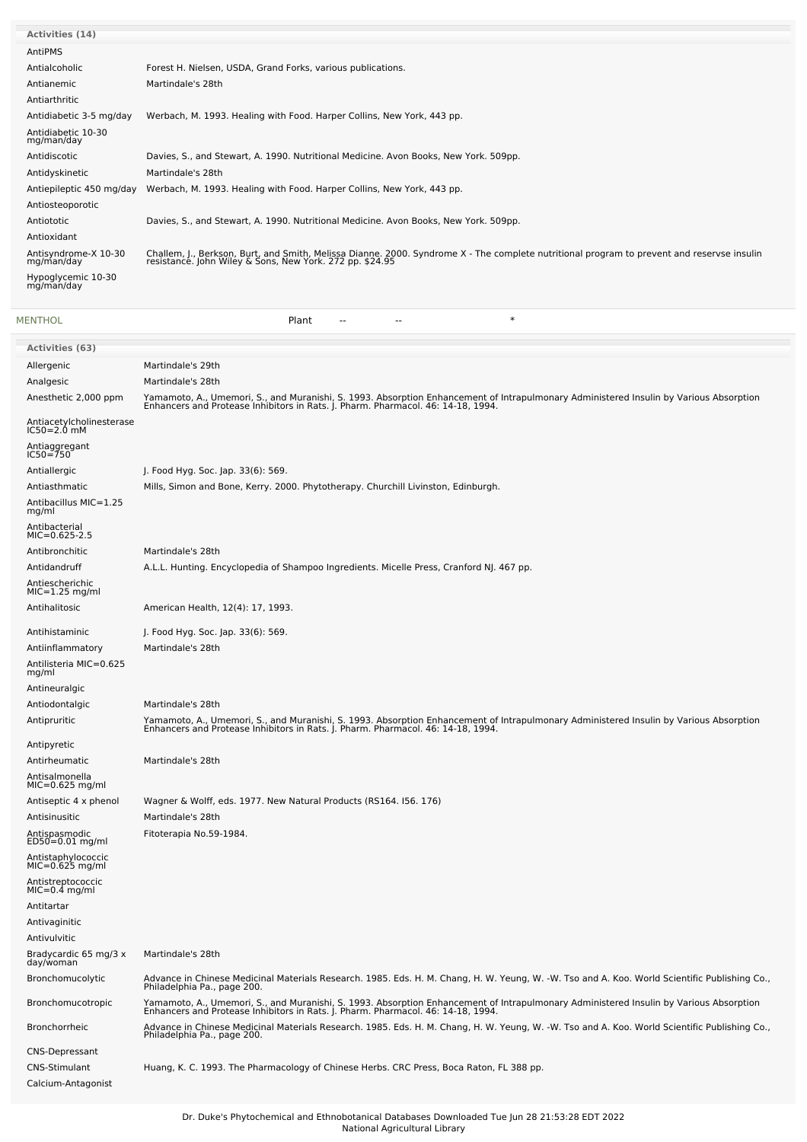| <b>Activities (14)</b>             |                                                                                                                                                                                                     |
|------------------------------------|-----------------------------------------------------------------------------------------------------------------------------------------------------------------------------------------------------|
| AntiPMS                            |                                                                                                                                                                                                     |
| Antialcoholic                      | Forest H. Nielsen, USDA, Grand Forks, various publications.                                                                                                                                         |
| Antianemic                         | Martindale's 28th                                                                                                                                                                                   |
| Antiarthritic                      |                                                                                                                                                                                                     |
| Antidiabetic 3-5 mg/day            | Werbach, M. 1993. Healing with Food. Harper Collins, New York, 443 pp.                                                                                                                              |
| Antidiabetic 10-30<br>mg/man/day   |                                                                                                                                                                                                     |
| Antidiscotic                       | Davies, S., and Stewart, A. 1990. Nutritional Medicine. Avon Books, New York. 509pp.                                                                                                                |
| Antidyskinetic                     | Martindale's 28th                                                                                                                                                                                   |
| Antiepileptic 450 mg/day           | Werbach, M. 1993. Healing with Food. Harper Collins, New York, 443 pp.                                                                                                                              |
| Antiosteoporotic                   |                                                                                                                                                                                                     |
| Antiototic                         | Davies, S., and Stewart, A. 1990. Nutritional Medicine. Avon Books, New York. 509pp.                                                                                                                |
| Antioxidant                        |                                                                                                                                                                                                     |
| Antisyndrome-X 10-30<br>mg/man/day | Challem, J., Berkson, Burt, and Smith, Melissa Dianne. 2000. Syndrome X - The complete nutritional program to prevent and reservse insulin resistance. John Wiley & Sons, New York. 272 pp. \$24.95 |
| Hypoglycemic 10-30<br>mg/man/day   |                                                                                                                                                                                                     |
|                                    |                                                                                                                                                                                                     |

| <b>MENTHOL</b> | Plant |    |       | $\ast$ |
|----------------|-------|----|-------|--------|
|                |       | -- | $- -$ |        |
|                |       |    |       |        |

| <b>Activities (63)</b>                  |                                                                                                                                                                                                                            |
|-----------------------------------------|----------------------------------------------------------------------------------------------------------------------------------------------------------------------------------------------------------------------------|
| Allergenic                              | Martindale's 29th                                                                                                                                                                                                          |
| Analgesic                               | Martindale's 28th                                                                                                                                                                                                          |
| Anesthetic 2,000 ppm                    | Yamamoto, A., Umemori, S., and Muranishi, S. 1993. Absorption Enhancement of Intrapulmonary Administered Insulin by Various Absorption<br>Enhancers and Protease Inhibitors in Rats. J. Pharm. Pharmacol. 46: 14-18, 1994. |
| Antiacetylcholinesterase<br>IC50=2.0 mM |                                                                                                                                                                                                                            |
| Antiaggregant<br>IC50=750               |                                                                                                                                                                                                                            |
| Antiallergic                            | J. Food Hyg. Soc. Jap. 33(6): 569.                                                                                                                                                                                         |
| Antiasthmatic                           | Mills, Simon and Bone, Kerry. 2000. Phytotherapy. Churchill Livinston, Edinburgh.                                                                                                                                          |
| Antibacillus MIC=1.25<br>mg/ml          |                                                                                                                                                                                                                            |
| Antibacterial<br>$MIC=0.625-2.5$        |                                                                                                                                                                                                                            |
| Antibronchitic                          | Martindale's 28th                                                                                                                                                                                                          |
| Antidandruff                            | A.L.L. Hunting. Encyclopedia of Shampoo Ingredients. Micelle Press, Cranford NJ. 467 pp.                                                                                                                                   |
| Antiescherichic<br>$MIC=1.25$ mg/ml     |                                                                                                                                                                                                                            |
| Antihalitosic                           | American Health, 12(4): 17, 1993.                                                                                                                                                                                          |
| Antihistaminic                          | J. Food Hyg. Soc. Jap. 33(6): 569.                                                                                                                                                                                         |
| Antiinflammatory                        | Martindale's 28th                                                                                                                                                                                                          |
| Antilisteria MIC=0.625<br>mg/ml         |                                                                                                                                                                                                                            |
| Antineuralgic                           |                                                                                                                                                                                                                            |
| Antiodontalgic                          | Martindale's 28th                                                                                                                                                                                                          |
| Antipruritic                            | Yamamoto, A., Umemori, S., and Muranishi, S. 1993. Absorption Enhancement of Intrapulmonary Administered Insulin by Various Absorption<br>Enhancers and Protease Inhibitors in Rats. J. Pharm. Pharmacol. 46: 14-18, 1994. |
| Antipyretic                             |                                                                                                                                                                                                                            |
| Antirheumatic                           | Martindale's 28th                                                                                                                                                                                                          |
| Antisalmonella<br>MIC=0.625 mg/ml       |                                                                                                                                                                                                                            |
| Antiseptic 4 x phenol                   | Wagner & Wolff, eds. 1977. New Natural Products (RS164. 156. 176)                                                                                                                                                          |
| Antisinusitic                           | Martindale's 28th                                                                                                                                                                                                          |
| Antispasmodic<br>ED50=0.01 mg/ml        | Fitoterapia No.59-1984.                                                                                                                                                                                                    |
| Antistaphylococcic<br>$MIC=0.625$ mg/ml |                                                                                                                                                                                                                            |
| Antistreptococcic<br>$MIC=0.4$ mg/ml    |                                                                                                                                                                                                                            |
| Antitartar                              |                                                                                                                                                                                                                            |
| Antivaginitic                           |                                                                                                                                                                                                                            |
| Antivulvitic                            |                                                                                                                                                                                                                            |
| Bradycardic 65 mg/3 x<br>day/woman      | Martindale's 28th                                                                                                                                                                                                          |
| Bronchomucolytic                        | Advance in Chinese Medicinal Materials Research. 1985. Eds. H. M. Chang, H. W. Yeung, W. -W. Tso and A. Koo. World Scientific Publishing Co.,<br>Philadelphia Pa., page 200.                                               |
| Bronchomucotropic                       | Yamamoto, A., Umemori, S., and Muranishi, S. 1993. Absorption Enhancement of Intrapulmonary Administered Insulin by Various Absorption<br>Enhancers and Protease Inhibitors in Rats. J. Pharm. Pharmacol. 46: 14-18, 1994. |
| <b>Bronchorrheic</b>                    | Advance in Chinese Medicinal Materials Research. 1985. Eds. H. M. Chang, H. W. Yeung, W. -W. Tso and A. Koo. World Scientific Publishing Co.,<br>Philadelphia Pa., page 200.                                               |
| <b>CNS-Depressant</b>                   |                                                                                                                                                                                                                            |
| CNS-Stimulant<br>Calcium-Antagonist     | Huang, K. C. 1993. The Pharmacology of Chinese Herbs. CRC Press, Boca Raton, FL 388 pp.                                                                                                                                    |
|                                         |                                                                                                                                                                                                                            |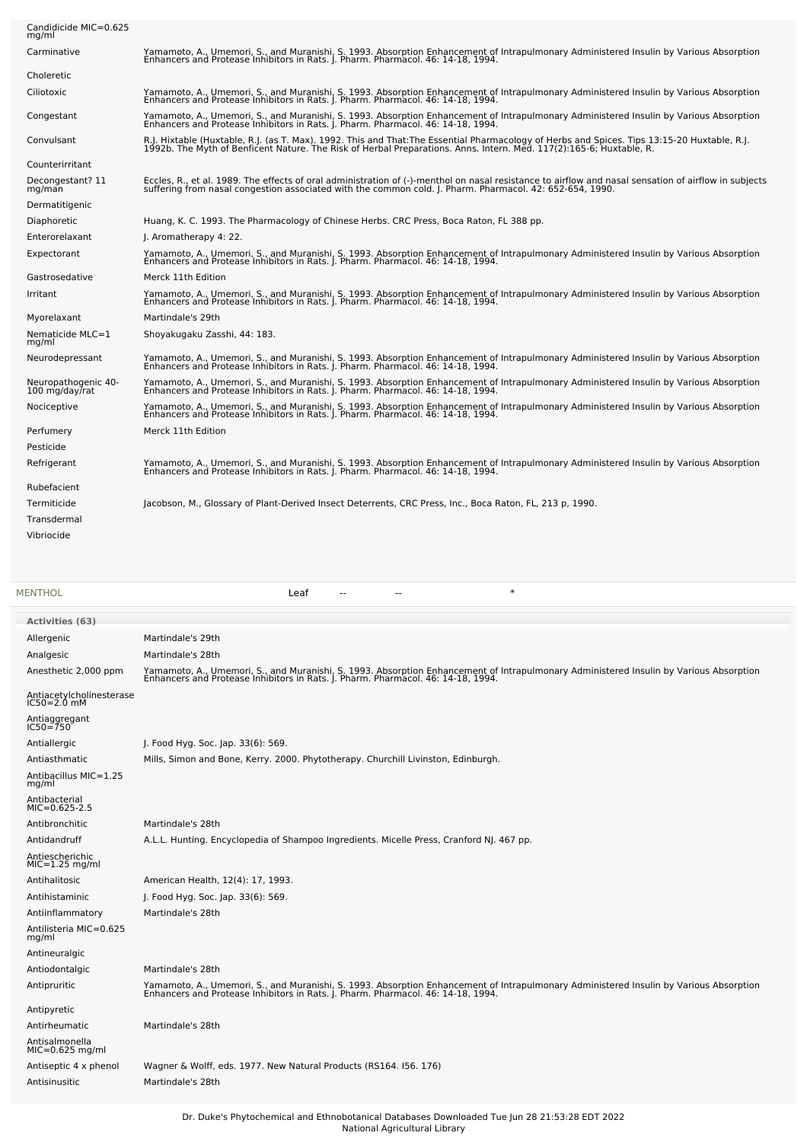| Candidicide MIC=0.625<br>mg/ml                       |                                                                                                                                                                                                                                                                  |
|------------------------------------------------------|------------------------------------------------------------------------------------------------------------------------------------------------------------------------------------------------------------------------------------------------------------------|
| Carminative                                          | Yamamoto, A., Umemori, S., and Muranishi, S. 1993. Absorption Enhancement of Intrapulmonary Administered Insulin by Various Absorption<br>Enhancers and Protease Inhibitors in Rats. J. Pharm. Pharmacol. 46: 14-18, 1994.                                       |
| Choleretic                                           |                                                                                                                                                                                                                                                                  |
| Ciliotoxic                                           | Yamamoto, A., Umemori, S., and Muranishi, S. 1993. Absorption Enhancement of Intrapulmonary Administered Insulin by Various Absorption<br>Enhancers and Protease Inhibitors in Rats. J. Pharm. Pharmacol. 46: 14-18, 1994.                                       |
| Congestant                                           | Yamamoto, A., Umemori, S., and Muranishi, S. 1993. Absorption Enhancement of Intrapulmonary Administered Insulin by Various Absorption<br>Enhancers and Protease Inhibitors in Rats. J. Pharm. Pharmacol. 46: 14-18, 1994.                                       |
| Convulsant                                           | R.J. Hixtable (Huxtable, R.J. (as T. Max). 1992. This and That:The Essential Pharmacology of Herbs and Spices. Tips 13:15-20 Huxtable, R.J.<br>1992b. The Myth of Benficent Nature. The Risk of Herbal Preparations. Anns. Intern                                |
| Counterirritant                                      |                                                                                                                                                                                                                                                                  |
| Decongestant? 11<br>mg/man                           | Eccles, R., et al. 1989. The effects of oral administration of (-)-menthol on nasal resistance to airflow and nasal sensation of airflow in subjects<br>suffering from nasal congestion associated with the common cold. J. Pharm. Pharmacol. 42: 652-654, 1990. |
| Dermatitigenic                                       |                                                                                                                                                                                                                                                                  |
| Diaphoretic                                          | Huang, K. C. 1993. The Pharmacology of Chinese Herbs. CRC Press, Boca Raton, FL 388 pp.                                                                                                                                                                          |
| Enterorelaxant                                       | J. Aromatherapy 4: 22.                                                                                                                                                                                                                                           |
| Expectorant<br>Gastrosedative                        | Yamamoto, A., Umemori, S., and Muranishi, S. 1993. Absorption Enhancement of Intrapulmonary Administered Insulin by Various Absorption<br>Enhancers and Protease Inhibitors in Rats. J. Pharm. Pharmacol. 46: 14-18, 1994.<br>Merck 11th Edition                 |
| Irritant                                             |                                                                                                                                                                                                                                                                  |
|                                                      | Yamamoto, A., Umemori, S., and Muranishi, S. 1993. Absorption Enhancement of Intrapulmonary Administered Insulin by Various Absorption<br>Enhancers and Protease Inhibitors in Rats. J. Pharm. Pharmacol. 46: 14-18, 1994.                                       |
| Mvorelaxant                                          | Martindale's 29th                                                                                                                                                                                                                                                |
| Nematicide MLC=1<br>mg/ml                            | Shoyakugaku Zasshi, 44: 183.                                                                                                                                                                                                                                     |
| Neurodepressant                                      | Yamamoto, A., Umemori, S., and Muranishi, S. 1993. Absorption Enhancement of Intrapulmonary Administered Insulin by Various Absorption<br>Enhancers and Protease Inhibitors in Rats. J. Pharm. Pharmacol. 46: 14-18, 1994.                                       |
| Neuropathogenic 40-<br>100 mg/day/rat                | Yamamoto, A., Umemori, S., and Muranishi, S. 1993. Absorption Enhancement of Intrapulmonary Administered Insulin by Various Absorption<br>Enhancers and Protease Inhibitors in Rats. J. Pharm. Pharmacol. 46: 14-18, 1994.                                       |
| Nociceptive                                          |                                                                                                                                                                                                                                                                  |
|                                                      | Yamamoto, A., Umemori, S., and Muranishi, S. 1993. Absorption Enhancement of Intrapulmonary Administered Insulin by Various Absorption<br>Enhancers and Protease Inhibitors in Rats. J. Pharm. Pharmacol. 46: 14-18, 1994.                                       |
| Perfumery                                            | Merck 11th Edition                                                                                                                                                                                                                                               |
| Pesticide                                            |                                                                                                                                                                                                                                                                  |
| Refrigerant                                          | Yamamoto, A., Umemori, S., and Muranishi, S. 1993. Absorption Enhancement of Intrapulmonary Administered Insulin by Various Absorption<br>Enhancers and Protease Inhibitors in Rats. J. Pharm. Pharmacol. 46: 14-18, 1994.                                       |
| Rubefacient                                          |                                                                                                                                                                                                                                                                  |
| Termiticide                                          | Jacobson, M., Glossary of Plant-Derived Insect Deterrents, CRC Press, Inc., Boca Raton, FL, 213 p, 1990.                                                                                                                                                         |
| Transdermal                                          |                                                                                                                                                                                                                                                                  |
| Vibriocide                                           |                                                                                                                                                                                                                                                                  |
|                                                      |                                                                                                                                                                                                                                                                  |
|                                                      |                                                                                                                                                                                                                                                                  |
| <b>MENTHOL</b>                                       | $\ast$<br>Leaf<br>$-$<br>$\sim$                                                                                                                                                                                                                                  |
|                                                      |                                                                                                                                                                                                                                                                  |
| <b>Activities (63)</b>                               |                                                                                                                                                                                                                                                                  |
| Allergenic<br>Analgesic                              | Martindale's 29th<br>Martindale's 28th                                                                                                                                                                                                                           |
| Anesthetic 2,000 ppm                                 | Yamamoto, A., Umemori, S., and Muranishi, S. 1993. Absorption Enhancement of Intrapulmonary Administered Insulin by Various Absorption<br>Enhancers and Protease Inhibitors in Rats. J. Pharm. Pharmacol. 46: 14-18, 1994.                                       |
|                                                      |                                                                                                                                                                                                                                                                  |
| Antiacetylcholinesterase<br>IC50=2.0 mM              |                                                                                                                                                                                                                                                                  |
| Antiaggregant<br>IC50=750                            |                                                                                                                                                                                                                                                                  |
| Antiallergic                                         | J. Food Hyg. Soc. Jap. 33(6): 569.                                                                                                                                                                                                                               |
| Antiasthmatic<br>Antibacillus MIC=1.25<br>mg/ml      | Mills, Simon and Bone, Kerry. 2000. Phytotherapy. Churchill Livinston, Edinburgh.                                                                                                                                                                                |
|                                                      |                                                                                                                                                                                                                                                                  |
| Antibacterial<br>MIC=0.625-2.5                       |                                                                                                                                                                                                                                                                  |
| Antibronchitic                                       | Martindale's 28th                                                                                                                                                                                                                                                |
| Antidandruff                                         | A.L.L. Hunting. Encyclopedia of Shampoo Ingredients. Micelle Press, Cranford NJ. 467 pp.                                                                                                                                                                         |
| Antiescherichic<br>MIC=1.25 mg/ml                    |                                                                                                                                                                                                                                                                  |
| Antihalitosic                                        | American Health, 12(4): 17, 1993.                                                                                                                                                                                                                                |
| Antihistaminic                                       | J. Food Hyg. Soc. Jap. 33(6): 569.                                                                                                                                                                                                                               |
| Antiinflammatory                                     | Martindale's 28th                                                                                                                                                                                                                                                |
| Antilisteria MIC=0.625<br>mg/ml<br>Antineuralgic     |                                                                                                                                                                                                                                                                  |
| Antiodontalgic                                       | Martindale's 28th                                                                                                                                                                                                                                                |
| Antipruritic                                         |                                                                                                                                                                                                                                                                  |
|                                                      | Yamamoto, A., Umemori, S., and Muranishi, S. 1993. Absorption Enhancement of Intrapulmonary Administered Insulin by Various Absorption<br>Enhancers and Protease Inhibitors in Rats. J. Pharm. Pharmacol. 46: 14-18, 1994.                                       |
| Antipyretic                                          |                                                                                                                                                                                                                                                                  |
| Antirheumatic<br>Antisalmonella<br>$MIC=0.625$ mg/ml | Martindale's 28th                                                                                                                                                                                                                                                |
| Antiseptic 4 x phenol                                | Wagner & Wolff, eds. 1977. New Natural Products (RS164. 156. 176)                                                                                                                                                                                                |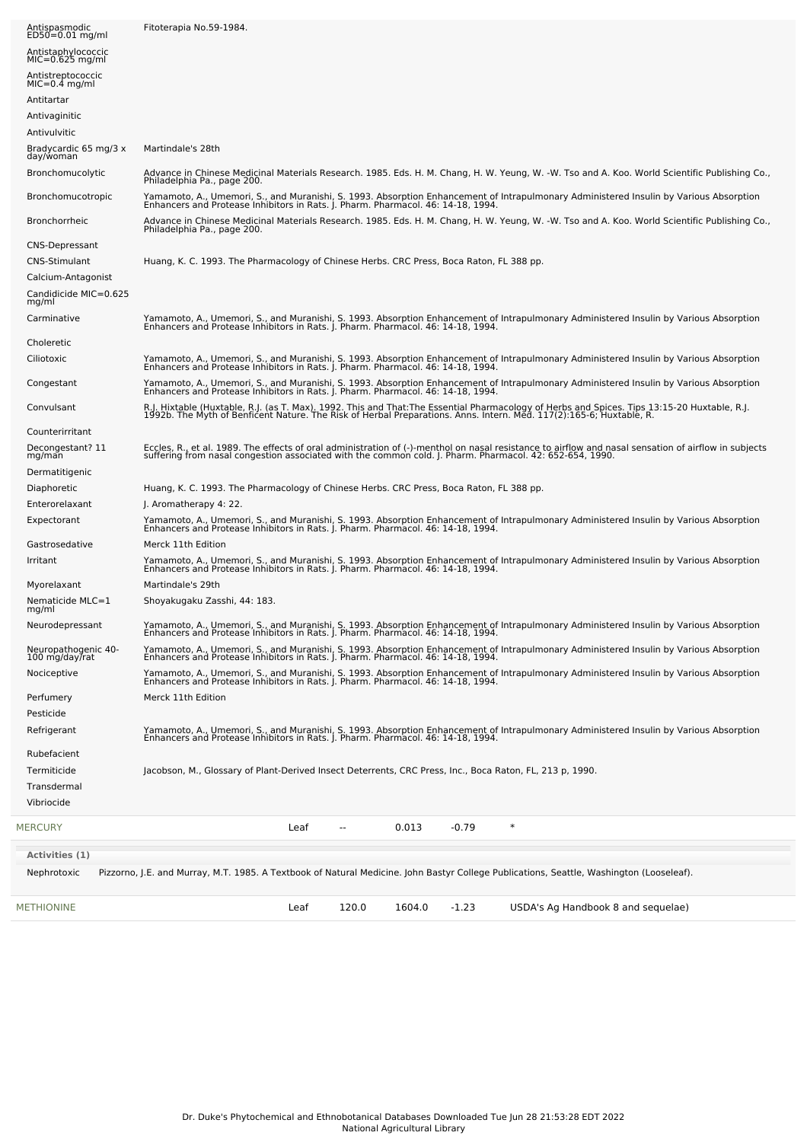| <b>METHIONINE</b>                       | 120.0<br>1604.0<br>$-1.23$<br>USDA's Ag Handbook 8 and sequelae)<br>Leaf                                                                                                                                                                                  |  |
|-----------------------------------------|-----------------------------------------------------------------------------------------------------------------------------------------------------------------------------------------------------------------------------------------------------------|--|
| Nephrotoxic                             | Pizzorno, J.E. and Murray, M.T. 1985. A Textbook of Natural Medicine. John Bastyr College Publications, Seattle, Washington (Looseleaf).                                                                                                                  |  |
| Activities (1)                          |                                                                                                                                                                                                                                                           |  |
| <b>MERCURY</b>                          | $\ast$<br>Leaf<br>0.013<br>$-0.79$<br>$\sim$ $\sim$                                                                                                                                                                                                       |  |
| Transdermal<br>Vibriocide               |                                                                                                                                                                                                                                                           |  |
| Termiticide                             | Jacobson, M., Glossary of Plant-Derived Insect Deterrents, CRC Press, Inc., Boca Raton, FL, 213 p, 1990.                                                                                                                                                  |  |
| Rubefacient                             |                                                                                                                                                                                                                                                           |  |
| Pesticide<br>Refrigerant                | Yamamoto, A., Umemori, S., and Muranishi, S. 1993. Absorption Enhancement of Intrapulmonary Administered Insulin by Various Absorption<br>Enhancers and Protease Inhibitors in Rats. J. Pharm. Pharmacol. 46: 14-18, 1994.                                |  |
| Perfumery                               | Merck 11th Edition                                                                                                                                                                                                                                        |  |
| Nociceptive                             | Yamamoto, A., Umemori, S., and Muranishi, S. 1993. Absorption Enhancement of Intrapulmonary Administered Insulin by Various Absorption<br>Enhancers and Protease Inhibitors in Rats. J. Pharm. Pharmacol. 46: 14-18, 1994.                                |  |
| Neuropathogenic 40-<br>100 mg/day/rat   | Yamamoto, A., Umemori, S., and Muranishi, S. 1993. Absorption Enhancement of Intrapulmonary Administered Insulin by Various Absorption<br>Enhancers and Protease Inhibitors in Rats. J. Pharm. Pharmacol. 46: 14-18, 1994.                                |  |
| mg/ml<br>Neurodepressant                | Yamamoto, A., Umemori, S., and Muranishi, S. 1993. Absorption Enhancement of Intrapulmonary Administered Insulin by Various Absorption<br>Enhancers and Protease Inhibitors in Rats. J. Pharm. Pharmacol. 46: 14-18, 1994.                                |  |
| Myorelaxant<br>Nematicide MLC=1         | Martindale's 29th<br>Shoyakugaku Zasshi, 44: 183.                                                                                                                                                                                                         |  |
|                                         | Yamamoto, A., Umemori, S., and Muranishi, S. 1993. Absorption Enhancement of Intrapulmonary Administered Insulin by Various Absorption<br>Enhancers and Protease Inhibitors in Rats. J. Pharm. Pharmacol. 46: 14-18, 1994.                                |  |
| Gastrosedative<br>Irritant              | Merck 11th Edition                                                                                                                                                                                                                                        |  |
|                                         | Yamamoto, A., Umemori, S., and Muranishi, S. 1993. Absorption Enhancement of Intrapulmonary Administered Insulin by Various Absorption<br>Enhancers and Protease Inhibitors in Rats. J. Pharm. Pharmacol. 46: 14-18, 1994.                                |  |
| Enterorelaxant<br>Expectorant           | J. Aromatherapy 4: 22.                                                                                                                                                                                                                                    |  |
| Diaphoretic                             | Huang, K. C. 1993. The Pharmacology of Chinese Herbs. CRC Press, Boca Raton, FL 388 pp.                                                                                                                                                                   |  |
| Dermatitigenic                          |                                                                                                                                                                                                                                                           |  |
| Decongestant? 11<br>mg/man              | Eccles, R., et al. 1989. The effects of oral administration of (-)-menthol on nasal resistance to airflow and nasal sensation of airflow in subjects<br>suffering from nasal congestion associated with the common cold. J. Pharm                         |  |
| Counterirritant                         |                                                                                                                                                                                                                                                           |  |
| Convulsant                              | R.J. Hixtable (Huxtable, R.J. (as T. Max). 1992. This and That:The Essential Pharmacology of Herbs and Spices. Tips 13:15-20 Huxtable, R.J.<br>1992b. The Myth of Benficent Nature. The Risk of Herbal Preparations. Anns. Intern                         |  |
| Congestant                              | Yamamoto, A., Umemori, S., and Muranishi, S. 1993. Absorption Enhancement of Intrapulmonary Administered Insulin by Various Absorption<br>Enhancers and Protease Inhibitors in Rats. J. Pharm. Pharmacol. 46: 14-18, 1994.                                |  |
| Ciliotoxic                              | Yamamoto, A., Umemori, S., and Muranishi, S. 1993. Absorption Enhancement of Intrapulmonary Administered Insulin by Various Absorption<br>Enhancers and Protease Inhibitors in Rats. J. Pharm. Pharmacol. 46: 14-18, 1994.                                |  |
| Choleretic                              |                                                                                                                                                                                                                                                           |  |
| Carminative                             | Yamamoto, A., Umemori, S., and Muranishi, S. 1993. Absorption Enhancement of Intrapulmonary Administered Insulin by Various Absorption<br>Enhancers and Protease Inhibitors in Rats. J. Pharm. Pharmacol. 46: 14-18, 1994.                                |  |
| Candidicide MIC=0.625<br>mg/ml          |                                                                                                                                                                                                                                                           |  |
| Calcium-Antagonist                      |                                                                                                                                                                                                                                                           |  |
| <b>CNS-Stimulant</b>                    | Huang, K. C. 1993. The Pharmacology of Chinese Herbs. CRC Press, Boca Raton, FL 388 pp.                                                                                                                                                                   |  |
| <b>CNS-Depressant</b>                   | Philadelphia Pa., page 200.                                                                                                                                                                                                                               |  |
| <b>Bronchorrheic</b>                    | Advance in Chinese Medicinal Materials Research. 1985. Eds. H. M. Chang, H. W. Yeung, W. -W. Tso and A. Koo. World Scientific Publishing Co.,                                                                                                             |  |
| Bronchomucotropic                       | Philadelphia Pa., page 200.<br>Yamamoto, A., Umemori, S., and Muranishi, S. 1993. Absorption Enhancement of Intrapulmonary Administered Insulin by Various Absorption<br>Enhancers and Protease Inhibitors in Rats. J. Pharm. Pharmacol. 46: 14-18, 1994. |  |
| day/woman<br>Bronchomucolytic           | Advance in Chinese Medicinal Materials Research. 1985. Eds. H. M. Chang, H. W. Yeung, W. -W. Tso and A. Koo. World Scientific Publishing Co.,                                                                                                             |  |
| Antivulvitic<br>Bradycardic 65 mg/3 x   | Martindale's 28th                                                                                                                                                                                                                                         |  |
| Antivaginitic                           |                                                                                                                                                                                                                                                           |  |
| Antitartar                              |                                                                                                                                                                                                                                                           |  |
| Antistreptococcic<br>MIC=0.4 mg/ml      |                                                                                                                                                                                                                                                           |  |
| Antistaphylococcic<br>$MIC=0.625$ mg/ml |                                                                                                                                                                                                                                                           |  |
| Antispasmodic<br>$ED50=0.01$ mg/ml      | Fitoterapia No.59-1984.                                                                                                                                                                                                                                   |  |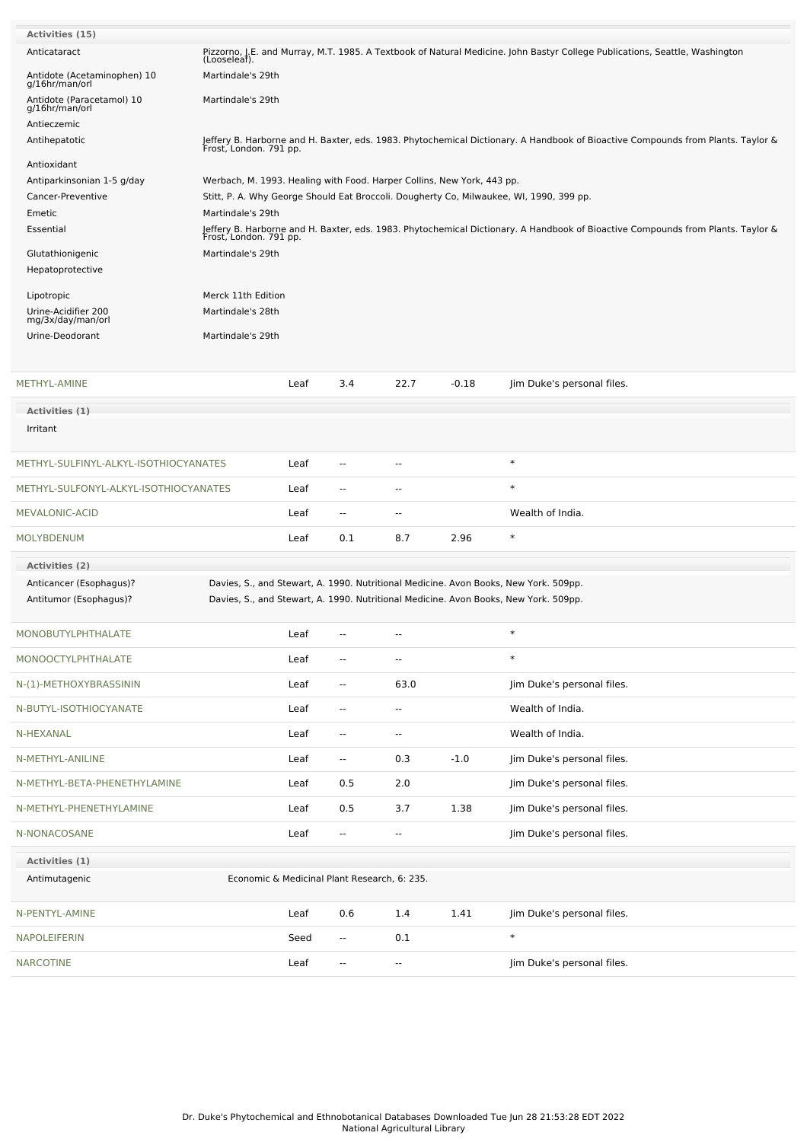| Activities (15)                               |                                                                                                                                                                   |                                                                                                                                 |                                              |                          |         |                                                                                                                             |  |  |
|-----------------------------------------------|-------------------------------------------------------------------------------------------------------------------------------------------------------------------|---------------------------------------------------------------------------------------------------------------------------------|----------------------------------------------|--------------------------|---------|-----------------------------------------------------------------------------------------------------------------------------|--|--|
| Anticataract                                  | (Looseleaf).                                                                                                                                                      |                                                                                                                                 |                                              |                          |         | Pizzorno, J.E. and Murray, M.T. 1985. A Textbook of Natural Medicine. John Bastyr College Publications, Seattle, Washington |  |  |
| Antidote (Acetaminophen) 10<br>g/16hr/man/orl | Martindale's 29th                                                                                                                                                 |                                                                                                                                 |                                              |                          |         |                                                                                                                             |  |  |
| Antidote (Paracetamol) 10<br>g/16hr/man/orl   | Martindale's 29th                                                                                                                                                 |                                                                                                                                 |                                              |                          |         |                                                                                                                             |  |  |
| Antieczemic<br>Antihepatotic                  |                                                                                                                                                                   |                                                                                                                                 |                                              |                          |         |                                                                                                                             |  |  |
|                                               | Jeffery B. Harborne and H. Baxter, eds. 1983. Phytochemical Dictionary. A Handbook of Bioactive Compounds from Plants. Taylor &<br>Frost, London. 791 pp.         |                                                                                                                                 |                                              |                          |         |                                                                                                                             |  |  |
| Antioxidant<br>Antiparkinsonian 1-5 g/day     |                                                                                                                                                                   |                                                                                                                                 |                                              |                          |         |                                                                                                                             |  |  |
| Cancer-Preventive                             | Werbach, M. 1993. Healing with Food. Harper Collins, New York, 443 pp.<br>Stitt, P. A. Why George Should Eat Broccoli. Dougherty Co, Milwaukee, WI, 1990, 399 pp. |                                                                                                                                 |                                              |                          |         |                                                                                                                             |  |  |
| Emetic                                        | Martindale's 29th                                                                                                                                                 |                                                                                                                                 |                                              |                          |         |                                                                                                                             |  |  |
| Essential                                     | Frost, London. 791 pp.                                                                                                                                            | Jeffery B. Harborne and H. Baxter, eds. 1983. Phytochemical Dictionary. A Handbook of Bioactive Compounds from Plants. Taylor & |                                              |                          |         |                                                                                                                             |  |  |
| Glutathionigenic                              | Martindale's 29th                                                                                                                                                 |                                                                                                                                 |                                              |                          |         |                                                                                                                             |  |  |
| Hepatoprotective                              |                                                                                                                                                                   |                                                                                                                                 |                                              |                          |         |                                                                                                                             |  |  |
| Lipotropic                                    | Merck 11th Edition                                                                                                                                                |                                                                                                                                 |                                              |                          |         |                                                                                                                             |  |  |
| Urine-Acidifier 200<br>mg/3x/day/man/orl      | Martindale's 28th                                                                                                                                                 |                                                                                                                                 |                                              |                          |         |                                                                                                                             |  |  |
| Urine-Deodorant                               | Martindale's 29th                                                                                                                                                 |                                                                                                                                 |                                              |                          |         |                                                                                                                             |  |  |
|                                               |                                                                                                                                                                   |                                                                                                                                 |                                              |                          |         |                                                                                                                             |  |  |
| METHYL-AMINE                                  |                                                                                                                                                                   | Leaf                                                                                                                            | 3.4                                          | 22.7                     | $-0.18$ | Jim Duke's personal files.                                                                                                  |  |  |
| Activities (1)                                |                                                                                                                                                                   |                                                                                                                                 |                                              |                          |         |                                                                                                                             |  |  |
| Irritant                                      |                                                                                                                                                                   |                                                                                                                                 |                                              |                          |         |                                                                                                                             |  |  |
| METHYL-SULFINYL-ALKYL-ISOTHIOCYANATES         |                                                                                                                                                                   | Leaf                                                                                                                            | $\overline{a}$                               | --                       |         | $\ast$                                                                                                                      |  |  |
| METHYL-SULFONYL-ALKYL-ISOTHIOCYANATES         |                                                                                                                                                                   | Leaf                                                                                                                            | $\overline{\phantom{a}}$                     | --                       |         | $\ast$                                                                                                                      |  |  |
| MEVALONIC-ACID                                |                                                                                                                                                                   | Leaf                                                                                                                            | $\sim$                                       | $\sim$                   |         | Wealth of India.                                                                                                            |  |  |
| <b>MOLYBDENUM</b>                             |                                                                                                                                                                   | Leaf                                                                                                                            | 0.1                                          | 8.7                      | 2.96    | $\ast$                                                                                                                      |  |  |
| Activities (2)                                |                                                                                                                                                                   |                                                                                                                                 |                                              |                          |         |                                                                                                                             |  |  |
| Anticancer (Esophagus)?                       |                                                                                                                                                                   |                                                                                                                                 |                                              |                          |         | Davies, S., and Stewart, A. 1990. Nutritional Medicine. Avon Books, New York. 509pp.                                        |  |  |
| Antitumor (Esophagus)?                        |                                                                                                                                                                   |                                                                                                                                 |                                              |                          |         | Davies, S., and Stewart, A. 1990. Nutritional Medicine. Avon Books, New York. 509pp.                                        |  |  |
| MONOBUTYLPHTHALATE                            |                                                                                                                                                                   | Leaf                                                                                                                            | $\overline{\phantom{a}}$                     | --                       |         |                                                                                                                             |  |  |
| MONOOCTYLPHTHALATE                            |                                                                                                                                                                   | Leaf                                                                                                                            | $\overline{\phantom{a}}$                     | $\overline{\phantom{a}}$ |         | $\ast$                                                                                                                      |  |  |
| N-(1)-METHOXYBRASSININ                        |                                                                                                                                                                   | Leaf                                                                                                                            | $\overline{\phantom{a}}$                     | 63.0                     |         | Jim Duke's personal files.                                                                                                  |  |  |
| N-BUTYL-ISOTHIOCYANATE                        |                                                                                                                                                                   | Leaf                                                                                                                            | $\overline{\phantom{a}}$                     | $\overline{\phantom{a}}$ |         | Wealth of India.                                                                                                            |  |  |
| N-HEXANAL                                     |                                                                                                                                                                   | Leaf                                                                                                                            | --                                           | $\overline{\phantom{a}}$ |         | Wealth of India.                                                                                                            |  |  |
| N-METHYL-ANILINE                              |                                                                                                                                                                   | Leaf                                                                                                                            | $\overline{\phantom{a}}$                     | 0.3                      | $-1.0$  | Jim Duke's personal files.                                                                                                  |  |  |
| N-METHYL-BETA-PHENETHYLAMINE                  |                                                                                                                                                                   | Leaf                                                                                                                            | 0.5                                          | 2.0                      |         | Jim Duke's personal files.                                                                                                  |  |  |
| N-METHYL-PHENETHYLAMINE                       |                                                                                                                                                                   | Leaf                                                                                                                            | 0.5                                          | 3.7                      | 1.38    | Jim Duke's personal files.                                                                                                  |  |  |
| N-NONACOSANE                                  |                                                                                                                                                                   | Leaf                                                                                                                            | $\overline{\phantom{a}}$                     | $\overline{\phantom{a}}$ |         | Jim Duke's personal files.                                                                                                  |  |  |
| Activities (1)                                |                                                                                                                                                                   |                                                                                                                                 |                                              |                          |         |                                                                                                                             |  |  |
| Antimutagenic                                 |                                                                                                                                                                   |                                                                                                                                 | Economic & Medicinal Plant Research, 6: 235. |                          |         |                                                                                                                             |  |  |
| N-PENTYL-AMINE                                |                                                                                                                                                                   | Leaf                                                                                                                            | 0.6                                          | 1.4                      | 1.41    | Jim Duke's personal files.                                                                                                  |  |  |
| <b>NAPOLEIFERIN</b>                           |                                                                                                                                                                   | Seed                                                                                                                            | $\overline{\phantom{a}}$                     | 0.1                      |         | $\ast$                                                                                                                      |  |  |
| <b>NARCOTINE</b>                              |                                                                                                                                                                   | Leaf                                                                                                                            | н,                                           | $\overline{\phantom{a}}$ |         | Jim Duke's personal files.                                                                                                  |  |  |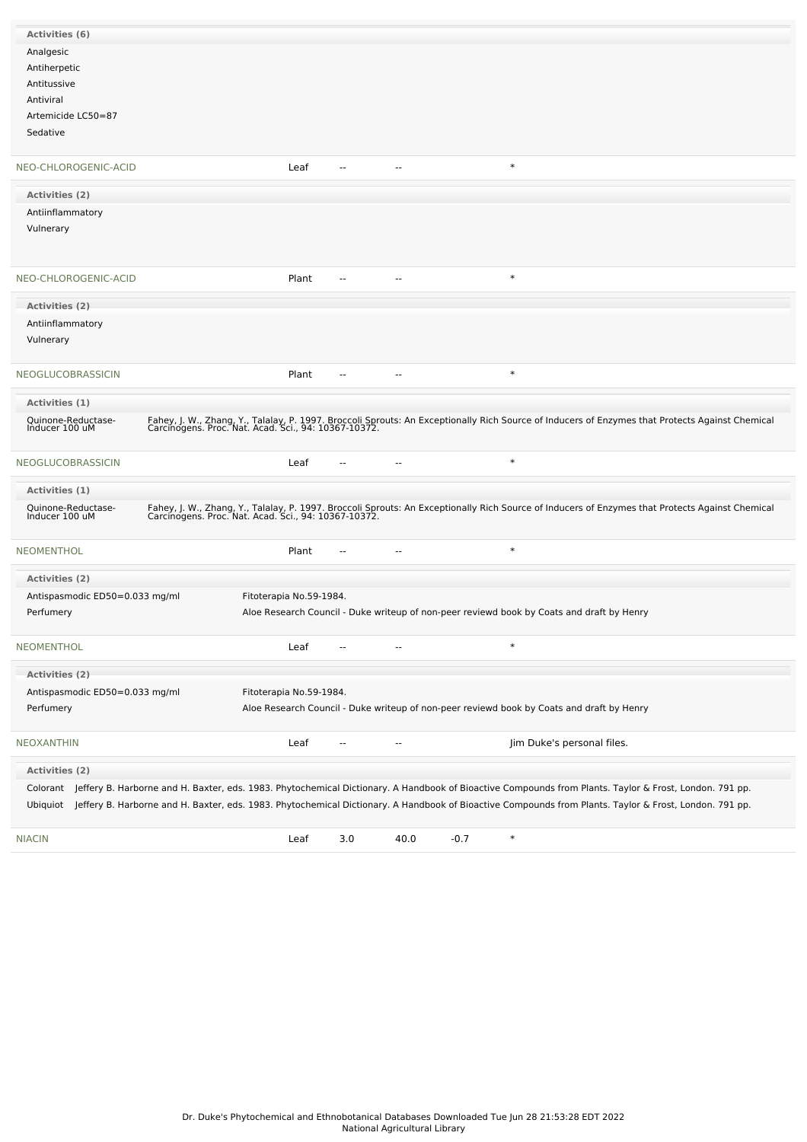| Activities (6)                       |  |                         |                          |                          |        |                                                                                                                                                                                                         |
|--------------------------------------|--|-------------------------|--------------------------|--------------------------|--------|---------------------------------------------------------------------------------------------------------------------------------------------------------------------------------------------------------|
| Analgesic                            |  |                         |                          |                          |        |                                                                                                                                                                                                         |
| Antiherpetic                         |  |                         |                          |                          |        |                                                                                                                                                                                                         |
|                                      |  |                         |                          |                          |        |                                                                                                                                                                                                         |
| Antitussive                          |  |                         |                          |                          |        |                                                                                                                                                                                                         |
| Antiviral                            |  |                         |                          |                          |        |                                                                                                                                                                                                         |
| Artemicide LC50=87                   |  |                         |                          |                          |        |                                                                                                                                                                                                         |
| Sedative                             |  |                         |                          |                          |        |                                                                                                                                                                                                         |
| NEO-CHLOROGENIC-ACID                 |  | Leaf                    | $\sim$                   | $\overline{a}$           |        | $\ast$                                                                                                                                                                                                  |
| <b>Activities (2)</b>                |  |                         |                          |                          |        |                                                                                                                                                                                                         |
| Antiinflammatory                     |  |                         |                          |                          |        |                                                                                                                                                                                                         |
|                                      |  |                         |                          |                          |        |                                                                                                                                                                                                         |
| Vulnerary                            |  |                         |                          |                          |        |                                                                                                                                                                                                         |
|                                      |  |                         |                          |                          |        |                                                                                                                                                                                                         |
|                                      |  |                         |                          |                          |        |                                                                                                                                                                                                         |
| NEO-CHLOROGENIC-ACID                 |  | Plant                   | $\overline{a}$           | $\sim$ $\sim$            |        | $\ast$                                                                                                                                                                                                  |
| <b>Activities (2)</b>                |  |                         |                          |                          |        |                                                                                                                                                                                                         |
| Antiinflammatory                     |  |                         |                          |                          |        |                                                                                                                                                                                                         |
| Vulnerary                            |  |                         |                          |                          |        |                                                                                                                                                                                                         |
|                                      |  |                         |                          |                          |        |                                                                                                                                                                                                         |
| NEOGLUCOBRASSICIN                    |  | Plant                   | --                       | --                       |        | $\ast$                                                                                                                                                                                                  |
| Activities (1)                       |  |                         |                          |                          |        |                                                                                                                                                                                                         |
|                                      |  |                         |                          |                          |        |                                                                                                                                                                                                         |
| Quinone-Reductase-<br>Inducer 100 uM |  |                         |                          |                          |        | Fahey, J. W., Zhang, Y., Talalay, P. 1997. Broccoli Sprouts: An Exceptionally Rich Source of Inducers of Enzymes that Protects Against Chemical<br>Carcinogens. Proc. Nat. Acad. Sci., 94: 10367-10372. |
| NEOGLUCOBRASSICIN                    |  | Leaf                    |                          |                          |        | $\ast$                                                                                                                                                                                                  |
| Activities (1)                       |  |                         |                          |                          |        |                                                                                                                                                                                                         |
| Quinone-Reductase-                   |  |                         |                          |                          |        |                                                                                                                                                                                                         |
| Inducer 100 uM                       |  |                         |                          |                          |        | Fahey, J. W., Zhang, Y., Talalay, P. 1997. Broccoli Sprouts: An Exceptionally Rich Source of Inducers of Enzymes that Protects Against Chemical<br>Carcinogens. Proc. Nat. Acad. Sci., 94: 10367-10372. |
| <b>NEOMENTHOL</b>                    |  | Plant                   | --                       | $\sim$                   |        | $\ast$                                                                                                                                                                                                  |
| <b>Activities (2)</b>                |  |                         |                          |                          |        |                                                                                                                                                                                                         |
| Antispasmodic ED50=0.033 mg/ml       |  | Fitoterapia No.59-1984. |                          |                          |        |                                                                                                                                                                                                         |
| Perfumery                            |  |                         |                          |                          |        | Aloe Research Council - Duke writeup of non-peer reviewd book by Coats and draft by Henry                                                                                                               |
|                                      |  |                         |                          |                          |        |                                                                                                                                                                                                         |
| <b>NEOMENTHOL</b>                    |  | Leaf                    | $\overline{a}$           | $\overline{a}$           |        | $\ast$                                                                                                                                                                                                  |
| Activities (2)                       |  |                         |                          |                          |        |                                                                                                                                                                                                         |
| Antispasmodic ED50=0.033 mg/ml       |  | Fitoterapia No.59-1984. |                          |                          |        |                                                                                                                                                                                                         |
|                                      |  |                         |                          |                          |        |                                                                                                                                                                                                         |
| Perfumery                            |  |                         |                          |                          |        | Aloe Research Council - Duke writeup of non-peer reviewd book by Coats and draft by Henry                                                                                                               |
| <b>NEOXANTHIN</b>                    |  | Leaf                    | $\overline{\phantom{a}}$ | $\overline{\phantom{a}}$ |        | Jim Duke's personal files.                                                                                                                                                                              |
| Activities (2)                       |  |                         |                          |                          |        |                                                                                                                                                                                                         |
|                                      |  |                         |                          |                          |        | Colorant Jeffery B. Harborne and H. Baxter, eds. 1983. Phytochemical Dictionary. A Handbook of Bioactive Compounds from Plants. Taylor & Frost, London. 791 pp.                                         |
|                                      |  |                         |                          |                          |        | Ubiquiot Jeffery B. Harborne and H. Baxter, eds. 1983. Phytochemical Dictionary. A Handbook of Bioactive Compounds from Plants. Taylor & Frost, London. 791 pp.                                         |
|                                      |  |                         |                          |                          |        |                                                                                                                                                                                                         |
| <b>NIACIN</b>                        |  | Leaf                    | 3.0                      | 40.0                     | $-0.7$ | $\ast$                                                                                                                                                                                                  |
|                                      |  |                         |                          |                          |        |                                                                                                                                                                                                         |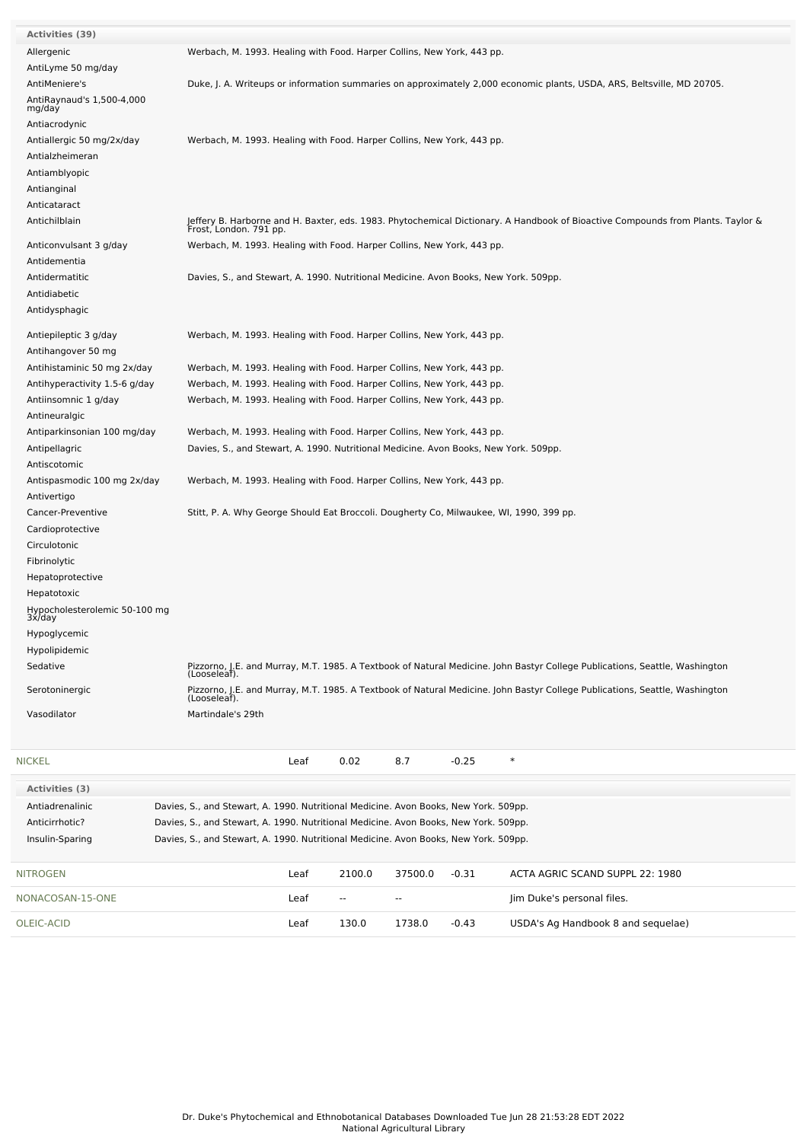| Activities (39)                         |                                                                                                  |        |                          |         |                                                                                                                                 |
|-----------------------------------------|--------------------------------------------------------------------------------------------------|--------|--------------------------|---------|---------------------------------------------------------------------------------------------------------------------------------|
| Allergenic                              | Werbach, M. 1993. Healing with Food. Harper Collins, New York, 443 pp.                           |        |                          |         |                                                                                                                                 |
| AntiLyme 50 mg/day                      |                                                                                                  |        |                          |         |                                                                                                                                 |
| AntiMeniere's                           |                                                                                                  |        |                          |         | Duke, J. A. Writeups or information summaries on approximately 2,000 economic plants, USDA, ARS, Beltsville, MD 20705.          |
| AntiRaynaud's 1,500-4,000<br>mg/day     |                                                                                                  |        |                          |         |                                                                                                                                 |
| Antiacrodynic                           |                                                                                                  |        |                          |         |                                                                                                                                 |
| Antiallergic 50 mg/2x/day               | Werbach, M. 1993. Healing with Food. Harper Collins, New York, 443 pp.                           |        |                          |         |                                                                                                                                 |
| Antialzheimeran                         |                                                                                                  |        |                          |         |                                                                                                                                 |
| Antiamblyopic                           |                                                                                                  |        |                          |         |                                                                                                                                 |
| Antianginal                             |                                                                                                  |        |                          |         |                                                                                                                                 |
| Anticataract                            |                                                                                                  |        |                          |         |                                                                                                                                 |
| Antichilblain                           |                                                                                                  |        |                          |         | Jeffery B. Harborne and H. Baxter, eds. 1983. Phytochemical Dictionary. A Handbook of Bioactive Compounds from Plants. Taylor & |
| Anticonvulsant 3 g/day                  | Frost, London. 791 pp.<br>Werbach, M. 1993. Healing with Food. Harper Collins, New York, 443 pp. |        |                          |         |                                                                                                                                 |
|                                         |                                                                                                  |        |                          |         |                                                                                                                                 |
| Antidementia<br>Antidermatitic          |                                                                                                  |        |                          |         |                                                                                                                                 |
|                                         | Davies, S., and Stewart, A. 1990. Nutritional Medicine. Avon Books, New York. 509pp.             |        |                          |         |                                                                                                                                 |
| Antidiabetic                            |                                                                                                  |        |                          |         |                                                                                                                                 |
| Antidysphagic                           |                                                                                                  |        |                          |         |                                                                                                                                 |
| Antiepileptic 3 g/day                   | Werbach, M. 1993. Healing with Food. Harper Collins, New York, 443 pp.                           |        |                          |         |                                                                                                                                 |
| Antihangover 50 mg                      |                                                                                                  |        |                          |         |                                                                                                                                 |
| Antihistaminic 50 mg 2x/day             | Werbach, M. 1993. Healing with Food. Harper Collins, New York, 443 pp.                           |        |                          |         |                                                                                                                                 |
| Antihyperactivity 1.5-6 g/day           | Werbach, M. 1993. Healing with Food. Harper Collins, New York, 443 pp.                           |        |                          |         |                                                                                                                                 |
| Antiinsomnic 1 g/day                    | Werbach, M. 1993. Healing with Food. Harper Collins, New York, 443 pp.                           |        |                          |         |                                                                                                                                 |
| Antineuralgic                           |                                                                                                  |        |                          |         |                                                                                                                                 |
| Antiparkinsonian 100 mg/day             | Werbach, M. 1993. Healing with Food. Harper Collins, New York, 443 pp.                           |        |                          |         |                                                                                                                                 |
| Antipellagric                           | Davies, S., and Stewart, A. 1990. Nutritional Medicine. Avon Books, New York. 509pp.             |        |                          |         |                                                                                                                                 |
| Antiscotomic                            |                                                                                                  |        |                          |         |                                                                                                                                 |
| Antispasmodic 100 mg 2x/day             | Werbach, M. 1993. Healing with Food. Harper Collins, New York, 443 pp.                           |        |                          |         |                                                                                                                                 |
| Antivertigo                             |                                                                                                  |        |                          |         |                                                                                                                                 |
| Cancer-Preventive                       | Stitt, P. A. Why George Should Eat Broccoli. Dougherty Co, Milwaukee, WI, 1990, 399 pp.          |        |                          |         |                                                                                                                                 |
| Cardioprotective                        |                                                                                                  |        |                          |         |                                                                                                                                 |
| Circulotonic                            |                                                                                                  |        |                          |         |                                                                                                                                 |
| Fibrinolytic                            |                                                                                                  |        |                          |         |                                                                                                                                 |
| Hepatoprotective                        |                                                                                                  |        |                          |         |                                                                                                                                 |
| Hepatotoxic                             |                                                                                                  |        |                          |         |                                                                                                                                 |
| Hypocholesterolemic 50-100 mg<br>3x/day |                                                                                                  |        |                          |         |                                                                                                                                 |
| Hypoglycemic                            |                                                                                                  |        |                          |         |                                                                                                                                 |
| Hypolipidemic                           |                                                                                                  |        |                          |         |                                                                                                                                 |
| Sedative                                | (Looseleaf).                                                                                     |        |                          |         | Pizzorno, J.E. and Murray, M.T. 1985. A Textbook of Natural Medicine. John Bastyr College Publications, Seattle, Washington     |
| Serotoninergic                          | (Looseleaf).                                                                                     |        |                          |         | Pizzorno, J.E. and Murray, M.T. 1985. A Textbook of Natural Medicine. John Bastyr College Publications, Seattle, Washington     |
| Vasodilator                             | Martindale's 29th                                                                                |        |                          |         |                                                                                                                                 |
|                                         |                                                                                                  |        |                          |         |                                                                                                                                 |
| <b>NICKEL</b>                           | Leaf                                                                                             | 0.02   | 8.7                      | $-0.25$ | $\ast$                                                                                                                          |
|                                         |                                                                                                  |        |                          |         |                                                                                                                                 |
| Activities (3)                          |                                                                                                  |        |                          |         |                                                                                                                                 |
| Antiadrenalinic                         | Davies, S., and Stewart, A. 1990. Nutritional Medicine. Avon Books, New York. 509pp.             |        |                          |         |                                                                                                                                 |
| Anticirrhotic?                          | Davies, S., and Stewart, A. 1990. Nutritional Medicine. Avon Books, New York. 509pp.             |        |                          |         |                                                                                                                                 |
| Insulin-Sparing                         | Davies, S., and Stewart, A. 1990. Nutritional Medicine. Avon Books, New York. 509pp.             |        |                          |         |                                                                                                                                 |
| <b>NITROGEN</b>                         | Leaf                                                                                             | 2100.0 | 37500.0                  | $-0.31$ | ACTA AGRIC SCAND SUPPL 22: 1980                                                                                                 |
| NONACOSAN-15-ONE                        | Leaf                                                                                             | $\sim$ | $\overline{\phantom{a}}$ |         | Jim Duke's personal files.                                                                                                      |
| OLEIC-ACID                              | Leaf                                                                                             | 130.0  | 1738.0                   | $-0.43$ | USDA's Ag Handbook 8 and sequelae)                                                                                              |
|                                         |                                                                                                  |        |                          |         |                                                                                                                                 |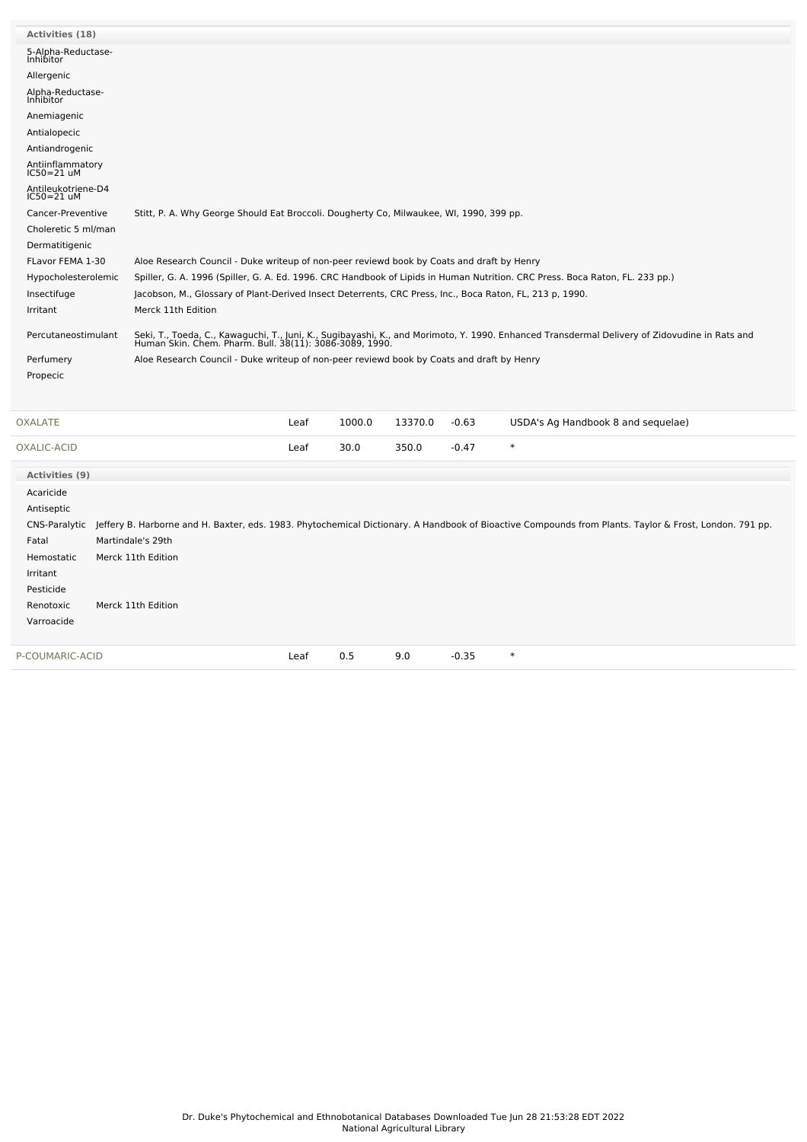| <b>Activities (18)</b>                                                                                                  |                                                                                                                                                                                                          |  |  |  |  |  |  |  |
|-------------------------------------------------------------------------------------------------------------------------|----------------------------------------------------------------------------------------------------------------------------------------------------------------------------------------------------------|--|--|--|--|--|--|--|
| 5-Alpha-Reductase-<br><b>Inhibitor</b>                                                                                  |                                                                                                                                                                                                          |  |  |  |  |  |  |  |
| Allergenic                                                                                                              |                                                                                                                                                                                                          |  |  |  |  |  |  |  |
| Alpha-Reductase-<br>Inhibitor                                                                                           |                                                                                                                                                                                                          |  |  |  |  |  |  |  |
| Anemiagenic                                                                                                             |                                                                                                                                                                                                          |  |  |  |  |  |  |  |
| Antialopecic                                                                                                            |                                                                                                                                                                                                          |  |  |  |  |  |  |  |
| Antiandrogenic                                                                                                          |                                                                                                                                                                                                          |  |  |  |  |  |  |  |
| Antiinflammatory<br>IC50=21 uM                                                                                          |                                                                                                                                                                                                          |  |  |  |  |  |  |  |
| Antileukotriene-D4<br>$IC50=21$ uM                                                                                      |                                                                                                                                                                                                          |  |  |  |  |  |  |  |
| Cancer-Preventive                                                                                                       | Stitt, P. A. Why George Should Eat Broccoli. Dougherty Co, Milwaukee, WI, 1990, 399 pp.                                                                                                                  |  |  |  |  |  |  |  |
| Choleretic 5 ml/man                                                                                                     |                                                                                                                                                                                                          |  |  |  |  |  |  |  |
| Dermatitigenic                                                                                                          |                                                                                                                                                                                                          |  |  |  |  |  |  |  |
| FLavor FEMA 1-30                                                                                                        | Aloe Research Council - Duke writeup of non-peer reviewd book by Coats and draft by Henry                                                                                                                |  |  |  |  |  |  |  |
| Hypocholesterolemic                                                                                                     | Spiller, G. A. 1996 (Spiller, G. A. Ed. 1996. CRC Handbook of Lipids in Human Nutrition. CRC Press. Boca Raton, FL. 233 pp.)                                                                             |  |  |  |  |  |  |  |
| Insectifuge<br>Jacobson, M., Glossary of Plant-Derived Insect Deterrents, CRC Press, Inc., Boca Raton, FL, 213 p, 1990. |                                                                                                                                                                                                          |  |  |  |  |  |  |  |
| Irritant                                                                                                                | Merck 11th Edition                                                                                                                                                                                       |  |  |  |  |  |  |  |
| Percutaneostimulant                                                                                                     | Seki, T., Toeda, C., Kawaguchi, T., Juni, K., Sugibayashi, K., and Morimoto, Y. 1990. Enhanced Transdermal Delivery of Zidovudine in Rats and<br>Human Skin. Chem. Pharm. Bull. 38(11): 3086-3089, 1990. |  |  |  |  |  |  |  |
| Perfumery                                                                                                               | Aloe Research Council - Duke writeup of non-peer reviewd book by Coats and draft by Henry                                                                                                                |  |  |  |  |  |  |  |
| Propecic                                                                                                                |                                                                                                                                                                                                          |  |  |  |  |  |  |  |
|                                                                                                                         |                                                                                                                                                                                                          |  |  |  |  |  |  |  |
| <b>OXALATE</b>                                                                                                          | Leaf<br>1000.0<br>13370.0<br>$-0.63$<br>USDA's Ag Handbook 8 and sequelae)                                                                                                                               |  |  |  |  |  |  |  |
| OXALIC-ACID                                                                                                             | $\ast$<br>30.0<br>Leaf<br>350.0<br>$-0.47$                                                                                                                                                               |  |  |  |  |  |  |  |
| Activities (9)                                                                                                          |                                                                                                                                                                                                          |  |  |  |  |  |  |  |
| Acaricide                                                                                                               |                                                                                                                                                                                                          |  |  |  |  |  |  |  |

CNS-Paralytic Jeffery B. Harborne and H. Baxter, eds. 1983. Phytochemical Dictionary. A Handbook of Bioactive Compounds from Plants. Taylor & Frost, London. 791 pp.

[P-COUMARIC-ACID](file:///phytochem/chemicals/show/14079) **Leaf 0.5 9.0 -0.35** \*

Antiseptic

Irritant Pesticide

Varroacide

Fatal Martindale's 29th Hemostatic Merck 11th Edition

Renotoxic Merck 11th Edition

| Dr. Duke's Phytochemical and Ethnobotanical Databases Downloaded Tue Jun 28 21:53:28 EDT 2022 |
|-----------------------------------------------------------------------------------------------|
| National Agricultural Library                                                                 |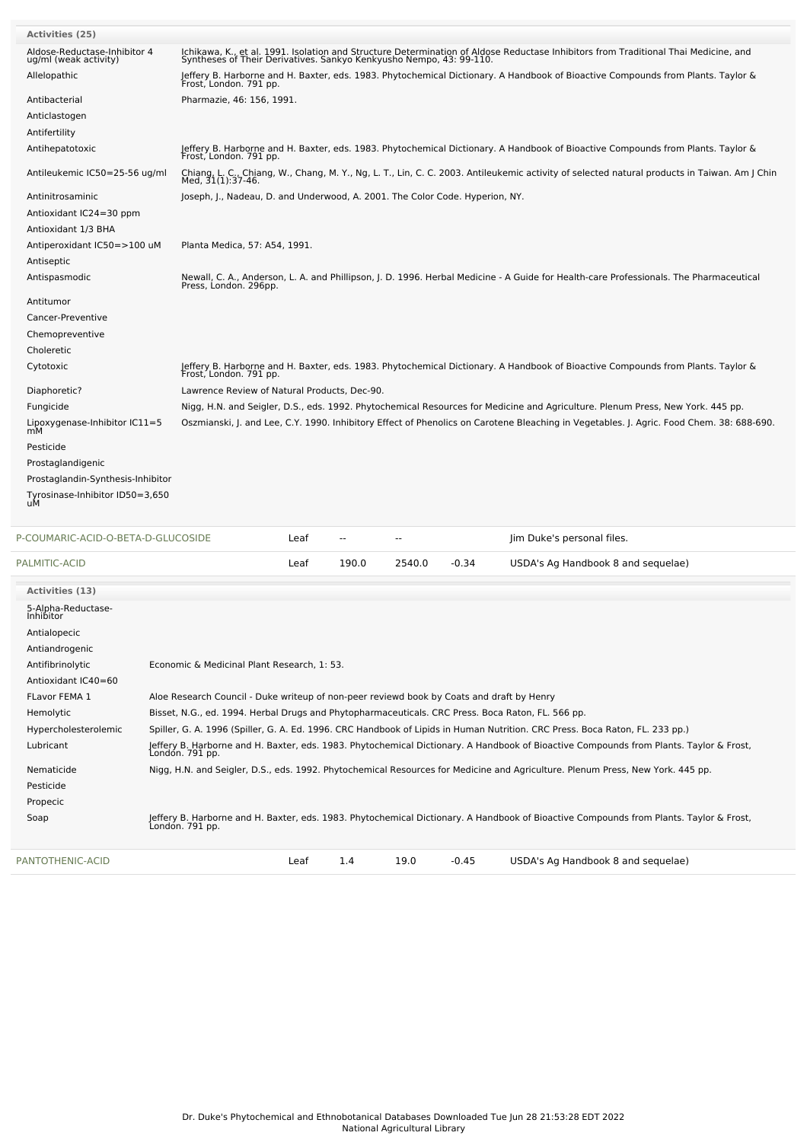| PALMITIC-ACID                                         |                                                                              | Leaf | 190.0          | 2540.0         | $-0.34$ | USDA's Ag Handbook 8 and sequelae)                                                                                                           |
|-------------------------------------------------------|------------------------------------------------------------------------------|------|----------------|----------------|---------|----------------------------------------------------------------------------------------------------------------------------------------------|
| P-COUMARIC-ACID-O-BETA-D-GLUCOSIDE                    |                                                                              | Leaf | $\overline{a}$ | $\overline{a}$ |         | Jim Duke's personal files.                                                                                                                   |
|                                                       |                                                                              |      |                |                |         |                                                                                                                                              |
| Tyrosinase-Inhibitor ID50=3,650<br>uМ                 |                                                                              |      |                |                |         |                                                                                                                                              |
| Prostaglandin-Synthesis-Inhibitor                     |                                                                              |      |                |                |         |                                                                                                                                              |
| Prostaglandigenic                                     |                                                                              |      |                |                |         |                                                                                                                                              |
| Pesticide                                             |                                                                              |      |                |                |         |                                                                                                                                              |
| Lipoxygenase-Inhibitor IC11=5<br>mМ                   |                                                                              |      |                |                |         | Oszmianski, J. and Lee, C.Y. 1990. Inhibitory Effect of Phenolics on Carotene Bleaching in Vegetables. J. Agric. Food Chem. 38: 688-690.     |
| Fungicide                                             |                                                                              |      |                |                |         | Nigg, H.N. and Seigler, D.S., eds. 1992. Phytochemical Resources for Medicine and Agriculture. Plenum Press, New York. 445 pp.               |
| Diaphoretic?                                          | Lawrence Review of Natural Products, Dec-90.                                 |      |                |                |         |                                                                                                                                              |
| Cytotoxic                                             | Frost, London. 791 pp.                                                       |      |                |                |         | Jeffery B. Harborne and H. Baxter, eds. 1983. Phytochemical Dictionary. A Handbook of Bioactive Compounds from Plants. Taylor &              |
| Choleretic                                            |                                                                              |      |                |                |         |                                                                                                                                              |
| Chemopreventive                                       |                                                                              |      |                |                |         |                                                                                                                                              |
| Cancer-Preventive                                     |                                                                              |      |                |                |         |                                                                                                                                              |
| Antitumor                                             |                                                                              |      |                |                |         |                                                                                                                                              |
| Antispasmodic                                         | Press, London. 296pp.                                                        |      |                |                |         | Newall, C. A., Anderson, L. A. and Phillipson, J. D. 1996. Herbal Medicine - A Guide for Health-care Professionals. The Pharmaceutical       |
| Antiseptic                                            |                                                                              |      |                |                |         |                                                                                                                                              |
| Antiperoxidant IC50=>100 uM                           | Planta Medica, 57: A54, 1991.                                                |      |                |                |         |                                                                                                                                              |
| Antioxidant 1/3 BHA                                   |                                                                              |      |                |                |         |                                                                                                                                              |
| Antioxidant IC24=30 ppm                               |                                                                              |      |                |                |         |                                                                                                                                              |
| Antinitrosaminic                                      | Joseph, J., Nadeau, D. and Underwood, A. 2001. The Color Code. Hyperion, NY. |      |                |                |         |                                                                                                                                              |
| Antileukemic IC50=25-56 ug/ml                         | Med, 31(1):37-46.                                                            |      |                |                |         | Chiang, L. C., Chiang, W., Chang, M. Y., Ng, L. T., Lin, C. C. 2003. Antileukemic activity of selected natural products in Taiwan. Am J Chin |
| Antihepatotoxic                                       | Frost, London. 791 pp.                                                       |      |                |                |         | Jeffery B. Harborne and H. Baxter, eds. 1983. Phytochemical Dictionary. A Handbook of Bioactive Compounds from Plants. Taylor &              |
| Antifertility                                         |                                                                              |      |                |                |         |                                                                                                                                              |
| Anticlastogen                                         |                                                                              |      |                |                |         |                                                                                                                                              |
| Antibacterial                                         | Pharmazie, 46: 156, 1991.                                                    |      |                |                |         |                                                                                                                                              |
| Allelopathic                                          | Frost, London. 791 pp.                                                       |      |                |                |         | Jeffery B. Harborne and H. Baxter, eds. 1983. Phytochemical Dictionary. A Handbook of Bioactive Compounds from Plants. Taylor &              |
| Aldose-Reductase-Inhibitor 4<br>ug/ml (weak activity) | Syntheses of Their Derivatives. Sankyo Kenkyusho Nempo, 43: 99-110.          |      |                |                |         | Ichikawa, K., et al. 1991. Isolation and Structure Determination of Aldose Reductase Inhibitors from Traditional Thai Medicine, and          |
| <b>Activities (25)</b>                                |                                                                              |      |                |                |         |                                                                                                                                              |

| <b>Activities (13)</b>          |                                                                                                                                                           |  |  |  |  |  |  |
|---------------------------------|-----------------------------------------------------------------------------------------------------------------------------------------------------------|--|--|--|--|--|--|
| 5-Alpha-Reductase-<br>Inhibitor |                                                                                                                                                           |  |  |  |  |  |  |
| Antialopecic                    |                                                                                                                                                           |  |  |  |  |  |  |
| Antiandrogenic                  |                                                                                                                                                           |  |  |  |  |  |  |
| Antifibrinolytic                | Economic & Medicinal Plant Research, 1: 53.                                                                                                               |  |  |  |  |  |  |
| Antioxidant IC40=60             |                                                                                                                                                           |  |  |  |  |  |  |
| <b>FLavor FEMA 1</b>            | Aloe Research Council - Duke writeup of non-peer reviewd book by Coats and draft by Henry                                                                 |  |  |  |  |  |  |
| Hemolytic                       | Bisset, N.G., ed. 1994. Herbal Drugs and Phytopharmaceuticals. CRC Press. Boca Raton, FL. 566 pp.                                                         |  |  |  |  |  |  |
| Hypercholesterolemic            | Spiller, G. A. 1996 (Spiller, G. A. Ed. 1996. CRC Handbook of Lipids in Human Nutrition. CRC Press. Boca Raton, FL. 233 pp.)                              |  |  |  |  |  |  |
| Lubricant                       | Jeffery B. Harborne and H. Baxter, eds. 1983. Phytochemical Dictionary. A Handbook of Bioactive Compounds from Plants. Taylor & Frost,<br>London. 791 pp. |  |  |  |  |  |  |
| Nematicide                      | Nigg, H.N. and Seigler, D.S., eds. 1992. Phytochemical Resources for Medicine and Agriculture. Plenum Press, New York. 445 pp.                            |  |  |  |  |  |  |
| Pesticide                       |                                                                                                                                                           |  |  |  |  |  |  |
| Propecic                        |                                                                                                                                                           |  |  |  |  |  |  |
| Soap                            | Jeffery B. Harborne and H. Baxter, eds. 1983. Phytochemical Dictionary. A Handbook of Bioactive Compounds from Plants. Taylor & Frost,<br>London. 791 pp. |  |  |  |  |  |  |
| PANTOTHENIC-ACID                | 1.4<br>19.0<br>$-0.45$<br>Leaf<br>USDA's Ag Handbook 8 and sequelae)                                                                                      |  |  |  |  |  |  |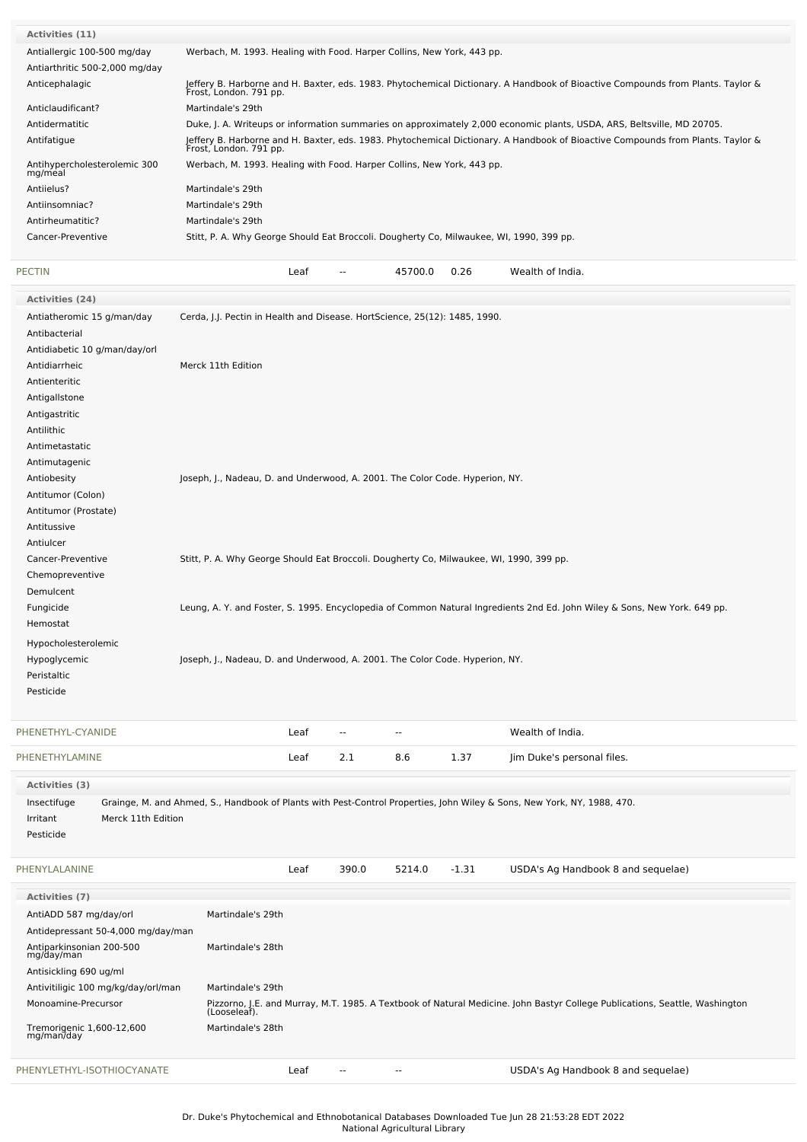| <b>Activities (11)</b>                  |                                                                                                                                                           |
|-----------------------------------------|-----------------------------------------------------------------------------------------------------------------------------------------------------------|
| Antiallergic 100-500 mg/day             | Werbach, M. 1993. Healing with Food. Harper Collins, New York, 443 pp.                                                                                    |
| Antiarthritic 500-2,000 mg/day          |                                                                                                                                                           |
| Anticephalagic                          | Jeffery B. Harborne and H. Baxter, eds. 1983. Phytochemical Dictionary. A Handbook of Bioactive Compounds from Plants. Taylor &<br>Frost, London. 791 pp. |
| Anticlaudificant?                       | Martindale's 29th                                                                                                                                         |
| Antidermatitic                          | Duke, J. A. Writeups or information summaries on approximately 2,000 economic plants, USDA, ARS, Beltsville, MD 20705.                                    |
| Antifatique                             | Jeffery B. Harborne and H. Baxter, eds. 1983. Phytochemical Dictionary. A Handbook of Bioactive Compounds from Plants. Taylor &<br>Frost, London. 791 pp. |
| Antihypercholesterolemic 300<br>mg/meal | Werbach, M. 1993. Healing with Food. Harper Collins, New York, 443 pp.                                                                                    |
| Antijelus?                              | Martindale's 29th                                                                                                                                         |
| Antiinsomniac?                          | Martindale's 29th                                                                                                                                         |
| Antirheumatitic?                        | Martindale's 29th                                                                                                                                         |
| Cancer-Preventive                       | Stitt, P. A. Why George Should Eat Broccoli. Dougherty Co, Milwaukee, WI, 1990, 399 pp.                                                                   |
|                                         |                                                                                                                                                           |
|                                         |                                                                                                                                                           |

| <b>PECTIN</b>                  |                                                                                         | Leaf |        | 45700.0                  | 0.26 | Wealth of India.                                                                                                          |  |
|--------------------------------|-----------------------------------------------------------------------------------------|------|--------|--------------------------|------|---------------------------------------------------------------------------------------------------------------------------|--|
| Activities (24)                |                                                                                         |      |        |                          |      |                                                                                                                           |  |
| Antiatheromic 15 g/man/day     | Cerda, J.J. Pectin in Health and Disease. HortScience, 25(12): 1485, 1990.              |      |        |                          |      |                                                                                                                           |  |
| Antibacterial                  |                                                                                         |      |        |                          |      |                                                                                                                           |  |
| Antidiabetic 10 g/man/day/orl  |                                                                                         |      |        |                          |      |                                                                                                                           |  |
| Antidiarrheic                  | Merck 11th Edition                                                                      |      |        |                          |      |                                                                                                                           |  |
| Antienteritic                  |                                                                                         |      |        |                          |      |                                                                                                                           |  |
| Antigallstone                  |                                                                                         |      |        |                          |      |                                                                                                                           |  |
| Antigastritic                  |                                                                                         |      |        |                          |      |                                                                                                                           |  |
| Antilithic                     |                                                                                         |      |        |                          |      |                                                                                                                           |  |
| Antimetastatic                 |                                                                                         |      |        |                          |      |                                                                                                                           |  |
| Antimutagenic                  |                                                                                         |      |        |                          |      |                                                                                                                           |  |
| Antiobesity                    | Joseph, J., Nadeau, D. and Underwood, A. 2001. The Color Code. Hyperion, NY.            |      |        |                          |      |                                                                                                                           |  |
| Antitumor (Colon)              |                                                                                         |      |        |                          |      |                                                                                                                           |  |
| Antitumor (Prostate)           |                                                                                         |      |        |                          |      |                                                                                                                           |  |
| Antitussive                    |                                                                                         |      |        |                          |      |                                                                                                                           |  |
| Antiulcer                      |                                                                                         |      |        |                          |      |                                                                                                                           |  |
| Cancer-Preventive              | Stitt, P. A. Why George Should Eat Broccoli. Dougherty Co, Milwaukee, WI, 1990, 399 pp. |      |        |                          |      |                                                                                                                           |  |
| Chemopreventive                |                                                                                         |      |        |                          |      |                                                                                                                           |  |
| Demulcent                      |                                                                                         |      |        |                          |      |                                                                                                                           |  |
| Fungicide                      |                                                                                         |      |        |                          |      | Leung, A. Y. and Foster, S. 1995. Encyclopedia of Common Natural Ingredients 2nd Ed. John Wiley & Sons, New York. 649 pp. |  |
| Hemostat                       |                                                                                         |      |        |                          |      |                                                                                                                           |  |
| Hypocholesterolemic            |                                                                                         |      |        |                          |      |                                                                                                                           |  |
| Hypoglycemic                   | Joseph, J., Nadeau, D. and Underwood, A. 2001. The Color Code. Hyperion, NY.            |      |        |                          |      |                                                                                                                           |  |
| Peristaltic                    |                                                                                         |      |        |                          |      |                                                                                                                           |  |
| Pesticide                      |                                                                                         |      |        |                          |      |                                                                                                                           |  |
|                                |                                                                                         |      |        |                          |      |                                                                                                                           |  |
| PHENETHYL-CYANIDE              |                                                                                         | Leaf | $\sim$ | $\overline{\phantom{a}}$ |      | Wealth of India.                                                                                                          |  |
| PHENETHYLAMINE                 |                                                                                         | Leaf | 2.1    | 8.6                      | 1.37 | Jim Duke's personal files.                                                                                                |  |
| Activities (3)                 |                                                                                         |      |        |                          |      |                                                                                                                           |  |
| Insectifuge                    |                                                                                         |      |        |                          |      | Grainge, M. and Ahmed, S., Handbook of Plants with Pest-Control Properties, John Wiley & Sons, New York, NY, 1988, 470.   |  |
| Irritant<br>Merck 11th Edition |                                                                                         |      |        |                          |      |                                                                                                                           |  |
| Pesticide                      |                                                                                         |      |        |                          |      |                                                                                                                           |  |
|                                |                                                                                         |      |        |                          |      |                                                                                                                           |  |
|                                |                                                                                         |      |        |                          |      |                                                                                                                           |  |

| PHENYLALANINE                           |                   | Leaf | 390.0 | 5214.0 | $-1.31$ | USDA's Ag Handbook 8 and sequelae)                                                                                          |
|-----------------------------------------|-------------------|------|-------|--------|---------|-----------------------------------------------------------------------------------------------------------------------------|
| Activities (7)                          |                   |      |       |        |         |                                                                                                                             |
| AntiADD 587 mg/day/orl                  | Martindale's 29th |      |       |        |         |                                                                                                                             |
| Antidepressant 50-4,000 mg/day/man      |                   |      |       |        |         |                                                                                                                             |
| Antiparkinsonian 200-500<br>mg/day/man  | Martindale's 28th |      |       |        |         |                                                                                                                             |
| Antisickling 690 ug/ml                  |                   |      |       |        |         |                                                                                                                             |
| Antivitiligic 100 mg/kg/day/orl/man     | Martindale's 29th |      |       |        |         |                                                                                                                             |
| Monoamine-Precursor                     | (Looseleaf).      |      |       |        |         | Pizzorno, J.E. and Murray, M.T. 1985. A Textbook of Natural Medicine. John Bastyr College Publications, Seattle, Washington |
| Tremorigenic 1,600-12,600<br>mg/man/day | Martindale's 28th |      |       |        |         |                                                                                                                             |
| PHENYLETHYL-ISOTHIOCYANATE              |                   | Leaf | $- -$ | $- -$  |         | USDA's Ag Handbook 8 and sequelae)                                                                                          |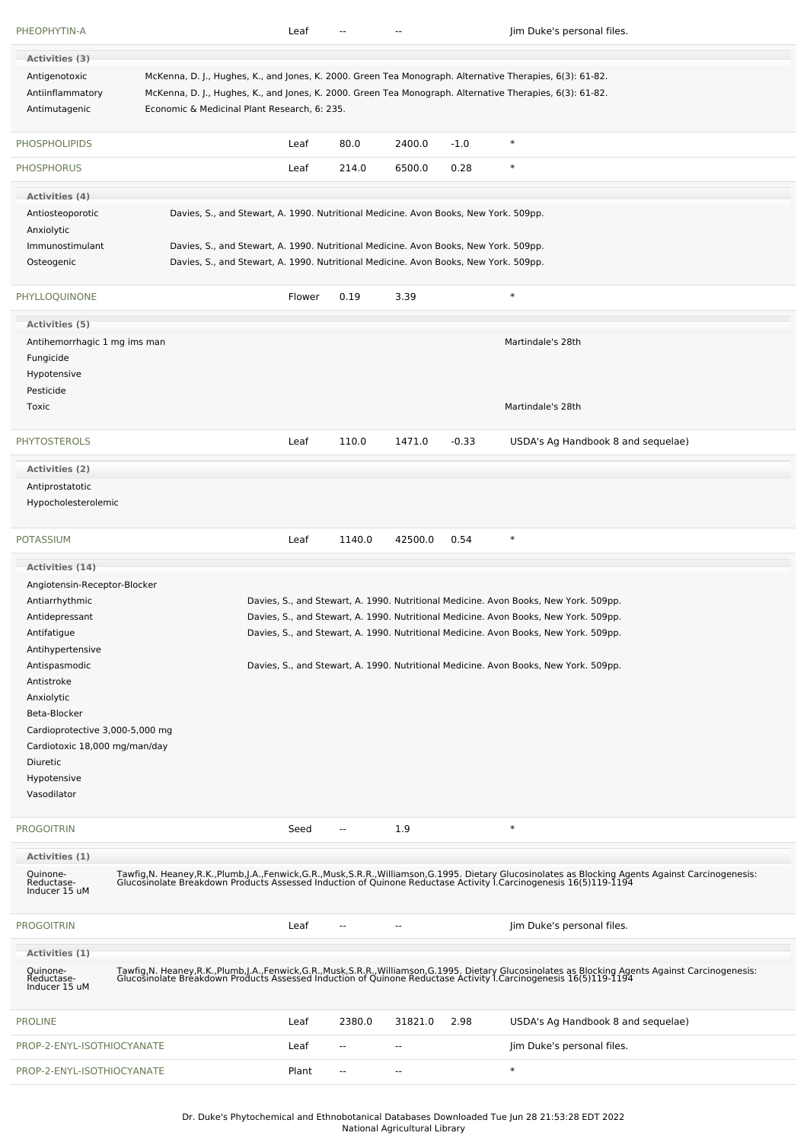| PHEOPHYTIN-A                                       |                                                                                                                                                                                                                                                                      | Leaf   |                          |                          |         | Jim Duke's personal files.                                                                                                                                                                                                        |
|----------------------------------------------------|----------------------------------------------------------------------------------------------------------------------------------------------------------------------------------------------------------------------------------------------------------------------|--------|--------------------------|--------------------------|---------|-----------------------------------------------------------------------------------------------------------------------------------------------------------------------------------------------------------------------------------|
| Activities (3)                                     |                                                                                                                                                                                                                                                                      |        |                          |                          |         |                                                                                                                                                                                                                                   |
| Antigenotoxic<br>Antiinflammatory<br>Antimutagenic | McKenna, D. J., Hughes, K., and Jones, K. 2000. Green Tea Monograph. Alternative Therapies, 6(3): 61-82.<br>McKenna, D. J., Hughes, K., and Jones, K. 2000. Green Tea Monograph. Alternative Therapies, 6(3): 61-82.<br>Economic & Medicinal Plant Research, 6: 235. |        |                          |                          |         |                                                                                                                                                                                                                                   |
| <b>PHOSPHOLIPIDS</b>                               |                                                                                                                                                                                                                                                                      | Leaf   | 80.0                     | 2400.0                   | $-1.0$  | $\ast$                                                                                                                                                                                                                            |
| <b>PHOSPHORUS</b>                                  |                                                                                                                                                                                                                                                                      | Leaf   | 214.0                    | 6500.0                   | 0.28    | $\ast$                                                                                                                                                                                                                            |
| Activities (4)                                     |                                                                                                                                                                                                                                                                      |        |                          |                          |         |                                                                                                                                                                                                                                   |
| Antiosteoporotic                                   | Davies, S., and Stewart, A. 1990. Nutritional Medicine. Avon Books, New York. 509pp.                                                                                                                                                                                 |        |                          |                          |         |                                                                                                                                                                                                                                   |
| Anxiolytic<br>Immunostimulant                      | Davies, S., and Stewart, A. 1990. Nutritional Medicine. Avon Books, New York. 509pp.                                                                                                                                                                                 |        |                          |                          |         |                                                                                                                                                                                                                                   |
| Osteogenic                                         | Davies, S., and Stewart, A. 1990. Nutritional Medicine. Avon Books, New York. 509pp.                                                                                                                                                                                 |        |                          |                          |         |                                                                                                                                                                                                                                   |
| PHYLLOQUINONE                                      |                                                                                                                                                                                                                                                                      | Flower | 0.19                     | 3.39                     |         | $\ast$                                                                                                                                                                                                                            |
| Activities (5)                                     |                                                                                                                                                                                                                                                                      |        |                          |                          |         |                                                                                                                                                                                                                                   |
| Antihemorrhagic 1 mg ims man                       |                                                                                                                                                                                                                                                                      |        |                          |                          |         | Martindale's 28th                                                                                                                                                                                                                 |
| Fungicide                                          |                                                                                                                                                                                                                                                                      |        |                          |                          |         |                                                                                                                                                                                                                                   |
| Hypotensive<br>Pesticide                           |                                                                                                                                                                                                                                                                      |        |                          |                          |         |                                                                                                                                                                                                                                   |
| Toxic                                              |                                                                                                                                                                                                                                                                      |        |                          |                          |         | Martindale's 28th                                                                                                                                                                                                                 |
| <b>PHYTOSTEROLS</b>                                |                                                                                                                                                                                                                                                                      | Leaf   | 110.0                    | 1471.0                   | $-0.33$ | USDA's Ag Handbook 8 and sequelae)                                                                                                                                                                                                |
| Activities (2)                                     |                                                                                                                                                                                                                                                                      |        |                          |                          |         |                                                                                                                                                                                                                                   |
| Antiprostatotic                                    |                                                                                                                                                                                                                                                                      |        |                          |                          |         |                                                                                                                                                                                                                                   |
| Hypocholesterolemic                                |                                                                                                                                                                                                                                                                      |        |                          |                          |         |                                                                                                                                                                                                                                   |
| <b>POTASSIUM</b>                                   |                                                                                                                                                                                                                                                                      | Leaf   | 1140.0                   | 42500.0                  | 0.54    | $\ast$                                                                                                                                                                                                                            |
| <b>Activities (14)</b>                             |                                                                                                                                                                                                                                                                      |        |                          |                          |         |                                                                                                                                                                                                                                   |
| Angiotensin-Receptor-Blocker                       |                                                                                                                                                                                                                                                                      |        |                          |                          |         |                                                                                                                                                                                                                                   |
| Antiarrhythmic                                     |                                                                                                                                                                                                                                                                      |        |                          |                          |         | Davies, S., and Stewart, A. 1990. Nutritional Medicine. Avon Books, New York. 509pp.                                                                                                                                              |
| Antidepressant                                     |                                                                                                                                                                                                                                                                      |        |                          |                          |         | Davies, S., and Stewart, A. 1990. Nutritional Medicine. Avon Books, New York. 509pp.                                                                                                                                              |
| Antifatigue                                        |                                                                                                                                                                                                                                                                      |        |                          |                          |         | Davies, S., and Stewart, A. 1990. Nutritional Medicine. Avon Books, New York. 509pp.                                                                                                                                              |
| Antihypertensive                                   |                                                                                                                                                                                                                                                                      |        |                          |                          |         |                                                                                                                                                                                                                                   |
| Antispasmodic                                      |                                                                                                                                                                                                                                                                      |        |                          |                          |         | Davies, S., and Stewart, A. 1990. Nutritional Medicine. Avon Books, New York. 509pp.                                                                                                                                              |
| Antistroke<br>Anxiolytic                           |                                                                                                                                                                                                                                                                      |        |                          |                          |         |                                                                                                                                                                                                                                   |
| Beta-Blocker                                       |                                                                                                                                                                                                                                                                      |        |                          |                          |         |                                                                                                                                                                                                                                   |
| Cardioprotective 3,000-5,000 mg                    |                                                                                                                                                                                                                                                                      |        |                          |                          |         |                                                                                                                                                                                                                                   |
| Cardiotoxic 18,000 mg/man/day                      |                                                                                                                                                                                                                                                                      |        |                          |                          |         |                                                                                                                                                                                                                                   |
| Diuretic                                           |                                                                                                                                                                                                                                                                      |        |                          |                          |         |                                                                                                                                                                                                                                   |
| Hypotensive                                        |                                                                                                                                                                                                                                                                      |        |                          |                          |         |                                                                                                                                                                                                                                   |
| Vasodilator                                        |                                                                                                                                                                                                                                                                      |        |                          |                          |         |                                                                                                                                                                                                                                   |
| <b>PROGOITRIN</b>                                  |                                                                                                                                                                                                                                                                      | Seed   | $\sim$                   | 1.9                      |         | $\ast$                                                                                                                                                                                                                            |
| Activities (1)                                     |                                                                                                                                                                                                                                                                      |        |                          |                          |         |                                                                                                                                                                                                                                   |
| Quinone-<br>Reductase-<br>Inducer 15 uM            |                                                                                                                                                                                                                                                                      |        |                          |                          |         | Tawfig, N. Heaney, R.K., Plumb, J.A., Fenwick, G.R., Musk, S.R.R., Williamson, G.1995. Dietary Glucosinolates as Blocking Agents Against Carcinogenesis:<br>Glucosinolate Breakdown Products Assessed Induction of Quinone Reduct |
| <b>PROGOITRIN</b>                                  |                                                                                                                                                                                                                                                                      | Leaf   | $\overline{a}$           | $\overline{\phantom{a}}$ |         | Jim Duke's personal files.                                                                                                                                                                                                        |
| Activities (1)                                     |                                                                                                                                                                                                                                                                      |        |                          |                          |         |                                                                                                                                                                                                                                   |
| Quinone-<br>Reductase-<br>Inducer 15 uM            |                                                                                                                                                                                                                                                                      |        |                          |                          |         | Tawfig, N. Heaney, R.K., Plumb, J.A., Fenwick, G.R., Musk, S.R.R., Williamson, G.1995. Dietary Glucosinolates as Blocking Agents Against Carcinogenesis:<br>Glucosinolate Breakdown Products Assessed Induction of Quinone Reduct |
| <b>PROLINE</b>                                     |                                                                                                                                                                                                                                                                      | Leaf   | 2380.0                   | 31821.0                  | 2.98    | USDA's Ag Handbook 8 and sequelae)                                                                                                                                                                                                |
| PROP-2-ENYL-ISOTHIOCYANATE                         |                                                                                                                                                                                                                                                                      | Leaf   |                          | --                       |         | Jim Duke's personal files.                                                                                                                                                                                                        |
| PROP-2-ENYL-ISOTHIOCYANATE                         |                                                                                                                                                                                                                                                                      | Plant  | $\overline{\phantom{a}}$ | $\sim$                   |         | $\ast$                                                                                                                                                                                                                            |

Dr. Duke's Phytochemical and Ethnobotanical Databases Downloaded Tue Jun 28 21:53:28 EDT 2022 National Agricultural Library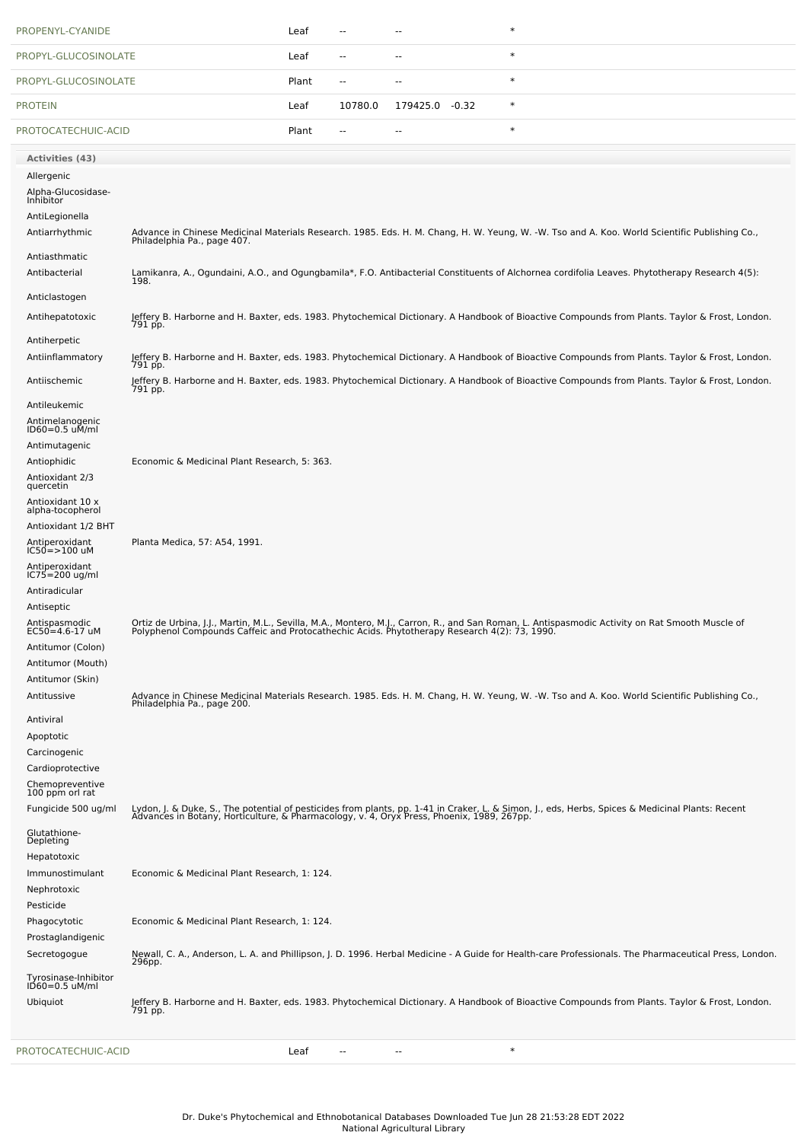| PROPENYL-CYANIDE                       |                                                                                              | Leaf  | --                       | --                       | $\ast$                                                                                                                                                                                                                           |
|----------------------------------------|----------------------------------------------------------------------------------------------|-------|--------------------------|--------------------------|----------------------------------------------------------------------------------------------------------------------------------------------------------------------------------------------------------------------------------|
| PROPYL-GLUCOSINOLATE                   |                                                                                              | Leaf  | $\overline{a}$           | --                       | $\ast$                                                                                                                                                                                                                           |
| PROPYL-GLUCOSINOLATE                   |                                                                                              | Plant | $\sim$                   | $\overline{\phantom{a}}$ | $\ast$                                                                                                                                                                                                                           |
| <b>PROTEIN</b>                         |                                                                                              | Leaf  | 10780.0                  | 179425.0 -0.32           | $\ast$                                                                                                                                                                                                                           |
| PROTOCATECHUIC-ACID                    |                                                                                              | Plant | $\overline{\phantom{a}}$ | --                       | $\ast$                                                                                                                                                                                                                           |
| <b>Activities (43)</b>                 |                                                                                              |       |                          |                          |                                                                                                                                                                                                                                  |
| Allergenic                             |                                                                                              |       |                          |                          |                                                                                                                                                                                                                                  |
| Alpha-Glucosidase-<br>Inhibitor        |                                                                                              |       |                          |                          |                                                                                                                                                                                                                                  |
| AntiLegionella                         |                                                                                              |       |                          |                          |                                                                                                                                                                                                                                  |
| Antiarrhythmic                         |                                                                                              |       |                          |                          | Advance in Chinese Medicinal Materials Research. 1985. Eds. H. M. Chang, H. W. Yeung, W. -W. Tso and A. Koo. World Scientific Publishing Co.,                                                                                    |
| Antiasthmatic                          | Philadelphia Pa., page 407.                                                                  |       |                          |                          |                                                                                                                                                                                                                                  |
| Antibacterial                          |                                                                                              |       |                          |                          | Lamikanra, A., Ogundaini, A.O., and Ogungbamila*, F.O. Antibacterial Constituents of Alchornea cordifolia Leaves. Phytotherapy Research 4(5):                                                                                    |
|                                        | 198.                                                                                         |       |                          |                          |                                                                                                                                                                                                                                  |
| Anticlastogen                          |                                                                                              |       |                          |                          |                                                                                                                                                                                                                                  |
| Antihepatotoxic                        | 791 pp.                                                                                      |       |                          |                          | Jeffery B. Harborne and H. Baxter, eds. 1983. Phytochemical Dictionary. A Handbook of Bioactive Compounds from Plants. Taylor & Frost, London.                                                                                   |
| Antiherpetic                           |                                                                                              |       |                          |                          |                                                                                                                                                                                                                                  |
| Antiinflammatory                       | 791 pp.                                                                                      |       |                          |                          | Jeffery B. Harborne and H. Baxter, eds. 1983. Phytochemical Dictionary. A Handbook of Bioactive Compounds from Plants. Taylor & Frost, London.                                                                                   |
| Antiischemic                           | 791 pp.                                                                                      |       |                          |                          | Jeffery B. Harborne and H. Baxter, eds. 1983. Phytochemical Dictionary. A Handbook of Bioactive Compounds from Plants. Taylor & Frost, London.                                                                                   |
| Antileukemic                           |                                                                                              |       |                          |                          |                                                                                                                                                                                                                                  |
| Antimelanogenic<br>ID60=0.5 uM/ml      |                                                                                              |       |                          |                          |                                                                                                                                                                                                                                  |
| Antimutagenic                          |                                                                                              |       |                          |                          |                                                                                                                                                                                                                                  |
| Antiophidic                            | Economic & Medicinal Plant Research, 5: 363.                                                 |       |                          |                          |                                                                                                                                                                                                                                  |
| Antioxidant 2/3<br>quercetin           |                                                                                              |       |                          |                          |                                                                                                                                                                                                                                  |
| Antioxidant 10 x                       |                                                                                              |       |                          |                          |                                                                                                                                                                                                                                  |
| alpha-tocopherol                       |                                                                                              |       |                          |                          |                                                                                                                                                                                                                                  |
| Antioxidant 1/2 BHT<br>Antiperoxidant  | Planta Medica, 57: A54, 1991.                                                                |       |                          |                          |                                                                                                                                                                                                                                  |
| $IC50 = > 100$ uM                      |                                                                                              |       |                          |                          |                                                                                                                                                                                                                                  |
| Antiperoxidant<br>$IC75 = 200$ ug/ml   |                                                                                              |       |                          |                          |                                                                                                                                                                                                                                  |
| Antiradicular                          |                                                                                              |       |                          |                          |                                                                                                                                                                                                                                  |
| Antiseptic                             |                                                                                              |       |                          |                          |                                                                                                                                                                                                                                  |
| Antispasmodic<br>$EC50 = 4.6 - 17$ uM  | Polyphenol Compounds Caffeic and Protocathechic Acids. Phytotherapy Research 4(2): 73, 1990. |       |                          |                          | Ortiz de Urbina, J.J., Martin, M.L., Sevilla, M.A., Montero, M.J., Carron, R., and San Roman, L. Antispasmodic Activity on Rat Smooth Muscle of                                                                                  |
| Antitumor (Colon)                      |                                                                                              |       |                          |                          |                                                                                                                                                                                                                                  |
| Antitumor (Mouth)                      |                                                                                              |       |                          |                          |                                                                                                                                                                                                                                  |
| Antitumor (Skin)                       |                                                                                              |       |                          |                          |                                                                                                                                                                                                                                  |
| Antitussive                            |                                                                                              |       |                          |                          | Advance in Chinese Medicinal Materials Research. 1985. Eds. H. M. Chang, H. W. Yeung, W. -W. Tso and A. Koo. World Scientific Publishing Co.,<br>Philadelphia Pa., page 200.                                                     |
| Antiviral                              |                                                                                              |       |                          |                          |                                                                                                                                                                                                                                  |
| Apoptotic                              |                                                                                              |       |                          |                          |                                                                                                                                                                                                                                  |
| Carcinogenic<br>Cardioprotective       |                                                                                              |       |                          |                          |                                                                                                                                                                                                                                  |
|                                        |                                                                                              |       |                          |                          |                                                                                                                                                                                                                                  |
| Chemopreventive<br>100 ppm orl rat     |                                                                                              |       |                          |                          |                                                                                                                                                                                                                                  |
| Fungicide 500 ug/ml                    |                                                                                              |       |                          |                          | Lydon, J. & Duke, S., The potential of pesticides from plants, pp. 1-41 in Craker, L. & Simon, J., eds, Herbs, Spices & Medicinal Plants: Recent<br>Advances in Botany, Horticulture, & Pharmacology, v. 4, Oryx Press, Phoenix, |
| Glutathione-<br>Depleting              |                                                                                              |       |                          |                          |                                                                                                                                                                                                                                  |
| Hepatotoxic                            |                                                                                              |       |                          |                          |                                                                                                                                                                                                                                  |
| Immunostimulant                        | Economic & Medicinal Plant Research, 1: 124.                                                 |       |                          |                          |                                                                                                                                                                                                                                  |
| Nephrotoxic                            |                                                                                              |       |                          |                          |                                                                                                                                                                                                                                  |
| Pesticide                              |                                                                                              |       |                          |                          |                                                                                                                                                                                                                                  |
| Phagocytotic<br>Prostaglandigenic      | Economic & Medicinal Plant Research, 1: 124.                                                 |       |                          |                          |                                                                                                                                                                                                                                  |
| Secretogogue                           |                                                                                              |       |                          |                          | Newall, C. A., Anderson, L. A. and Phillipson, J. D. 1996. Herbal Medicine - A Guide for Health-care Professionals. The Pharmaceutical Press, London.                                                                            |
|                                        | 296pp.                                                                                       |       |                          |                          |                                                                                                                                                                                                                                  |
| Tyrosinase-Inhibitor<br>ID60=0.5 uM/ml |                                                                                              |       |                          |                          |                                                                                                                                                                                                                                  |
| Ubiquiot                               | 791 pp.                                                                                      |       |                          |                          | Jeffery B. Harborne and H. Baxter, eds. 1983. Phytochemical Dictionary. A Handbook of Bioactive Compounds from Plants. Taylor & Frost, London.                                                                                   |
|                                        |                                                                                              |       |                          |                          |                                                                                                                                                                                                                                  |
| PROTOCATECHUIC-ACID                    |                                                                                              | Leaf  |                          |                          | $\ast$                                                                                                                                                                                                                           |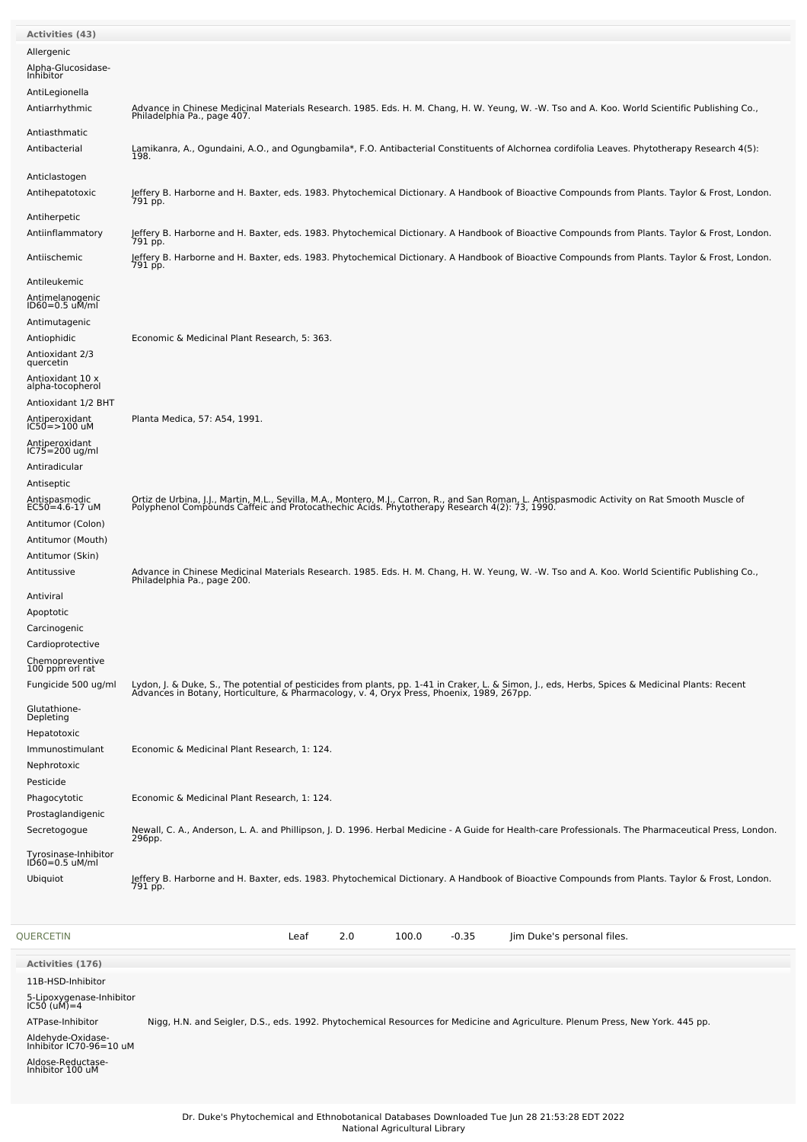| <b>Activities (43)</b>                       |                                                                                                                                                                                                                                   |
|----------------------------------------------|-----------------------------------------------------------------------------------------------------------------------------------------------------------------------------------------------------------------------------------|
| Allergenic                                   |                                                                                                                                                                                                                                   |
| Alpha-Glucosidase-<br>Inhibitor              |                                                                                                                                                                                                                                   |
| AntiLegionella<br>Antiarrhythmic             | Advance in Chinese Medicinal Materials Research. 1985. Eds. H. M. Chang, H. W. Yeung, W. -W. Tso and A. Koo. World Scientific Publishing Co.,                                                                                     |
|                                              | Philadelphia Pa., page 407.                                                                                                                                                                                                       |
| Antiasthmatic<br>Antibacterial               | Lamikanra, A., Ogundaini, A.O., and Ogungbamila*, F.O. Antibacterial Constituents of Alchornea cordifolia Leaves. Phytotherapy Research 4(5):<br>198.                                                                             |
| Anticlastogen<br>Antihepatotoxic             | Jeffery B. Harborne and H. Baxter, eds. 1983. Phytochemical Dictionary. A Handbook of Bioactive Compounds from Plants. Taylor & Frost, London.<br>791 pp.                                                                         |
| Antiherpetic<br>Antiinflammatory             | Jeffery B. Harborne and H. Baxter, eds. 1983. Phytochemical Dictionary. A Handbook of Bioactive Compounds from Plants. Taylor & Frost, London.                                                                                    |
| Antiischemic                                 | 791 pp.<br>Jeffery B. Harborne and H. Baxter, eds. 1983. Phytochemical Dictionary. A Handbook of Bioactive Compounds from Plants. Taylor & Frost, London.                                                                         |
| Antileukemic                                 | 791 pp.                                                                                                                                                                                                                           |
| Antimelanogenic<br>ID60=0.5 uM/ml            |                                                                                                                                                                                                                                   |
| Antimutagenic                                |                                                                                                                                                                                                                                   |
| Antiophidic                                  | Economic & Medicinal Plant Research, 5: 363.                                                                                                                                                                                      |
| Antioxidant 2/3<br>quercetin                 |                                                                                                                                                                                                                                   |
| Antioxidant 10 x                             |                                                                                                                                                                                                                                   |
| alpha-tocopherol<br>Antioxidant 1/2 BHT      |                                                                                                                                                                                                                                   |
| Antiperoxidant                               | Planta Medica, 57: A54, 1991.                                                                                                                                                                                                     |
| $IC50 = > 100$ uM<br>Antiperoxidant          |                                                                                                                                                                                                                                   |
| $IC75 = 200$ ug/ml                           |                                                                                                                                                                                                                                   |
| Antiradicular<br>Antiseptic                  |                                                                                                                                                                                                                                   |
| Antispasmodic<br>EC50=4.6-17 uM              | Ortiz de Urbina, J.J., Martin, M.L., Sevilla, M.A., Montero, M.J., Carron, R., and San Roman, L. Antispasmodic Activity on Rat Smooth Muscle of<br>Polyphenol Compounds Caffeic and Protocathechic Acids. Phytotherapy Research 4 |
| Antitumor (Colon)                            |                                                                                                                                                                                                                                   |
| Antitumor (Mouth)                            |                                                                                                                                                                                                                                   |
| Antitumor (Skin)                             |                                                                                                                                                                                                                                   |
| Antitussive                                  | Advance in Chinese Medicinal Materials Research. 1985. Eds. H. M. Chang, H. W. Yeung, W. -W. Tso and A. Koo. World Scientific Publishing Co.,<br>Philadelphia Pa., page 200.                                                      |
| Antiviral                                    |                                                                                                                                                                                                                                   |
| Apoptotic<br>Carcinogenic                    |                                                                                                                                                                                                                                   |
| Cardioprotective                             |                                                                                                                                                                                                                                   |
| Chemopreventive<br>100 ppm orl rat           |                                                                                                                                                                                                                                   |
| Fungicide 500 ug/ml                          | Lydon, J. & Duke, S., The potential of pesticides from plants, pp. 1-41 in Craker, L. & Simon, J., eds, Herbs, Spices & Medicinal Plants: Recent<br>Advances in Botany, Horticulture, & Pharmacology, v. 4, Oryx Press, Phoenix,  |
| Glutathione-                                 |                                                                                                                                                                                                                                   |
| Depleting                                    |                                                                                                                                                                                                                                   |
| Hepatotoxic<br>Immunostimulant               | Economic & Medicinal Plant Research, 1: 124.                                                                                                                                                                                      |
| Nephrotoxic                                  |                                                                                                                                                                                                                                   |
| Pesticide                                    |                                                                                                                                                                                                                                   |
| Phagocytotic<br>Prostaglandigenic            | Economic & Medicinal Plant Research, 1: 124.                                                                                                                                                                                      |
| Secretogogue                                 | Newall, C. A., Anderson, L. A. and Phillipson, J. D. 1996. Herbal Medicine - A Guide for Health-care Professionals. The Pharmaceutical Press, London.<br>296pp.                                                                   |
| Tyrosinase-Inhibitor<br>ID60=0.5 uM/ml       |                                                                                                                                                                                                                                   |
| Ubiquiot                                     | Jeffery B. Harborne and H. Baxter, eds. 1983. Phytochemical Dictionary. A Handbook of Bioactive Compounds from Plants. Taylor & Frost, London.<br>791 pp.                                                                         |
|                                              |                                                                                                                                                                                                                                   |
| QUERCETIN                                    | 2.0<br>100.0<br>$-0.35$<br>Jim Duke's personal files.<br>Leaf                                                                                                                                                                     |
|                                              |                                                                                                                                                                                                                                   |
| <b>Activities (176)</b><br>11B-HSD-Inhibitor |                                                                                                                                                                                                                                   |
| 5-Lipoxygenase-Inhibitor<br>IC50 (uM)=4      |                                                                                                                                                                                                                                   |
| ATPase-Inhibitor                             | Nigg, H.N. and Seigler, D.S., eds. 1992. Phytochemical Resources for Medicine and Agriculture. Plenum Press, New York. 445 pp.                                                                                                    |
| Aldehyde-Oxidase-<br>Inhibitor IC70-96=10 uM |                                                                                                                                                                                                                                   |
| Aldose-Reductase-                            |                                                                                                                                                                                                                                   |
| Inhibitor 100 uM                             |                                                                                                                                                                                                                                   |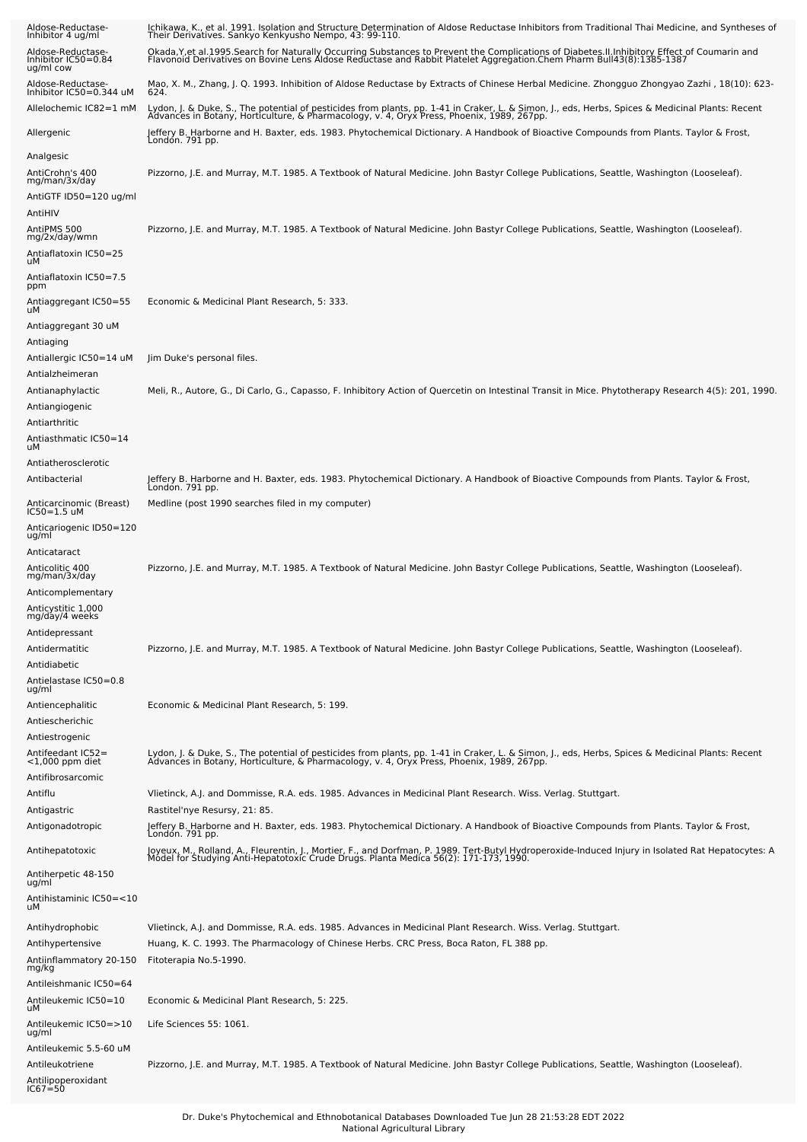| Aldose-Reductase-<br>Inhibitor 4 ug/ml                 | Ichikawa, K., et al. 1991. Isolation and Structure Determination of Aldose Reductase Inhibitors from Traditional Thai Medicine, and Syntheses of<br>Their Derivatives. Sankyo Kenkyusho Nempo, 43: 99-110.                                                             |
|--------------------------------------------------------|------------------------------------------------------------------------------------------------------------------------------------------------------------------------------------------------------------------------------------------------------------------------|
| Aldose-Reductase-<br>Inhibitor IC50=0.84<br>ug/ml cow  | Okada Y, et al. 1995. Search for Naturally Occurring Substances to Prevent the Complications of Diabetes II. Inhibitory Effect of Coumarin and<br>Flavonoid Derivatives on Bovine Lens Aldose Reductase and Rabbit Platelet Aggregation.Chem Pharm Bull43(8):1385-1387 |
| Aldose-Reductase-<br>Inhibitor IC50=0.344 uM           | Mao, X. M., Zhang, J. Q. 1993. Inhibition of Aldose Reductase by Extracts of Chinese Herbal Medicine. Zhongguo Zhongyao Zazhi , 18(10): 623-<br>624.                                                                                                                   |
| Allelochemic IC82=1 mM                                 | Lydon, J. & Duke, S., The potential of pesticides from plants, pp. 1-41 in Craker, L. & Simon, J., eds, Herbs, Spices & Medicinal Plants: Recent<br>Advances in Botany, Horticulture, & Pharmacology, v. 4, Oryx Press, Phoenix, 1989, 267pp.                          |
| Allergenic                                             | Jeffery B. Harborne and H. Baxter, eds. 1983. Phytochemical Dictionary. A Handbook of Bioactive Compounds from Plants. Taylor & Frost,<br>London. 791 pp.                                                                                                              |
| Analgesic<br>AntiCrohn's 400                           | Pizzorno, J.E. and Murray, M.T. 1985. A Textbook of Natural Medicine. John Bastyr College Publications, Seattle, Washington (Looseleaf).                                                                                                                               |
| mg/man/3x/day<br>AntiGTF ID50=120 ug/ml                |                                                                                                                                                                                                                                                                        |
| AntiHIV<br>AntiPMS 500<br>mg/2x/day/wmn                | Pizzorno, J.E. and Murray, M.T. 1985. A Textbook of Natural Medicine. John Bastyr College Publications, Seattle, Washington (Looseleaf).                                                                                                                               |
| Antiaflatoxin IC50=25<br>uМ                            |                                                                                                                                                                                                                                                                        |
| Antiaflatoxin IC50=7.5<br>ppm                          |                                                                                                                                                                                                                                                                        |
| Antiaggregant IC50=55<br>uМ                            | Economic & Medicinal Plant Research, 5: 333.                                                                                                                                                                                                                           |
| Antiaggregant 30 uM                                    |                                                                                                                                                                                                                                                                        |
| Antiaging<br>Antiallergic IC50=14 uM                   | Jim Duke's personal files.                                                                                                                                                                                                                                             |
| Antialzheimeran                                        |                                                                                                                                                                                                                                                                        |
| Antianaphylactic<br>Antiangiogenic                     | Meli, R., Autore, G., Di Carlo, G., Capasso, F. Inhibitory Action of Quercetin on Intestinal Transit in Mice. Phytotherapy Research 4(5): 201, 1990.                                                                                                                   |
| Antiarthritic<br>Antiasthmatic IC50=14<br>uМ           |                                                                                                                                                                                                                                                                        |
| Antiatherosclerotic                                    |                                                                                                                                                                                                                                                                        |
| Antibacterial                                          | Jeffery B. Harborne and H. Baxter, eds. 1983. Phytochemical Dictionary. A Handbook of Bioactive Compounds from Plants. Taylor & Frost,<br>London. 791 pp.                                                                                                              |
| Anticarcinomic (Breast)<br>IC50=1.5 uM                 | Medline (post 1990 searches filed in my computer)                                                                                                                                                                                                                      |
| Anticariogenic ID50=120<br>ug/ml<br>Anticataract       |                                                                                                                                                                                                                                                                        |
| Anticolitic 400<br>mg/man/3x/day                       | Pizzorno, J.E. and Murray, M.T. 1985. A Textbook of Natural Medicine. John Bastyr College Publications, Seattle, Washington (Looseleaf).                                                                                                                               |
| Anticomplementary<br>Anticystitic 1,000                |                                                                                                                                                                                                                                                                        |
| mg/day/4 weeks<br>Antidepressant                       |                                                                                                                                                                                                                                                                        |
| Antidermatitic                                         | Pizzorno, J.E. and Murray, M.T. 1985. A Textbook of Natural Medicine. John Bastyr College Publications, Seattle, Washington (Looseleaf).                                                                                                                               |
| Antidiabetic                                           |                                                                                                                                                                                                                                                                        |
| Antielastase IC50=0.8<br>ug/ml                         |                                                                                                                                                                                                                                                                        |
| Antiencephalitic                                       | Economic & Medicinal Plant Research, 5: 199.                                                                                                                                                                                                                           |
| Antiescherichic                                        |                                                                                                                                                                                                                                                                        |
| Antiestrogenic<br>Antifeedant IC52=<br><1,000 ppm diet | Lydon, J. & Duke, S., The potential of pesticides from plants, pp. 1-41 in Craker, L. & Simon, J., eds, Herbs, Spices & Medicinal Plants: Recent<br>Advances in Botany, Horticulture, & Pharmacology, v. 4, Oryx Press, Phoenix,                                       |
| Antifibrosarcomic                                      |                                                                                                                                                                                                                                                                        |
| Antiflu<br>Antigastric                                 | Viletinck, A.J. and Dommisse, R.A. eds. 1985. Advances in Medicinal Plant Research. Wiss. Verlag. Stuttgart.<br>Rastitel'nye Resursy, 21: 85.                                                                                                                          |
| Antigonadotropic                                       | Jeffery B. Harborne and H. Baxter, eds. 1983. Phytochemical Dictionary. A Handbook of Bioactive Compounds from Plants. Taylor & Frost,<br>London. 791 pp.                                                                                                              |
| Antihepatotoxic                                        | Joyeux, M., Rolland, A., Fleurentin, J., Mortier, F., and Dorfman, P. 1989. Tert-Butyl Hydroperoxide-Induced Injury in Isolated Rat Hepatocytes: A<br>Model for Studying Anti-Hepatotoxic Crude Drugs. Planta Medica 56(2): 171-1                                      |
| Antiherpetic 48-150<br>ug/ml                           |                                                                                                                                                                                                                                                                        |
| Antihistaminic IC50=<10<br>uМ                          |                                                                                                                                                                                                                                                                        |
| Antihydrophobic                                        | Vlietinck, A.J. and Dommisse, R.A. eds. 1985. Advances in Medicinal Plant Research. Wiss. Verlag. Stuttgart.                                                                                                                                                           |
| Antihypertensive<br>Antiinflammatory 20-150<br>mg/kg   | Huang, K. C. 1993. The Pharmacology of Chinese Herbs. CRC Press, Boca Raton, FL 388 pp.<br>Fitoterapia No.5-1990.                                                                                                                                                      |
| Antileishmanic IC50=64                                 |                                                                                                                                                                                                                                                                        |
| Antileukemic IC50=10<br>uМ                             | Economic & Medicinal Plant Research, 5: 225.                                                                                                                                                                                                                           |
| Antileukemic IC50=>10<br>ug/ml                         | Life Sciences 55: 1061.                                                                                                                                                                                                                                                |
| Antileukemic 5.5-60 uM<br>Antileukotriene              | Pizzorno, J.E. and Murray, M.T. 1985. A Textbook of Natural Medicine. John Bastyr College Publications, Seattle, Washington (Looseleaf).                                                                                                                               |
| Antilipoperoxidant<br>IC67=50                          |                                                                                                                                                                                                                                                                        |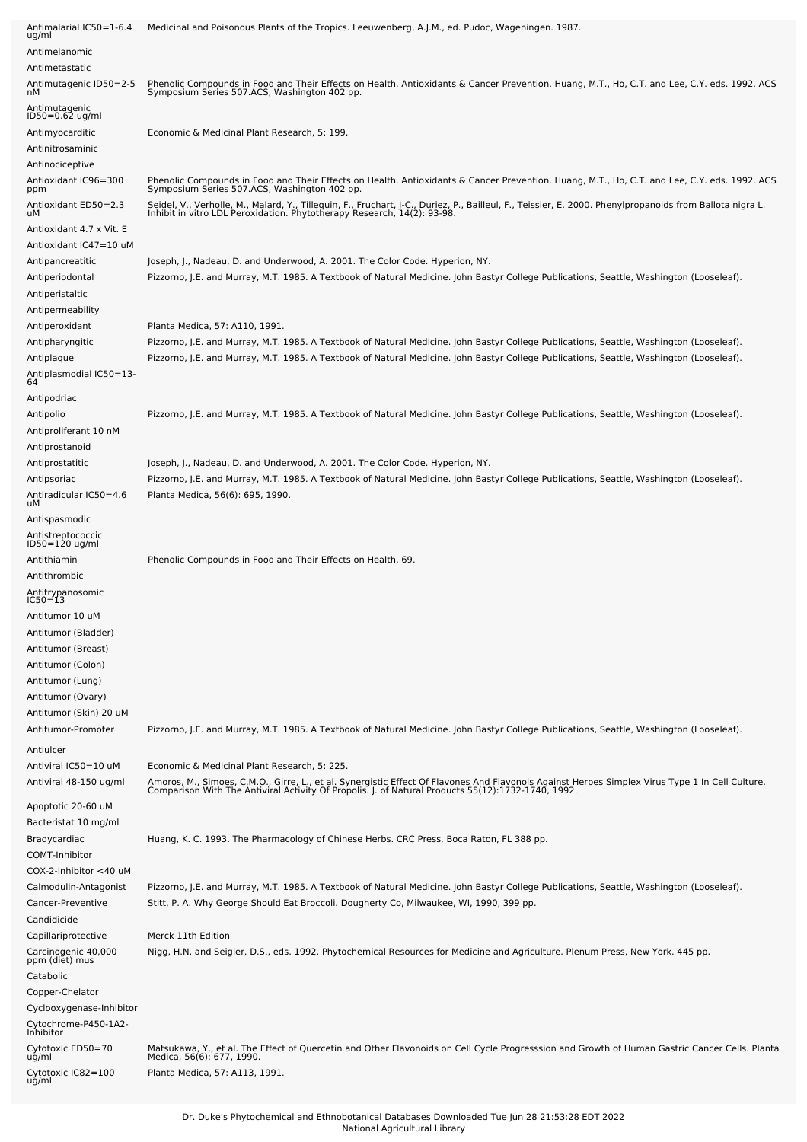| Antimalarial IC50=1-6.4<br>ug/ml                       | Medicinal and Poisonous Plants of the Tropics. Leeuwenberg, A.J.M., ed. Pudoc, Wageningen. 1987.                                                                                                                                  |
|--------------------------------------------------------|-----------------------------------------------------------------------------------------------------------------------------------------------------------------------------------------------------------------------------------|
| Antimelanomic                                          |                                                                                                                                                                                                                                   |
| Antimetastatic                                         |                                                                                                                                                                                                                                   |
| Antimutagenic ID50=2-5<br>nМ                           | Phenolic Compounds in Food and Their Effects on Health. Antioxidants & Cancer Prevention. Huang, M.T., Ho, C.T. and Lee, C.Y. eds. 1992. ACS<br>Symposium Series 507.ACS, Washington 402 pp.                                      |
| Antimutagenic<br>ID50=0.62 ug/ml                       |                                                                                                                                                                                                                                   |
| Antimyocarditic                                        | Economic & Medicinal Plant Research, 5: 199.                                                                                                                                                                                      |
| Antinitrosaminic                                       |                                                                                                                                                                                                                                   |
| Antinociceptive                                        |                                                                                                                                                                                                                                   |
| Antioxidant IC96=300<br>ppm                            | Phenolic Compounds in Food and Their Effects on Health. Antioxidants & Cancer Prevention. Huang, M.T., Ho, C.T. and Lee, C.Y. eds. 1992. ACS<br>Symposium Series 507.ACS, Washington 402 pp.                                      |
| Antioxidant ED50=2.3<br>uМ                             | Seidel, V., Verholle, M., Malard, Y., Tillequin, F., Fruchart, J-C., Duriez, P., Bailleul, F., Teissier, E. 2000. Phenylpropanoids from Ballota nigra L.<br>Inhibit in vitro LDL Peroxidation. Phytotherapy Research, 14(2): 93-9 |
| Antioxidant 4.7 x Vit. E<br>Antioxidant IC47=10 uM     |                                                                                                                                                                                                                                   |
| Antipancreatitic                                       | Joseph, J., Nadeau, D. and Underwood, A. 2001. The Color Code. Hyperion, NY.                                                                                                                                                      |
| Antiperiodontal<br>Antiperistaltic<br>Antipermeability | Pizzorno, J.E. and Murray, M.T. 1985. A Textbook of Natural Medicine. John Bastyr College Publications, Seattle, Washington (Looseleaf).                                                                                          |
| Antiperoxidant                                         | Planta Medica, 57: A110, 1991.                                                                                                                                                                                                    |
| Antipharyngitic                                        | Pizzorno, J.E. and Murray, M.T. 1985. A Textbook of Natural Medicine. John Bastyr College Publications, Seattle, Washington (Looseleaf).                                                                                          |
| Antiplaque                                             | Pizzorno, J.E. and Murray, M.T. 1985. A Textbook of Natural Medicine. John Bastyr College Publications, Seattle, Washington (Looseleaf).                                                                                          |
| Antiplasmodial IC50=13-<br>64                          |                                                                                                                                                                                                                                   |
| Antipodriac                                            |                                                                                                                                                                                                                                   |
| Antipolio<br>Antiproliferant 10 nM                     | Pizzorno, J.E. and Murray, M.T. 1985. A Textbook of Natural Medicine. John Bastyr College Publications, Seattle, Washington (Looseleaf).                                                                                          |
| Antiprostanoid                                         |                                                                                                                                                                                                                                   |
| Antiprostatitic                                        | Joseph, J., Nadeau, D. and Underwood, A. 2001. The Color Code. Hyperion, NY.                                                                                                                                                      |
| Antipsoriac                                            | Pizzorno, J.E. and Murray, M.T. 1985. A Textbook of Natural Medicine. John Bastyr College Publications, Seattle, Washington (Looseleaf).                                                                                          |
| Antiradicular IC50=4.6<br>uМ                           | Planta Medica, 56(6): 695, 1990.                                                                                                                                                                                                  |
| Antispasmodic                                          |                                                                                                                                                                                                                                   |
| Antistreptococcic<br>ID50=120 ug/ml                    |                                                                                                                                                                                                                                   |
| Antithiamin<br>Antithrombic                            | Phenolic Compounds in Food and Their Effects on Health, 69.                                                                                                                                                                       |
| Antitrypanosomic<br>IC50=13                            |                                                                                                                                                                                                                                   |
| Antitumor 10 uM                                        |                                                                                                                                                                                                                                   |
| Antitumor (Bladder)                                    |                                                                                                                                                                                                                                   |
| Antitumor (Breast)                                     |                                                                                                                                                                                                                                   |
| Antitumor (Colon)                                      |                                                                                                                                                                                                                                   |
| Antitumor (Lung)                                       |                                                                                                                                                                                                                                   |
| Antitumor (Ovary)                                      |                                                                                                                                                                                                                                   |
| Antitumor (Skin) 20 uM                                 |                                                                                                                                                                                                                                   |
| Antitumor-Promoter                                     | Pizzorno, J.E. and Murray, M.T. 1985. A Textbook of Natural Medicine. John Bastyr College Publications, Seattle, Washington (Looseleaf).                                                                                          |
| Antiulcer<br>Antiviral IC50=10 uM                      | Economic & Medicinal Plant Research, 5: 225.                                                                                                                                                                                      |
| Antiviral 48-150 ug/ml                                 | Amoros, M., Simoes, C.M.O., Girre, L., et al. Synergistic Effect Of Flavones And Flavonols Against Herpes Simplex Virus Type 1 In Cell Culture.<br>Comparison With The Antiviral Activity Of Propolis. J. of Natural Products 55( |
| Apoptotic 20-60 uM<br>Bacteristat 10 mg/ml             |                                                                                                                                                                                                                                   |
| Bradycardiac                                           | Huang, K. C. 1993. The Pharmacology of Chinese Herbs. CRC Press, Boca Raton, FL 388 pp.                                                                                                                                           |
| COMT-Inhibitor                                         |                                                                                                                                                                                                                                   |
| $COX-2$ -Inhibitor $<$ 40 uM                           |                                                                                                                                                                                                                                   |
| Calmodulin-Antagonist                                  | Pizzorno, J.E. and Murray, M.T. 1985. A Textbook of Natural Medicine. John Bastyr College Publications, Seattle, Washington (Looseleaf).                                                                                          |
| Cancer-Preventive                                      | Stitt, P. A. Why George Should Eat Broccoli. Dougherty Co, Milwaukee, WI, 1990, 399 pp.                                                                                                                                           |
| Candidicide                                            |                                                                                                                                                                                                                                   |
| Capillariprotective                                    | Merck 11th Edition                                                                                                                                                                                                                |
| Carcinogenic 40,000<br>ppm (diet) mus<br>Catabolic     | Nigg, H.N. and Seigler, D.S., eds. 1992. Phytochemical Resources for Medicine and Agriculture. Plenum Press, New York. 445 pp.                                                                                                    |
| Copper-Chelator                                        |                                                                                                                                                                                                                                   |
| Cyclooxygenase-Inhibitor                               |                                                                                                                                                                                                                                   |
| Cytochrome-P450-1A2-<br>Inhibitor                      |                                                                                                                                                                                                                                   |
| Cytotoxic ED50=70<br>ug/ml<br>Cytotoxic IC82=100       | Matsukawa, Y., et al. The Effect of Quercetin and Other Flavonoids on Cell Cycle Progresssion and Growth of Human Gastric Cancer Cells. Planta<br>Medica, 56(6): 677, 1990.<br>Planta Medica, 57: A113, 1991.                     |
| ug/ml                                                  |                                                                                                                                                                                                                                   |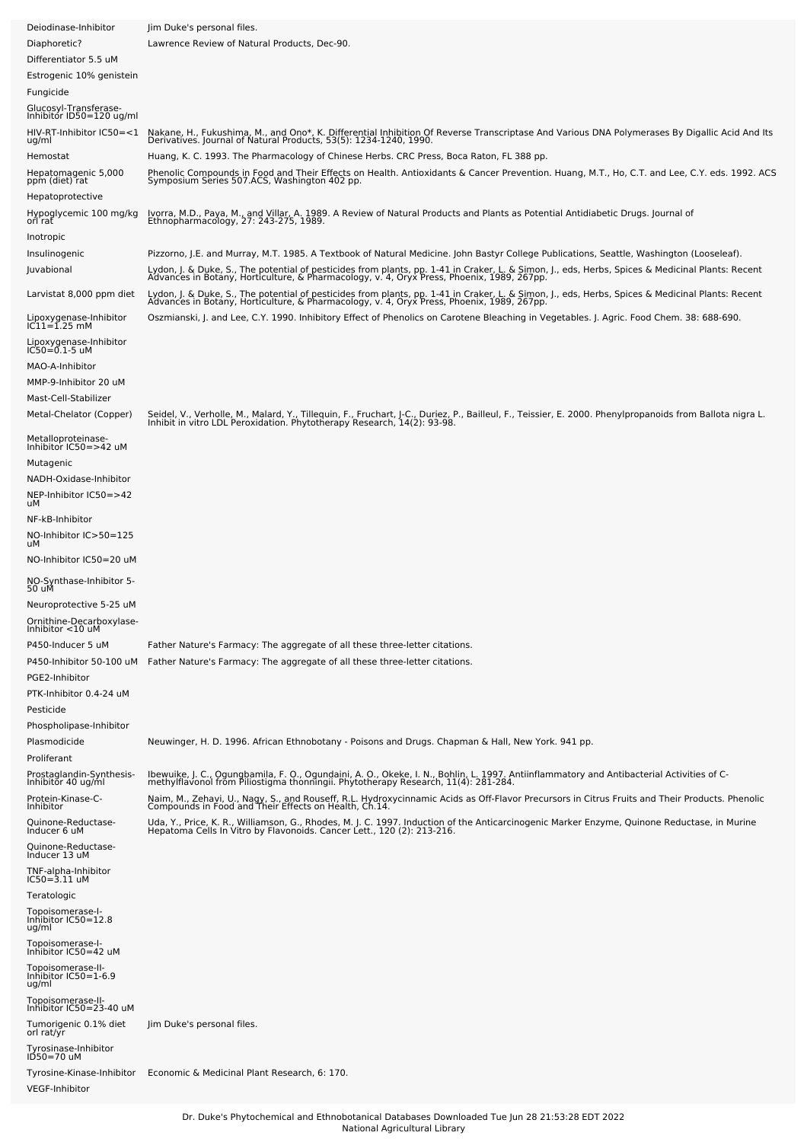| Deiodinase-Inhibitor                               | Jim Duke's personal files.                                                                                                                                                                                                                                                                                                                                                   |
|----------------------------------------------------|------------------------------------------------------------------------------------------------------------------------------------------------------------------------------------------------------------------------------------------------------------------------------------------------------------------------------------------------------------------------------|
| Diaphoretic?                                       | Lawrence Review of Natural Products, Dec-90.                                                                                                                                                                                                                                                                                                                                 |
| Differentiator 5.5 uM                              |                                                                                                                                                                                                                                                                                                                                                                              |
| Estrogenic 10% genistein                           |                                                                                                                                                                                                                                                                                                                                                                              |
| Fungicide                                          |                                                                                                                                                                                                                                                                                                                                                                              |
| Glucosyl-Transferase-<br>Inhibitor ID50=120 ug/ml  |                                                                                                                                                                                                                                                                                                                                                                              |
| HIV-RT-Inhibitor IC50=<1<br>ug/ml<br>Hemostat      | Nakane, H., Fukushima, M., and Ono*, K. Differential Inhibition Of Reverse Transcriptase And Various DNA Polymerases By Digallic Acid And Its Derivatives. Journal of Natural Products, 53(5): 1234-1240, 1990.<br>Huang, K. C. 1993. The Pharmacology of Chinese Herbs. CRC Press, Boca Raton, FL 388 pp.                                                                   |
|                                                    | Phenolic Compounds in Food and Their Effects on Health. Antioxidants & Cancer Prevention. Huang, M.T., Ho, C.T. and Lee, C.Y. eds. 1992. ACS<br>Symposium Series 507.ACS, Washington 402 pp.                                                                                                                                                                                 |
| Hepatomagenic 5,000<br>ppm (diet) rat              |                                                                                                                                                                                                                                                                                                                                                                              |
| Hepatoprotective<br>Hypoglycemic 100 mg/kg         | Ivorra, M.D., Paya, M., and Villar, A. 1989. A Review of Natural Products and Plants as Potential Antidiabetic Drugs. Journal of                                                                                                                                                                                                                                             |
| orl rat                                            | Ethnopharmacology, 27: 243-275, 1989.                                                                                                                                                                                                                                                                                                                                        |
| Inotropic                                          |                                                                                                                                                                                                                                                                                                                                                                              |
| Insulinogenic<br>Juvabional                        | Pizzorno, J.E. and Murray, M.T. 1985. A Textbook of Natural Medicine. John Bastyr College Publications, Seattle, Washington (Looseleaf).<br>Lydon, J. & Duke, S., The potential of pesticides from plants, pp. 1-41 in Craker, L. & Simon, J., eds, Herbs, Spices & Medicinal Plants: Recent<br>Advances in Botany, Horticulture, & Pharmacology, v. 4, Oryx Press, Phoenix, |
| Larvistat 8,000 ppm diet                           | Lydon, J. & Duke, S., The potential of pesticides from plants, pp. 1-41 in Craker, L. & Simon, J., eds, Herbs, Spices & Medicinal Plants: Recent<br>Advances in Botany, Horticulture, & Pharmacology, v. 4, Oryx Press, Phoenix,                                                                                                                                             |
| Lipoxygenase-Inhibitor<br>IC11=1.25 mM             | Oszmianski, J. and Lee, C.Y. 1990. Inhibitory Effect of Phenolics on Carotene Bleaching in Vegetables. J. Agric. Food Chem. 38: 688-690.                                                                                                                                                                                                                                     |
| Lipoxygenase-Inhibitor<br>IC50=0.1-5 uM            |                                                                                                                                                                                                                                                                                                                                                                              |
| MAO-A-Inhibitor                                    |                                                                                                                                                                                                                                                                                                                                                                              |
| MMP-9-Inhibitor 20 uM<br>Mast-Cell-Stabilizer      |                                                                                                                                                                                                                                                                                                                                                                              |
| Metal-Chelator (Copper)                            | Seidel, V., Verholle, M., Malard, Y., Tillequin, F., Fruchart, J-C., Duriez, P., Bailleul, F., Teissier, E. 2000. Phenylpropanoids from Ballota nigra L.<br>Inhibit in vitro LDL Peroxidation. Phytotherapy Research, 14(2): 93-9                                                                                                                                            |
| Metalloproteinase-<br>Inhibitor IC50=>42 uM        |                                                                                                                                                                                                                                                                                                                                                                              |
| Mutagenic<br>NADH-Oxidase-Inhibitor                |                                                                                                                                                                                                                                                                                                                                                                              |
| NEP-Inhibitor IC50=>42<br>uМ                       |                                                                                                                                                                                                                                                                                                                                                                              |
| NF-kB-Inhibitor<br>NO-Inhibitor IC>50=125<br>uМ    |                                                                                                                                                                                                                                                                                                                                                                              |
| NO-Inhibitor IC50=20 uM                            |                                                                                                                                                                                                                                                                                                                                                                              |
| NO-Synthase-Inhibitor 5-<br>50 uM                  |                                                                                                                                                                                                                                                                                                                                                                              |
| Neuroprotective 5-25 uM                            |                                                                                                                                                                                                                                                                                                                                                                              |
| Ornithine-Decarboxylase-<br>Inhibitor <10 uM       |                                                                                                                                                                                                                                                                                                                                                                              |
| P450-Inducer 5 uM                                  | Father Nature's Farmacy: The aggregate of all these three-letter citations.                                                                                                                                                                                                                                                                                                  |
| P450-Inhibitor 50-100 uM                           | Father Nature's Farmacy: The aggregate of all these three-letter citations.                                                                                                                                                                                                                                                                                                  |
| PGE2-Inhibitor                                     |                                                                                                                                                                                                                                                                                                                                                                              |
| PTK-Inhibitor 0.4-24 uM                            |                                                                                                                                                                                                                                                                                                                                                                              |
| Pesticide<br>Phospholipase-Inhibitor               |                                                                                                                                                                                                                                                                                                                                                                              |
| Plasmodicide                                       | Neuwinger, H. D. 1996. African Ethnobotany - Poisons and Drugs. Chapman & Hall, New York. 941 pp.                                                                                                                                                                                                                                                                            |
| Proliferant                                        |                                                                                                                                                                                                                                                                                                                                                                              |
| Prostaglandin-Synthesis-<br>Inhibitor 40 ug/ml     | Ibewuike, J. C., Ogungbamila, F. O., Ogundaini, A. O., Okeke, I. N., Bohlin, L. 1997. Antiinflammatory and Antibacterial Activities of C-<br>methylflavonol from Piliostigma thonningii. Phytotherapy Research, 11(4): 281-284.                                                                                                                                              |
| Protein-Kinase-C-<br>Inhibitor                     | Naim, M., Zehavi, U., Nagy, S., and Rouseff, R.L. Hydroxycinnamic Acids as Off-Flavor Precursors in Citrus Fruits and Their Products. Phenolic                                                                                                                                                                                                                               |
| Quinone-Reductase-<br>Inducer 6 uM                 | Compounds in Food and Their Effects on Health, Ch.14.<br>Uda, Y., Price, K. R., Williamson, G., Rhodes, M. J. C. 1997. Induction of the Anticarcinogenic Marker Enzyme, Quinone Reductase, in Murine<br>Hepatoma Cells In Vitro by Flavonoids. Cancer Lett., 120 (2): 213-216.                                                                                               |
| Quinone-Reductase-<br>Inducer 13 uM                |                                                                                                                                                                                                                                                                                                                                                                              |
| TNF-alpha-Inhibitor<br>IC50=3.11 uM                |                                                                                                                                                                                                                                                                                                                                                                              |
| Teratologic                                        |                                                                                                                                                                                                                                                                                                                                                                              |
| Topoisomerase-I-<br>Inhibitor IC50=12.8<br>ug/ml   |                                                                                                                                                                                                                                                                                                                                                                              |
| Topoisomerase-I-<br>Inhibitor IC50=42 uM           |                                                                                                                                                                                                                                                                                                                                                                              |
| Topoisomerase-II-<br>Inhibitor IC50=1-6.9<br>ug/ml |                                                                                                                                                                                                                                                                                                                                                                              |
| Topoisomerase-II-<br>Inhibitor IC50=23-40 uM       |                                                                                                                                                                                                                                                                                                                                                                              |
| Tumorigenic 0.1% diet<br>orl rat/yr                | Jim Duke's personal files.                                                                                                                                                                                                                                                                                                                                                   |
| Tyrosinase-Inhibitor<br>ID50=70 uM                 |                                                                                                                                                                                                                                                                                                                                                                              |
| Tyrosine-Kinase-Inhibitor                          | Economic & Medicinal Plant Research, 6: 170.                                                                                                                                                                                                                                                                                                                                 |
| VEGF-Inhibitor                                     |                                                                                                                                                                                                                                                                                                                                                                              |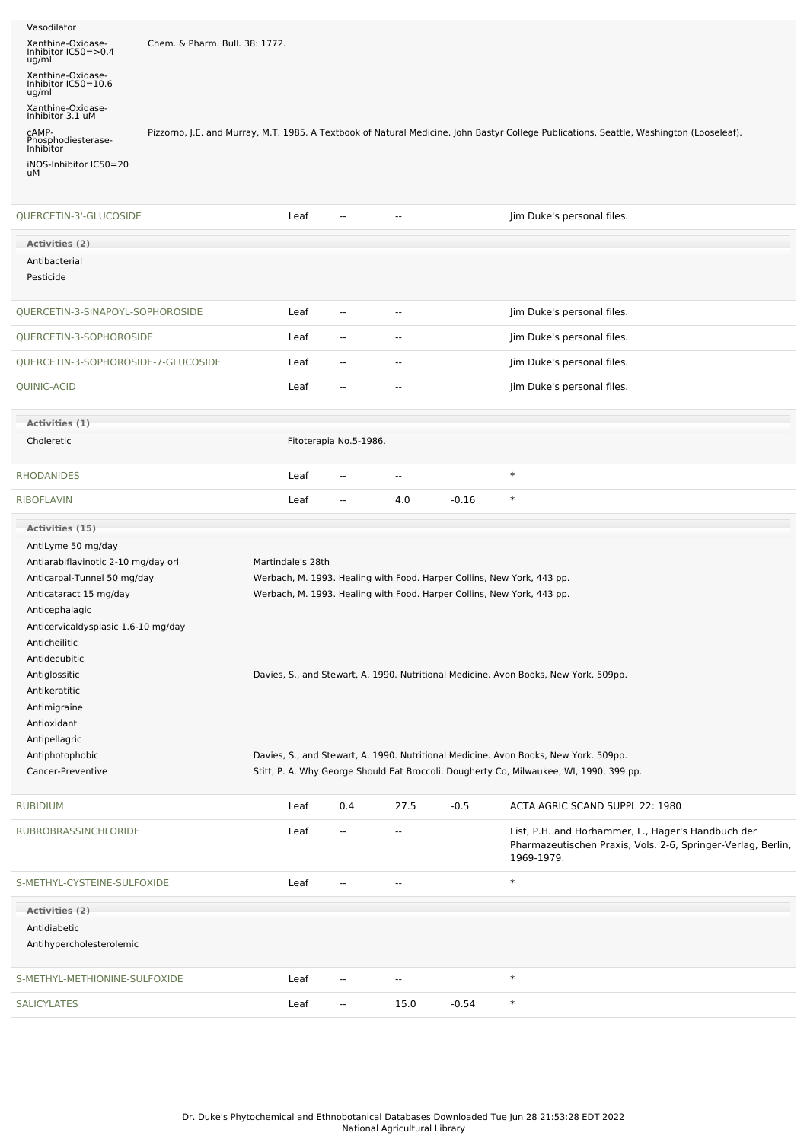| Vasodilator<br>Xanthine-Oxidase-<br>Inhibitor IC50=>0.4<br>ug/ml | Chem. & Pharm. Bull. 38: 1772. |                   |                        |                          |         |                                                                                                                                          |  |
|------------------------------------------------------------------|--------------------------------|-------------------|------------------------|--------------------------|---------|------------------------------------------------------------------------------------------------------------------------------------------|--|
| Xanthine-Oxidase-<br>Inhibitor IC50=10.6<br>ug/ml                |                                |                   |                        |                          |         |                                                                                                                                          |  |
| Xanthine-Oxidase-<br>Inhibitor 3.1 uM                            |                                |                   |                        |                          |         |                                                                                                                                          |  |
| CAMP-<br>Phosphodiesterase-<br>Inhibitor                         |                                |                   |                        |                          |         | Pizzorno, J.E. and Murray, M.T. 1985. A Textbook of Natural Medicine. John Bastyr College Publications, Seattle, Washington (Looseleaf). |  |
| iNOS-Inhibitor IC50=20<br>uМ                                     |                                |                   |                        |                          |         |                                                                                                                                          |  |
| QUERCETIN-3'-GLUCOSIDE                                           |                                | Leaf              | --                     | --                       |         | Jim Duke's personal files.                                                                                                               |  |
| <b>Activities (2)</b>                                            |                                |                   |                        |                          |         |                                                                                                                                          |  |
| Antibacterial                                                    |                                |                   |                        |                          |         |                                                                                                                                          |  |
| Pesticide                                                        |                                |                   |                        |                          |         |                                                                                                                                          |  |
| QUERCETIN-3-SINAPOYL-SOPHOROSIDE                                 |                                | Leaf              | --                     | $\overline{\phantom{a}}$ |         | Jim Duke's personal files.                                                                                                               |  |
| QUERCETIN-3-SOPHOROSIDE                                          |                                | Leaf              | $\overline{a}$         | $\overline{\phantom{a}}$ |         | Jim Duke's personal files.                                                                                                               |  |
| QUERCETIN-3-SOPHOROSIDE-7-GLUCOSIDE                              |                                | Leaf              | $\overline{a}$         | $\overline{\phantom{a}}$ |         | Jim Duke's personal files.                                                                                                               |  |
| QUINIC-ACID                                                      |                                | Leaf              | --                     | --                       |         | Jim Duke's personal files.                                                                                                               |  |
| Activities (1)                                                   |                                |                   |                        |                          |         |                                                                                                                                          |  |
| Choleretic                                                       |                                |                   | Fitoterapia No.5-1986. |                          |         |                                                                                                                                          |  |
| <b>RHODANIDES</b>                                                |                                | Leaf              | ٠.                     | $\overline{\phantom{a}}$ |         | $\ast$                                                                                                                                   |  |
| <b>RIBOFLAVIN</b>                                                |                                | Leaf              | $\overline{a}$         | 4.0                      | $-0.16$ | $\ast$                                                                                                                                   |  |
| Activities (15)                                                  |                                |                   |                        |                          |         |                                                                                                                                          |  |
| AntiLyme 50 mg/day                                               |                                |                   |                        |                          |         |                                                                                                                                          |  |
| Antiarabiflavinotic 2-10 mg/day orl                              |                                | Martindale's 28th |                        |                          |         |                                                                                                                                          |  |
| Anticarpal-Tunnel 50 mg/day                                      |                                |                   |                        |                          |         | Werbach, M. 1993. Healing with Food. Harper Collins, New York, 443 pp.                                                                   |  |
| Anticataract 15 mg/day                                           |                                |                   |                        |                          |         | Werbach, M. 1993. Healing with Food. Harper Collins, New York, 443 pp.                                                                   |  |
| Anticephalagic                                                   |                                |                   |                        |                          |         |                                                                                                                                          |  |
| Anticervicaldysplasic 1.6-10 mg/day                              |                                |                   |                        |                          |         |                                                                                                                                          |  |
| Anticheilitic<br>Antidecubitic                                   |                                |                   |                        |                          |         |                                                                                                                                          |  |
| Antiglossitic                                                    |                                |                   |                        |                          |         | Davies, S., and Stewart, A. 1990. Nutritional Medicine. Avon Books, New York. 509pp.                                                     |  |
| Antikeratitic                                                    |                                |                   |                        |                          |         |                                                                                                                                          |  |
| Antimigraine                                                     |                                |                   |                        |                          |         |                                                                                                                                          |  |
| Antioxidant                                                      |                                |                   |                        |                          |         |                                                                                                                                          |  |
| Antipellagric                                                    |                                |                   |                        |                          |         |                                                                                                                                          |  |
| Antiphotophobic                                                  |                                |                   |                        |                          |         |                                                                                                                                          |  |
| Cancer-Preventive                                                |                                |                   |                        |                          |         | Davies, S., and Stewart, A. 1990. Nutritional Medicine. Avon Books, New York. 509pp.                                                     |  |
|                                                                  |                                |                   |                        |                          |         | Stitt, P. A. Why George Should Eat Broccoli. Dougherty Co, Milwaukee, WI, 1990, 399 pp.                                                  |  |
| <b>RUBIDIUM</b>                                                  |                                | Leaf              | 0.4                    | 27.5                     | $-0.5$  | ACTA AGRIC SCAND SUPPL 22: 1980                                                                                                          |  |
| RUBROBRASSINCHLORIDE                                             |                                | Leaf              | $\frac{1}{2}$          | --                       |         | List, P.H. and Horhammer, L., Hager's Handbuch der<br>Pharmazeutischen Praxis, Vols. 2-6, Springer-Verlag, Berlin,<br>1969-1979.         |  |
| S-METHYL-CYSTEINE-SULFOXIDE                                      |                                | Leaf              | Ξ.                     | $\overline{a}$           |         | $\ast$                                                                                                                                   |  |
| Activities (2)                                                   |                                |                   |                        |                          |         |                                                                                                                                          |  |
| Antidiabetic                                                     |                                |                   |                        |                          |         |                                                                                                                                          |  |
| Antihypercholesterolemic                                         |                                |                   |                        |                          |         |                                                                                                                                          |  |
| S-METHYL-METHIONINE-SULFOXIDE                                    |                                | Leaf              | --                     | $\overline{\phantom{a}}$ |         | $\ast$                                                                                                                                   |  |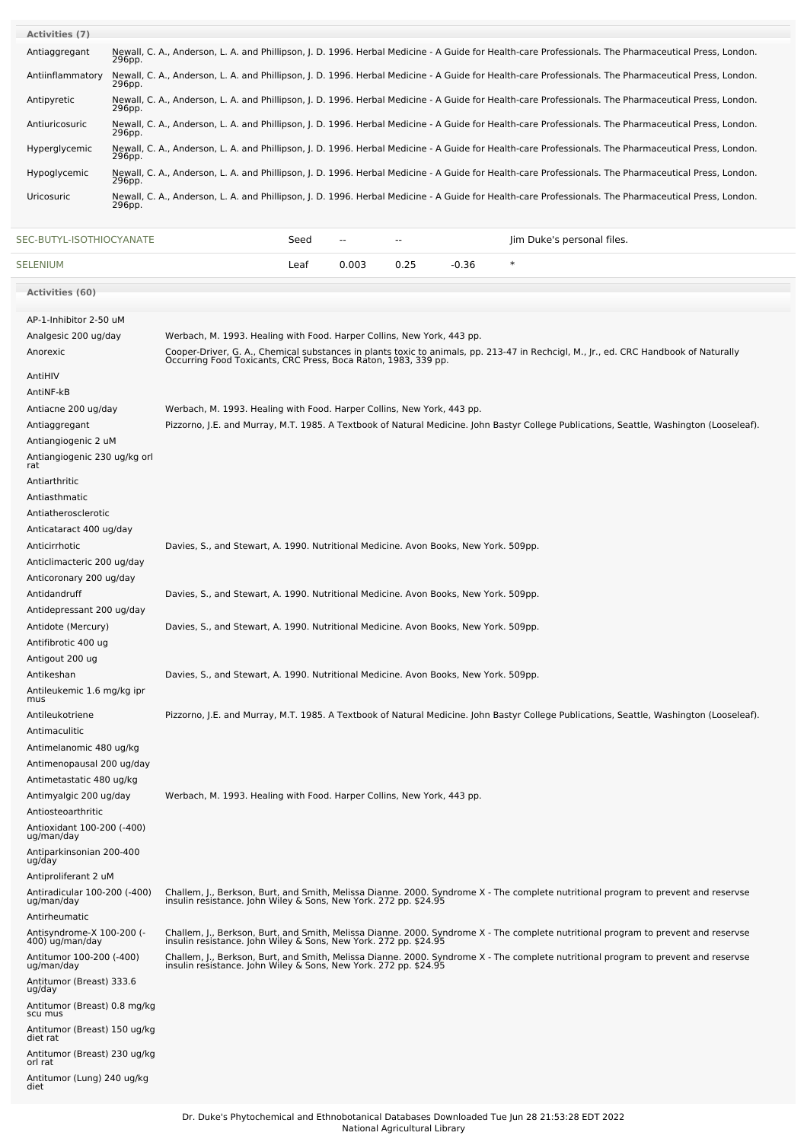| <b>Activities (7)</b> |                                                                                                                                                                 |
|-----------------------|-----------------------------------------------------------------------------------------------------------------------------------------------------------------|
| Antiaggregant         | Newall, C. A., Anderson, L. A. and Phillipson, J. D. 1996. Herbal Medicine - A Guide for Health-care Professionals. The Pharmaceutical Press, London.<br>296pp. |
| Antiinflammatory      | Newall, C. A., Anderson, L. A. and Phillipson, J. D. 1996. Herbal Medicine - A Guide for Health-care Professionals. The Pharmaceutical Press, London.<br>296pp. |
| Antipyretic           | Newall, C. A., Anderson, L. A. and Phillipson, J. D. 1996. Herbal Medicine - A Guide for Health-care Professionals. The Pharmaceutical Press, London.<br>296pp. |
| Antiuricosuric        | Newall, C. A., Anderson, L. A. and Phillipson, J. D. 1996. Herbal Medicine - A Guide for Health-care Professionals. The Pharmaceutical Press, London.<br>296pp. |
| Hyperglycemic         | Newall, C. A., Anderson, L. A. and Phillipson, J. D. 1996. Herbal Medicine - A Guide for Health-care Professionals. The Pharmaceutical Press, London.<br>296pp. |
| Hypoglycemic          | Newall, C. A., Anderson, L. A. and Phillipson, J. D. 1996. Herbal Medicine - A Guide for Health-care Professionals. The Pharmaceutical Press, London.<br>296pp. |
| Uricosuric            | Newall, C. A., Anderson, L. A. and Phillipson, J. D. 1996. Herbal Medicine - A Guide for Health-care Professionals. The Pharmaceutical Press, London.<br>296pp. |

[SEC-BUTYL-ISOTHIOCYANATE](file:///phytochem/chemicals/show/16100) SEed -- - - - - - Jim Duke's personal files.

| <b>SELENIUM</b>                              |                                                                                      | Leaf | 0.003 | 0.25 | $-0.36$ | $\ast$                                                                                                                                                                                                 |
|----------------------------------------------|--------------------------------------------------------------------------------------|------|-------|------|---------|--------------------------------------------------------------------------------------------------------------------------------------------------------------------------------------------------------|
| Activities (60)                              |                                                                                      |      |       |      |         |                                                                                                                                                                                                        |
| AP-1-Inhibitor 2-50 uM                       |                                                                                      |      |       |      |         |                                                                                                                                                                                                        |
| Analgesic 200 ug/day                         | Werbach, M. 1993. Healing with Food. Harper Collins, New York, 443 pp.               |      |       |      |         |                                                                                                                                                                                                        |
| Anorexic                                     |                                                                                      |      |       |      |         | Cooper-Driver, G. A., Chemical substances in plants toxic to animals, pp. 213-47 in Rechcigl, M., Jr., ed. CRC Handbook of Naturally<br>Occurring Food Toxicants, CRC Press, Boca Raton, 1983, 339 pp. |
| AntiHIV                                      |                                                                                      |      |       |      |         |                                                                                                                                                                                                        |
| AntiNF-kB                                    |                                                                                      |      |       |      |         |                                                                                                                                                                                                        |
| Antiacne 200 ug/day                          | Werbach, M. 1993. Healing with Food. Harper Collins, New York, 443 pp.               |      |       |      |         |                                                                                                                                                                                                        |
| Antiaggregant                                |                                                                                      |      |       |      |         | Pizzorno, J.E. and Murray, M.T. 1985. A Textbook of Natural Medicine. John Bastyr College Publications, Seattle, Washington (Looseleaf).                                                               |
| Antiangiogenic 2 uM                          |                                                                                      |      |       |      |         |                                                                                                                                                                                                        |
| Antiangiogenic 230 ug/kg orl<br>rat          |                                                                                      |      |       |      |         |                                                                                                                                                                                                        |
| Antiarthritic                                |                                                                                      |      |       |      |         |                                                                                                                                                                                                        |
| Antiasthmatic                                |                                                                                      |      |       |      |         |                                                                                                                                                                                                        |
| Antiatherosclerotic                          |                                                                                      |      |       |      |         |                                                                                                                                                                                                        |
| Anticataract 400 ug/day                      |                                                                                      |      |       |      |         |                                                                                                                                                                                                        |
| Anticirrhotic                                | Davies, S., and Stewart, A. 1990. Nutritional Medicine. Avon Books, New York. 509pp. |      |       |      |         |                                                                                                                                                                                                        |
| Anticlimacteric 200 ug/day                   |                                                                                      |      |       |      |         |                                                                                                                                                                                                        |
| Anticoronary 200 ug/day                      |                                                                                      |      |       |      |         |                                                                                                                                                                                                        |
| Antidandruff                                 | Davies, S., and Stewart, A. 1990. Nutritional Medicine. Avon Books, New York. 509pp. |      |       |      |         |                                                                                                                                                                                                        |
| Antidepressant 200 ug/day                    |                                                                                      |      |       |      |         |                                                                                                                                                                                                        |
| Antidote (Mercury)                           | Davies, S., and Stewart, A. 1990. Nutritional Medicine. Avon Books, New York. 509pp. |      |       |      |         |                                                                                                                                                                                                        |
| Antifibrotic 400 ug                          |                                                                                      |      |       |      |         |                                                                                                                                                                                                        |
| Antigout 200 ug                              |                                                                                      |      |       |      |         |                                                                                                                                                                                                        |
| Antikeshan                                   | Davies, S., and Stewart, A. 1990. Nutritional Medicine. Avon Books, New York. 509pp. |      |       |      |         |                                                                                                                                                                                                        |
| Antileukemic 1.6 mg/kg ipr<br>mus            |                                                                                      |      |       |      |         |                                                                                                                                                                                                        |
| Antileukotriene                              |                                                                                      |      |       |      |         | Pizzorno, J.E. and Murray, M.T. 1985. A Textbook of Natural Medicine. John Bastyr College Publications, Seattle, Washington (Looseleaf).                                                               |
| Antimaculitic                                |                                                                                      |      |       |      |         |                                                                                                                                                                                                        |
| Antimelanomic 480 ug/kg                      |                                                                                      |      |       |      |         |                                                                                                                                                                                                        |
| Antimenopausal 200 ug/day                    |                                                                                      |      |       |      |         |                                                                                                                                                                                                        |
| Antimetastatic 480 ug/kg                     |                                                                                      |      |       |      |         |                                                                                                                                                                                                        |
| Antimyalgic 200 ug/day                       | Werbach, M. 1993. Healing with Food. Harper Collins, New York, 443 pp.               |      |       |      |         |                                                                                                                                                                                                        |
| Antiosteoarthritic                           |                                                                                      |      |       |      |         |                                                                                                                                                                                                        |
| Antioxidant 100-200 (-400)<br>ug/man/day     |                                                                                      |      |       |      |         |                                                                                                                                                                                                        |
| Antiparkinsonian 200-400<br>ug/day           |                                                                                      |      |       |      |         |                                                                                                                                                                                                        |
| Antiproliferant 2 uM                         |                                                                                      |      |       |      |         |                                                                                                                                                                                                        |
| Antiradicular 100-200 (-400)<br>ug/man/day   | insulin resistance. John Wiley & Sons, New York. 272 pp. \$24.95                     |      |       |      |         | Challem, J., Berkson, Burt, and Smith, Melissa Dianne. 2000. Syndrome X - The complete nutritional program to prevent and reservse                                                                     |
| Antirheumatic                                |                                                                                      |      |       |      |         |                                                                                                                                                                                                        |
| Antisyndrome-X 100-200 (-<br>400) ug/man/day | insulin resistance. John Wiley & Sons, New York. 272 pp. \$24.95                     |      |       |      |         | Challem, J., Berkson, Burt, and Smith, Melissa Dianne. 2000. Syndrome X - The complete nutritional program to prevent and reservse                                                                     |
| Antitumor 100-200 (-400)<br>ug/man/day       |                                                                                      |      |       |      |         | Challem, J., Berkson, Burt, and Smith, Melissa Dianne. 2000. Syndrome X - The complete nutritional program to prevent and reservse<br>insulin resistance. John Wiley & Sons, New York. 272 pp. \$24.95 |
| Antitumor (Breast) 333.6<br>ug/day           |                                                                                      |      |       |      |         |                                                                                                                                                                                                        |
| Antitumor (Breast) 0.8 mg/kg<br>scu mus      |                                                                                      |      |       |      |         |                                                                                                                                                                                                        |

Antitumor (Breast) 150 ug/kg diet rat Antitumor (Breast) 230 ug/kg orl rat Antitumor (Lung) 240 ug/kg diet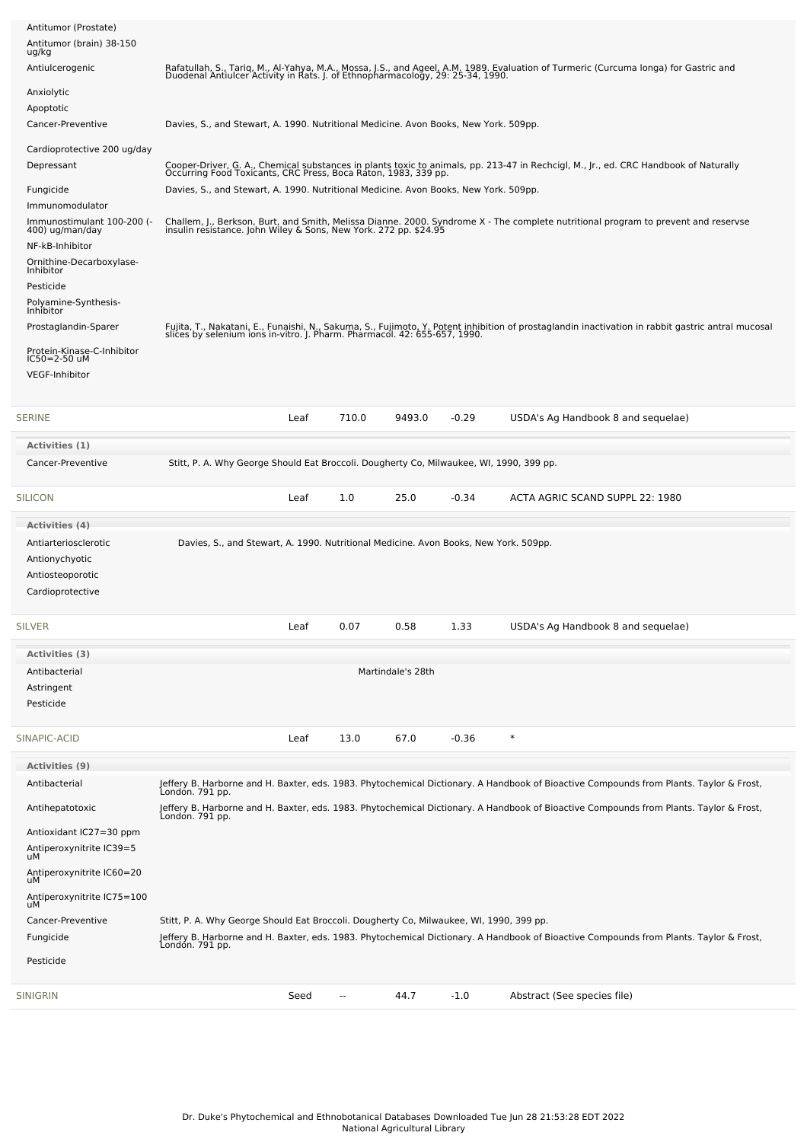| Antitumor (Prostate)<br>Antitumor (brain) 38-150<br>ug/kg                                                       |                                                                                         |      |       |                   |         |                                                                                                                                                                                                                                |
|-----------------------------------------------------------------------------------------------------------------|-----------------------------------------------------------------------------------------|------|-------|-------------------|---------|--------------------------------------------------------------------------------------------------------------------------------------------------------------------------------------------------------------------------------|
| Antiulcerogenic                                                                                                 |                                                                                         |      |       |                   |         | Rafatullah, S., Tariq, M., Al-Yahya, M.A., Mossa, J.S., and Ageel, A.M. 1989. Evaluation of Turmeric (Curcuma longa) for Gastric and<br>Duodenal Antiulcer Activity in Rats. J. of Ethnopharmacology, 29: 25-34, 1990.         |
| Anxiolytic                                                                                                      |                                                                                         |      |       |                   |         |                                                                                                                                                                                                                                |
| Apoptotic<br>Cancer-Preventive                                                                                  | Davies, S., and Stewart, A. 1990. Nutritional Medicine. Avon Books, New York. 509pp.    |      |       |                   |         |                                                                                                                                                                                                                                |
| Cardioprotective 200 ug/day<br>Depressant<br>Fungicide                                                          | Davies, S., and Stewart, A. 1990. Nutritional Medicine. Avon Books, New York. 509pp.    |      |       |                   |         | Cooper-Driver, G. A., Chemical substances in plants toxic to animals, pp. 213-47 in Rechcigl, M., Jr., ed. CRC Handbook of Naturally Occurring Food Toxicants, CRC Press, Boca Raton, 1983, 339 pp.                            |
| Immunomodulator<br>Immunostimulant 100-200 (-<br>400) ug/man/day<br>NF-kB-Inhibitor                             |                                                                                         |      |       |                   |         | Challem, J., Berkson, Burt, and Smith, Melissa Dianne. 2000. Syndrome X - The complete nutritional program to prevent and reservse<br>insulin resistance. John Wiley & Sons, New York. 272 pp. \$24.95                         |
| Ornithine-Decarboxylase-<br>Inhibitor<br>Pesticide<br>Polyamine-Synthesis-<br>Inhibitor<br>Prostaglandin-Sparer |                                                                                         |      |       |                   |         | Fujita, T., Nakatani, E., Funaishi, N., Sakuma, S., Fujimoto, Y. Potent inhibition of prostaglandin inactivation in rabbit gastric antral mucosal<br>slices by selenium ions in-vitro. J. Pharm. Pharmacol. 42: 655-657, 1990. |
| Protein-Kinase-C-Inhibitor<br>IC50=2-50 uM<br><b>VEGF-Inhibitor</b>                                             |                                                                                         |      |       |                   |         |                                                                                                                                                                                                                                |
| SERINE                                                                                                          |                                                                                         | Leaf | 710.0 | 9493.0            | $-0.29$ | USDA's Ag Handbook 8 and sequelae)                                                                                                                                                                                             |
| Activities (1)                                                                                                  |                                                                                         |      |       |                   |         |                                                                                                                                                                                                                                |
| Cancer-Preventive                                                                                               | Stitt, P. A. Why George Should Eat Broccoli. Dougherty Co, Milwaukee, WI, 1990, 399 pp. |      |       |                   |         |                                                                                                                                                                                                                                |
| SILICON                                                                                                         |                                                                                         | Leaf | 1.0   | 25.0              | $-0.34$ | ACTA AGRIC SCAND SUPPL 22: 1980                                                                                                                                                                                                |
| Activities (4)<br>Antiarteriosclerotic<br>Antionychyotic<br>Antiosteoporotic<br>Cardioprotective                | Davies, S., and Stewart, A. 1990. Nutritional Medicine. Avon Books, New York. 509pp.    |      |       |                   |         |                                                                                                                                                                                                                                |
| SILVER                                                                                                          |                                                                                         | Leaf | 0.07  | 0.58              | 1.33    | USDA's Ag Handbook 8 and sequelae)                                                                                                                                                                                             |
| Activities (3)                                                                                                  |                                                                                         |      |       |                   |         |                                                                                                                                                                                                                                |
| Antibacterial<br>Astringent<br>Pesticide                                                                        |                                                                                         |      |       | Martindale's 28th |         |                                                                                                                                                                                                                                |
| SINAPIC-ACID                                                                                                    |                                                                                         | Leaf | 13.0  | 67.0              | $-0.36$ | $\ast$                                                                                                                                                                                                                         |
| <b>Activities (9)</b><br>Antibacterial                                                                          |                                                                                         |      |       |                   |         | Jeffery B. Harborne and H. Baxter, eds. 1983. Phytochemical Dictionary. A Handbook of Bioactive Compounds from Plants. Taylor & Frost,                                                                                         |
| Antihepatotoxic                                                                                                 | Londón. 791 pp.                                                                         |      |       |                   |         | Jeffery B. Harborne and H. Baxter, eds. 1983. Phytochemical Dictionary. A Handbook of Bioactive Compounds from Plants. Taylor & Frost,                                                                                         |
| Antioxidant IC27=30 ppm                                                                                         | Londón. 791 pp.                                                                         |      |       |                   |         |                                                                                                                                                                                                                                |
| Antiperoxynitrite IC39=5<br>uМ                                                                                  |                                                                                         |      |       |                   |         |                                                                                                                                                                                                                                |
| Antiperoxynitrite IC60=20<br>uМ                                                                                 |                                                                                         |      |       |                   |         |                                                                                                                                                                                                                                |
| Antiperoxynitrite IC75=100<br>uM                                                                                |                                                                                         |      |       |                   |         |                                                                                                                                                                                                                                |
| Cancer-Preventive                                                                                               | Stitt, P. A. Why George Should Eat Broccoli. Dougherty Co, Milwaukee, WI, 1990, 399 pp. |      |       |                   |         |                                                                                                                                                                                                                                |
| Fungicide                                                                                                       |                                                                                         |      |       |                   |         | Jeffery B. Harborne and H. Baxter, eds. 1983. Phytochemical Dictionary. A Handbook of Bioactive Compounds from Plants. Taylor & Frost,<br>London. 791 pp.                                                                      |
| Pesticide                                                                                                       |                                                                                         |      |       |                   |         |                                                                                                                                                                                                                                |
| SINIGRIN                                                                                                        |                                                                                         | Seed | --    | 44.7              | $-1.0$  | Abstract (See species file)                                                                                                                                                                                                    |
|                                                                                                                 |                                                                                         |      |       |                   |         |                                                                                                                                                                                                                                |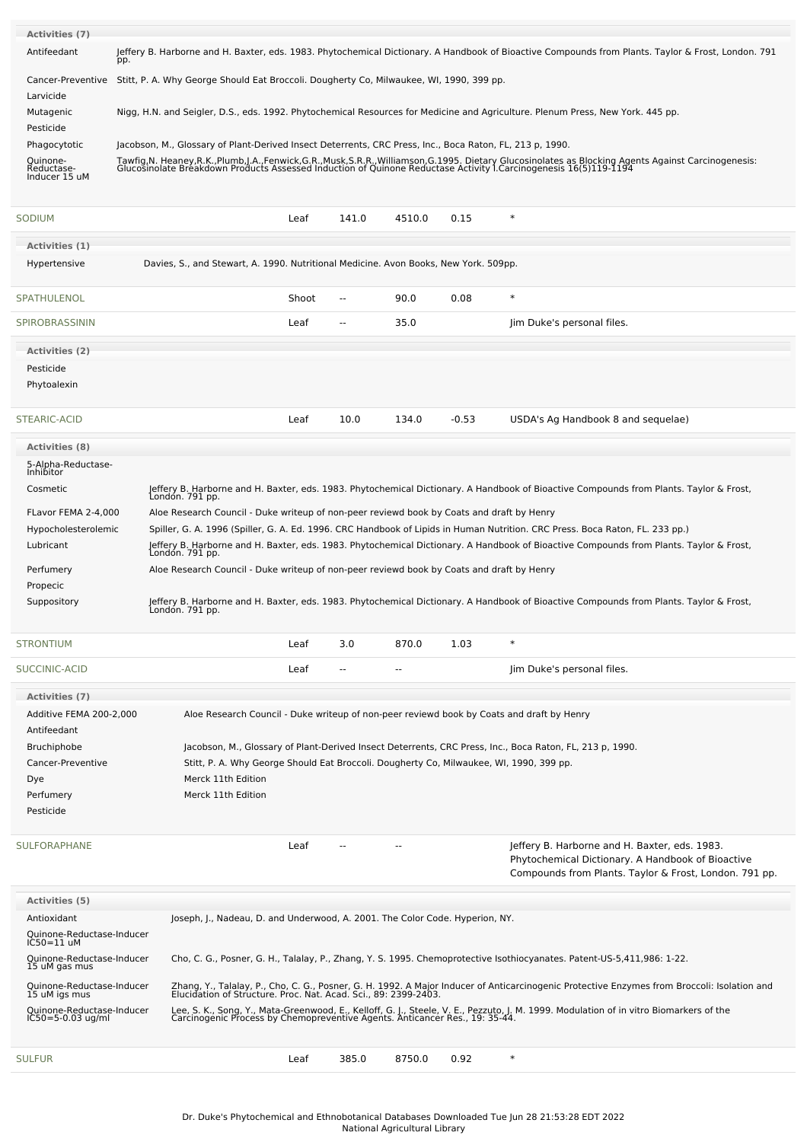| Activities (7)                          |                                                                                                          |                                                                                         |                          |                          |         |                                                                                                                                                                                                                                   |
|-----------------------------------------|----------------------------------------------------------------------------------------------------------|-----------------------------------------------------------------------------------------|--------------------------|--------------------------|---------|-----------------------------------------------------------------------------------------------------------------------------------------------------------------------------------------------------------------------------------|
| Antifeedant                             | pp.                                                                                                      |                                                                                         |                          |                          |         | Jeffery B. Harborne and H. Baxter, eds. 1983. Phytochemical Dictionary. A Handbook of Bioactive Compounds from Plants. Taylor & Frost, London. 791                                                                                |
| Cancer-Preventive                       |                                                                                                          | Stitt, P. A. Why George Should Eat Broccoli. Dougherty Co, Milwaukee, WI, 1990, 399 pp. |                          |                          |         |                                                                                                                                                                                                                                   |
| Larvicide                               |                                                                                                          |                                                                                         |                          |                          |         |                                                                                                                                                                                                                                   |
| Mutagenic                               |                                                                                                          |                                                                                         |                          |                          |         | Nigg, H.N. and Seigler, D.S., eds. 1992. Phytochemical Resources for Medicine and Agriculture. Plenum Press, New York. 445 pp.                                                                                                    |
| Pesticide                               |                                                                                                          |                                                                                         |                          |                          |         |                                                                                                                                                                                                                                   |
| Phagocytotic                            | Jacobson, M., Glossary of Plant-Derived Insect Deterrents, CRC Press, Inc., Boca Raton, FL, 213 p, 1990. |                                                                                         |                          |                          |         |                                                                                                                                                                                                                                   |
| Quinone-<br>Reductase-<br>Inducer 15 uM |                                                                                                          |                                                                                         |                          |                          |         | Tawfig, N. Heaney, R.K., Plumb, J.A., Fenwick, G.R., Musk, S.R.R., Williamson, G.1995. Dietary Glucosinolates as Blocking Agents Against Carcinogenesis:<br>Glucosinolate Breakdown Products Assessed Induction of Quinone Reduct |
| SODIUM                                  |                                                                                                          | Leaf                                                                                    | 141.0                    | 4510.0                   | 0.15    | $\ast$                                                                                                                                                                                                                            |
| Activities (1)                          |                                                                                                          |                                                                                         |                          |                          |         |                                                                                                                                                                                                                                   |
| Hypertensive                            | Davies, S., and Stewart, A. 1990. Nutritional Medicine. Avon Books, New York. 509pp.                     |                                                                                         |                          |                          |         |                                                                                                                                                                                                                                   |
| SPATHULENOL                             |                                                                                                          | Shoot                                                                                   | $\sim$                   | 90.0                     | 0.08    | $\ast$                                                                                                                                                                                                                            |
| SPIROBRASSININ                          |                                                                                                          | Leaf                                                                                    | --                       | 35.0                     |         | Jim Duke's personal files.                                                                                                                                                                                                        |
| Activities (2)                          |                                                                                                          |                                                                                         |                          |                          |         |                                                                                                                                                                                                                                   |
| Pesticide                               |                                                                                                          |                                                                                         |                          |                          |         |                                                                                                                                                                                                                                   |
| Phytoalexin                             |                                                                                                          |                                                                                         |                          |                          |         |                                                                                                                                                                                                                                   |
| STEARIC-ACID                            |                                                                                                          | Leaf                                                                                    | 10.0                     | 134.0                    | $-0.53$ | USDA's Ag Handbook 8 and sequelae)                                                                                                                                                                                                |
| <b>Activities (8)</b>                   |                                                                                                          |                                                                                         |                          |                          |         |                                                                                                                                                                                                                                   |
| 5-Alpha-Reductase-<br>Inhibitor         |                                                                                                          |                                                                                         |                          |                          |         |                                                                                                                                                                                                                                   |
| Cosmetic                                | Londón. 791 pp.                                                                                          |                                                                                         |                          |                          |         | Jeffery B. Harborne and H. Baxter, eds. 1983. Phytochemical Dictionary. A Handbook of Bioactive Compounds from Plants. Taylor & Frost,                                                                                            |
| FLavor FEMA 2-4,000                     | Aloe Research Council - Duke writeup of non-peer reviewd book by Coats and draft by Henry                |                                                                                         |                          |                          |         |                                                                                                                                                                                                                                   |
| Hypocholesterolemic                     |                                                                                                          |                                                                                         |                          |                          |         | Spiller, G. A. 1996 (Spiller, G. A. Ed. 1996. CRC Handbook of Lipids in Human Nutrition. CRC Press. Boca Raton, FL. 233 pp.)                                                                                                      |
| Lubricant                               |                                                                                                          |                                                                                         |                          |                          |         | Jeffery B. Harborne and H. Baxter, eds. 1983. Phytochemical Dictionary. A Handbook of Bioactive Compounds from Plants. Taylor & Frost,<br>London. 791 pp.                                                                         |
| Perfumery                               | Aloe Research Council - Duke writeup of non-peer reviewd book by Coats and draft by Henry                |                                                                                         |                          |                          |         |                                                                                                                                                                                                                                   |
| Propecic                                |                                                                                                          |                                                                                         |                          |                          |         |                                                                                                                                                                                                                                   |
| Suppository                             | London. 791 pp.                                                                                          |                                                                                         |                          |                          |         | Jeffery B. Harborne and H. Baxter, eds. 1983. Phytochemical Dictionary. A Handbook of Bioactive Compounds from Plants. Taylor & Frost,                                                                                            |
| <b>STRONTIUM</b>                        |                                                                                                          | Leaf                                                                                    | 3.0                      | 870.0                    | 1.03    | $\ast$                                                                                                                                                                                                                            |
| SUCCINIC-ACID                           |                                                                                                          | Leaf                                                                                    | $\overline{\phantom{a}}$ | $\overline{\phantom{a}}$ |         | Jim Duke's personal files.                                                                                                                                                                                                        |
| Activities (7)                          |                                                                                                          |                                                                                         |                          |                          |         |                                                                                                                                                                                                                                   |
| Additive FEMA 200-2,000<br>Antifeedant  |                                                                                                          |                                                                                         |                          |                          |         | Aloe Research Council - Duke writeup of non-peer reviewd book by Coats and draft by Henry                                                                                                                                         |

| Bruchiphobe         | Jacobson, M., Glossary of Plant-Derived Insect Deterrents, CRC Press, Inc., Boca Raton, FL, 213 p, 1990. |  |  |  |  |  |  |  |
|---------------------|----------------------------------------------------------------------------------------------------------|--|--|--|--|--|--|--|
| Cancer-Preventive   | Stitt, P. A. Why George Should Eat Broccoli. Dougherty Co, Milwaukee, WI, 1990, 399 pp.                  |  |  |  |  |  |  |  |
| Dye                 | Merck 11th Edition                                                                                       |  |  |  |  |  |  |  |
| Perfumery           | Merck 11th Edition                                                                                       |  |  |  |  |  |  |  |
| Pesticide           |                                                                                                          |  |  |  |  |  |  |  |
|                     |                                                                                                          |  |  |  |  |  |  |  |
| <b>SULFORAPHANE</b> | Jeffery B. Harborne and H. Baxter, eds. 1983.<br>Leaf<br>$- -$<br>$- -$                                  |  |  |  |  |  |  |  |
|                     | Phytochemical Dictionary. A Handbook of Bioactive                                                        |  |  |  |  |  |  |  |
|                     | Compounds from Plants. Taylor & Frost, London. 791 pp.                                                   |  |  |  |  |  |  |  |

| <b>Activities (5)</b>                                       |                                                                                                                                                                                                                       |
|-------------------------------------------------------------|-----------------------------------------------------------------------------------------------------------------------------------------------------------------------------------------------------------------------|
| Antioxidant                                                 | Joseph, J., Nadeau, D. and Underwood, A. 2001. The Color Code. Hyperion, NY.                                                                                                                                          |
| Quinone-Reductase-Inducer<br>$IC50=11$ uM                   |                                                                                                                                                                                                                       |
| Ouinone-Reductase-Inducer<br>15 uM gas mus                  | Cho, C. G., Posner, G. H., Talalay, P., Zhang, Y. S. 1995. Chemoprotective Isothiocyanates. Patent-US-5,411,986: 1-22.                                                                                                |
| Ouinone-Reductase-Inducer<br>15 uM jas mus                  | Zhang, Y., Talalay, P., Cho, C. G., Posner, G. H. 1992. A Major Inducer of Anticarcinogenic Protective Enzymes from Broccoli: Isolation and<br>Elucidation of Structure. Proc. Nat. Acad. Sci., 89: 2399-2403.        |
| Ouinone-Reductase-Inducer<br>$l\text{C}50 = 5 - 0.03$ ug/ml | Lee, S. K., Song, Y., Mata-Greenwood, E., Kelloff, G. J., Steele, V. E., Pezzuto, J. M. 1999. Modulation of in vitro Biomarkers of the<br>Carcinogenic Process by Chemopreventive Agents. Anticancer Res., 19: 35-44. |
| <b>SULFUR</b>                                               | $\ast$<br>385.0<br>0.92<br>8750.0<br>Leaf                                                                                                                                                                             |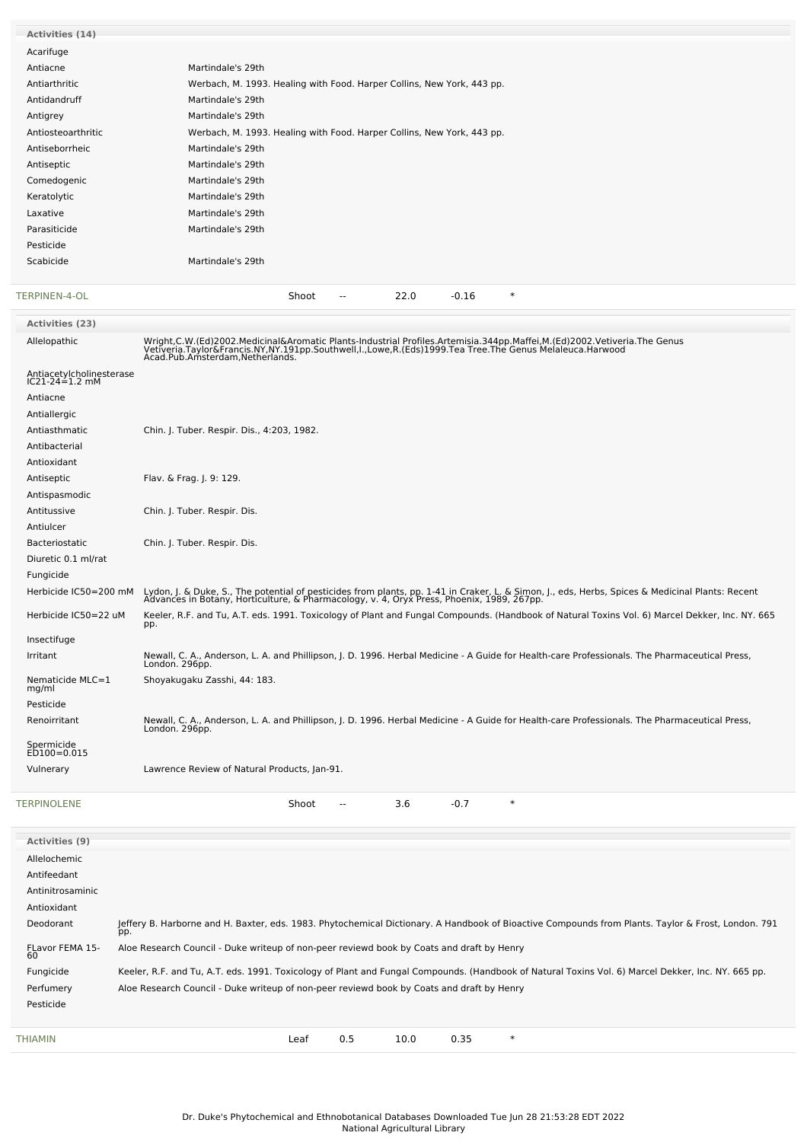| Activities (14)                            |                                                                                                                                                                                                                                   |
|--------------------------------------------|-----------------------------------------------------------------------------------------------------------------------------------------------------------------------------------------------------------------------------------|
| Acarifuge                                  |                                                                                                                                                                                                                                   |
| Antiacne                                   | Martindale's 29th                                                                                                                                                                                                                 |
| Antiarthritic                              | Werbach, M. 1993. Healing with Food. Harper Collins, New York, 443 pp.                                                                                                                                                            |
| Antidandruff                               | Martindale's 29th                                                                                                                                                                                                                 |
|                                            |                                                                                                                                                                                                                                   |
| Antigrey                                   | Martindale's 29th                                                                                                                                                                                                                 |
| Antiosteoarthritic                         | Werbach, M. 1993. Healing with Food. Harper Collins, New York, 443 pp.                                                                                                                                                            |
| Antiseborrheic                             | Martindale's 29th                                                                                                                                                                                                                 |
| Antiseptic                                 | Martindale's 29th                                                                                                                                                                                                                 |
| Comedogenic                                | Martindale's 29th                                                                                                                                                                                                                 |
| Keratolytic                                | Martindale's 29th                                                                                                                                                                                                                 |
| Laxative                                   | Martindale's 29th                                                                                                                                                                                                                 |
| Parasiticide                               | Martindale's 29th                                                                                                                                                                                                                 |
| Pesticide                                  |                                                                                                                                                                                                                                   |
| Scabicide                                  | Martindale's 29th                                                                                                                                                                                                                 |
|                                            |                                                                                                                                                                                                                                   |
| TERPINEN-4-OL                              | 22.0<br>$\ast$<br>$-0.16$<br>Shoot<br>$\overline{a}$                                                                                                                                                                              |
| <b>Activities (23)</b>                     |                                                                                                                                                                                                                                   |
| Allelopathic                               |                                                                                                                                                                                                                                   |
|                                            | Wright,C.W.(Ed)2002.Medicinal&Aromatic Plants-Industrial Profiles.Artemisia.344pp.Maffei,M.(Ed)2002.Vetiveria.The Genus<br>Vetiveria.Taylor&Francis.NY,NY.191pp.Southwell,I.,Lowe,R.(Eds)1999.Tea Tree.The Genus Melaleuca.Harwoo |
| Antiacetylcholinesterase<br>IC21-24=1.2 mM |                                                                                                                                                                                                                                   |
| Antiacne                                   |                                                                                                                                                                                                                                   |
| Antiallergic                               |                                                                                                                                                                                                                                   |
| Antiasthmatic                              | Chin. J. Tuber. Respir. Dis., 4:203, 1982.                                                                                                                                                                                        |
| Antibacterial                              |                                                                                                                                                                                                                                   |
| Antioxidant                                |                                                                                                                                                                                                                                   |
| Antiseptic                                 | Flav. & Frag. J. 9: 129.                                                                                                                                                                                                          |
|                                            |                                                                                                                                                                                                                                   |
| Antispasmodic                              |                                                                                                                                                                                                                                   |
| Antitussive                                | Chin. J. Tuber. Respir. Dis.                                                                                                                                                                                                      |
| Antiulcer                                  |                                                                                                                                                                                                                                   |
| <b>Bacteriostatic</b>                      | Chin. J. Tuber. Respir. Dis.                                                                                                                                                                                                      |
| Diuretic 0.1 ml/rat                        |                                                                                                                                                                                                                                   |
| Fungicide                                  |                                                                                                                                                                                                                                   |
| Herbicide IC50=200 mM                      | Lydon, J. & Duke, S., The potential of pesticides from plants, pp. 1-41 in Craker, L. & Simon, J., eds, Herbs, Spices & Medicinal Plants: Recent<br>Advances in Botany, Horticulture, & Pharmacology, v. 4, Oryx Press, Phoenix,  |
|                                            |                                                                                                                                                                                                                                   |
| Herbicide IC50=22 uM                       | Keeler, R.F. and Tu, A.T. eds. 1991. Toxicology of Plant and Fungal Compounds. (Handbook of Natural Toxins Vol. 6) Marcel Dekker, Inc. NY. 665<br>pp.                                                                             |
| Insectifuge                                |                                                                                                                                                                                                                                   |
| Irritant                                   |                                                                                                                                                                                                                                   |
|                                            | Newall, C. A., Anderson, L. A. and Phillipson, J. D. 1996. Herbal Medicine - A Guide for Health-care Professionals. The Pharmaceutical Press,<br>London. 296pp.                                                                   |
| Nematicide MLC=1<br>mg/ml                  | Shoyakugaku Zasshi, 44: 183.                                                                                                                                                                                                      |
| Pesticide                                  |                                                                                                                                                                                                                                   |
| Renoirritant                               |                                                                                                                                                                                                                                   |
|                                            | Newall, C. A., Anderson, L. A. and Phillipson, J. D. 1996. Herbal Medicine - A Guide for Health-care Professionals. The Pharmaceutical Press,<br>London. 296pp.                                                                   |
| Spermicide<br>ED100=0.015                  |                                                                                                                                                                                                                                   |
| Vulnerary                                  | Lawrence Review of Natural Products, Jan-91.                                                                                                                                                                                      |
|                                            |                                                                                                                                                                                                                                   |
| TERPINOLENE                                | $\ast$<br>3.6<br>$-0.7$<br>Shoot<br>$\overline{\phantom{a}}$                                                                                                                                                                      |
|                                            |                                                                                                                                                                                                                                   |
| <b>Activities (9)</b>                      |                                                                                                                                                                                                                                   |
| Allelochemic                               |                                                                                                                                                                                                                                   |
| Antifeedant                                |                                                                                                                                                                                                                                   |
| Antinitrosaminic                           |                                                                                                                                                                                                                                   |
| Antioxidant                                |                                                                                                                                                                                                                                   |
| Deodorant                                  | Jeffery B. Harborne and H. Baxter, eds. 1983. Phytochemical Dictionary. A Handbook of Bioactive Compounds from Plants. Taylor & Frost, London. 791                                                                                |
| FLavor FEMA 15-                            | pp.<br>Aloe Research Council - Duke writeup of non-peer reviewd book by Coats and draft by Henry                                                                                                                                  |
| 60                                         |                                                                                                                                                                                                                                   |
| Fungicide                                  | Keeler, R.F. and Tu, A.T. eds. 1991. Toxicology of Plant and Fungal Compounds. (Handbook of Natural Toxins Vol. 6) Marcel Dekker, Inc. NY. 665 pp.                                                                                |
| Perfumery                                  | Aloe Research Council - Duke writeup of non-peer reviewd book by Coats and draft by Henry                                                                                                                                         |
| Pesticide                                  |                                                                                                                                                                                                                                   |
|                                            |                                                                                                                                                                                                                                   |
| THIAMIN                                    | $\ast$<br>0.5<br>10.0<br>0.35<br>Leaf                                                                                                                                                                                             |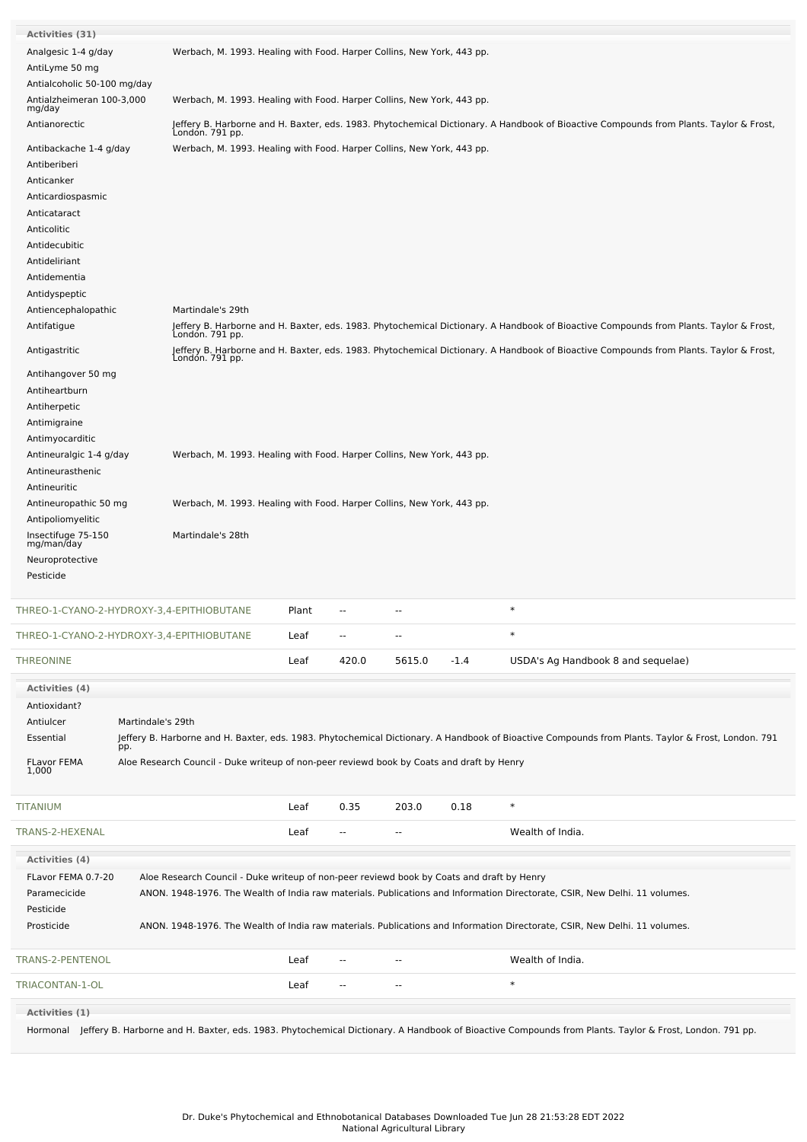| <b>Activities (31)</b><br>Analgesic 1-4 g/day | Werbach, M. 1993. Healing with Food. Harper Collins, New York, 443 pp.                    |       |                          |                          |        |                                                                                                                                                                 |
|-----------------------------------------------|-------------------------------------------------------------------------------------------|-------|--------------------------|--------------------------|--------|-----------------------------------------------------------------------------------------------------------------------------------------------------------------|
| AntiLyme 50 mg                                |                                                                                           |       |                          |                          |        |                                                                                                                                                                 |
| Antialcoholic 50-100 mg/day                   |                                                                                           |       |                          |                          |        |                                                                                                                                                                 |
| Antialzheimeran 100-3,000<br>mg/day           | Werbach, M. 1993. Healing with Food. Harper Collins, New York, 443 pp.                    |       |                          |                          |        |                                                                                                                                                                 |
| Antianorectic                                 | Londón. 791 pp.                                                                           |       |                          |                          |        | Jeffery B. Harborne and H. Baxter, eds. 1983. Phytochemical Dictionary. A Handbook of Bioactive Compounds from Plants. Taylor & Frost,                          |
| Antibackache 1-4 g/day                        | Werbach, M. 1993. Healing with Food. Harper Collins, New York, 443 pp.                    |       |                          |                          |        |                                                                                                                                                                 |
| Antiberiberi<br>Anticanker                    |                                                                                           |       |                          |                          |        |                                                                                                                                                                 |
| Anticardiospasmic                             |                                                                                           |       |                          |                          |        |                                                                                                                                                                 |
| Anticataract                                  |                                                                                           |       |                          |                          |        |                                                                                                                                                                 |
| Anticolitic                                   |                                                                                           |       |                          |                          |        |                                                                                                                                                                 |
| Antidecubitic                                 |                                                                                           |       |                          |                          |        |                                                                                                                                                                 |
| Antideliriant                                 |                                                                                           |       |                          |                          |        |                                                                                                                                                                 |
| Antidementia                                  |                                                                                           |       |                          |                          |        |                                                                                                                                                                 |
| Antidyspeptic                                 |                                                                                           |       |                          |                          |        |                                                                                                                                                                 |
| Antiencephalopathic                           | Martindale's 29th                                                                         |       |                          |                          |        |                                                                                                                                                                 |
| Antifatigue                                   | Londón. 791 pp.                                                                           |       |                          |                          |        | Jeffery B. Harborne and H. Baxter, eds. 1983. Phytochemical Dictionary. A Handbook of Bioactive Compounds from Plants. Taylor & Frost,                          |
| Antigastritic                                 | Londón. 791 pp.                                                                           |       |                          |                          |        | Jeffery B. Harborne and H. Baxter, eds. 1983. Phytochemical Dictionary. A Handbook of Bioactive Compounds from Plants. Taylor & Frost,                          |
| Antihangover 50 mg                            |                                                                                           |       |                          |                          |        |                                                                                                                                                                 |
| Antiheartburn                                 |                                                                                           |       |                          |                          |        |                                                                                                                                                                 |
| Antiherpetic<br>Antimigraine                  |                                                                                           |       |                          |                          |        |                                                                                                                                                                 |
| Antimyocarditic                               |                                                                                           |       |                          |                          |        |                                                                                                                                                                 |
| Antineuralgic 1-4 g/day                       | Werbach, M. 1993. Healing with Food. Harper Collins, New York, 443 pp.                    |       |                          |                          |        |                                                                                                                                                                 |
| Antineurasthenic                              |                                                                                           |       |                          |                          |        |                                                                                                                                                                 |
| Antineuritic                                  |                                                                                           |       |                          |                          |        |                                                                                                                                                                 |
| Antineuropathic 50 mg                         | Werbach, M. 1993. Healing with Food. Harper Collins, New York, 443 pp.                    |       |                          |                          |        |                                                                                                                                                                 |
| Antipoliomyelitic                             |                                                                                           |       |                          |                          |        |                                                                                                                                                                 |
| Insectifuge 75-150<br>mg/man/day              | Martindale's 28th                                                                         |       |                          |                          |        |                                                                                                                                                                 |
| Neuroprotective                               |                                                                                           |       |                          |                          |        |                                                                                                                                                                 |
| Pesticide                                     |                                                                                           |       |                          |                          |        |                                                                                                                                                                 |
|                                               |                                                                                           |       |                          |                          |        |                                                                                                                                                                 |
| THREO-1-CYANO-2-HYDROXY-3,4-EPITHIOBUTANE     |                                                                                           | Plant | --                       | --                       |        | $\ast$                                                                                                                                                          |
| THREO-1-CYANO-2-HYDROXY-3,4-EPITHIOBUTANE     |                                                                                           | Leaf  | --                       | --                       |        |                                                                                                                                                                 |
| <b>THREONINE</b>                              |                                                                                           | Leaf  | 420.0                    | 5615.0                   | $-1.4$ | USDA's Ag Handbook 8 and sequelae)                                                                                                                              |
| <b>Activities (4)</b>                         |                                                                                           |       |                          |                          |        |                                                                                                                                                                 |
| Antioxidant?                                  |                                                                                           |       |                          |                          |        |                                                                                                                                                                 |
| Martindale's 29th<br>Antiulcer                |                                                                                           |       |                          |                          |        |                                                                                                                                                                 |
| Essential<br>pp.                              |                                                                                           |       |                          |                          |        | Jeffery B. Harborne and H. Baxter, eds. 1983. Phytochemical Dictionary. A Handbook of Bioactive Compounds from Plants. Taylor & Frost, London. 791              |
| FLavor FEMA<br>1,000                          | Aloe Research Council - Duke writeup of non-peer reviewd book by Coats and draft by Henry |       |                          |                          |        |                                                                                                                                                                 |
|                                               |                                                                                           |       |                          |                          |        |                                                                                                                                                                 |
| TITANIUM                                      |                                                                                           | Leaf  | 0.35                     | 203.0                    | 0.18   | $\ast$                                                                                                                                                          |
| TRANS-2-HEXENAL                               |                                                                                           | Leaf  | $\overline{\phantom{a}}$ | $\overline{\phantom{a}}$ |        | Wealth of India.                                                                                                                                                |
| <b>Activities (4)</b>                         |                                                                                           |       |                          |                          |        |                                                                                                                                                                 |
| FLavor FEMA 0.7-20                            | Aloe Research Council - Duke writeup of non-peer reviewd book by Coats and draft by Henry |       |                          |                          |        |                                                                                                                                                                 |
| Paramecicide                                  |                                                                                           |       |                          |                          |        | ANON. 1948-1976. The Wealth of India raw materials. Publications and Information Directorate, CSIR, New Delhi. 11 volumes.                                      |
| Pesticide                                     |                                                                                           |       |                          |                          |        |                                                                                                                                                                 |
| Prosticide                                    |                                                                                           |       |                          |                          |        | ANON. 1948-1976. The Wealth of India raw materials. Publications and Information Directorate, CSIR, New Delhi. 11 volumes.                                      |
| TRANS-2-PENTENOL                              |                                                                                           | Leaf  |                          | ۰.                       |        | Wealth of India.                                                                                                                                                |
| TRIACONTAN-1-OL                               |                                                                                           | Leaf  | $\overline{a}$           | $\overline{a}$           |        | $\ast$                                                                                                                                                          |
| Activities (1)                                |                                                                                           |       |                          |                          |        |                                                                                                                                                                 |
|                                               |                                                                                           |       |                          |                          |        | Hormonal Jeffery B. Harborne and H. Baxter, eds. 1983. Phytochemical Dictionary. A Handbook of Bioactive Compounds from Plants. Taylor & Frost, London. 791 pp. |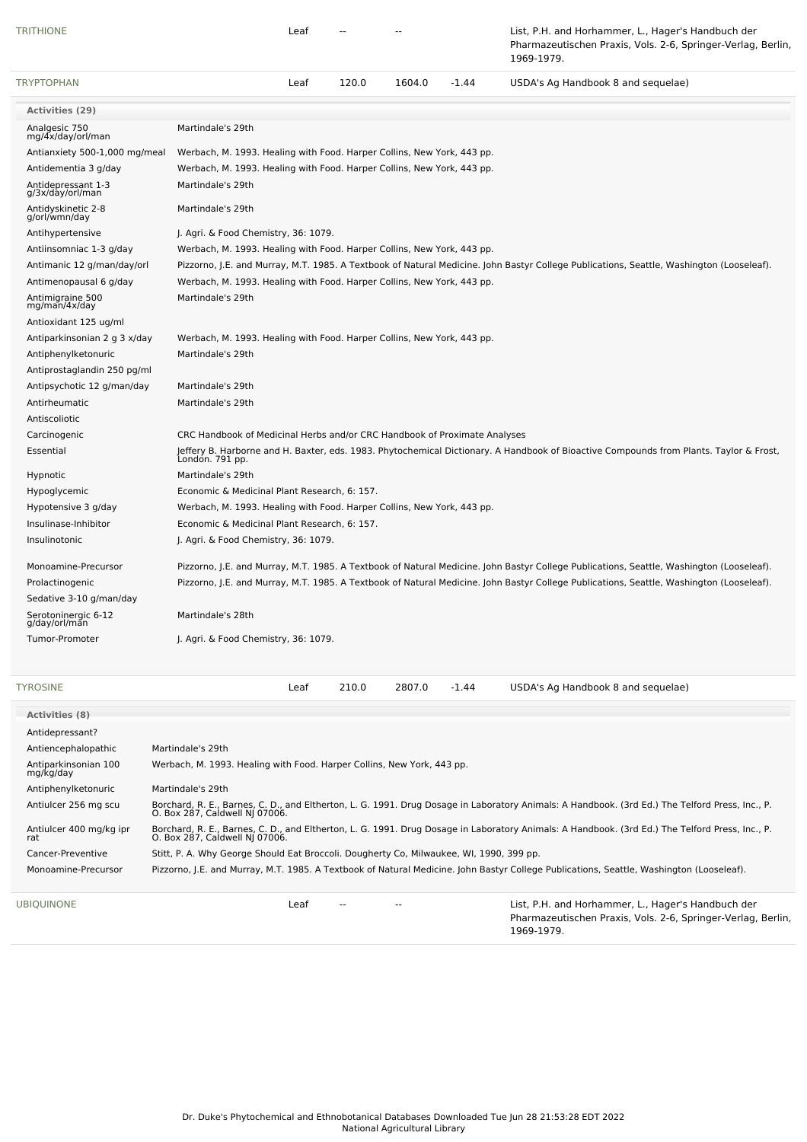| <b>TRITHIONE</b>                       |                                                                                         | Leaf |       |        |         | List, P.H. and Horhammer, L., Hager's Handbuch der<br>Pharmazeutischen Praxis, Vols. 2-6, Springer-Verlag, Berlin,<br>1969-1979.                                                  |
|----------------------------------------|-----------------------------------------------------------------------------------------|------|-------|--------|---------|-----------------------------------------------------------------------------------------------------------------------------------------------------------------------------------|
| <b>TRYPTOPHAN</b>                      |                                                                                         | Leaf | 120.0 | 1604.0 | $-1.44$ | USDA's Ag Handbook 8 and sequelae)                                                                                                                                                |
| <b>Activities (29)</b>                 |                                                                                         |      |       |        |         |                                                                                                                                                                                   |
| Analgesic 750<br>mg/4x/day/orl/man     | Martindale's 29th                                                                       |      |       |        |         |                                                                                                                                                                                   |
| Antianxiety 500-1,000 mg/meal          | Werbach, M. 1993. Healing with Food. Harper Collins, New York, 443 pp.                  |      |       |        |         |                                                                                                                                                                                   |
| Antidementia 3 g/day                   | Werbach, M. 1993. Healing with Food. Harper Collins, New York, 443 pp.                  |      |       |        |         |                                                                                                                                                                                   |
| Antidepressant 1-3<br>g/3x/day/orl/man | Martindale's 29th                                                                       |      |       |        |         |                                                                                                                                                                                   |
| Antidyskinetic 2-8<br>g/orl/wmn/day    | Martindale's 29th                                                                       |      |       |        |         |                                                                                                                                                                                   |
| Antihypertensive                       | J. Agri. & Food Chemistry, 36: 1079.                                                    |      |       |        |         |                                                                                                                                                                                   |
| Antiinsomniac 1-3 g/day                | Werbach, M. 1993. Healing with Food. Harper Collins, New York, 443 pp.                  |      |       |        |         |                                                                                                                                                                                   |
| Antimanic 12 g/man/day/orl             |                                                                                         |      |       |        |         | Pizzorno, J.E. and Murray, M.T. 1985. A Textbook of Natural Medicine. John Bastyr College Publications, Seattle, Washington (Looseleaf).                                          |
| Antimenopausal 6 g/day                 | Werbach, M. 1993. Healing with Food. Harper Collins, New York, 443 pp.                  |      |       |        |         |                                                                                                                                                                                   |
| Antimigraine 500<br>mg/man/4x/day      | Martindale's 29th                                                                       |      |       |        |         |                                                                                                                                                                                   |
| Antioxidant 125 ug/ml                  |                                                                                         |      |       |        |         |                                                                                                                                                                                   |
| Antiparkinsonian 2 g 3 x/day           | Werbach, M. 1993. Healing with Food. Harper Collins, New York, 443 pp.                  |      |       |        |         |                                                                                                                                                                                   |
| Antiphenylketonuric                    | Martindale's 29th                                                                       |      |       |        |         |                                                                                                                                                                                   |
| Antiprostaglandin 250 pg/ml            |                                                                                         |      |       |        |         |                                                                                                                                                                                   |
| Antipsychotic 12 g/man/day             | Martindale's 29th                                                                       |      |       |        |         |                                                                                                                                                                                   |
| Antirheumatic                          | Martindale's 29th                                                                       |      |       |        |         |                                                                                                                                                                                   |
| Antiscoliotic                          |                                                                                         |      |       |        |         |                                                                                                                                                                                   |
| Carcinogenic                           | CRC Handbook of Medicinal Herbs and/or CRC Handbook of Proximate Analyses               |      |       |        |         |                                                                                                                                                                                   |
| Essential                              |                                                                                         |      |       |        |         | Jeffery B. Harborne and H. Baxter, eds. 1983. Phytochemical Dictionary. A Handbook of Bioactive Compounds from Plants. Taylor & Frost,<br>London. 791 pp.                         |
| Hypnotic                               | Martindale's 29th                                                                       |      |       |        |         |                                                                                                                                                                                   |
| Hypoglycemic                           | Economic & Medicinal Plant Research, 6: 157.                                            |      |       |        |         |                                                                                                                                                                                   |
| Hypotensive 3 g/day                    | Werbach, M. 1993. Healing with Food. Harper Collins, New York, 443 pp.                  |      |       |        |         |                                                                                                                                                                                   |
| Insulinase-Inhibitor                   | Economic & Medicinal Plant Research, 6: 157.                                            |      |       |        |         |                                                                                                                                                                                   |
| Insulinotonic                          | J. Agri. & Food Chemistry, 36: 1079.                                                    |      |       |        |         |                                                                                                                                                                                   |
| Monoamine-Precursor                    |                                                                                         |      |       |        |         | Pizzorno, J.E. and Murray, M.T. 1985. A Textbook of Natural Medicine. John Bastyr College Publications, Seattle, Washington (Looseleaf).                                          |
| Prolactinogenic                        |                                                                                         |      |       |        |         | Pizzorno, J.E. and Murray, M.T. 1985. A Textbook of Natural Medicine. John Bastyr College Publications, Seattle, Washington (Looseleaf).                                          |
| Sedative 3-10 g/man/day                |                                                                                         |      |       |        |         |                                                                                                                                                                                   |
| Serotoninergic 6-12<br>g/day/orl/man   | Martindale's 28th                                                                       |      |       |        |         |                                                                                                                                                                                   |
| Tumor-Promoter                         | J. Agri. & Food Chemistry, 36: 1079.                                                    |      |       |        |         |                                                                                                                                                                                   |
|                                        |                                                                                         |      |       |        |         |                                                                                                                                                                                   |
| <b>TYROSINE</b>                        |                                                                                         | Leaf | 210.0 | 2807.0 | -1.44   | USDA's Ag Handbook 8 and sequelae)                                                                                                                                                |
| <b>Activities (8)</b>                  |                                                                                         |      |       |        |         |                                                                                                                                                                                   |
| Antidepressant?                        |                                                                                         |      |       |        |         |                                                                                                                                                                                   |
| Antiencephalopathic                    | Martindale's 29th                                                                       |      |       |        |         |                                                                                                                                                                                   |
| Antiparkinsonian 100                   | Werbach, M. 1993. Healing with Food. Harper Collins, New York, 443 pp.                  |      |       |        |         |                                                                                                                                                                                   |
| mg/kg/day                              |                                                                                         |      |       |        |         |                                                                                                                                                                                   |
| Antiphenylketonuric                    | Martindale's 29th                                                                       |      |       |        |         |                                                                                                                                                                                   |
| Antiulcer 256 mg scu                   | O. Box 287, Caldwell NJ 07006.                                                          |      |       |        |         | Borchard, R. E., Barnes, C. D., and Eltherton, L. G. 1991. Drug Dosage in Laboratory Animals: A Handbook. (3rd Ed.) The Telford Press, Inc., P.                                   |
| Antiulcer 400 mg/kg ipr<br>rat         |                                                                                         |      |       |        |         | Borchard, R. E., Barnes, C. D., and Eltherton, L. G. 1991. Drug Dosage in Laboratory Animals: A Handbook. (3rd Ed.) The Telford Press, Inc., P.<br>O. Box 287, Caldwell NJ 07006. |
| Cancer-Preventive                      | Stitt, P. A. Why George Should Eat Broccoli. Dougherty Co, Milwaukee, WI, 1990, 399 pp. |      |       |        |         |                                                                                                                                                                                   |
| Monoamine-Precursor                    |                                                                                         |      |       |        |         | Pizzorno, J.E. and Murray, M.T. 1985. A Textbook of Natural Medicine. John Bastyr College Publications, Seattle, Washington (Looseleaf).                                          |
| UBIQUINONE                             |                                                                                         | Leaf |       |        |         | List, P.H. and Horhammer, L., Hager's Handbuch der<br>Pharmazeutischen Praxis, Vols. 2-6, Springer-Verlag, Berlin,                                                                |

1969-1979.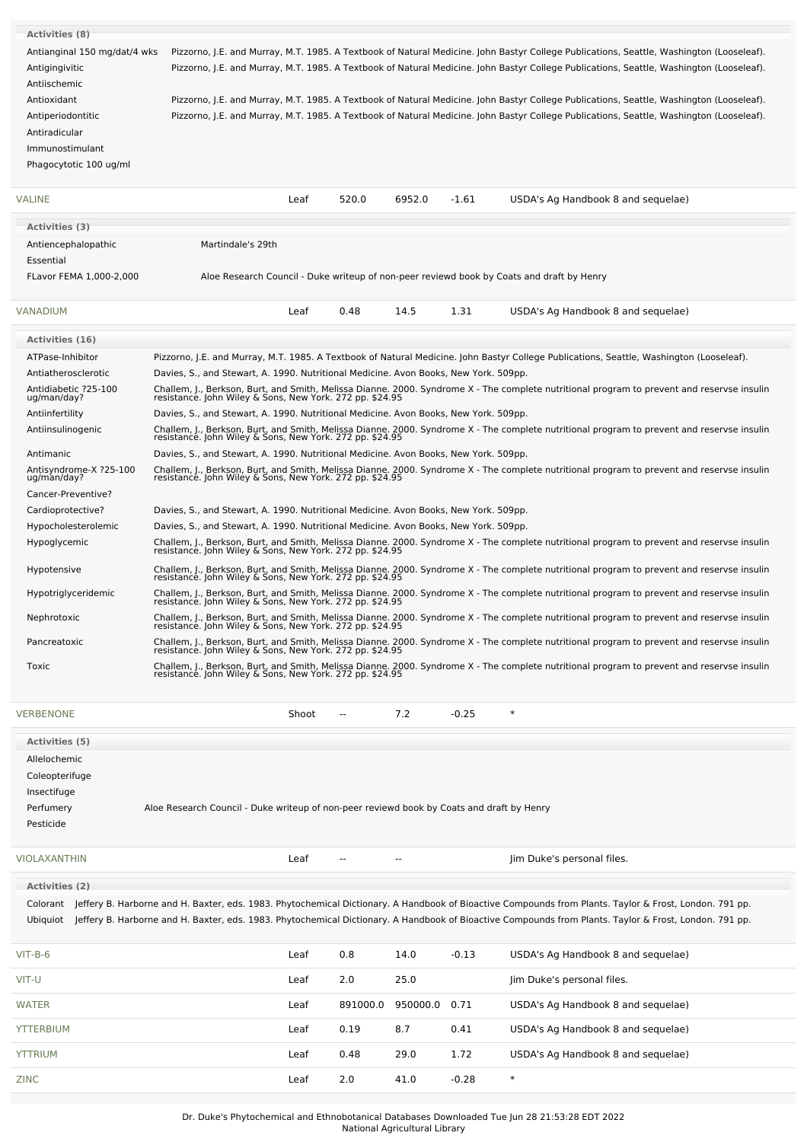| <b>Activities (8)</b>                   |                                                                                                                                                                                                        |
|-----------------------------------------|--------------------------------------------------------------------------------------------------------------------------------------------------------------------------------------------------------|
| Antianginal 150 mg/dat/4 wks            | Pizzorno, J.E. and Murray, M.T. 1985. A Textbook of Natural Medicine. John Bastyr College Publications, Seattle, Washington (Looseleaf).                                                               |
| Antigingivitic                          | Pizzorno, J.E. and Murray, M.T. 1985. A Textbook of Natural Medicine. John Bastyr College Publications, Seattle, Washington (Looseleaf).                                                               |
| Antiischemic                            |                                                                                                                                                                                                        |
| Antioxidant                             | Pizzorno, J.E. and Murray, M.T. 1985. A Textbook of Natural Medicine. John Bastyr College Publications, Seattle, Washington (Looseleaf).                                                               |
| Antiperiodontitic                       | Pizzorno, J.E. and Murray, M.T. 1985. A Textbook of Natural Medicine. John Bastyr College Publications, Seattle, Washington (Looseleaf).                                                               |
| Antiradicular                           |                                                                                                                                                                                                        |
| Immunostimulant                         |                                                                                                                                                                                                        |
| Phagocytotic 100 ug/ml                  |                                                                                                                                                                                                        |
|                                         |                                                                                                                                                                                                        |
| VALINE                                  | 520.0<br>6952.0<br>$-1.61$<br>Leaf<br>USDA's Ag Handbook 8 and sequelae)                                                                                                                               |
| Activities (3)                          |                                                                                                                                                                                                        |
| Antiencephalopathic                     | Martindale's 29th                                                                                                                                                                                      |
| Essential                               |                                                                                                                                                                                                        |
| FLavor FEMA 1,000-2,000                 | Aloe Research Council - Duke writeup of non-peer reviewd book by Coats and draft by Henry                                                                                                              |
|                                         |                                                                                                                                                                                                        |
| VANADIUM                                | 14.5<br>1.31<br>Leaf<br>0.48<br>USDA's Ag Handbook 8 and sequelae)                                                                                                                                     |
|                                         |                                                                                                                                                                                                        |
| <b>Activities (16)</b>                  |                                                                                                                                                                                                        |
| ATPase-Inhibitor<br>Antiatherosclerotic | Pizzorno, J.E. and Murray, M.T. 1985. A Textbook of Natural Medicine. John Bastyr College Publications, Seattle, Washington (Looseleaf).                                                               |
| Antidiabetic ?25-100                    | Davies, S., and Stewart, A. 1990. Nutritional Medicine. Avon Books, New York. 509pp.                                                                                                                   |
| ug/man/day?                             | Challem, J., Berkson, Burt, and Smith, Melissa Dianne. 2000. Syndrome X - The complete nutritional program to prevent and reservse insulin<br>resistance. John Wiley & Sons, New York. 272 pp. \$24.95 |
| Antiinfertility                         | Davies, S., and Stewart, A. 1990. Nutritional Medicine. Avon Books, New York. 509pp.                                                                                                                   |
| Antiinsulinogenic                       | Challem, J., Berkson, Burt, and Smith, Melissa Dianne. 2000. Syndrome X - The complete nutritional program to prevent and reservse insulin<br>resistance. John Wiley & Sons, New York. 272 pp. \$24.95 |
| Antimanic                               | Davies, S., and Stewart, A. 1990. Nutritional Medicine. Avon Books, New York. 509pp.                                                                                                                   |
| Antisyndrome-X ?25-100<br>ug/man/day?   | Challem, J., Berkson, Burt, and Smith, Melissa Dianne. 2000. Syndrome X - The complete nutritional program to prevent and reservse insulin<br>resistance. John Wiley & Sons, New York. 272 pp. \$24.95 |
| Cancer-Preventive?                      |                                                                                                                                                                                                        |
| Cardioprotective?                       | Davies, S., and Stewart, A. 1990. Nutritional Medicine. Avon Books, New York. 509pp.                                                                                                                   |
| Hypocholesterolemic                     | Davies, S., and Stewart, A. 1990. Nutritional Medicine. Avon Books, New York. 509pp.                                                                                                                   |
| Hypoglycemic                            | Challem, J., Berkson, Burt, and Smith, Melissa Dianne. 2000. Syndrome X - The complete nutritional program to prevent and reservse insulin<br>resistance. John Wiley & Sons, New York. 272 pp. \$24.95 |
| Hypotensive                             | Challem, J., Berkson, Burt, and Smith, Melissa Dianne. 2000. Syndrome X - The complete nutritional program to prevent and reservse insulin<br>resistance. John Wiley & Sons, New York. 272 pp. \$24.95 |
| Hypotriglyceridemic                     | Challem, J., Berkson, Burt, and Smith, Melissa Dianne. 2000. Syndrome X - The complete nutritional program to prevent and reservse insulin<br>resistance. John Wiley & Sons, New York. 272 pp. \$24.95 |
| Nephrotoxic                             | Challem, J., Berkson, Burt, and Smith, Melissa Dianne. 2000. Syndrome X - The complete nutritional program to prevent and reservse insulin resistance. John Wiley & Sons, New York. 272 pp. \$24.95    |
| Pancreatoxic                            | Challem, J., Berkson, Burt, and Smith, Melissa Dianne. 2000. Syndrome X - The complete nutritional program to prevent and reservse insulin<br>resistance. John Wiley & Sons, New York. 272 pp. \$24.95 |
| Toxic                                   | Challem, J., Berkson, Burt, and Smith, Melissa Dianne. 2000. Syndrome X - The complete nutritional program to prevent and reservse insulin<br>resistance. John Wiley & Sons, New York. 272 pp. \$24.95 |

| <b>VERBENONE</b> | $\ast$<br>7.2<br>$-0.25$<br>Shoot<br>$\overline{\phantom{a}}$                             |
|------------------|-------------------------------------------------------------------------------------------|
| Activities (5)   |                                                                                           |
| Allelochemic     |                                                                                           |
| Coleopterifuge   |                                                                                           |
| Insectifuge      |                                                                                           |
| Perfumery        | Aloe Research Council - Duke writeup of non-peer reviewd book by Coats and draft by Henry |
| Pesticide        |                                                                                           |
|                  |                                                                                           |

[VIOLAXANTHIN](file:///phytochem/chemicals/show/17978) **And Contain the Contract Contract Contract Contract Leaf** -- The Contract Contract Contract Contract Contract Contract Contract Contract Contract Contract Contract Contract Contract Contract Contract Contract

**Activities (2)**

Colorant Jeffery B. Harborne and H. Baxter, eds. 1983. Phytochemical Dictionary. A Handbook of Bioactive Compounds from Plants. Taylor & Frost, London. 791 pp. Ubiquiot Jeffery B. Harborne and H. Baxter, eds. 1983. Phytochemical Dictionary. A Handbook of Bioactive Compounds from Plants. Taylor & Frost, London. 791 pp.

| $VIT-B-6$        | Leaf | 0.8      | 14.0     | $-0.13$ | USDA's Ag Handbook 8 and sequelae) |
|------------------|------|----------|----------|---------|------------------------------------|
| VIT-U            | Leaf | 2.0      | 25.0     |         | Jim Duke's personal files.         |
| <b>WATER</b>     | Leaf | 891000.0 | 950000.0 | 0.71    | USDA's Ag Handbook 8 and sequelae) |
| <b>YTTERBIUM</b> | Leaf | 0.19     | 8.7      | 0.41    | USDA's Ag Handbook 8 and sequelae) |
| <b>YTTRIUM</b>   | Leaf | 0.48     | 29.0     | 1.72    | USDA's Ag Handbook 8 and sequelae) |
| <b>ZINC</b>      | Leaf | 2.0      | 41.0     | $-0.28$ | $\ast$                             |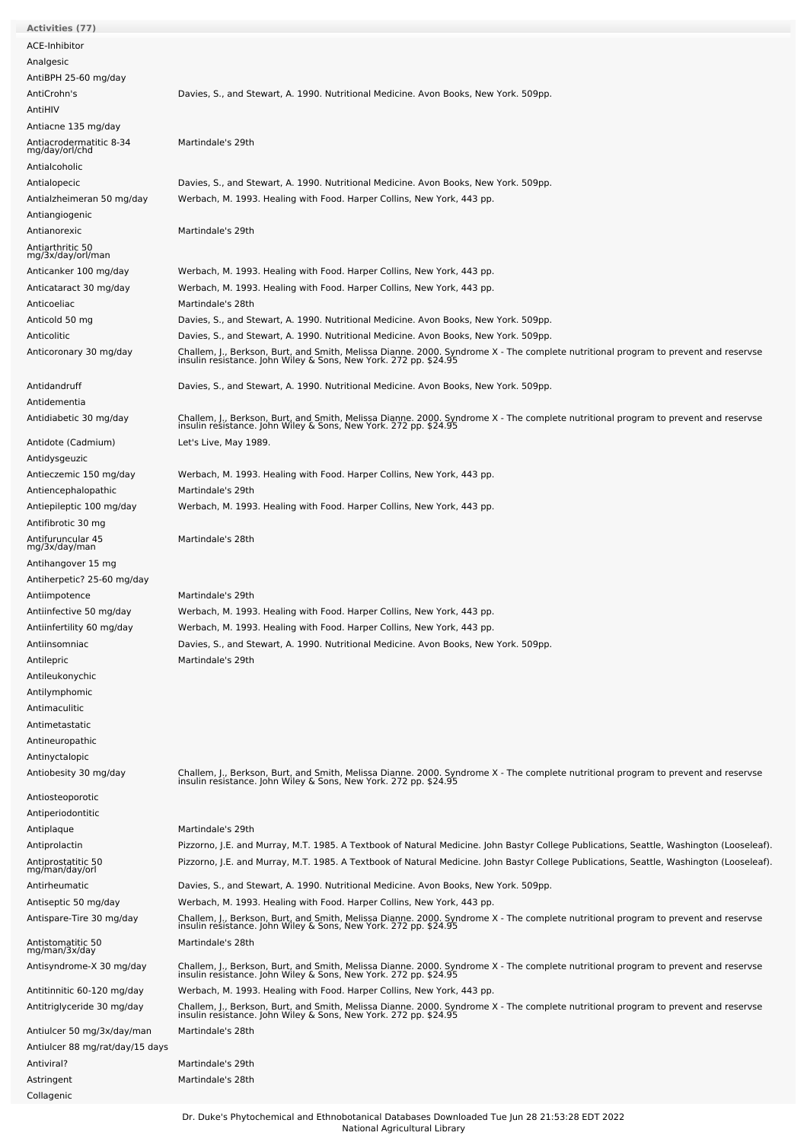| <b>Activities (77)</b>                    |                                                                                                                                                                                                        |
|-------------------------------------------|--------------------------------------------------------------------------------------------------------------------------------------------------------------------------------------------------------|
| ACE-Inhibitor                             |                                                                                                                                                                                                        |
| Analgesic                                 |                                                                                                                                                                                                        |
|                                           |                                                                                                                                                                                                        |
| AntiBPH 25-60 mg/day                      |                                                                                                                                                                                                        |
| AntiCrohn's                               | Davies, S., and Stewart, A. 1990. Nutritional Medicine. Avon Books, New York. 509pp.                                                                                                                   |
| AntiHIV                                   |                                                                                                                                                                                                        |
| Antiacne 135 mg/day                       |                                                                                                                                                                                                        |
| Antiacrodermatitic 8-34<br>mg/day/orl/chd | Martindale's 29th                                                                                                                                                                                      |
| Antialcoholic                             |                                                                                                                                                                                                        |
|                                           |                                                                                                                                                                                                        |
| Antialopecic                              | Davies, S., and Stewart, A. 1990. Nutritional Medicine. Avon Books, New York. 509pp.                                                                                                                   |
| Antialzheimeran 50 mg/day                 | Werbach, M. 1993. Healing with Food. Harper Collins, New York, 443 pp.                                                                                                                                 |
| Antiangiogenic                            |                                                                                                                                                                                                        |
| Antianorexic                              | Martindale's 29th                                                                                                                                                                                      |
| Antiarthritic 50<br>mg/3x/day/orl/man     |                                                                                                                                                                                                        |
| Anticanker 100 mg/day                     | Werbach, M. 1993. Healing with Food. Harper Collins, New York, 443 pp.                                                                                                                                 |
| Anticataract 30 mg/day                    | Werbach, M. 1993. Healing with Food. Harper Collins, New York, 443 pp.                                                                                                                                 |
|                                           | Martindale's 28th                                                                                                                                                                                      |
| Anticoeliac                               |                                                                                                                                                                                                        |
| Anticold 50 mg                            | Davies, S., and Stewart, A. 1990. Nutritional Medicine. Avon Books, New York. 509pp.                                                                                                                   |
| Anticolitic                               | Davies, S., and Stewart, A. 1990. Nutritional Medicine. Avon Books, New York. 509pp.                                                                                                                   |
| Anticoronary 30 mg/day                    | Challem, J., Berkson, Burt, and Smith, Melissa Dianne. 2000. Syndrome X - The complete nutritional program to prevent and reservse<br>insulin resistance. John Wiley & Sons, New York. 272 pp. \$24.95 |
| Antidandruff                              | Davies, S., and Stewart, A. 1990. Nutritional Medicine. Avon Books, New York. 509pp.                                                                                                                   |
| Antidementia                              |                                                                                                                                                                                                        |
| Antidiabetic 30 mg/day                    |                                                                                                                                                                                                        |
|                                           | Challem, J., Berkson, Burt, and Smith, Melissa Dianne. 2000. Syndrome X - The complete nutritional program to prevent and reservse<br>insulin resistance. John Wiley & Sons, New York. 272 pp. \$24.95 |
| Antidote (Cadmium)                        | Let's Live, May 1989.                                                                                                                                                                                  |
| Antidysgeuzic                             |                                                                                                                                                                                                        |
| Antieczemic 150 mg/day                    | Werbach, M. 1993. Healing with Food. Harper Collins, New York, 443 pp.                                                                                                                                 |
| Antiencephalopathic                       | Martindale's 29th                                                                                                                                                                                      |
| Antiepileptic 100 mg/day                  | Werbach, M. 1993. Healing with Food. Harper Collins, New York, 443 pp.                                                                                                                                 |
| Antifibrotic 30 mg                        |                                                                                                                                                                                                        |
| Antifuruncular 45<br>mg/3x/day/man        | Martindale's 28th                                                                                                                                                                                      |
|                                           |                                                                                                                                                                                                        |
| Antihangover 15 mg                        |                                                                                                                                                                                                        |
| Antiherpetic? 25-60 mg/day                |                                                                                                                                                                                                        |
| Antiimpotence                             | Martindale's 29th                                                                                                                                                                                      |
| Antiinfective 50 mg/day                   | Werbach, M. 1993. Healing with Food. Harper Collins, New York, 443 pp.                                                                                                                                 |
| Antiinfertility 60 mg/day                 | Werbach, M. 1993. Healing with Food. Harper Collins, New York, 443 pp.                                                                                                                                 |
| Antiinsomniac                             | Davies, S., and Stewart, A. 1990. Nutritional Medicine. Avon Books, New York. 509pp.                                                                                                                   |
| Antilepric                                | Martindale's 29th                                                                                                                                                                                      |
| Antileukonychic                           |                                                                                                                                                                                                        |
| Antilymphomic                             |                                                                                                                                                                                                        |
| Antimaculitic                             |                                                                                                                                                                                                        |
| Antimetastatic                            |                                                                                                                                                                                                        |
|                                           |                                                                                                                                                                                                        |
| Antineuropathic                           |                                                                                                                                                                                                        |
| Antinyctalopic                            |                                                                                                                                                                                                        |
| Antiobesity 30 mg/day                     | Challem, J., Berkson, Burt, and Smith, Melissa Dianne. 2000. Syndrome X - The complete nutritional program to prevent and reservse insulin resistance. John Wiley & Sons, New York. 272 pp. \$24.95    |
| Antiosteoporotic                          |                                                                                                                                                                                                        |
| Antiperiodontitic                         |                                                                                                                                                                                                        |
| Antiplaque                                | Martindale's 29th                                                                                                                                                                                      |
| Antiprolactin                             | Pizzorno, J.E. and Murray, M.T. 1985. A Textbook of Natural Medicine. John Bastyr College Publications, Seattle, Washington (Looseleaf).                                                               |
| Antiprostatitic 50                        | Pizzorno, J.E. and Murray, M.T. 1985. A Textbook of Natural Medicine. John Bastyr College Publications, Seattle, Washington (Looseleaf).                                                               |
| mg/man/day/orl                            |                                                                                                                                                                                                        |
| Antirheumatic                             | Davies, S., and Stewart, A. 1990. Nutritional Medicine. Avon Books, New York. 509pp.                                                                                                                   |
| Antiseptic 50 mg/day                      | Werbach, M. 1993. Healing with Food. Harper Collins, New York, 443 pp.                                                                                                                                 |
| Antispare-Tire 30 mg/day                  | Challem, J., Berkson, Burt, and Smith, Melissa Dianne. 2000. Syndrome X - The complete nutritional program to prevent and reservse<br>insulin resistance. John Wiley & Sons, New York. 272 pp. \$24.95 |
|                                           |                                                                                                                                                                                                        |
| Antistomatitic 50<br>mg/man/3x/day        | Martindale's 28th                                                                                                                                                                                      |
| Antisyndrome-X 30 mg/day                  |                                                                                                                                                                                                        |
|                                           | Challem, J., Berkson, Burt, and Smith, Melissa Dianne. 2000. Syndrome X - The complete nutritional program to prevent and reservse<br>insulin resistance. John Wiley & Sons, New York. 272 pp. \$24.95 |
| Antitinnitic 60-120 mg/day                | Werbach, M. 1993. Healing with Food. Harper Collins, New York, 443 pp.                                                                                                                                 |
| Antitriglyceride 30 mg/day                | Challem, J., Berkson, Burt, and Smith, Melissa Dianne. 2000. Syndrome X - The complete nutritional program to prevent and reservse<br>insulin resistance. John Wiley & Sons, New York. 272 pp. \$24.95 |
|                                           |                                                                                                                                                                                                        |
| Antiulcer 50 mg/3x/day/man                | Martindale's 28th                                                                                                                                                                                      |
| Antiulcer 88 mg/rat/day/15 days           |                                                                                                                                                                                                        |
| Antiviral?                                | Martindale's 29th                                                                                                                                                                                      |
| Astringent                                | Martindale's 28th                                                                                                                                                                                      |
| Collagenic                                |                                                                                                                                                                                                        |